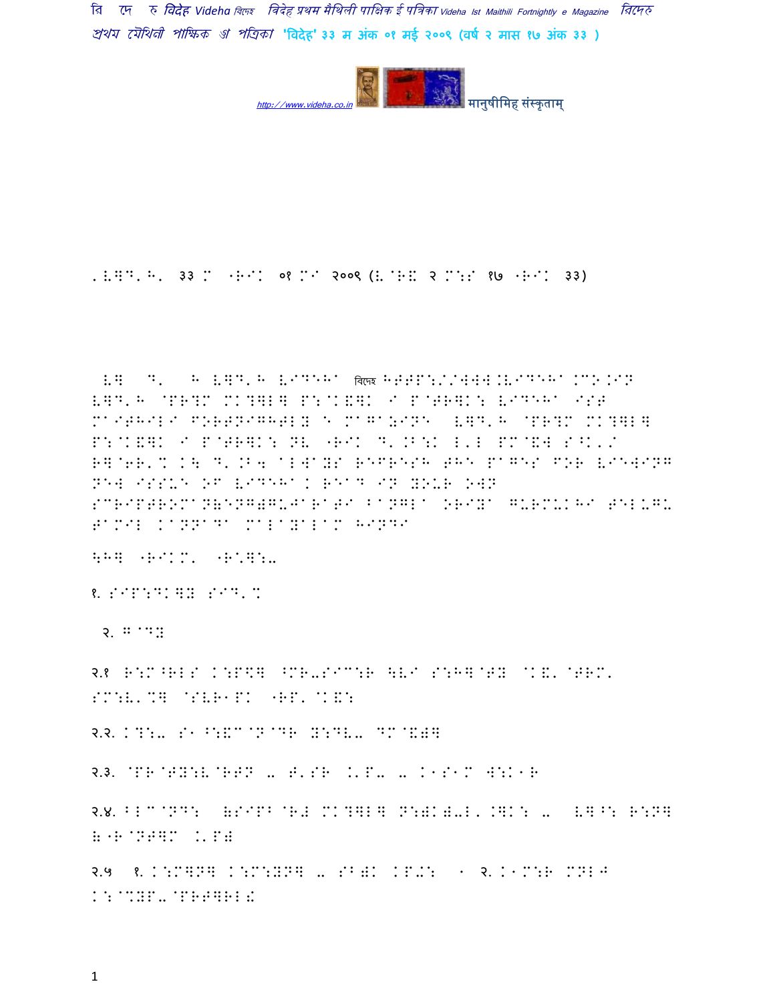िव दिन है <mark>विदेह Videha</mark> <sub>विफर</sub> विदेह प्रथम मैथिली पाक्षिक ई पत्रिका Videha Ist Maithili Fortnightly e Magazine *बि*फ्हि õथम मैिथली पािक्षक ई पिñका **'**िवदेह**'** ३३ म अंक ०१ मई २००९ (वष र् २ मास १७ अंक ३३ )



## . 1. मुंग, २०, २३ लाल समेता ७१ लाल २००९ (1. १२: २ लाल २ लाल १७ वटा ३३)

 $V(\mathbb{R}^d)$  decay in the control of the experimental control  $V(\mathbb{R}^d)$ V]D'H @PR?M MK?]L] P:@K&]K I P@TR]K: VIDEHa IST Maithili Forther Changing Andrew State Company of The Control of Changing P:@K&]K I P@TR]K: NV "RIK D'.B:K L'L PM@&W S^K'/ R]@6R'% K\ D'.B4 aLWaYS REFRESH THE PaGES FOR VIEWING NEW ISSUE OF VIDEHa. REaD IN YOUR OWN SCRIPTROMaN(ENG)GUJaRaTI BaNGLa ORIYa GURMUKHI TELUGU TaMIL KaNNaDa MaLaYaLaM HINDI

 $H^1$   $\vdots$   $H^1$   $\vdots$   $H^1$   $\vdots$   $H^1$   $\vdots$   $H^1$   $\vdots$   $H^1$ 

8. SPERSON SID SPORT

 $2. \cdot 3. \cdot 3.$ 

२.१ R:M^RLS K:P\$] ^MR-SIC:R \VI S:H]@TY @K&'@TRM' SM:LOWE MELFIEL "RPY MICH

२.२. ( With S10: S1: S10: OR Y: OR Y: OR Y: OR Y: OR Y: OR Y: OR Y:

२.३. @PR@TYERTN - F.FR . PENN YOUR PROFE

२.४. में BLC PRESS (SIPP) करते के लिए से अपने प्राप्त करते हैं। अपने प्राप्त करते के लिए से प्राप्त करते के लि  $R$  . The state of the state of the state of the state of the state of the state of the state of the state of the state of the state of the state of the state of the state of the state of the state of the state of the stat

२.५ १. K:M]N] K:M:YN] - SB)K KP+: 1 २. K1M:R MNLJ K:@%YP-@PRT]RL!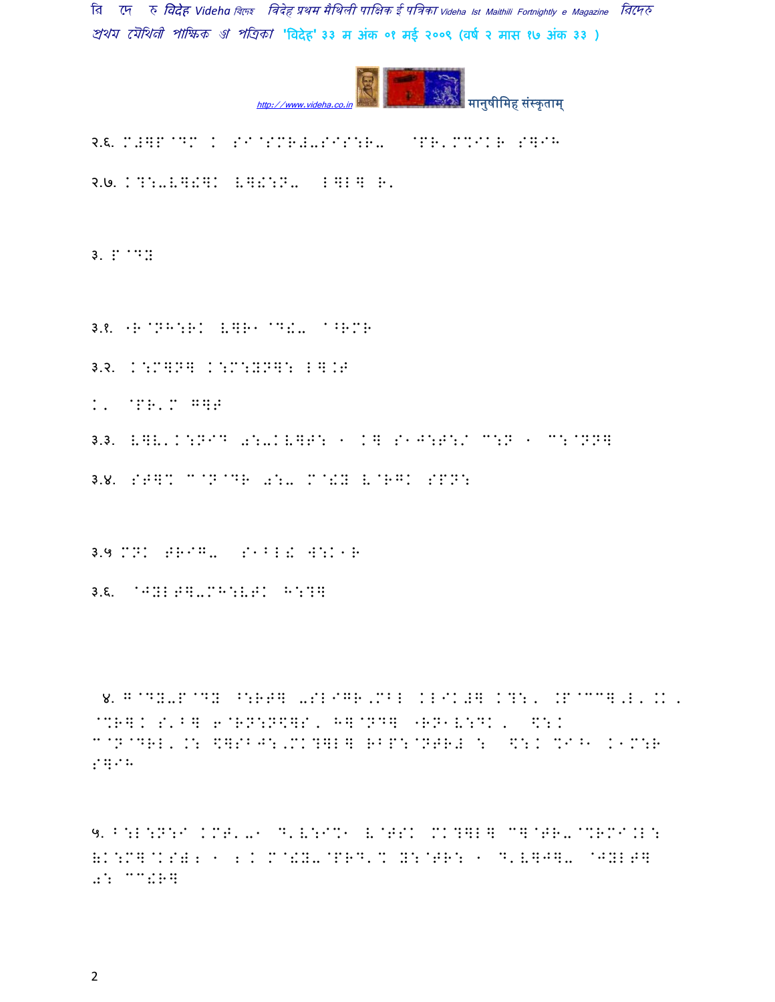

२.६. M##P@DM K SIS:R- MATEMAL STREAM (CORPORATION) PORTHOLOGY

२.७. ( Thui. Ref R | LRENTR. | | | | | | | | | | |

 $3.$   $P^{\prime}$   $P^{\prime}$   $P^{\prime}$ 

- ३.१. "R@NH:RK V]R1@D!- @^RMR
- ३.२. K:M:M:P# K:M:M:H:H:H:H:H
- $\ddot{\cdot}$  .  $\ddot{\cdot}$  .  $\ddot{\cdot}$  .  $\ddot{\cdot}$  .  $\ddot{\cdot}$  .  $\ddot{\cdot}$  .
- ३.३. EALLIERT GELLEAR (1980) 24 ROARD 782 (1989)
- ३.४. START (1912-194) Grad Condition Enterprise

 $3.9$  MNK FRIGHT, WE SHIRE STRIGE

3.6. <sup>2</sup> (1911) #H:VTH H:VTH + 1911

 $\begin{array}{l} \textbf{8.}\end{array} \begin{array}{l} \textbf{9.}\end{array} \begin{array}{l} \textbf{9.}\end{array} \begin{array}{l} \textbf{9.}\end{array} \begin{array}{l} \textbf{9.}\end{array} \begin{array}{l} \textbf{9.}\end{array} \begin{array}{l} \textbf{1.}\end{array} \begin{array}{l} \textbf{1.}\end{array} \begin{array}{l} \textbf{1.}\end{array} \begin{array}{l} \textbf{1.}\end{array} \begin{array}{l} \textbf{1.}\end{array} \begin{array}{l} \textbf{1.}\end{array} \begin{array$ 

@%R]. S'B] 6@RN:N\$]S, H]@ND] "RN1V:DK, \$:. CONDITIONS ON THE CONDITIONS OF SALE IS A STRAIGHT OF CONDITIONS OF THE SET OF THE SET OF THE SET OF THE SET O  $\mathcal{L}$ Himatic Surface

५. B:L:N:I KMT'-1 D'V:I%1 V@TSK MK?]L] C]@TR-@%RMI.L: (K:M]@KS); 1 2. M@!Y-@PRD'% Y:@TR: 1 D'V]J]- @JYLT] d: CCRE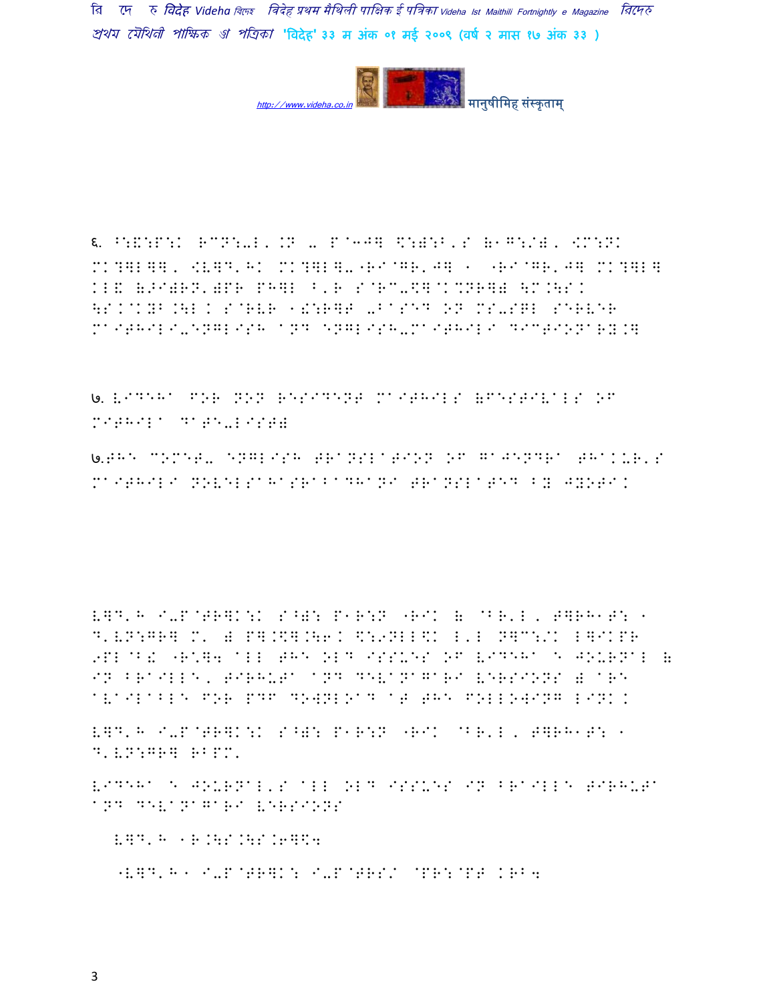"V]D'H" I-P@TR]K: I-P@TRS/ @PR:@PT KRB4

V]D'H 1R.\S.\S.6]\$4

VIDEHa E JOURNaL'S aLL OLD ISSUES IN BRaILLE TIRHUTa aND DEVaNaGaRI VERSIONS

V]D'H I-P@TR]K:K S^): P1R:N "RIK @BR'L, T]RH1T: 1 D'VN:GR] RBPM'

 $\langle \mathrm{E} \mathrm{H}^{\mathrm{H}} \mathrm{V}, \mathrm{H}^{\mathrm{H}} \rangle$  (First case): P1R:N  $\mathrm{H}^{\mathrm{H}}$  (  $\mathrm{H}^{\mathrm{H}}$  ):  $\mathrm{H}^{\mathrm{H}}$  (  $\mathrm{H}^{\mathrm{H}}$  ):  $\mathrm{H}^{\mathrm{H}}$  (  $\mathrm{H}^{\mathrm{H}}$  ):  $\mathrm{H}^{\mathrm{H}}$  (  $\mathrm{H}^{\mathrm{H}}$  ):  $\mathrm{H}^{\mathrm{H}}$  ( $\mathrm{H}^{\mathrm{H}}$  ): D'ALSANDE D'ALL BRANCHE D'ALL SAN EST L'EST L'ANNE EN 1997 EN 1997 EN 1997 EN L' 9PL@B! "R\*]4 aLL THE OLD ISSUES OF VIDEHa E JOURNaL ( IN BRaILLE, TIRHUTa aND DEVaNaGaRI VERSIONS ) aRE aVaILaBLE FOR PDF DOWNLOaD aT THE FOLLOWING LINK.

७.THE COMET- ENGLISH TRaNSLaTION OF GaJENDRa THaKUR'S MaITHILI NOVELSaHaSRaBaDHaNI TRaNSLaTED BY JYOTI.

७. VIDEHa FOR NON RESIDENT MaITHILS (FESTIVaLS OF MITHILA DATE-LIST (1999)

६. ^:#:P:K POPNEL OF 2 P@3P SYEP (2003) #:PAZE (2015) MK?]L]], [V]D'HK MK?]L]-"RI@GR'J] 1 "RI@GR'J] MK?]L] KL& (>I)RN')PR PH]L B'R S@RC-\$]@K%NR]) \M.\S.  $\sim$  S.C. deviation of the Frontier on Stephen Montgomer on Montgomer on Media Server Maithili-Englishe and English-Maithilian and American Base

http://www.videha.co.in

िव दिन है <mark>विदेह Videha</mark> <sub>विफर</sub> विदेह प्रथम मैथिली पाक्षिक ई पत्रिका Videha Ist Maithili Fortnightly e Magazine *बि*फ्हि õथम मैिथली पािक्षक ई पिñका **'**िवदेह**'** ३३ म अंक ०१ मई २००९ (वष र् २ मास १७ अंक ३३ )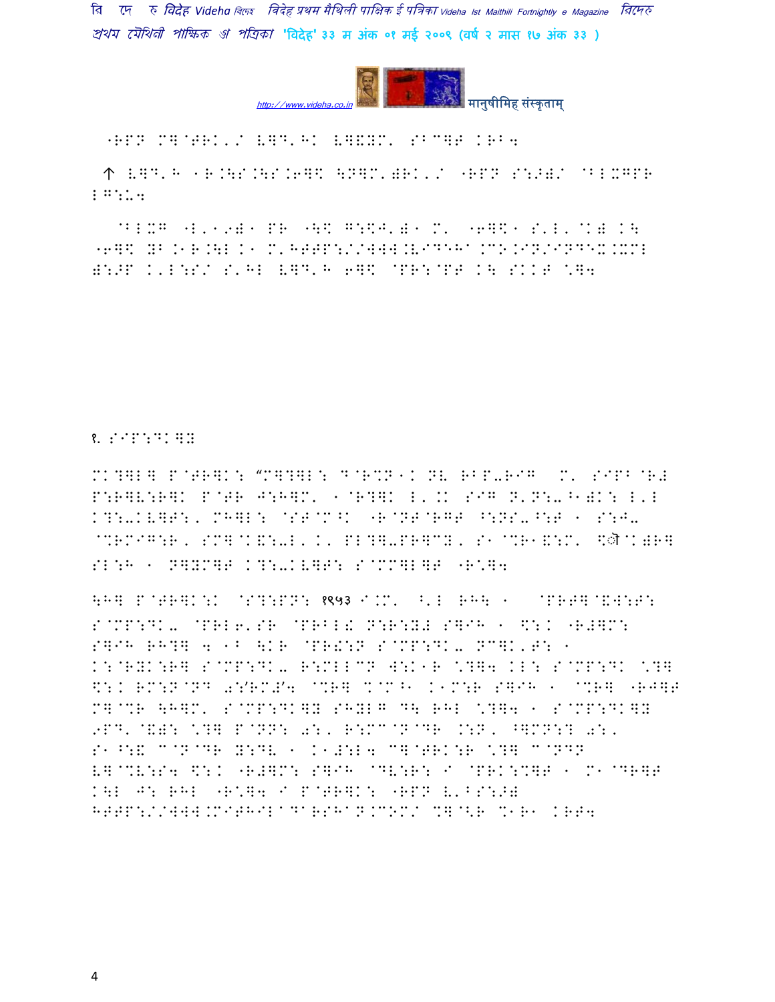

"RPN MATHELLI BAY, WI BARDEL SPUNK IRPA

 $\uparrow$  EUP. A  $\rightarrow$  B information set and intervalsed at  $\rightarrow$  BPN states of EUP. LG:U4

 $\mathcal{D}$  for the state of the state of the state  $\mathcal{D}_\mathcal{D}$  . The state of the state of the state of the state of the state of the state of the state of the state of the state of the state of the state of the state of "6]\$ YB.1R.\L." M'HTTP://WWW.VIDEHa.CO.IN/INDEX.XML ):>P K'L:S/ S'HL V]D'H 6]\$ @PR:@PT K\ SKKT \*]4

8. SIP:DENESS

MK?]L] P@TR]K: "M]?]L: D@R%N". NV RBP-RIG M' SIPB@R# P:R]V:R]K P@TR J:H]M' 1@R?]K L'.K SIG N'N:-^1)K: L'L K:: T:: T:: KI:, AI:: MESSINE AND MONEY OF A THROUGHT AND THE TIME AS A SIGNED OF THE SECOND ASSAULT. @%RMIG:R, SM]@K&:-L'., PL?]-PR]CY, S1@%R1&:M' \$◌ॊ@K)R]  $S1:H \rightarrow \mathbb{R}$  (see The Substitute of the second control

\H] P@TR]K:K @S?:PN: १९५३ I.M' ^'L RH\ 1 @PRT]@&W:T: S@MP:DK- @PRL6'SR @PRBL! N:R:Y# S]IH 1 \$:. "R#]M: SARAH (BHANK) 4 1B 1B 1B 201B MARAGA SOMPANY 1. SANAT 1991 (B K:@RYK:R] S@MP:DK- R:MLLCN W:K1R \*?]4 KL: S@MP:DK \*?] \$:. RM:N@ND 0:'RM#'4 @%R] %@M^1 K1M:R S]IH 1 @%R] "RJ]T MA MOR (ARAD), SMMP:DKALAD, RRIBAY SHYLG BAE (NORAH) A SMMP:DKIY AD 9PD'@&): \*?] P@NN: 0:, R:MC@N@DR .:N, ^]MN:? 0:, SN PAR STORICH WARREN Y:DV 231 K1 CM 1 KH2:R FAN HIS STORIC  $\langle \Sigma, \Pi \rangle$  (View of the second state of the problems  $\langle \Sigma, \Pi \rangle$  in the problems  $\Gamma$ K\L THE RHL "RYNG" PORTH I RANGE RING HTTP://WWW.MITHILaDaRSHaN.COM/ %]@<R %1R1 KRT4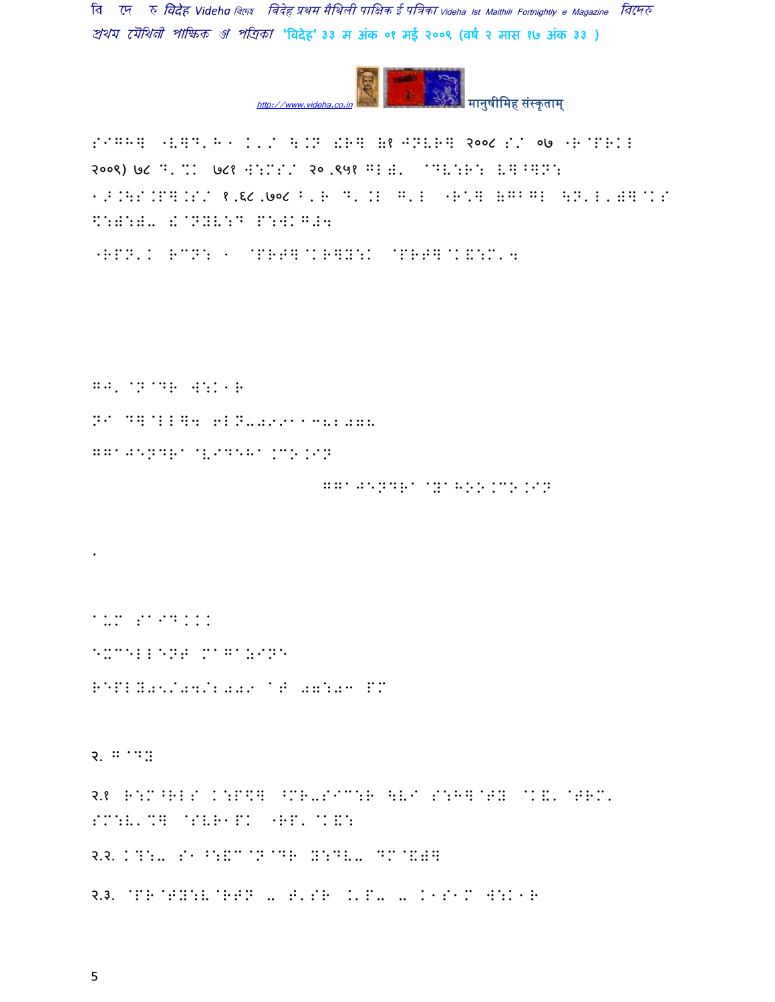

 $S^1$   $S^1$   $S^1$   $S^1$   $S^1$   $S^1$   $S^1$   $S^1$   $S^1$   $S^1$   $S^1$   $S^1$   $S^1$   $S^1$   $S^1$   $S^1$   $S^1$   $S^1$   $S^1$   $S^1$   $S^1$   $S^1$   $S^1$   $S^1$   $S^1$   $S^1$   $S^1$   $S^1$   $S^1$   $S^1$   $S^1$   $S^1$   $S^1$   $S^1$   $S^1$   $S^1$   $S^1$ २००९) ७८ में. ''.' ७८१ सेकेंटिक २०,९५१ में सें. ''मेंसेकेंस सम्मान के  $1$ . S.P. P. S.P. S.P. S.P. S.C. (Geography  $P$  ,  $P$  ,  $P$  ,  $P$  ,  $P$  ,  $P$  ,  $P$  ,  $P$  ,  $P$  ,  $P$  ,  $P$  ,  $P$  ,  $P$  ,  $P$  ,  $P$  ,  $P$  ,  $P$  ,  $P$  ,  $P$  ,  $P$  ,  $P$  ,  $P$  ,  $P$  ,  $P$  ,  $P$  ,  $P$  ,  $P$  ,  $P$  ,  $P$  ,  $P$ \$:):)- !@NYV:D P:WKG#4

"RPN'K RCN: 1 @PRT]@KR]Y:K @PRT]@K&:M'4

GJ'@N@DR W:K1R NI DI DE LA DI DARRETTA DEL ANA GGALENDRA GENERAL IN DIE DER

GGaJENDRa@YaHOO.CO.IN

 $\ddot{\phantom{1}}$ 

aum Said...

A statistical properties of the statistical properties of the statistical properties of the statistical properties of the statistical properties of the statistical properties of the statistical properties of the statistic

RREPLYNS AT 2009 AT 07:03 PM

२.  $\frac{1}{2}$   $\frac{1}{2}$ 

२.१ R:MORLS K:R RESIGNED AND AND SICHER SENTY SM:V'%] @SVR1PK "RP'@K&:

२.३. MPR MADHE NHART - WORLD'S DO BUNDLE - KNOW HE SAN WE

२.२. ( This of the TV- THE Hinter Street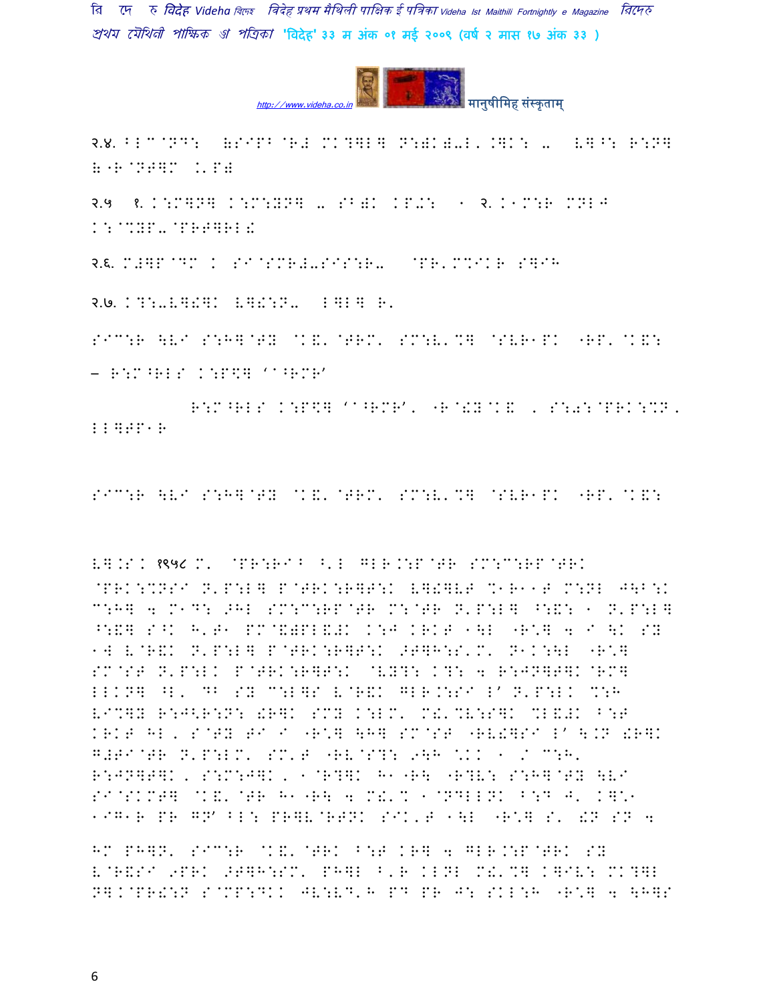

२.४. FEB 1975 - GEREF 16.E 21,1989 B. PAGI GUEL 1917 N. - VIR FA (6198) ("Render and "Render and "Render and "Render and "Render and "Render and "Render and "Render and "Render and "

२.५ १. K:M]N] K:M:YN] - SB)K KP+: 1 २. K1M:R MNLJ **K:** We we have a series of the series of the series of the series of the series of the series of the series of the series of the series of the series of the series of the series of the series of the series of the series o

२.६. M#H#H M K SIMP (SIS:R- BASIC SHEET OF THE SISTEM SHEET OF THE SISTEM SHEET OF THE SISTEM STATE OF THE ST

 $2.0.1771...1.91.91111111...1.9119111...$ 

SICTED ALCOGRAPHICA ONE, MARIL SURLOUR COLPORATION ARE COLD  $-$  R:More  $\Omega$  is a set of  $\Omega$  in  $\Omega$  (  $\Omega$  )  $\Omega$  (  $\Omega$ 

 R:M^RLS K:P\$] '@^RMR', "R@!Y@K& , S:0:@PRK:%N, LIBRO R

SICT:BE AEC SICHARISE "CONSIDERS" SOVEINS THE TEACHER "PO" (APP) ON EC

## V].S. १९५८ M' @PR:RI^ ^'L GLR.:P@TR SM:C:RP@TRK

MPRI NORPAN (P. PALEO) PORPI NEOPAN (CORRELA) OX EXX E (CAPE) (ANDA) C:H] 4 M1D: >HL SM:C:RP@TR M:@TR N'P:L] ^:&: 1 N'P:L] ^:&] S^K H'T1 PM@&)PL&#K K:J KRKT 1\L "R\*] 4 I \K SY 1W GO REALT: NORTH REPORT TO THE REALT OF PERSONS IN THE UNIT OF THE STATE OF THE THIS STATE. SM ST N'P: P: LA P: LA PER CHARAIN (1988) 1999 (A RINAPRARI SAMPR LLICH SE SY CHRISTER GER GERICHT SY PERIODIS BYTHE BYHARYE SPHI STE INSTITUTE TENNISH TEED TAP KRKT HL, S@TY TI I "R\*] \H] SM@ST "RV!]SI L' \.N !R]K BHANN N'R N'HE SAN SAN SAN SAN SA SA TAI R:JAPRARI , S:MINIARRI , S:M:JARRI (PH) (PAR) (PARIN SINARI NADA) SIMPLE REPORT OF THE SIMPLE REPORT OF THE SIMPLE REPORT OF THE SIMPLE REPORT OF THE SIMPLE REPORT OF THE SIMPL 1000 PR GN' BL: PRESIDENT SYLVE (BL: GRIEVE SIK ST G

HM PH]N' SIC:R @K&'@TRK B:T KR] 4 GLR.:P@TRK SY V@R&SI 9PRK >T]H:SM' PH]L B'R KLNL M!'%] K]IV: MK?]L N].@PR!:N S@MP:DKK JV:VD'H PD PR J: SKL:H "R\*] 4 \H]S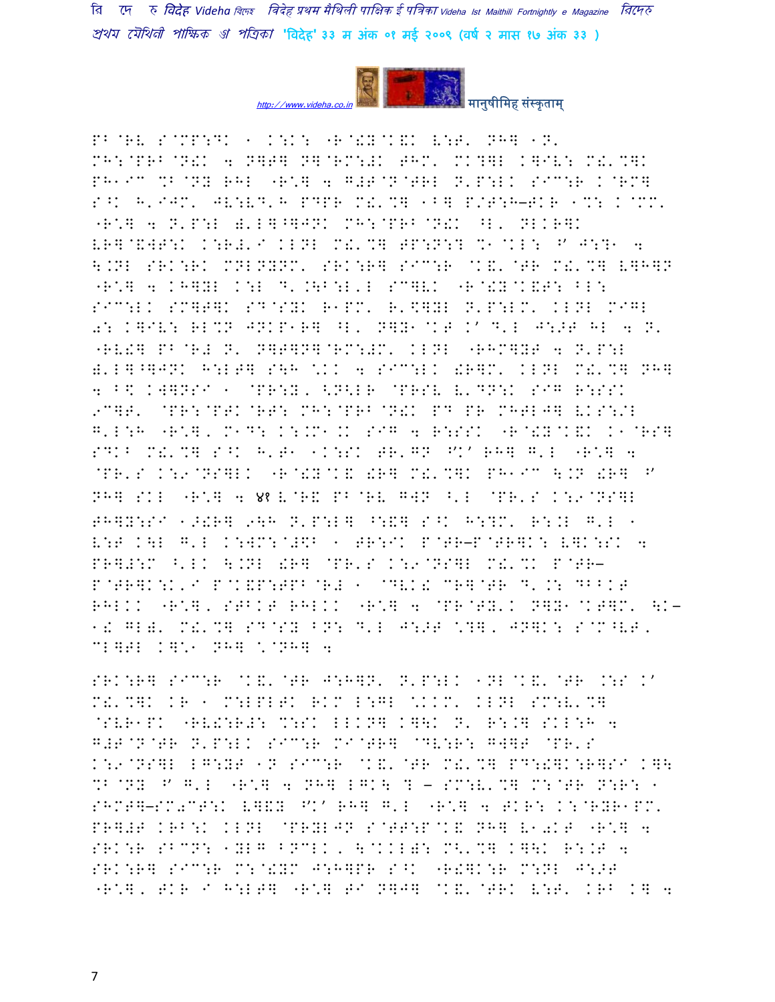

PROBL SOMPHIE SOMEONE SHOWED IN ENR. THE ST. MH: MH: MAL (4 NAFA NA THMIL FAM. MINA THO CAPIL MELTAL PH1IC %B@NY RHL "R\*] 4 G#T@N@TRL N'P:LK SIC:R K@RM] S^K H'IJM' JV:VO HEDPER MITHE MELIOR (FOR INVESTIGATION IN THE 1 MMM) "R\*] 4 N'P:L )'L]^]JNK MH:@PRB@N!K ^L' NLKR]K VR]@&WT:K K:R#'I KLNL M!'%] TP:N:? %1@KL: ^' J:?1 4  $\,$   $\,$  A state of the state  $\,$  , which is a state  $\,$  srcs of  $\,$  . The  $\,$  since  $\,$   $\,$  srcs of  $\,$  and  $\,$  srcs of  $\,$  srcs of  $\,$  srcs of  $\,$  srcs of  $\,$  srcs of  $\,$  srcs of  $\,$  srcs of  $\,$  srcs of "R\*] 4 KH]YL K:L D'.\B:L'L SC]VK "R@!Y@K&T: BL: SIC:LA SICHE STILL BIC:LA SHIP RIBIC:LIBU 0: CHRIS RICH 49:P-RH H. PHR C.P.C. N. P. 4 H. 4 P. "RV!] PB@R# N' N]T]N]@RM:#M' KLNL "RHM]YT 4 N'P:L )'L]^]JNK H:LT] S\H \*KK 4 SIC:LK !R]M' KLNL M!'%] NH] 4 B\$ KWINSI 1 MPRS KRIE MPRE E.NRI SIG BIRI 9C]T' @PR:@PTK@RT: MH:@PRB@N!K PD PR MHTLJ] VKS:/L G'L:H "R\*], M1D: K:.M1.K SIG 4 R:SSK "R@!Y@K&K K1@RS] SDKB M!'%] S^K H'T1 1K:SK TR'GN ^'K' RH] G'L "R\*] 4 @PR'S K:9@NS]LK "R@!Y@K& !R] M!'%]K PH1IC \.N !R] ^' NH] SKL "R\*] 4 ४१ V@R& PB@RV GWN ^'L @PR'S K:9@NS]L TH]Y:SI 1>!R] 9\H N'P:L] ^:&] S^K H:?M' R:.L G'L 1 V:T K\L G'L K:WM:@#\$B 1 TR:IK P@TR–P@TR]K: V]K:SK 4 PR]#:M ^'LK \.NL !R] @PR'S K:9@NS]L M!'%K P@TR– P@TR]K:K'I P@K&P:TPB@R# 1 @DVK! CR]@TR D'.: DBBKT RHLKK "R\*], STBKT RHLKK "R\*] 4 @PR@TY'K N]Y1@KT]M' \K– 1! GL)' M!'%] SD@SY BN: D'L J:>T \*?], JN]K: S@M^VT, TIME THE THE TIME

SRK:R] SIC:R @K&'@TR J:H]N' N'P:LK 1NL@K&'@TR .:S K' MINTH AN YOURSELL RECORDS AND ALL AND MONEY OF @SVR1PK "RV!:R#: %:SK LLKN] K]\K N' R:.] SKL:H 4 G#T@N@TR N'P:LK SIC:R MI@TR] @DV:R: GW]T @PR'S K:5@NSPLF\_FR:PORTH\_NEWTR MEATH CONTROLSHIP (FREE)  $\mathbb{R}^n$  (  $\mathbb{R}^n$  )  $\mathbb{R}^n$  and  $\mathbb{R}^n$  and  $\mathbb{R}^n$  is the small  $\mathbb{R}^n$  m:  $\mathbb{R}^n$  and  $\mathbb{R}^n$  and  $\mathbb{R}^n$  and  $\mathbb{R}^n$ SHMT]–SM0CT:K V]&Y ^'K' RH] G'L "R\*] 4 TKR: K:@RYR1PM' PR]#T KRB:K KLNL @PRYLJN S@TT:P@K& NH] V10KT "R\*] 4 SRIGE SPORT FOR PORTICL BOILER CRUITED PRIMOR SRK:R] SIC:R M:@!YM J:H]PR S^K "R!]K:R M:NL J:>T "R#NH", "B:lth" "R" "R"H:LH" "R#NH:LTAR (PHPH)" "C: KD, "TBPE", "Lith, "Lith" (PH) "R="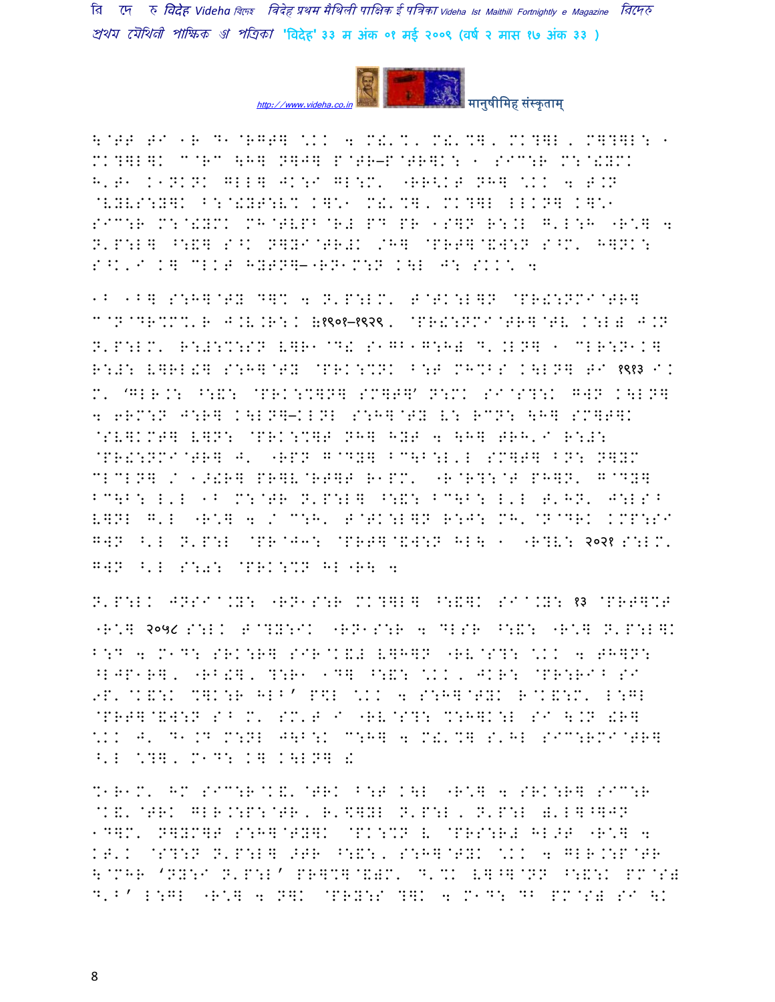

\@TT TI 1R D1@RGT] \*KK 4 M!'%, M!'%], MK?]L, M]?]L: 1 MK?]L]K C@RC \H] N]J] P@TR–P@TR]K: 1 SIC:R M:@!YMK H. B. (1980) D. H. ER (415) M. H. ST. (1980) B. D. B. (11) A. B. D. @VYVS:Y]K B:@!YT:V% K]\*1 M!'%], MK?]L LLKN] K]\*1 SIC:R M:@!YMK MH@TVPB@R# PD PR 1S]N R:.L G'L:H "R\*] 4 N'P:L] ^:&] S^K N]YI@TR#K /H] @PRT]@&W:N S^M' H]NK: SOME SOME SOME HYTNING HYTNING HYTNING HYTNING HYTNING HYTNING HYTNING HYTNING HYTNING HYTNING HYTNING HYTNING

1B 1B] S:H]@TY D]% 4 N'P:LM' T@TK:L]N @PR!:NMI@TR] CONDRY MARKS ON THE SERVICE RELEASE OF THE CONDITION OF THE INTERFERENCE IN THE INFORMATION OF THE INTERFERENCE N'P:LM' R:#:%:SN V]R1@D! S1GB1G:H) D'.LN] 1 CLR:N1K] ROWER REFERSE PORTHOLOGIES IN THE CROSS CONSISTS AND RESERVE BY A RANGER OF THE REPORT OF THE REPORT OF THE RE M. 'GLR.C: GRR: MTRK:SNUM SMURH' N:MK SM]TH, MHR KHLNU  $\alpha$  (eRM:N J:R] REPORT I:REN SING SING I:REN SMITH SMITH SMITH SMITHS: MYEAT DAR (ERPS) MENDATAN DARI ADA (ALARA ANA) KAN BADA @PR!:NMI@TR] J' "RPN G@DY] BC\B:L'L SM]T] BN: N]YM ME ME DRIVIN (1982) REPORTS PRIRE (PHIRM) (1982) "REPORTS" (1982) PHIRMIPS (1982) "REPORTS BCAR: LI 1B M: L'ARE RITHE PHIN PORT EIL AND CANDR V]NL G'L "R\*] 4 / C:H' T@TK:L]N R:J: MH'@N@DRK KMP:SI GWN ON PIRTH OFFICATION OF LIGHT AND THE CONSTRUCT. BHO AN EIR SIN HOME AND HALL

N.PH: WHICH HERITH TITHE SHEEL IN LED 8 TERRIE "RENE ROMC STEEN" ROTERED TO REPORT RETOR OF TESTS OF A DESCRIPTION RESERVE. B:D 4 M1D: SRK:RIG SIR@KORIA (1982) ARREST (1984) ARREST (1994) ARREST (1994) ^LJP1R], "RB!], ?:R1 1D] ^:&: \*KK, JKR: @PR:RI^ SI 9P'@K&:K %]K:R HLB' P\$L \*KK 4 S:H]@TYK R@K&:M' L:GL @PRT]@&W:N S^ M' SM'T I "RV@S?: %:H]K:L SI \.N !R] \*KK J' D1.D M:NL J\B:K C:H] 4 M!'%] S'HL SIC:RMI@TR] ^'L \*?], M1D: K] K\LN] !

%1R1M' HM SIC:R@K&'@TRK B:T K\L "R\*] 4 SRK:R] SIC:R @K&'@TRK GLR.:P:@TR, R'\$]YL N'P:L, N'P:L )'L]^]JN 1D]M' N]YM]T S:H]@TY]K @PK:%N V @PRS:R# HL>T "R\*] 4 KAT' GRING GLENE AAN 'NEN' PYHENAD, NI A GLACHENDE  $\#$  'NPEA' (P. PH) (PEATA 'EAT, (P. T. EAR) D' PHA: (P. T. EA D.B' LEAR CHAR 4 PRY: TEAGY THY A THRE THE PUTCH CHICA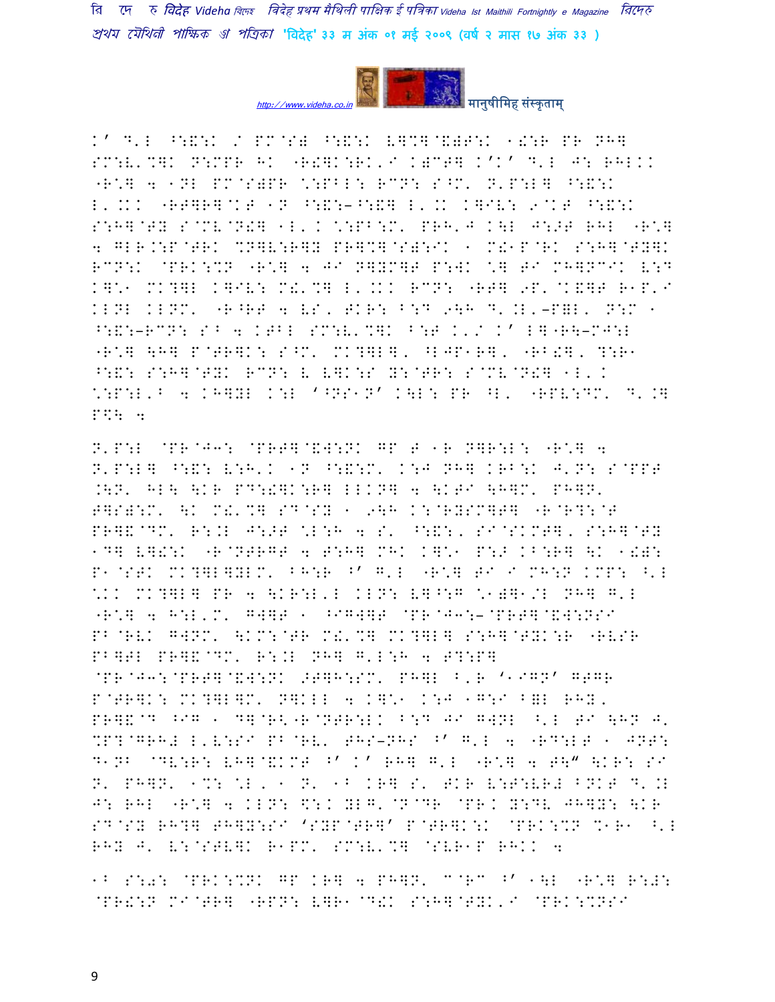http://www.videha.co.in **महिला है जिल्ला के बार की सामु**षीमिह संस्कृताम्

 $K' \to \mathbb{R}$  , and  $K' \to \mathbb{R}$  , the state  $\mathbb{R}$  is the constraint of  $\mathbb{R}$  is the new  $\mathbb{R}$ SOM:K NHI "PADER" HI: RREGHINEI, K'Y BITAH (1911-1918) AN: BHEID "RENN "A "ROOF" FOOT FREED "NAFT EN "BITCH" FOOT "DIE FREED "PAENE" L'.KK "RTERNE NE L'OLLE NE L'OLLE NEU L'OLLE NE L'OLLE S: S: HIS S: HIS S: HIS S: HIS S: HIS S: HIS S: HIS S: HIS S: HIS S: HIS S: HIS S: HIS S: HIS S: HIS S: HIS S: 4 GLR.:P@TRK %N]V:R]Y PR]%]@S):IK 1 M!1P@RK S:H]@TY]K RCPN: CPRINTO (RTH) 4 JP PHEORE PNEL TH RP ORRONG ENT K]\*1 MK?]L K]IV: M!'%] L'.KK RCN: "RT] 9P'@K&]T R1P'I KLAND' (1990) "PROPRIE ALLES" (1909) PROPRIE D'ALLIE D'EST D'ACTES D'EST D'ACTES D'EST D'ACTES D'EST D'ACTES D ^:&:–RCN: S^ 4 KTBL SM:V'%]K B:T K'/ K' L]"R\–MJ:L  $R$  ,  $R$  ,  $R$  ,  $R$  ,  $R$  ,  $R$  ,  $R$  ,  $R$  ,  $R$  ,  $R$  ,  $R$  ,  $R$  ,  $R$  ,  $R$  ,  $R$  ,  $R$  ,  $R$  ,  $R$  ,  $R$  ,  $R$  ,  $R$  ,  $R$  ,  $R$  ,  $R$  ,  $R$  ,  $R$  ,  $R$  ,  $R$  ,  $R$  ,  $R$  ,  $R$  ,  $R$  ,  $R$  ,  $R$  ,  $R$  ,  $R$  ,  $R$  , ^:&: S:H]@TYK RCN: V V]K:S Y:@TR: S@MV@N!] 1L'. \*:P:L'B 4 KH]YL K:L '^NS1N' K\L: PR ^L' "RPV:DM' D'.]  $P$ 

N'P:L @PR@J3: @PRT]@&W:NK GP T 1R N]R:L: "R\*] 4 N'P:L] ^:&: V:H'K 1N ^:&:M' K:J NH] KRB:K J'N: S@PPT . THOS, I ARE HIS LECT THAT REPORT HERE HIS HIS HIS PARTY. I RANGER, THE MESS IS NOT THE STRING OF THE REPORT OF THE STRING OF THE STRING OF THE STRING OF THE STRING OF THE STRING PRAGO R:.L STAGE AND REAL AND REAL STAGE COMPANY SERIES  $100$  and  $100$  and  $100$  and  $100$  and  $100$  and  $100$  and  $100$  and  $100$  and  $100$  and  $100$  and  $100$  and  $100$  and  $100$  and  $100$  and  $100$  and  $100$  and  $100$  and  $100$  and  $100$  and  $100$  and  $100$  and  $100$  and PHOTERIC MICHER BOET IN A REAL AMOUR IN A GALARY AMOUNT THEIR COMPANY ALL \*KK MK?]L] PR 4 \KR:L'L KLN: V]^:G \*1)]1/L NH] G'L  $R$  . The contract of the contract of the contract  $R$  and  $R$  is the contract of the contract of the contract of the contract of the contract of the contract of the contract of the contract of the contract of the contract PB@RVK GWNM' \KM:@TR M!'%] MK?]L] S:H]@TYK:R "RVSR PB]TL PR]&@DM' R:.L NH] G'L:H 4 T?:P] @PR@J3:@PRT]@&W:NK >T]H:SM' PH]L B'R '1IGN' GTGR P@TR]K: MK?]L]M' N]KLL 4 K]\*1 K:J 1G:I B=L RHY, PRABITA (PAR) KORA TRILAR DRIBINI OCH NAR GRADIE CILI GRADI ALGENDAL %P?@GRH# L'V:SI PB@RV' THS–NHS ^' G'L 4 "RD:LT 1 JNT: DN: PROCONERENT BLANCIER DATON AT A THANG AN ALAM A THANG AN ANG GAT N' PHERN' 15: NE NE N' PLOIS TO BE SNOWED DE BERNEDIC PRI BOTH DE J: RHL "R\*] 4 KLN: \$:. YLG'@N@DR @PR. Y:DV JH]Y: \KR SOM OF RHOUSE THAN THE STATE OF THE REAL AND COMPUTED AT A CHIEF AND REAL AND REAL AND REAL AND REAL AND RELATIO RHI A. ESTVALAD RHTI STOLLTA TERRI RHID A

1B S:0: @PRK:%NK GP KR] 4 PH]N' C@RC ^' 1\L "R\*] R:#: @PR!:N MI@TR] "RPN: V]R1@D!K S:H]@TYK'I @PRK:%NSI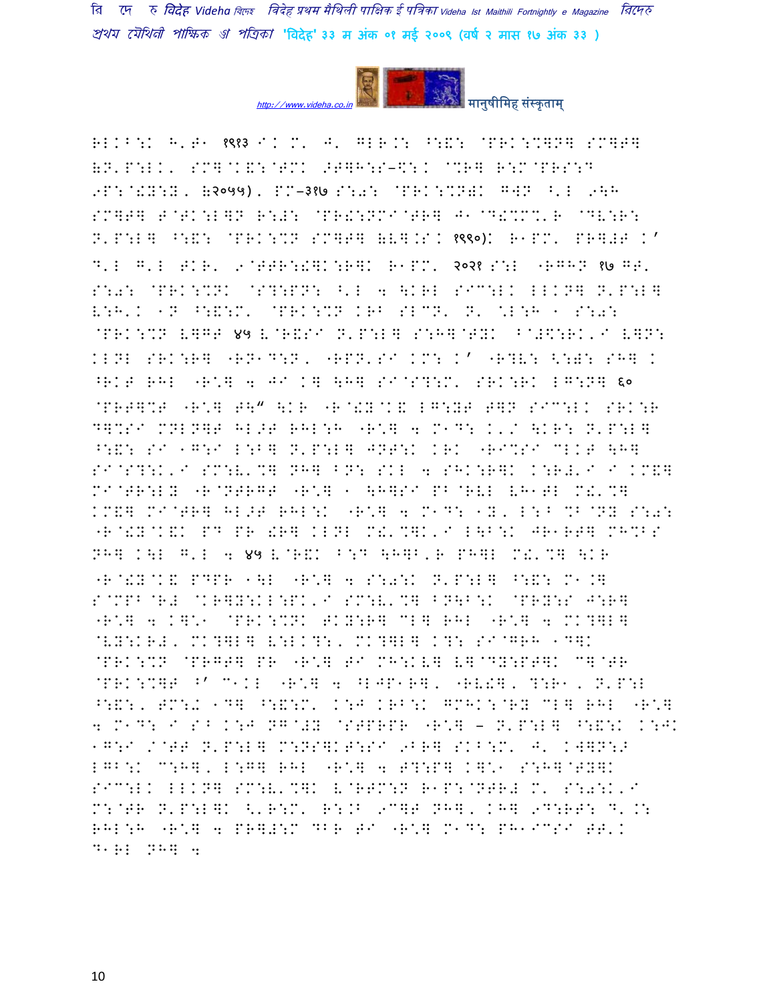

RECENT BURY (1983 FILMS) HERRY SMEN TERINTEER FIRES (N'P:LK' SM]@K&:@TMK >T]H:S–\$:. @%R] R:M@PRS:D 9P:@!Y:Y, (२०५५), PM–३१७ S:0: @PRK:%N)K GWN ^'L 9\H SM]T] T@TK:L]N R:#: @PR!:NMI@TR] J1@D!%M%'R @DV:R: N.PH: B: PHEN: MPRINT (VIBER BEBIN I 8880)M ROPET, PRBER IY  $D: \mathbb{R} \to \mathbb{R}$  , and the problem in the set  $\mathbb{R}$  in the  $\mathbb{R}$  represents  $\mathbb{R}$  and  $\mathbb{R}$  and  $\mathbb{R}$  in the problem in the problem in the  $\mathbb{R}$  subset of  $\mathbb{R}$  and  $\mathbb{R}$  is a set of  $\mathbb{R}$  in STAR (PRINTRY SPREDGE) AS AN ANG SICIL BENDALI NA PERSONAL B:HY: W:H'K 1N Y:H'K 1N KRB SHOW: N Y: NE H Y \* FRAN @PRK:%N V]GT ४५ V@R&SI N'P:L] S:H]@TYK ^@#\$:RK'I V]N: KLNL SRK:R] "RN1D:N, "RPN'SI KM: K' "R?V: <:): SH] K ^RKT RHL "R\*] 4 JI K] \H] SI@S?:M' SRK:RK LG:N] ६० @PRT]%T "R\*] T\" \KR "R@!Y@K& LG:YT T]N SIC:LK SRK:R DRING IN RHE REFERENT HOR 4 IS TO LIGHT RIFER ^:&: SI 1G:I L:B] N'P:L] JNT:K KRK "RI%SI CLKT \H] SK GORD, K'I SMAL TA OHA BNE SKL 4 SHK GHAN (1982) KIR (1984 MATRENE BOOKE "PREFIELD "RENTROOM "RENEWL "PE "PEEL" "EROP" PE OM DIE "MEDIUM KMBB MI@TRI:HLP:K PHIMI@TRI:H MI@TRI:K "RECENTIVES" "R@ T& BOX" RD PR | RD PR & ROBERT DIAL MAN LIKE | BAR NO PR BAR | DRIMA B NHE CAR WIR G'N VOR BIREN BIR PHIL BE BE DER DER BIR  $R$  . The proposition of the proposition of the proposition of  $R$  is  $R$  . The proposition of  $R$  is  $R$  is a set of  $R$  of  $R$  is a set of  $R$  or  $R$  is a set of  $R$  or  $R$  is a set of  $R$  or  $R$  is a set of  $R$  or  $R$  i SAMPBO PRODUCED PRODUCED PRODUCED A SAMPLE PRODUCED PRODUCED A SAMPLE PRODUCED PRODUCED A PRODUCED A PRODUCED  $R$  . The control of the control of the control  $R$  and  $R$  and  $R$  are controlled the control of the control  $R$ @VY:KR#, MK?]L] V:LK?:, MK?]L] K?: SI@GRH 1D]K @PRK:%N @PRGT] PR "R\*] TI MH:KV] V]@DY:PT]K C]@TR @PRK:%]T ^' C1KL "R\*] 4 ^LJP1R], "RV!], ?:R1, N'P:L ^:&:, TM:+ 1D] ^:&:M' K:J KRB:K GMHK:@RY CL] RHL "R\*]  $4$  M10 F2  $\leq$  Soft can be the stripped  $\leq$  and  $\leq$  and  $\leq$   $\leq$   $\leq$   $\leq$   $\leq$   $\leq$   $\leq$   $\leq$   $\leq$   $\leq$   $\leq$   $\leq$   $\leq$   $\leq$   $\leq$   $\leq$   $\leq$   $\leq$   $\leq$   $\leq$   $\leq$   $\leq$   $\leq$   $\leq$   $\leq$   $\leq$   $\le$ 1G: Principal Michael Barnet (1993) States (1994) States (1995) States (1995) States (1995) States (1995) States ( LGB:K C:H], L:G] RHL "R\*] 4 T?:P] K]\*1 S:H]@TY]K SIC:LK LLKN] SM:V'%]K V@RTM:N R1P:@NTR# M' S:0:K'I M:@TR N. P:LA N. B:L. B:L. 2008 200. 100 200 200 201 RHL:H "R\*] 4 PR]#:M DBR TI "R\*] M1D: PH1ICSI TT'K D.H. NHH 4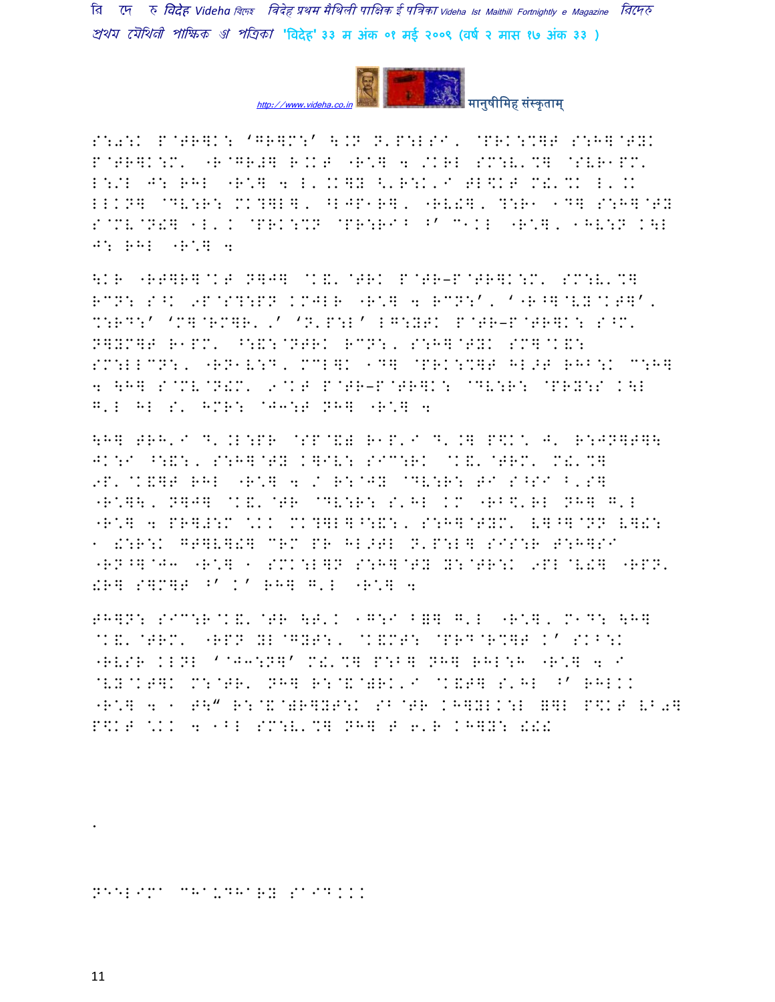

S:0:K P@TR]K: 'GR]M:' \.N N'P:LSI, @PRK:%]T S:H]@TYK P@TR]K:M' "R@GR#] R.KT "R\*] 4 /KRL SM:V'%] @SVR1PM' L:/L J: RHL "R\*] 4 L'.K]Y <'R:K'I TL\$KT M!'%K L'.K LLKN] @DV:R: MK?]L], ^LJP1R], "RV!], ?:R1 1D] S:H]@TY SOME CREW CHILL' TRICHT TRIBLE AN TOLL GROUP CHILL J: RHL "R\*] 4

 $\{K\}$  and  $\{K\}$  are responsible points of  $\{K\}$  . The transformation  $\{K\}$  is a small  $\{K\}$ RCN: S^K 9P@S?:PN KMJLR "R\*] 4 RCN:', '"R^]@VY@KT]', %):RD:' 'MISS' 'MORE' IN 'N'R: RD:' 'N' E PORTRO 'R' TREPENDENT SOM SOM NANDAR RIPM' SING CHART ROOM START ROOM STATE OF STATE OF SALES  $\mathcal{L}$  , and the probability of the probability of the probability of the probability of the probability of the probability of the probability of the probability of the probability of the probability of the probability o  $\#$  APB SOME MEN SOME PORFINSION MEN SOMETIME SAM G'L HL S' HTEN JAANS TAA VENDA

\H] TRH'I D'.L:PR @SP@&) R1P'I D'.] P\$K\* J' R:JN]T]\ JK:I ^:&:, S:H]@TY K]IV: SIC:RK @K&'@TRM' M!'%] 9P'@K&]T RHL "R\*] 4 / R:@JY @DV:R: TI S^SI B'S] "R\*]\, N]J] @K&'@TR @DV:R: S'HL KM "RB\$'RL NH] G'L  $\mathcal{A}\oplus\mathcal{A}\oplus\mathcal{A}\oplus\mathcal{B}$  . The Hamis of Maximus of the Hamis VIII of the Manual Value of the Manual Value of the Manual Value of the Manual Value of the Manual Value of the Manual Value of the Manual Value of the M 1 !:R:K GT]V]!] CRM PR HL>TL N'P:L] SIS:R T:H]SI  $R$  . The rate of the state of the set of the set of the set  $R$  and  $R$  are  $R$  . The set of  $R$ !R] S]M]T ^' K' RH] G'L "R\*] 4

THERS SYCHECOE, OFF HELD (FRS) FOR RIL (FRS), MICH. WHICH HE @K&'@TRM' "RPN YL@GYT:, @K&MT: @PRD@R%]T K' SKB:K  $R$  . The contract of the contract of the contract of the contract of the contract of the contract of the contract of the contract of the contract of the contract of the contract of the contract of the contract of the cont @VY@KT]K M:@TR' NH] R:@&@)RK'I @K&T] S'HL ^' RHLKK "RENN 1 A 1 TREAS RENN MARNIEREN DIE MARCHE IN REINE EINE FRIEDE ER GAR P\$KT \*KK 4 1BL SM:V'%] NH] T 6'R KH]Y: !!!

NEELIMa CHaUDHaRY SaID...

 $\ddot{\phantom{1}}$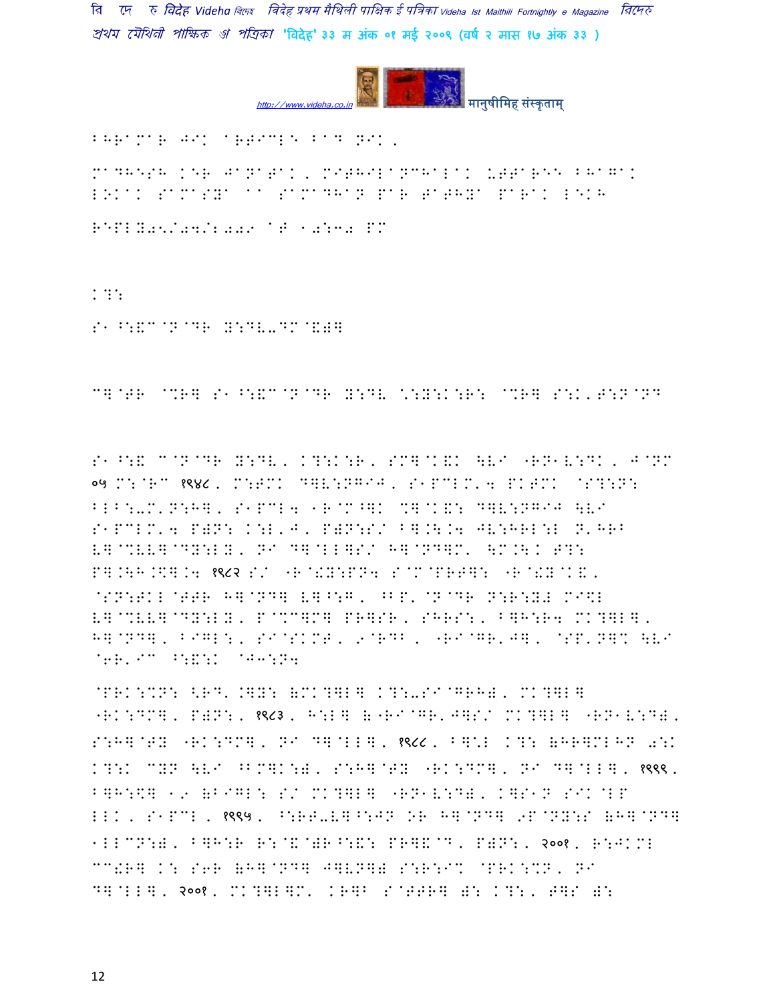

MaDHESH KER JaNaTaK, MITHILaNCHaLaK UTTaREE BHaGaK LOKaK SaMaSYa aa SaMaDHaN PaR TaTHYa PaRaK LEKH

REPLYNS AT 10:30 PM PLYNS AT 10:30 PM PLYNS AT 10:30 PM PLYNS AT 10:30 PM PLYNS AT 10:30 PM PLYNS AT 10:30 PM

BHRAM BHRAM STARTING

 $\ddots$ 

S1^:BN TO THE WORLD YN THE

C]@TR @%R] S1^:&C@N@DR Y:DV \*:Y:K:R: @%R] S:K'T:N@ND

 $S$  ) and the contract of the contract of the contract of the contract of the contract of the contract of the contract of the contract of the contract of the contract of the contract of the contract of the contract of the ०५ M:@RC १९४८, M:TMK D]V:NGIJ, S1PCLM'4 PKTMK @S?:N: BLB:ANT.BYAG, SHITLA (B)THI, TENING THEYPHONGER S1PCLM'4 P)N: K:L'J, P)N:S/ B].\.4 JV:HRL:L N'HRB V]@%VV]@DY:LY, NI D]@LL]S/ H]@ND]M' \M.\. T?: P].\H.\$].4 १९८२ S/ "R@!Y:PN4 S@M@PRT]: "R@!Y@K&, @SN:TKL@TTR H]@ND] V]^:G, ^BP'@N@DR N:R:Y# MI\$L V]@%VV]@DY:LY, P@%C]M] PR]SR, SHRS:, B]H:R4 MK?]L], H]@ND], BIGL:, SI@SKMT, 9@RDB, "RI@GR'J], @SP'N]% \VI @6R'IC ^:&:K @J3:N4

@PRK:%N: <RD'.]Y: (MK?]L] K?:-SI@GRH), MK?]L] "RK:DM], P)N:, १९८३, H:L] ("RI@GR'J]S/ MK?]L] "RN1V:D), STARE THE CHAINETER OF THE THILL ROCK, PRINT OF HARRING HIS GALL  $K$ : The contract  $K$  of the contract  $K$  is the transformation of the contract  $K$  (see  $K$ BURGEN SY BESULE IN VIOLENCE SHIS ENGINE IN SHISTING  $\pm\pm1$  ,  $\pm\pm$  PME ,  $\pm$  RS9 ,  $\pm\mathrm{N}$  Depiction Department or  $\pm\mathrm{N}$  dependent (H)  $\pm\mathrm{N}$ 1LLCN:), B]H:R R:@&@)R^:&: PR]&@D, P)N:, २००१, R:JKML CC:RECC: S6R (HACCES SHIPH) S:R:ISC (TRISC) S DRECENT POOR POST CONSIDERED IN THE SAME RECENT IN THE SAME CONSIDER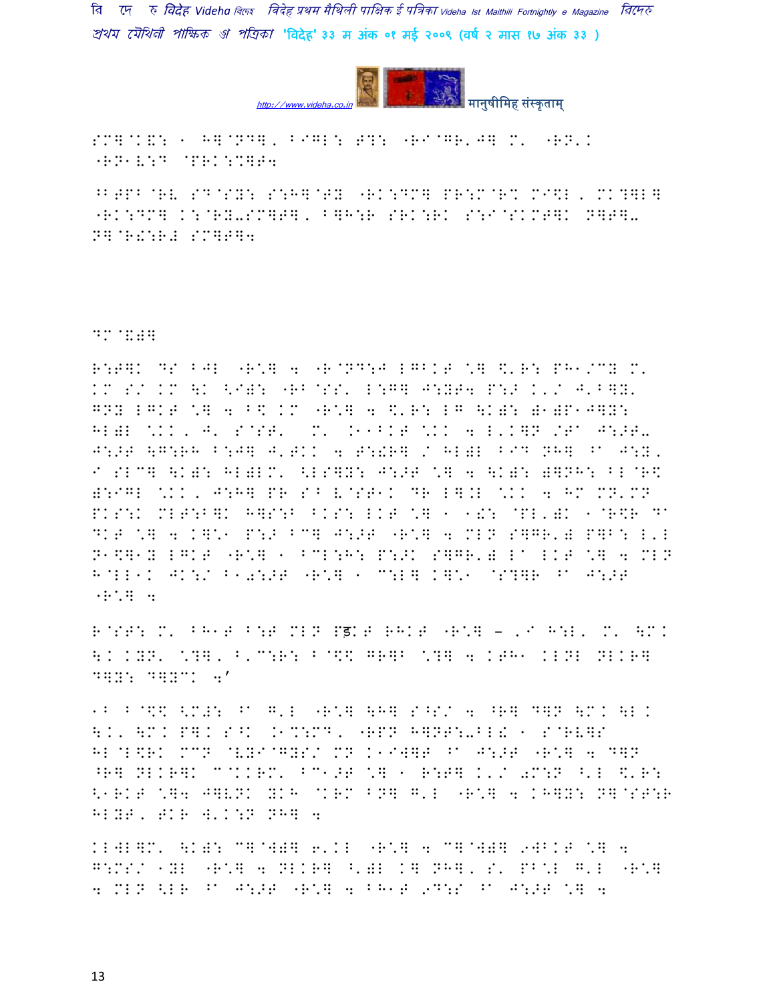

SM]@K&: 1 H]@ND], BIGL: T?: "RI@GR'J] M' "RN'K "RN1V:D @PRK: "PRK: "PRK: "PRK: "PRK: "PRK: "PRK: "PRK: "PRK: "PRK: "PRK: "PRK: "PRK: "PRK: "PRK: "PRK: "PRK:

^BTPB@RV SD@SY: S:H]@TY "RK:DM] PR:M@R% MI\$L, MK?]L] "RE:DRITH: IS RESURTHEN , FRANK: BE:DRIT BN: POSTITEN , PREAN. N]@R!:R# SM]T]4

## DM@&)]

R:THE PROPER SECTOR PROPERTY TO LEASE FROM THE TO KM S/ KM S/ HIS/STEP OF THE FIRE PRINT PRODUCT IN A PRINT GNY LGKT \*] 4 B\$ KM "R\*] 4 \$'R: LG \K): )1)P1J]Y: HEAD (LIL) AN ESTER (T. 1699) BOAT A BILING TEN ANGEL J:>T \G:RH B:J] J'TKK 4 T:!R] / HL)L BID NH] ^a J:Y, I SLCAR I AD BA (I PE BEDI) (I RESTRATO (PALER) (AN ) AD BA (BA BARPA A FE APRI ):IGL \* HONOR (1995): ISL \* HONOR LINE OR LINE DR LINE DR LINE DR LINE DR LINE DR LINE DR LINE DR LINE DR LINE PKS:K MLT:B]K H]S:B BKS: LKT \*] 1 1!: @PL')K 1@R\$R Da DOE SE A CROS BAZ FOR AAZE SPORTA DIZ KRPEVE BRIATIVE N1\$]1Y LGKT "R\*] 1 BCL:H: P:>K S]GR') La LKT \*] 4 MLN H@LL1K JK:/ B10:DE/B10: THE CENTIFY IN AND  $R^2$  4  $R^2$  4  $R^2$  4  $R^2$ 

R STERN ON PERFECTED OF DISPOSED BROWN HANDS "REND A "I HIM AND NOT " \. KYN' \*?], B'C:R: B@\$\$ GR]B \*?] 4 KTH1 KLNL NLKR] DEE SHIFT 4'

 $\mathcal{F}(\mathcal{F}) = \mathcal{F}(\mathcal{F}(\mathcal{F}))$  and  $\mathcal{F}(\mathcal{F}) = \mathcal{F}(\mathcal{F})$  . So Gyrology and  $\mathcal{F}(\mathcal{F})$  is a set of  $\mathcal{F}(\mathcal{F})$  $\,$  ,  $\,$  ,  $\,$  ,  $\,$  ,  $\,$  ,  $\,$  ,  $\,$  ,  $\,$  ,  $\,$  ,  $\,$  ,  $\,$  ,  $\,$  ,  $\,$  ,  $\,$  ,  $\,$  ,  $\,$  ,  $\,$  ,  $\,$  ,  $\,$  ,  $\,$  ,  $\,$  ,  $\,$  ,  $\,$  ,  $\,$  ,  $\,$  ,  $\,$  ,  $\,$  ,  $\,$  ,  $\,$  ,  $\,$  ,  $\,$  ,  $\,$  HL@L\$RK MCN MCN MCN WARD AN AN AN AN AN AN WHIP ^R] NLKR]K C@KKRM' BC1>T \*] 1 R:T] K'/ 0M:N ^'L \$'R:  $1.4$  Books of the state of the state of the state of the state of the state of the state of the state of the state of the state of the state of the state of the state of the state of the state of the state of the state of HLYT, TKR W'K:N NH] 4

KLADAR KLWEN MA MADA (ROSE) 4 CALMADA (RATIK) 9 NA C G:MS/ 1YL "R\*] 4 NLKR] ^')L K] NH], S' PB\*L G'L "R\*] 4 MLN & LA PORT 4 STERN BHF 9D:S & STERN 9D:S & STERN BHO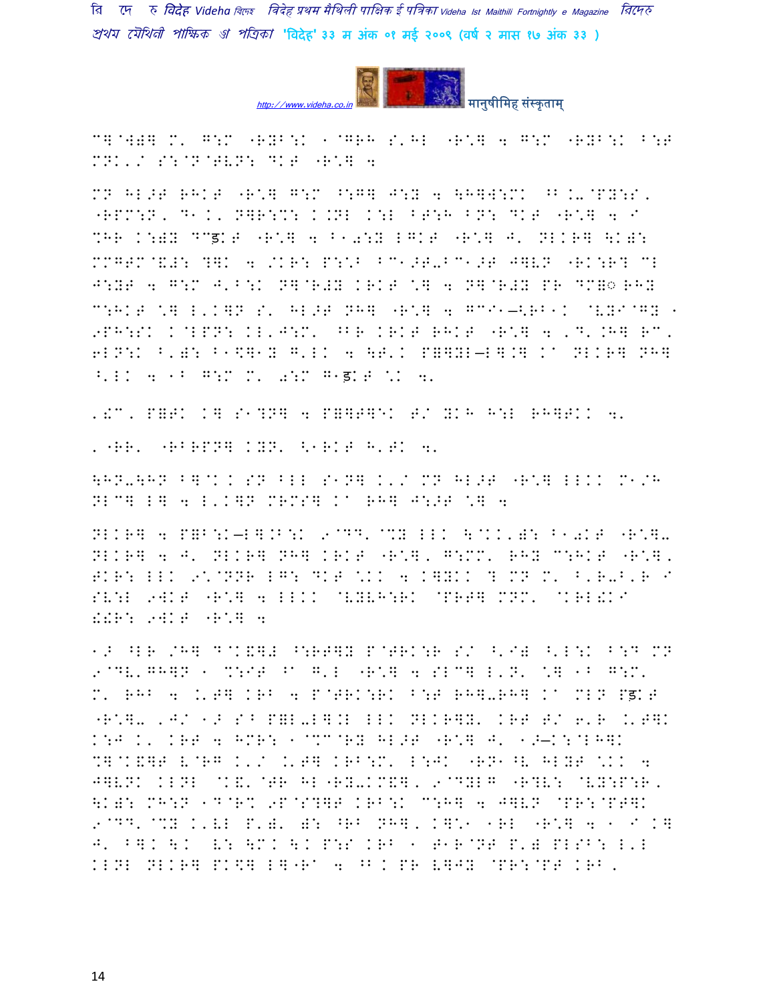

MESHAR T. ANT SERING (SARA S.A. SANA A ANT SERING FIR MNK'/ S:@N@TVN: DKT "R\*] 4

MN HL>T RHKT "R\*] G:M ^:G] J:Y 4 \H]W:MK ^B.-@PY:S, "RPM:N, D1., N]R:%: K.NL K:L BT:H BN: DKT "R\*] 4 I MHR K:)Y DEGEL "RYTS", BEL HI HE HI HI ALGENE "BI NE HI HI LGKT "RYTHI" I NE HI NE HI NE HI NE HI NE MMGGTMAG PERSON WAS BEEN CONSTRUCTED AND THE POST OF THE TREATMENT OF THE TREATMENT  $\mathcal{E}$ Himse Himself (Marked this National Marked From Property TIMI S' L'AN S' L'AN S' HE S' HAN "ANN A GCIL-LINA D' MIN'THE A 9PH:SK K@LPN: KL'J:M' ^BR KRKT RHKT "R\*] 4 'D'.H] RC, 6LN:K B'): B1\$]1Y G'LK 4 \T'K P=]YL—L].] Ka NLKR] NH]  $T$  . It is a notation of  $\mathbb{R}^n$  is the set of  $\mathbb{R}^n$  .

'. ET L' PBAC (1988) PHRA (PBBABNI) AZ (BI) R' RNE (BRBACI) (AL

'"RR' "RBRPN] KYN' <1RKT H'TK 4'

\HN-\HN B]@K. SN BLL S1N] K'/ MN HL>T "R\*] LLKK M1/H NLCA LA LINCA MARIA KA RHI JI A RHAMA KA RHI JI

NLCRR) 4 PERSI-ERDESI (2019): MIR EED ROLLER FRANK (BNR) NLKR] 4 J' NLKR] NH] KRKT "R\*], G:MM' RHY C:HKT "R\*], TKR: LLK 9\*@NNR LG: DKT \*KK 4 K]YKK ? MN M' B'R-B'R I SLAR GADE "RATH "RIDI" (LILRAR) (TREP TRIV (DRRED) !!R: 9WH "R\*19" "R\*19" "R\*19" "R\*19" "R\*19" "R\*19" "R\*19" "R\*19" "R\*19" "R\*19" "R\*19" "R\*19" "R\*19" "R\*19" "R\*

 $1/2$  (H)  $P$  /H] D.K. P.R. (H)  $P$  and  $R$  is the parameter  $R$  of  $R$  is a set  $\mathbb{R}^n$  of  $R$ 9@DV'GH]N 1 %:IT ^a G'L "R\*] 4 SLC] L'N' \*] 1B G:M' M. RHB 4 .N.RH 1965 4 PMPELAEL FAR BAHLPHI IN MED P**S**IR  $\sim$  Pertinent in the later than  $\sim$  Pertinent III (1)  $\sim$  Pertinent T/  $\sim$  Pertinent III  $\sim$ K:J K' K' KIRT 4 HMR: 100 KMR: 100 KMR: 100 KMR: 100 KMR: 100 KMR: 100 KMR: 100 KMR: 100 KMR: %]@K&]T V@RG K'/ .'T] KRB:M' L:JK "RN1^V HLYT \*KK 4 J]VNK KLNL @K&'@TR HL"RY-KM&], 9@DYLG "R?V: @VY:P:R, \K): MH:N 1D@R% 9P@S?]T KRB:K C:H] 4 J]VN @PR:@PT]K 9 OPP, ODB, ISLAE, BYL BYL (BYL) (PHI), ISPAN, A PEL, APORT A 14 1 AND TH J' B]. \. V: \M. \. P:S KRB 1 T1R@NT P') PLSB: L'L KLARE PROVER PROVER AR 4 ^PROVINCE BRADE PRESIDENT (PROVINCE)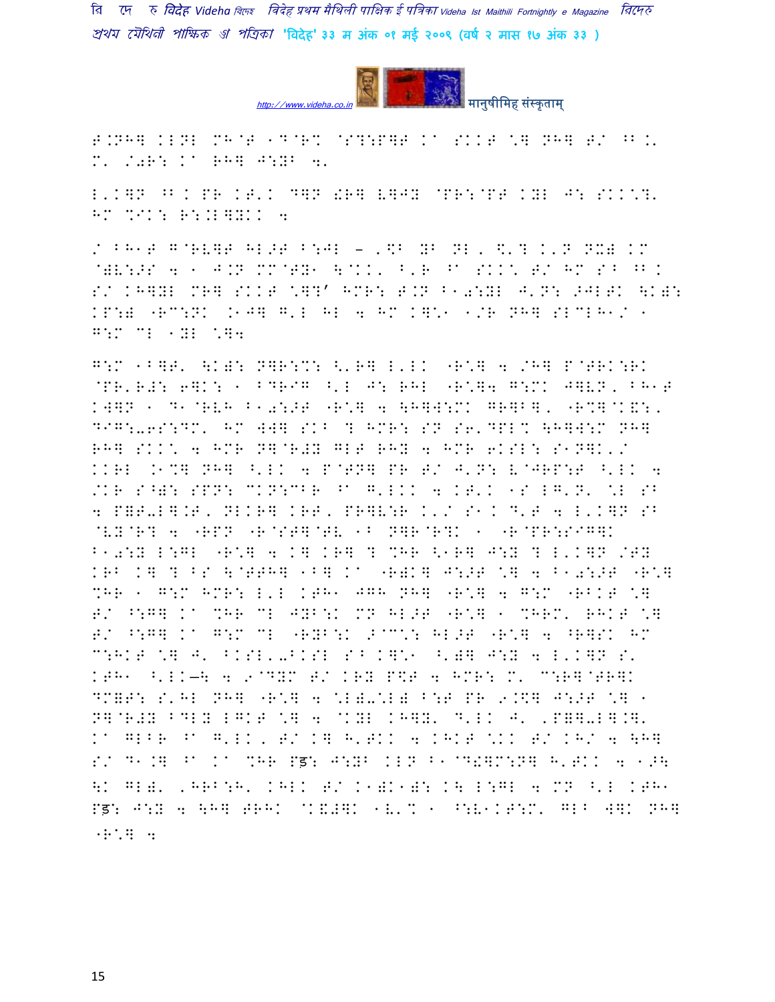

T.NH] KLNL MH@T 1D@R% @S?:P]T Ka SKKT \*] NH] T/ ^B.' M' /0R: Ka RH] J:YB 4'

L'K]N ^B. PR KT'K D]N !R] V]JY @PR:@PT KYL J: SKK\*?'  $H_1$  , and  $H_2$  , and  $H_3$  , and  $H_4$  , and  $H_5$  , and  $H_6$  , and  $H_7$  , and  $H_8$ 

/ BH1T B: P (BERB) PE 23 YORE (A), ISBN 987-2811, BILIT (11, B) BOB (11) @)V:>S 4 1 J.N MM@TY1 \@KK' B'R ^a SKK\* T/ HM S^ ^B. S/ CHAN YRA SKER MAR FYRG FIR BIGGET ALDG JAFRI ALDG KP:) "RC:NK .1J] G'L HL 4 HM K]\*1 1/R NH] SLCLH1/ 1 G: W. C. C. C. C. C. C.

G:M 1B]T' \K): N]R:%: <'R] L'LK "R\*] 4 /H] P@TRK:RK @PR'R#: 6]K: 1 BDRIG ^'L J: RHL "R\*]4 G:MK J]VN, BH1T KWARA N 1 DI DI BIO DI BIO DI BIO DI BIO DI BIO DI BIO DI BIO DI BIO DI BIO DI BIO DI BIO DI BIO DI BIO DI BIO DIGHINISTY MOVED SKAB IN SAME RIGHT IN SAME IN SAME IN SAME IN SAME IN SAME IN SA RH] SKK\* 4 HMR N]@R#Y GLT RHY 4 HMR 6KSL: S1N]K'/ KKRL .1%] NHE REPORTED THE THE THE THE TWO PROPERTY PROPERTY TO A POST OF THE TIME  $\mathcal{H}$ /KR S^): SPN: CKN:CBR ^a G'LKK 4 KT'K 1S LG'N' \*L SB 4 PEBLERGE, PEGRO CRE, PROGRE C.C. SKO PLE A ELCORD SP @VY@R? 4 "RPN "R@ST]@TV 1B N]R@R?K 1 "R@PR:SIG]K B10:Y L:GH "ATH "ATH (PH "R"HR &1PH (PH "R"H" I:Y R" /TH KRB K] ? BS \@TTH] 1B] Ka "R)K] J:>T \*] 4 B10:>T "R\*] %HR 1 G:M HMR: L'L KTH1 JGH NH] "R\*] 4 G:M "RBKT \*] TRANSPORTATION OF THE CLAIM HEAT THAT A STATISTIC RECEIVED THAT THE COMPACT OF SERVED OF TINE RECEIVED AT THE RECEIVED C:HAT BKONER AL C'AT SI BALLAIT BACK BAN SA HAI BHO AN BHO AN BHO AN SI BACK BACK. KTH1 ^'LK—\ 4 9@DYM T/ KRY P\$T 4 HMR: M' C:R]@TR]K DOMERS SOUTHE DEPARTMENT BY A FLEUDILE HIS PIER OF DEPARTMENT PROPERTY. NE Y BLEV PORT E POLE VIOLATION DE L'ARRE SOLIDI LA L'ENERGIE DEL KA GULBA KA GLEIK, TE KITK 4 KHKT KIL TI KI KHAT  $\mathcal{S}(\mathcal{S})$  discrete  $\mathcal{S}(\mathcal{S})$  which are the  $\mathcal{S}(\mathcal{S})$  and  $\mathcal{S}(\mathcal{S})$  and  $\mathcal{S}(\mathcal{S})$  are the  $\mathcal{S}(\mathcal{S})$  $\kappa$  -Hell (HRSH) (HI)  $\kappa$  (HR) and the CH and  $\kappa$  MN  $\kappa$  and  $\kappa$ Ps: J:Y 4 ABB BRA: MINER WINT WINDERS WHO ARE PAR  $R^2$  +  $R^2$  +  $R^2$  +  $R^2$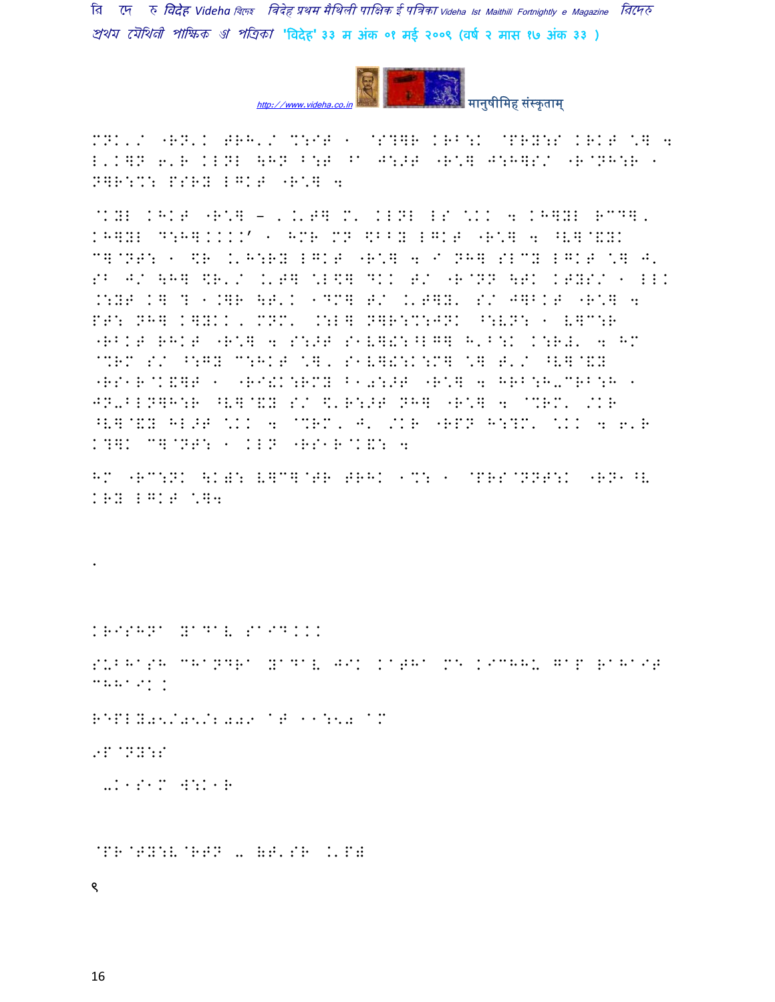

MNK'/ "RNIK BRY/ MNKE'/ "RNBRIP": FRIE MORDER KRES L'K]N 6'R KLNL \HN B:T ^a J:>T "R\*] J:H]S/ "R@NH:R 1 N]R:%: PSRY LGKT "R\*] 4

@KYL KHKT "R\*] – '.'T] M' KLNL LS \*KK 4 KH]YL RCD], KHAR MARILIY - HTR TO BIR BOR HIGH 4 HARTES C]@NT: 1 \$R .'H:RY LGKT "R\*] 4 I NH] SLCY LGKT \*] J' SB JRZ ARA JREZ 1.000 NIJE JED OKZ OR JRJ ARI 10002 V 111 .:YT K] ? 1.]R \T'K 1DM] T/ .'T]Y' S/ J]BKT "R\*] 4 PT: NH] K]YKK, MNM' .:L] N]R:%:JNK ^:VN: 1 V]C:R "RBKT RHKT "R\*] 4 S:>T S1V]!:^LG] H'B:K K:R#' 4 HM @%RM S/ ^:GY C:HKT \*], S1V]!:K:M] \*] T'/ ^V]@&Y  $R$  . Respectively, the state of the state of the state  $R$  is the state of the state of the state of the state of the state of the state of the state of the state of the state of the state of the state of the state of the JADALE DHANA MELIHIKI SI NACI KUANGAR DAHI "YANG HASI MUADU" (MUA) K ^V]@&Y HL>T \*KK 4 @%RM, J' /KR "RPN H:?M' \*KK 4 6'R KRAND CRAIN THE REAL PROPERTY AND ALL AND REAL PROPERTY AND ALL AND REAL PROPERTY AND ALL AND REAL PROPERTY AND

HO: PROGRO "ROBG" EROR GREGIA 1, OC "ROK" (PRESONADE 1, PRSP. FE **THIS LANGER** 

KRISHNA SAID...

SUBHaSH CHaNDRa YaDaV JIK KaTHa ME KICHHU GaP RaHaIT **CHAIK AT CO** 

REPLYNS AT 11:50 aT 11:50 aT 11:50 aT 11:50 aT 11:50 aT 11:50 aT 11:50 aT 11:50 aT 11:50 aT 11:50 aT 11:50 aT 1

9P@NY:S

 $\bullet$  100

-K1S1M W:K1R

@PR@TY:V@RTN - (T'SR .'P)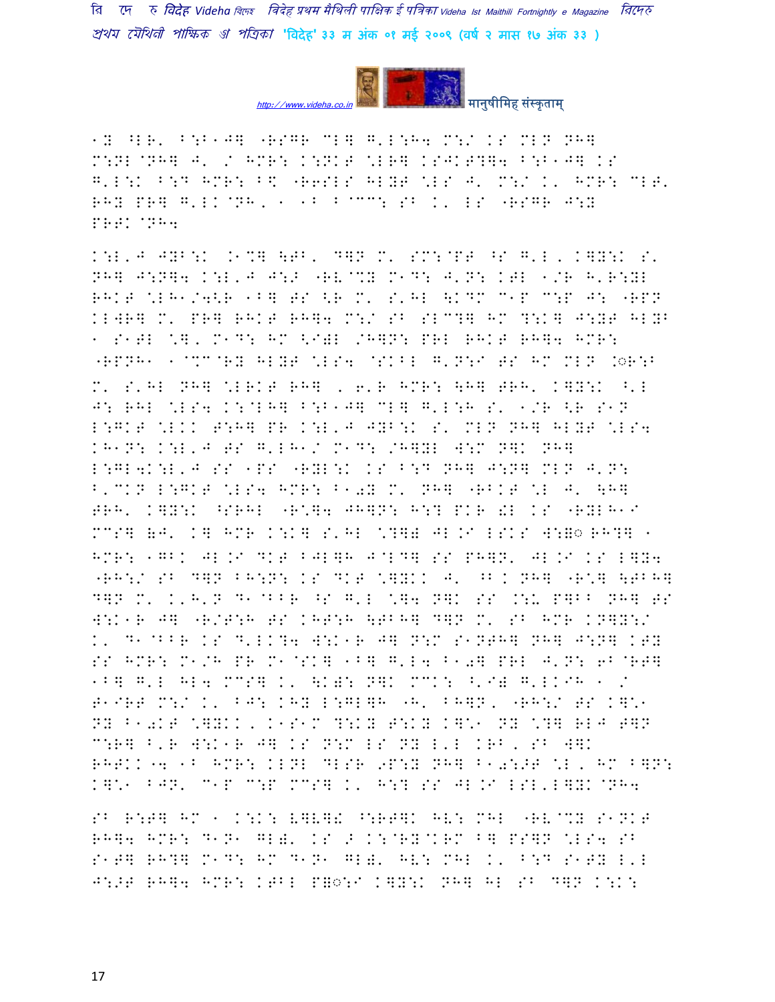

THE BILL BELOW OF STREET BEING CLICKED ON THE STREET M:NL@NH] J' / HMR: K:NKT \*LR] KSJKT?]4 B:B1J] KS B:EN: PNT HMRN FT HERE? HERE NE? H. MN:/ K. HMRN TER. RHY PRESIDENT AND POSSESS ON A LOCAL SERVICE PRTK@NH4

K:L'J JYB:K .1%] \TB' D]N M' SM:@PT ^S G'L, K]Y:K S' NHE WARRE ISELWOWN: HENDE DVPROVER IE LEEO VIR HIRRE RHIS CIA CALA (FRING) IN TO SOME RING CONTAINS (SPIR KLWR] M' PR] RHKT RH]4 M:/ SB SLC?] HM ?:K] J:YT HLYB 1 S1TL \*], M1D: HM <I)L /H]N: PRL RHKT RH]4 HMR: "RPNH1 1@%C@RY HLYT \*LS4 @SKBL G'N:I TS HM MLN .◌R:B M' S'HL NH] \*LRKT RH] , 6'R HMR: \H] TRH' K]Y:K ^'L J: RHL \*LS4 K:@LH] B:B1J] CL] G'L:H S' 1/R <R S1N L:GHI:A (1111) GHI:HE FR K:L'A JYB:K SI MLN NHI NHH HENA (1124) KH1N: K:L'A: B: M. EAR Y TR'N: /HHIE SEY THI THE L:GL4K:L'J SS 1PS "RYL:K KS B:D NH] J:N] MLN J'N: B'L MODY 'E NAPOLE' NIE EN 'E POER'S 'E KLAD 'D'L' "DERE " KEEN DIE " NA J' "HERE" TRH' KIYESTI PERHI "PKRA" HHERYL HYS BI KS "RYLHIN" PKR " MCSE (BR) (J'E FOR (1918) S.FE (1988) AE (A ESC) D'AGBO PROB. ( HMR: 1GBK JULIO STEP PHINE BOOK DESCRIPTION OF LIGHT  $R$  . The particle of  $R$  is the particle of  $R$  of  $R$  . The particle of  $R$  is the particle of  $R$ DHI M' K'H'N D' K'H'N DI K'H'N D' H'A'N D' HE'N D' H'N D' H' W:K1R J] "R/T:H TS KHT:H \TBH] D]N M' SB HMR KN]Y:/ K. D-UN-BR KS DIE STERNE SEEN DIE STERNE DIE STERNE KS DIE SIN SS HMR: M1/H PR M1@SK] 1B] G'L4 B10] PRL J'N: 6B@RT] 1B] G'L HL4 MCS] K' \K): N]K MCK: ^'I) G'LKIH 1 / T1IRT M:/ K' BJ: KHY L:GL]H "H' BH]N, "RH:/ TS K]\*1 NY B10KT \*]YKK, K1S1M ?:KY T:KY K]\*1 NY \*?] RLJ T]N C:REB'R LE GERO KE GRE DE DER BEDIGE DE LE DOKK LIER GRED RHTKK"4 1B HMR: KLNL DLSR 9P:Y NH] B10:>T \*L, HM B]N: KALA BAD. TAJN' CHE CHI BIN' HE SON BIN' E BE CHE CHAN

SB R:THE RICH CITY ERERO BERRED RETURNED HR "TIME TO A PUR RH]4 HMR: D1N1 GL)' KS > K:@RY@KRM B] PS]N \*LS4 SB S1T] RH?] M1D: HM D1N1 GL)' HV: MHL K' B:D S1TY L'L J:>T RH]4 HMR: KTBL P=◌:I K]Y:K NH] HL SB D]N K:K: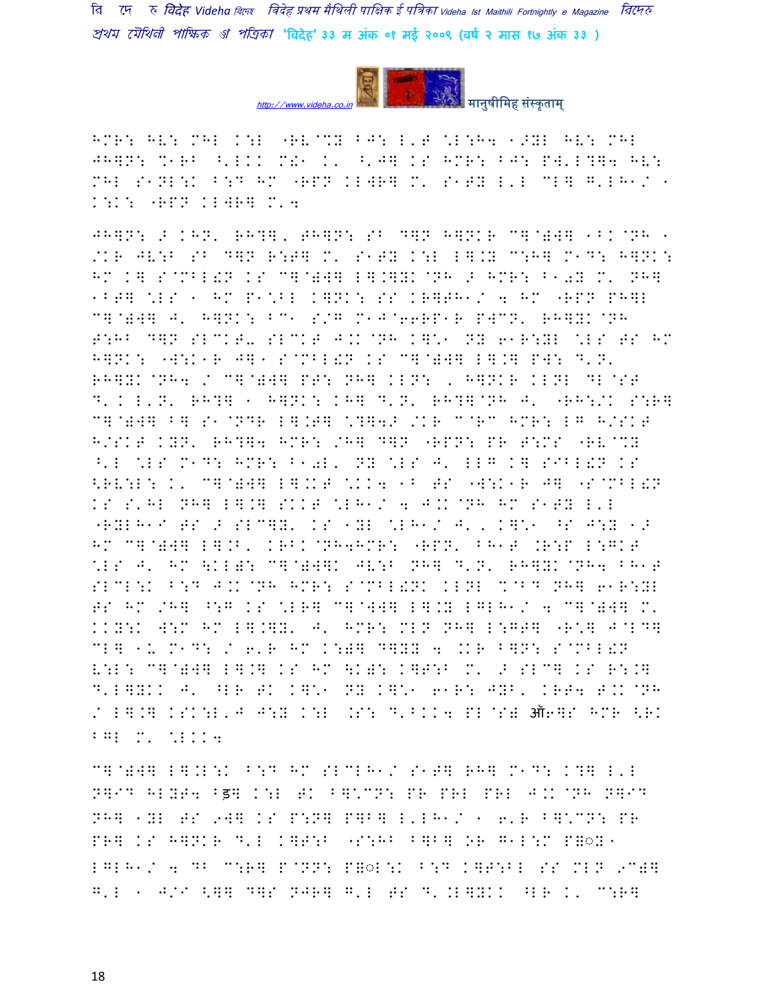

HMR: HV: MHL K:L "RV@%Y BJ: L'T \*L:H4 1>YL HV: MHL JH]N: %1RB ^'LKK M!1 K' ^'J] KS HMR: BJ: PW'L?]4 HV: MHL S1NL:K B:D HM "RPN KLWR] M' S1TY L'L CL] G'LH1/ 1 K: "RPN KLWR, "RPN KLWR" MARSHALL

JH]N: > KHN' RH?], TH]N: SB D]N H]NKR C]@)W] 1BK@NH 1 /KR JV:B SB D]N R:T] M' S1TY K:L L].Y C:H] M1D: H]NK: HM KIN SOME EXTENSION OF SAME IN THE RESIDENCE OF THE UNIVERSITY OF THE UNIVERSITY OF THE UNIVERSITY OF THE UNIVERSITY OF THE UNIVERSITY OF THE UNIVERSITY OF THE UNIVERSITY OF THE UNIVERSITY OF THE UNIVERSITY OF THE UNIVER 18 BAR (1981) - HO PHONE CARDIO BAR CHARRE CHARL HO "RPO" REPRES MA) MARA JI HI HI HI HI JI HI JI HI JI HENE BU BAT DI LIHAMA DI MARA PWCHIR PWCHI F:HB DAR SLOVE. SLOVE AJVORN VAN VAL 600SIN VLK EN 60 H]NK: "W:K1R J]" S@MBL!N KS C]@)W] L].] PW: D'N' RHAN YAHA / CALNAR PRI AHA (195 ) ANDIR KLND DLA YENG D. L'ALD, BH?B': HERIN IRB D.R. BH?B'DH H. SBHNIL SNBB MACHER CARD BEEN CHARTIST THAT AND EASY OF H/SKT & COND. (PROBA) ROBA CORD (PRD) (PROP) PR TROPOST (PROCH ^'L \*LS M1D: HMR: B10L' NY \*LS J' LLG K] SIBL!N KS <RV:L: K' C]@)W] L].KT \*KK4 1B TS "W:K1R J] "S@MBL!N KS STAND PHE LEGENCO STAND A POLICE POSSESSOR "RYLH1I TS > SLC]Y' KS 1YL \*LH1/ J', K]\*1 ^S J:Y 1> HO CREAR ERD, CRHICHAHOR: "RPD, FRYE CRAP ERD" \*LS J' HM \KL): C]@)W]K JV:B NH] D'N' RH]YK@NH4 BH1T SLC LIGHER SLCLIC AND SLCLIC AND SLCCLIC AND DESCRIPTION OF REAL PROPERTY AND DESCRIPTION OF REAL PROPERTY AND TS HM /H] ^:G KS \*LR] C]@WW] L].Y LGLH1/ 4 C]@)W] M' KKY: K W:M HOME W: HOME W:M HOME W: CT (D) JP HOME WE WE WE WE ARE WE WE TER POSTETE A GRUE RESIDENCE TRANSPORTER AND A RESIDENCE AND EXTENSION V:L: C]@)W] L].] KS HM \K): K]T:B M' > SLC] KS R:.] D. LANCEL AN ALL THE CAN DAILY WHEN HIS CONFIDENTIAL / L].] KSK:L'J J:Y K:L .S: D'BKK4 PL@S) ऑ6]S HMR <RK BGL MARKET

C]@)W] L].L:K B:D HM SLCLH1/ S1T] RH] M1D: K?] L'L N]ID HLYT4 Bड़] K:L TK B]\*CN: PR PRL PRL J.K@NH N]ID NHE 19DE 1991 (2008) ENDER BEER EN LINN (2008) EN PRINCES BE PRE CR HERDE TO CHEN SYNHOLFER DE AVIND PHOBY LGLANI A DE CORE PIRRI PHOLIL FIN LARGEL PP CHI SS ME G'L 1 J/I <]] D]S NJR] G'L TS D'.L]YKK ^LR K' C:R]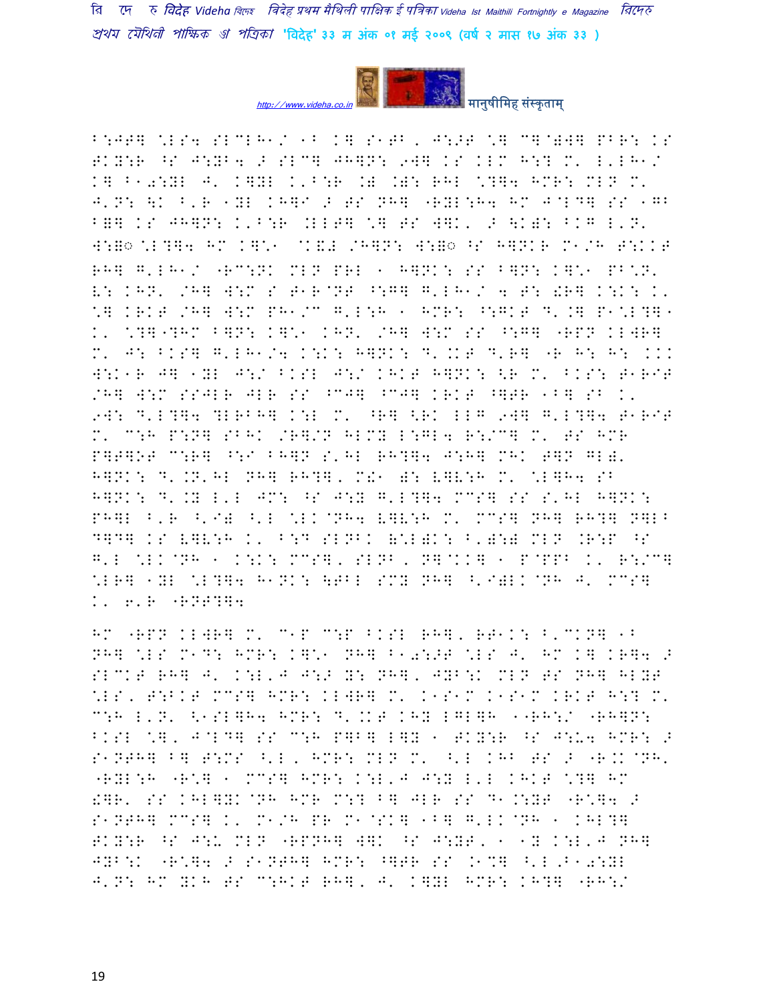

B:JABB (1874 SLCLAN) (F. 19 SLB), JS1, JS1, SE CB (BHB) PRES (2 TKY:R ^S J:YB4 > SLC] JH]N: 9W] KS KLM H:? M' L'LH1/ KARA BIR KALIFINING KALENDARYA NYA MARAHA MARAHA MARAHA MARAHA MARAHA MARAHA MARAHA MARAHA MARAHA MARAHA MARAH J'N: \K B'R 1YL KH]I > TS NH] "RYL:H4 HM J@LD] SS 1GB BBE IS ARBEN IS ME IBEAR AR AR ABIS SENER BIJE BUD. WHEN AT MUST CHARD WERE THE MINIC MATCH RH] G'LH1/ "RC:NK MLN PRL 1 H]NK: SS B]N: K]\*1 PB\*N'  $\mathbb{R}^n$  , the state of the state of the state  $\mathbb{R}^n$  (see Fig. ). \*] KRKT /H] W:M PH1/C G'L:H 1 HMR: ^:GKT D'.] P1\*L?]" K' \*?]"?HM B]N: K]\*1 KHN' /H] W:M SS ^:G] "RPN KLWR] M. JAN PIER GRIEVIN ININ AGRIN SOM DE SVEG VE AN AN VII W:K1R J:// BKSL J:// BKSL J:// BKSL J:// BKSL J:// BKSL J:// BKSL J:// BKSL J:// BKSL J:// BKSL J:// BKSL J:// /H] W:M SSJLR JLR SS ^CJ] ^CJ] KRKT ^]TR 1B] SB K' 9W: D'L?]4 ?LRBH] K:L M' ^R] <RK LLG 9W] G'L?]4 T1RIT M' C:H P:N] SBHK /R]/N HLMY L:GL4 R:/C] M' TS HMR PARAMENT CONTRACT CONTRACT CONTRACT CONTRACT CONTRACT CONTRACT CONTRACT CONTRACT CONTRACT CONTRACT CONTRACT CO HARD: D'.N'HL NH] RHA (BAGA), D'EVI (BO) EALOR (D'. NEARA SD) HAGO N' M. CO. E. E. GADNE AN GANO AL EGARE D'ONA GEL HI GARDON. PH]L B'R ^'I) ^'L \*LK@NH4 V]V:H M' MCS] NH] RH?] N]LB DARRA DI KONSERVICI, FRANCISCO BILADA (\*L)H BILA DE DI DOCHA (\* P G'L E C'LE D'ATORE POLICIE EN L'ONDONNE DE L'ANNE D'ATORE POLICIE EN L'ENSENY RELATIVEMENT DE L'ONDONNE DE L'A \*LR] 1YL \*L?]4 H1NK: \TBL SMY NH] ^'I)LK@NH J' MCS]  $\ddotsc$  6'  $\ddotsc$  6'  $\ddotsc$  6'  $\ddotsc$  6'  $\ddotsc$  6'  $\ddotsc$ 

HM "RPN KLWR] M' C1P C:P BKSL RH], RT1K: B'CKN] 1B NH] \*LS M1D: HMR: K]\*1 NH] B10:>T \*LS J' HM K] KR]4 > SLCCK RHE A. LIE.A AND HI DAR. AHEN: MIR AF HAR ALHE \*LS, T:BKT MCS] HMR: KLWR] M' K1S1M K1S1M KRKT H:? M' C:H L'N' <1SL]H4 HMR: D'.KT KHY LGL]H ""RH:/ "RH]N: BKSL \*], J@LD] SS C:H P]B] L]Y 1 TKY:R ^S J:U4 HMR: > S1NTH] B] T:MS ^'L, HMR: MLN M' ^'L KHB TS > "R.K@NH' "RYL:H "R\*] 1 MCS] HMR: K:L'J J:Y L'L KHKT \*?] HM !]R' SS KHL]YK@NH HMR M:? B] JLR SS D1.:YT "R\*]4 > S1NTH] MCS] K' M1/H PR M1@SK] 1B] G'LK@NH 1 KHL?] TKY:R ^S J:U MLN "RPNH] W]K ^S J:YT, 1 1Y K:L'J NH] JYB:K "R\*]4 > S1NTH] HMR: ^]TR SS .1%] ^'L,B10:YL J'N: HM YKH TS C:HKT RH], J' K]YL HMR: KH?] "RH:/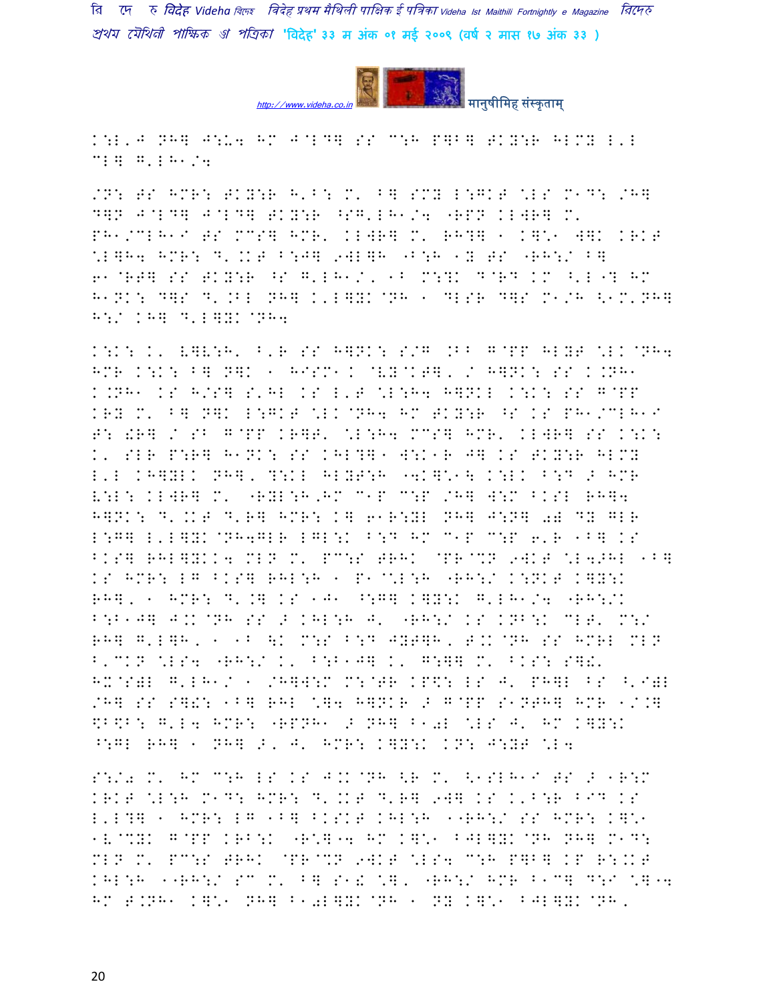

K:L'A PAR ANDA AT AN PA KE MAA PRES BINNE AETH ELE TER BUEN CH

/N: TS HMR: TKY:R H'B: M' B] SMY L:GKT \*LS M1D: /H] DRID OP METRE OF THE GRIDGE ORDER KLAWR WAS CONSIDERED IN A PH1/CM1 PH1/CLH2I COMPETIE PODS (11 RHP) CLO (DP198) (11 K) KRKT KRKWR KRKTT (11 K) \*L]H4 HMR: D'.KT B:J] 9WL]H "B:H 1Y TS "RH:/ B] 66 TEAR SS ANDRE GEWEIRGEN NO VIND KORRON (NO GEWEIRT) H1NK: D]S D'.BL NH] K'L]YK@NH 1 DLSR D]S M1/H <1M'NH] H:/ KH] D'L]YK@NH4

K: S: K: K' V: H' B' B'A' SE . H' B'A' B'A' SO . H' SO . H' G' B'A' B'A' SO . H' G' SO . H' SO . H' B'A' B'A' HMR K:K: B] N]K 1 HISM1. @VY@KT], / H]NK: SS K.NH1 K.NH1 KS H/S] S'HL KS L'T \*L:H4 H]NKL K:K: SS G@PP KRY MY BIN BIN BIN BIN BIN DI SERIES AN THOMAS AN THE SAN THE REAL F: ERS / SP GMPP KRSE, NENHA MCSS HMR, KERRY SS KNIN K', SIR P:RINH: PHOTO SS KINDERH (HINA HINA JS KHLIRI) W:KIR L'L KH]YLK NH], ?:KL HLYT:H "4K]\*1\ K:LK B:D > HMR V:L: KLWR] M' "RYL:H,HM C1P C:P /H] W:M BKSL RH]4 HANK: D'.KT D'.HA HMR: IA 61RH JPH J:NA GRA DA DA H L:G] L'L]YK@NH4GLR LGL:K B:D HM C1P C:P 6'R 1B] KS BKS) RHL] HERE RHL] YKK4 MLN MY PORT RHL] KS HMR: LG BKSER RHL:H 1 P1 MISH (AH:/ K:NKT KINK RHE, 1 HMR: D'.] KE 12 HM (1998) (BBS) BLI KYN G'LHI B:B1J] J.K@NH SS > KHL:H J' "RH:/ KS KNB:K CLT' M:/ RH] G'L]H, 1 1B \K M:S B:D JYT]H, T.K@NH SS HMRL MLN B'CH'S MENT AND AN ACCOUNT AND A SHEET AND A SHEET AND A BELL HISPAB HILHA/ A /HHAI/ MIGH CERI BS 4. PHB BS CAVAB /H] SS S]!: 1B] RHL \*]4 H]NKR > G@PP S1NTH] HMR 1/.] \$B\$B: G'L4 HMR: "RPNH1 > NH] B10L \*LS J' HM K]Y:K ^:GL RH] 1 NH] >, J' HMR: K]Y:K KN: J:YT \*L4

STELL TO AT THA BE CENATIVE ABOT, ANGBANG BE CANDID KRKT \*L:H M1D: HMR: D'.KT D'R] 9W] KS K'B:R BID KS LITE KANSA LG KAHLINI IN SAHIRI SAHAN SI HISI KIL: 1V@%YK G@PP KRB:K "R\*]"4 HM K]\*1 BJL]YK@NH NH] M1D: MER W. PTAP BRHK MPROVE WEEK MER TAH PHIR CE BACKE KHL:H ""RH:/ SC M' B] S1! \*], "RH:/ HMR B1C] D:I \*]"4 HM T.NH1 K]\*1 NH] B10L]YK@NH 1 NY K]\*1 BJL]YK@NH,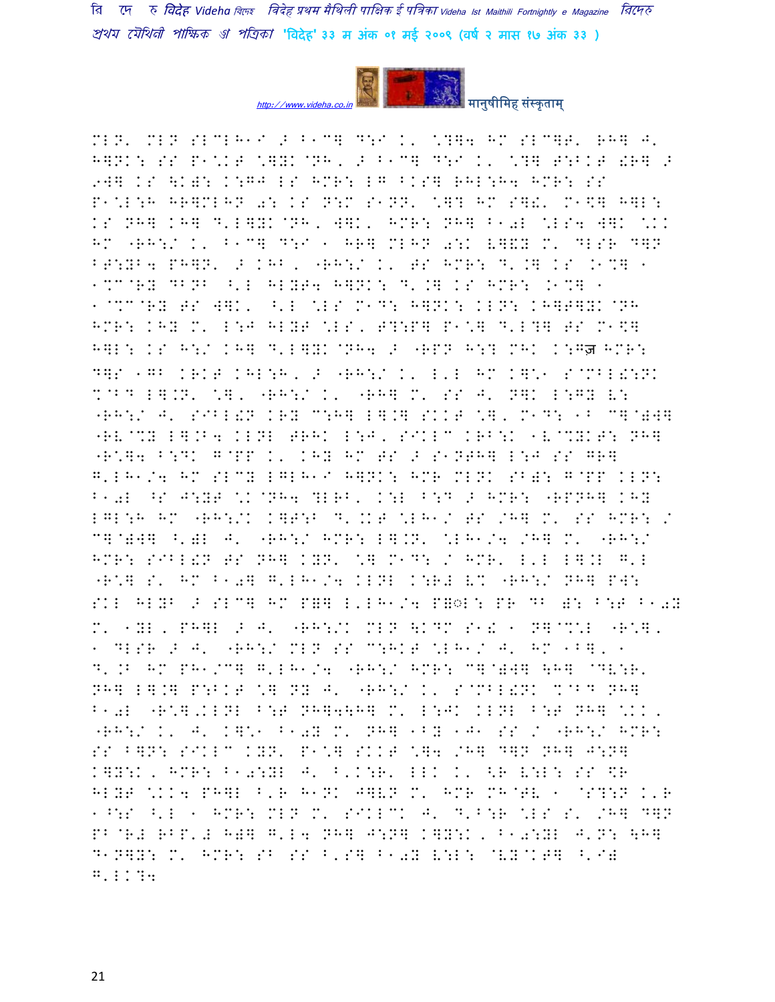http://www.videha.co.in स्ट्रीया स्ट्रेलिया मानुषीमिह संस्कृताम्

MLN, MLN SLCLHAR SLOCH HAR SLOCHER AN SLCHHAR BAT H. HANK: SS PHILE (AND THE SPIRE THAN IS NOTH ANY SPIRE ! 9W] KS \K): K:GJ LS HMR: LG BKS] RHL:H4 HMR: SS P1\*L:H HR]MLHN 0: KS N:M S1NN' \*]? HM S]!' M1\$] H]L: KS NHA KHA MIRANG NH, WARA NHO NHA BILANG AN MARI HM "RH:/ K' B1C] D:I 1 HR] MLHN 0:K V]&Y M' DLSR D]N BAGBA PHEN A CHE, APHILIA AN HIPR D.IB C. C. CHAIR 1%C@RY DBNB ^'L HLYT4 H]NK: D'.] KS HMR: .1%] 1 1@%C@RY TS W]K' ^'L \*LS M1D: H]NK: KLN: KH]T]YK@NH HMR: KHY M' L:J HLYT \*LS, T?:P] P1\*] D'L?] TS M1\$] H]L: KS H:/ KH] D'L]YK@NH4 > "RPN H:? MHK K:Gज़ HMR: D]S 1GB KRKT KHL:H, > "RH:/ K' L'L HM K]\*1 S@MBL!:NK %@BD L].N' \*], "RH:/ K' "RH] M' SS J' N]K L:GY V: "RH:N ZO HI, "SERPER ED" C:HIEL MIRHE (ER CH) STO BOOK TO DI LIGHT " NID METHER " "RV@%Y L].B4 KLNL TRHK L:J, SIKLC KRB:K 1V@%YKT: NH] "ABS GAR DE RESPONSE I KUNING DE RESPONSE I STANDARD I STANDARD BERFE B. EARLY HIS SCHOOL LGLACK AND NORTH MIDS SPEED AND MIDS KLINK B10L \* H: MH2 \*K: TH4 ?LER (1910) FOR ANY H: "RPNH" (82 LGL:H HM "RH:/K K]T:B D'.KT \*LH1/ TS /H] M' SS HMR: / C]@)W] ^')L J' "RH:/ HMR: L].N' \*LH1/4 /H] M' "RH:/ HORS SIPPERD HE MARY CODE. NO ON THE LILAGE ELECTRONIC PLE "R\*] S' HM B10] G'LH1/4 KLNL K:R# V% "RH:/ NH] PW: SCLE (PECH) (B) STETTE (PST) BEEF ELLEPHONE BEGIN (BT) BP: TETTE BT: PTA PHOTO M' 1YL, PH]L > J' "RH:/K MLN \KDM S1! 1 N]@%\*L "R\*], 1 DLSR > J' "RH:/ MLN SS C:HKT \*LH1/ J' HM 1B], 1 D'. B HAM PHILOTH R. B HIVE LIBERT ADDRESS THOBHE ARE CONDITIONS NH] L].] P:BKT \*] NY J' "RH:/ K' S@MBL!NK %@BD NH] Boundary Room and the Communist Communist Communist Communist Communist Communist Communist Communist Communist Communist Communist Communist Communist Communist Communist Communist Communist Communist Communist Communist "RH:/ K' J' K]\*1 B10Y M' NH] 1BY 1J1 SS / "RH:/ HMR: SS BURG STILL CHANGE STILL AND DURING THE WIND K]Y:K, HMR: B10:YL J' B'K:R' LLK K' <R V:L: SS \$R HLYT \*KK4 PH]L B'R H1NK J]VN M' HMR MH@TV 1 @S?:N K'R 1^:S ^'L 1 HMR: MLN M' SIKLCK J' D'B:R \*LS S' /H] D]N PROBA BRP.A HAR #.EN 2008 #528 CHOSE. PRASON #.25 NHB D1N]Y: M' HMR: SB SS B'S] B10Y V:L: @VY@KT] ^'I)  $H_1$ :  $1$   $1$   $1$   $1$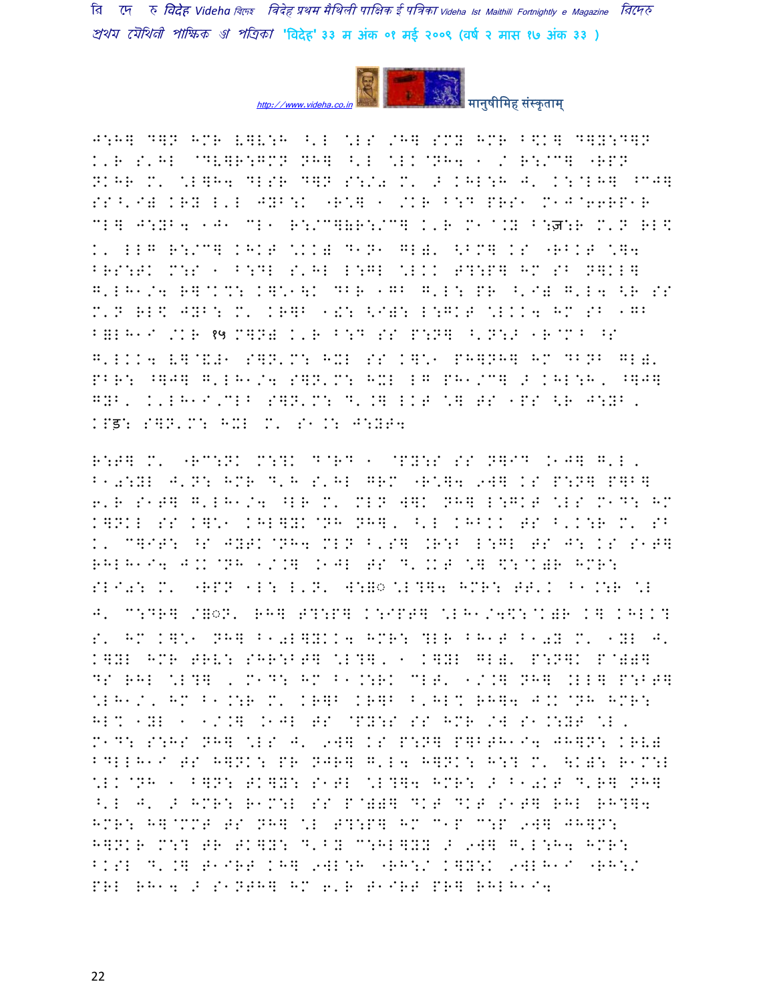

J:H] D]N HMR V]V:H ^'L \*LS /H] SMY HMR B\$K] D]Y:D]N K'R S'HL "MEHRIMIN NHE RI NIK NH4 1 / RIKOME 187 NKHR M' \*L]H4 DLSR D]N S:/0 M' > KHL:H J' K:@LH] ^CJ] SS^'I) KRY L'EL JOSE L'ANDRE L'ANNE DE L'ANNE DE L'ANNE DE L'ANNE DE L'ANNE DE L'ANNE DE L'ANNE DE L'ANNE DE L CL] J:YB4 1J1 CL1 R:/C](R:/C] K'R M1@.Y B:ज़:R M'N RL\$ K. BER BYZTA CALB YZIE TYTY ABEL AFTA IP (BFIE YANG BRS:BRS:TH M:S 1 B:DL SYMBOL FROM SB ND SB ND SB ND SB ND SB ND SB ND SB ND SB ND SB ND SB ND SB ND SB ND SB N G'LH1/4 R]@K%: K]\*1\K DBR 1GB G'L: PR ^'I) G'L4 <R SS M. R BER ABEN M. (1985) (2N SABN ENRIK SEIL: GKT 25 SAB Believe of the 189 media of the Pirac and analysis piracy is provided by G'LKK4 V]@&#1 S]N'M: HXL SS K]\*1 PH]NH] HM DBNB GL)' PBR: ^]J] G'LH1/4 S]N'M: HXL LG PH1/C] > KHL:H, ^]J] GYB' K'LLER SIN'ME K'YERING SIN'ME ELE NE GEN SEN AR GYER I. KPS: SAN, MY HIM: MY SHING MYSSER

R:T] M' "RC:NK M:?K D@RD 1 @PY:S SS N]ID .1J] G'L, B10:YOU JOURNAL DOWNS TO BE SERVED STORE TO BE SERVED THAT THE SERVED OF REAL PROPERTY. 6'R S1T] G'LH1/4 ^LR M' MLN W]K NH] L:GKT \*LS M1D: HM KARA SS KALLAS KALDER SS KALLAS KUNIG TA BEKKE TS BYKK TS BYKK TS BYKK TS BYKK TS BYKK TS BYKK TS BYKK TS BYKK K' CARACTER KE AND THAT DIRECT SING DIRECT IN BIS JYTK AN IN BIS JYTK RHLH1I4 J.K@NH 1/.] .1JL TS D'.KT \*] \$:@K)R HMR: SIPAGE DI "PETR' PIE ILIRI" AEBO NI BHA "RPPE" BBIJI PP IER NI J' C:DR] /=◌N' RH] T?:P] K:IPT] \*LH1/4\$:@K)R K] KHLK? S' HAD CARS (CARRO B) BERGICA (POPER CHE POPER BOB) BECOME CHE (PL) KAN TRO TROOP TRUCK: SHRIP IS A SHRIP IS A SHRIP IS A SHRIP IS A SHRIP IS A SHRIP IS A SHRIP IS A SHRIP IS A S DS RHL (1999), MYPER ROOF (1981), MERL POST IRE PRESIDENT PRESER \*LH1/, HM B1.:R M' KR]B KR]B B'HL% RH]4 J.K@NH HMR: HIT (HE) ( ) .1JH (SHE) HE (PHE) HE FUR /W B (SHE) (H, ) D: TE STEED THAN MED AN UNAAR CONDITIONAL PARAMETRY CHANNEL BORLEHN KI GEN HADLIN TEN DAEAR ALE AL HADLIN HINK: MIL AL AL AN DINE \*LE DI 1976 (1911-1975) SEDERES (SINTER 1974) SEDERE (DE 1911-1912) DE PERSONA DE PERSONALE DE PERSONALE DE P  $\{1, 3, ..., 3\}$  - Hotany are other at the distribution of state strains are strained as HMR: H]@MMT TS NH] \*L T?:P] HM C1P C:P 9W] JH]N: HARDER MONTE GER GELATING MUSIC MONTE HARDER OF DRAFING A MOREO BKSL D'. IT LE PRINS SATORIAT ALL'INDIANI "RHINI" (KITA 9WLHI) PRL RHI4 & SINTHE HM 6.8 RHM16 PRR RHIHI4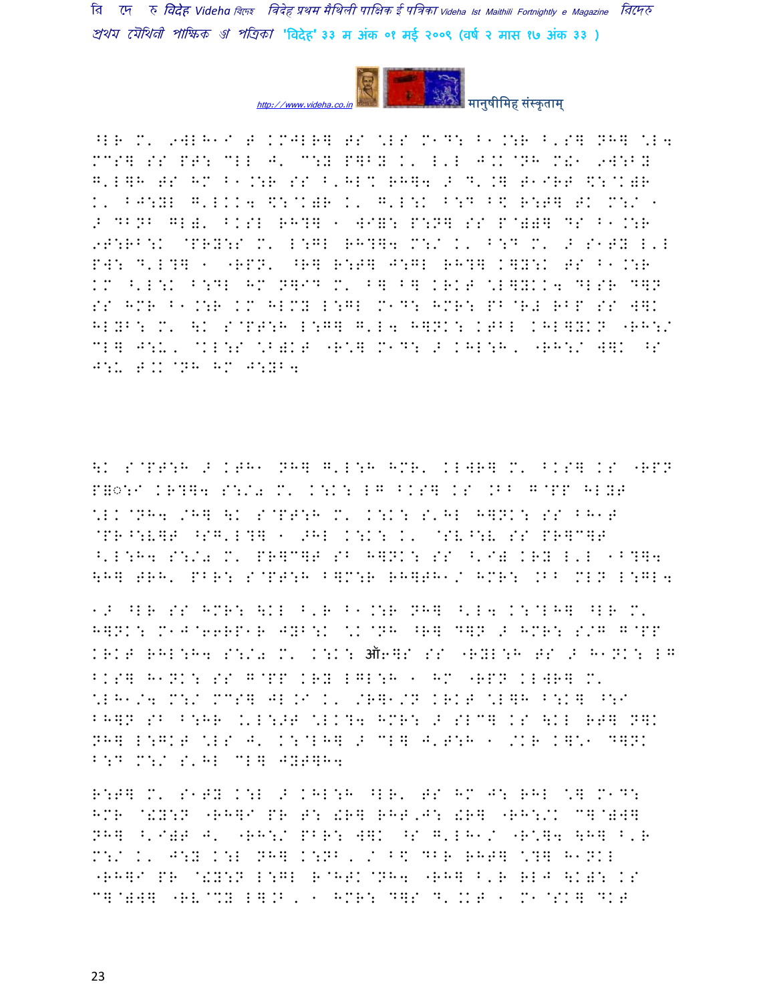

^LR M' 9WLH1I T KMJLR] TS \*LS M1D: B1.:R B'S] NH] \*L4 MCSE SS PER CHE AL CHE PHRO L'ELE ANN CRE DOVAN ABRI G'L]H TS HM B1.:R SS B'HL% RH]4 > D'.] T1IRT \$:@K)R K' BJ:YL G'LKK4 \$:@K)R K' G'L:K B:D B\$ R:T] TK M:/ 1 > DBNB GL)' BKSL RH?] 1 WI=: P:N] SS P@))] DS B1.:R 9T:RB:K @PRY:S M' L:GL RH?]4 M:/ K' B:D M' > S1TY L'L PW: D.EYH ( ) (BPR) (BH) BY:H (BY:H RHIR PHIN) BE POSSE KM 'L:K B: B:B'H: HM NAPP M. PA PA CELE SEARCH MEND MAR SS HMR B1.:R KM HLMY L:GL M1D: R HLMY L:GL M1D: PB@R RBP SS W HLMY L:GL M1D: PB@R RBP SS W HLMY L:GL M1D: PB@R HEB: N' N' BI (KTBRA) ENHE ALEA AARIN ISTE (AFADIR (AFAN) CL] J:U, @KL:S \*B)KT "R\*] M1D: > KHL:H, "RH:/ W]K ^S J:U T.K@NH HM J:YB4

## $\tilde{\mathcal{H}}$  , and the set of  $\mathcal{H}$  is the set of  $\mathcal{H}$  , and  $\mathcal{H}$  are  $\mathcal{H}$  and  $\mathcal{H}$  are  $\mathcal{H}$  and  $\mathcal{H}$  are  $\mathcal{H}$  and  $\mathcal{H}$  are  $\mathcal{H}$  and  $\mathcal{H}$  are  $\mathcal{H}$  and  $\mathcal{H}$  are  $\mathcal{H}$  an PBOGY CESBA SGOW D. CGOWG BB FISH CS .DF BKTP HIB B \*LK@NH4 /H] \K S@PT:H M' K:K: S'HL H]NK: SS BH1T @PR^:V]T ^SG'L?] 1 >HL K:K: K' @SV^:V SS PR]C]T ^'L:H4 S:/0 M' PR]C]T SB H]NK: SS ^'I) KRY L'L 1B?]4  $\{H\}$  Trees, of the society of  $\{H\}$  is equipped by  $\{H\}$  , and  $\{H\}$  is equipped by  $\{H\}$

 $\lambda$  , and so the state of the state of the state of the bird  $\lambda$  and  $\lambda$  and  $\lambda$  and  $\lambda$  and  $\lambda$  and  $\lambda$ HARD: NOON A SHARP ES AGE NOONG SOOR HAA SHARI A DHA SACH OR SPRIN KRKT RHESHA SSOW MOOD STATE STANDART AND A HIS STATE OF BKS] H1NK: SS G@PP KRY LGL:H 1 HM "RPN KLWR] M' \*LH1/4 M:/ MCS] JL.I K' /R]1/N KRKT \*L]H B:K] ^:I B:HRB: ST (P. 1946) (1. E. 1946) (1. 1. 1946) ACRES (S. STR) NEC. (S. 1946) (SRT) SHE NHE EGHIE MEE AL IGMEHE 2 MEE ALBGA + 216 IEN (MEK) B:D M: S'HL CLIP CONTROL

R:THE MY STATE CONTROL PROVINCE TO A SHALL TO A MAGNIFICATION HMR @ Y:N BHR @ Y:N RHT, PR T: IRIN RHT, IRHT, IRHT, IRHT, IRHT, IRHT, IRHT, IRHT, IRHT, IRHT, IRHT, IRHT, IRH NH] ^'I)T J' "RH:/ PBR: W]K ^S G'LH1/ "R\*]4 \H] B'R M:/ K' J:Y K:L NH] K:NB, / B\$ DBR RHT] \*?] H1NKL "RH]I PR @!Y:N L:GL R@HTK@NH4 "RH] B'R RLJ \K): KS CONSTRUCTS TO THE RUN CONSTRUCT OF REAL PROPERTY.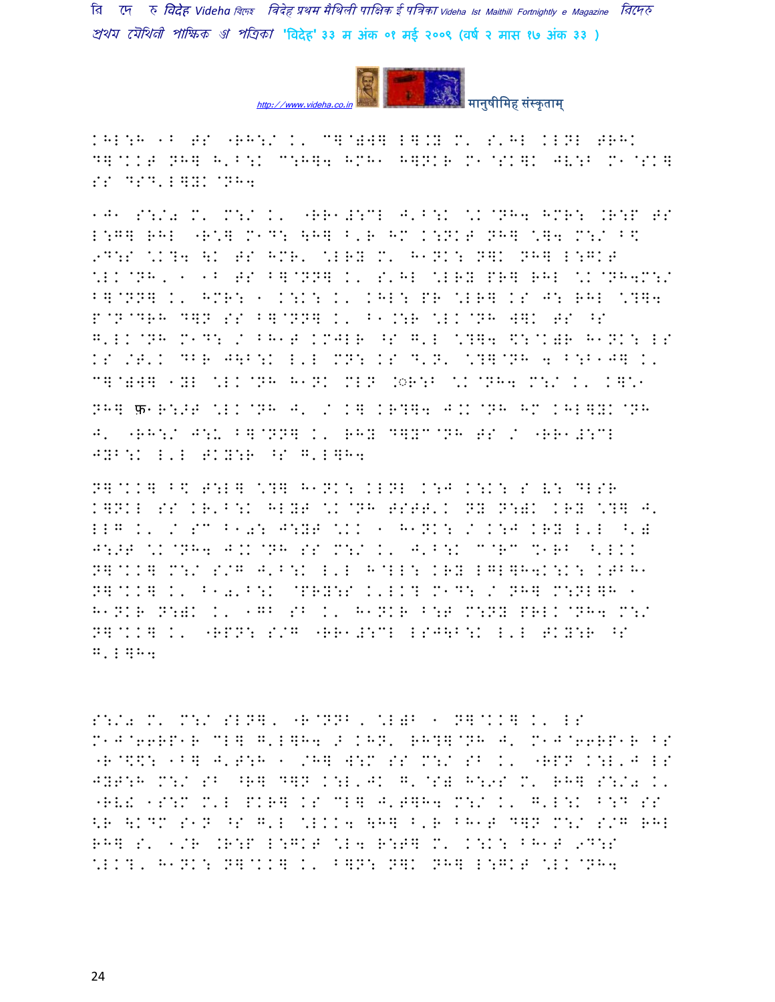

KHISH 1B HE SHHIZ K. MH'AAR ERIN T. Y.H. KERE ABH. D]@KKT NH] H'B:K C:H]4 HMH1 H]NKR M1@SK]K JV:B M1@SK] SS DOMESTIC STREET

1J1 S:/0 M' M:/ K' "RR1#:CL J'B:K \*K@NH4 HMR: .R:P TS  $\pm$  1000  $\pm$  000  $\pm$  000  $\pm$  1000  $\pm$  1000  $\pm$  1000  $\pm$  1000  $\pm$  1000  $\pm$  1000  $\pm$  1000  $\pm$  1000  $\pm$  1000  $\pm$  1000  $\pm$  1000  $\pm$  1000  $\pm$  1000  $\pm$  1000  $\pm$  1000  $\pm$  1000  $\pm$  1000  $\pm$  1000  $\pm$  1000  $\pm$ 9D:S \*K?4 \K TS HMR' \*LRY M' H1NK: N]K NH] L:GKT \*LK@NH, 1 1B TS B]@NN] K' S'HL \*LRY PR] RHL \*K@NH4M:/ BACKER BILL AND RIGHTS IN THE RIGHT OF AN AMALINE. P@N@DRH D]N SS B]@NN] K' B1.:R \*LK@NH W]K TS ^S B.K. MPH M1P: / PH1F KMHB PK B.K MHH RY KHIF H1NK: LS KS /B:K PRE ARTIC E.E MPI (S'R.B. NTH PRE 4 BIF-AR () CHIMAR AND THE MANUAL CHANNEL TO THE MANUAL SERVICE. NH] फ़1R:>T \*LK@NH J' / K] KR?]4 J.K@NH HM KHL]YK@NH J' "RHY!" AYE FRONTH IS RHY DRIO OR RESOURCEMENT JUB: K LI FKY:R G'ULIH4

N]@KK] B\$ T:L] \*?] H1NK: KLNL K:J K:K: S V: DLSR KARIB: SS KRAJ HITSTYN TSTTYK ASSAULT PROPINS (KRY 1981) LLAG K' / SC B10: JON AND AN ACTES AND ALL AND ALL AND ALL AND ALL AND ALL AND ALL AND ALL AND ALL ACTES AND A J:>T \*K@NH4 J.K@NH SS M:/ K' J'B:K C@RC %1RB ^'LKK N]@KK] M:/ S/G J'B:K L'L H@LL: KRY LGL]H4K:K: KTBH1 NA MORA (N. 1999), PROSTER DE L'OLE DE L'ATRICO D'ARE D'EN APRIME. H1NKR N:)K K' 1GB SB K' H1NKR B:T M:NY PRLK@NH4 M:/ NA MOSA KOLO "PREZA "ROMO" PREPIDENTE "E PARTIES" EL LES ROMANE "PR  $H_1$  :  $HH_1$ 

S:/0 M' M:/ SLN], "R@NNB, \*L)B 1 N]@KK] K' LS M1J@66RP1R CL] G'L]H4 > KHN' RH?]@NH J' M1J@66RP1R BS "R@\$\$: 1B] J'T:H 1 /H] W:M SS M:/ SB K' "RPN K:L'J LS JYT:H M:/ SB ^R] D]N K:L'JK G'@S) H:9S M' RH] S:/0 K' "RV! 1S:M M'L PKR] KS CL] J'T]H4 M:/ K' G'L:K B:D SS R SHOW STORES IN THE STORE OF SHOW AND THE STORE OF SHOW BHIT RH] S' 1/R .R:P L:GKT \*L4 R:T] M' K:K: BH1T 9D:S \*LK?, H1NK: N]@KK] K' B]N: N]K NH] L:GKT \*LK@NH4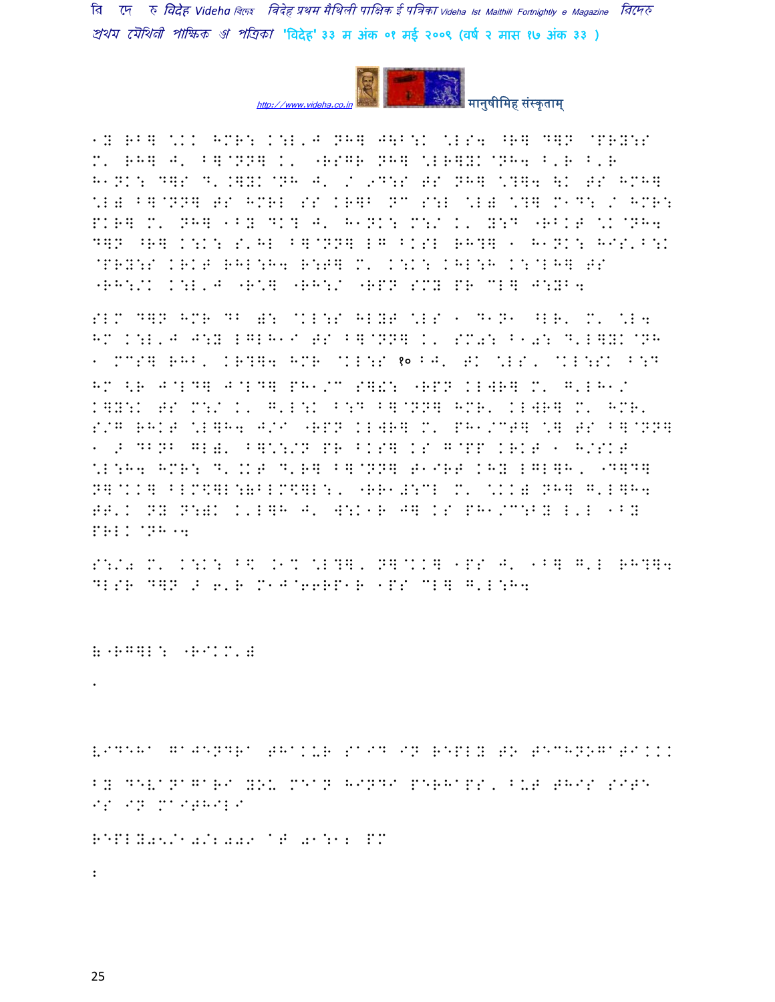http://www.videha.co.in Hotel The Society History of The Society of The Society of The Society of The Society of The Society of The Society of The Society of The Society of The Society of The Society of The Society of The

1Y RB] \*KK HMR: K:L'J NH] J\B:K \*LS4 ^R] D]N @PRY:S M' RH] J' B]@NN] K' "RSGR NH] \*LR]YK@NH4 B'R B'R HANK: DHE D. IHA: YA A, Y 2D:S SE NHH ANH AI SE STAN \*L) B]@NN] TS HMRL SS KR]B NC S:L \*L) \*?] M1D: / HMR: PKR# MY NH# 1PXB HING ALDER MEN CONDITIONS ON MAN D]N ^R] K:K: S'HL B]@NN] LG BKSL RH?] 1 H1NK: HIS'B:K @PRY:S KRKT RHL:H4 R:T] M' K:K: KHL:H K:@LH] TS "RH:/K K:L'J "R\*] "RH:/ "RPN SMY PR CL] J:YB4

SLM D]N HMR DB ): @KL:S HLYT \*LS 1 D1N1 ^LR' M' \*L4 HM K:L'ACAND EMERGY SE PROPROS, SM2: BGLHI TS BRIST 1 MCS] RHB' KR?]4 HMR @KL:S १० BJ' TK \*LS, @KL:SK B:D HM AR JOURNALIST PHILM SHER CENER MUSICAL MILL K]Y:K TS M:/ K' G'L:K B:D B]@NN] HMR' KLWR] M' HMR' S/G RHKT \*L]H4 J/I "RPN KLWR] M' PH1/CT] \*] TS B]@NN] 1 > DBNB GL)' B]\*:/N PR BKS] KS G@PP KRKT 1 H/SKT \*L:H4 HMR: D'.KT D'R] B]@NN] T1IRT KHY LGL]H, "D]D] N]@KK] BLM\$]L:(BLM\$]L:, "RR1#:CL M' \*KK) NH] G'L]H4 TT'K NY N:)K K'L]H J' W:K1R J] KS PH1/C:BY L'L 1BY PRED MARKET

S:/0 M' K:K: B\$ .1% \*L?], N]@KK] 1PS J' 1B] G'L RH?]4 DLSR D]N > 6'R M1J@66RP1R 1PS CL] G'L:H4

 $R$ .  $R$ 

 $\bullet$ 

VIDEHa GaJENDRa THaKUR SaID IN REPLY TO TECHNOGaTI...

BY THIS DOMESTIC YOUR APPROXIMATION PERSONS SITES. IS IN MAIN

REPLYNS AT 01:2009 AT 01:2009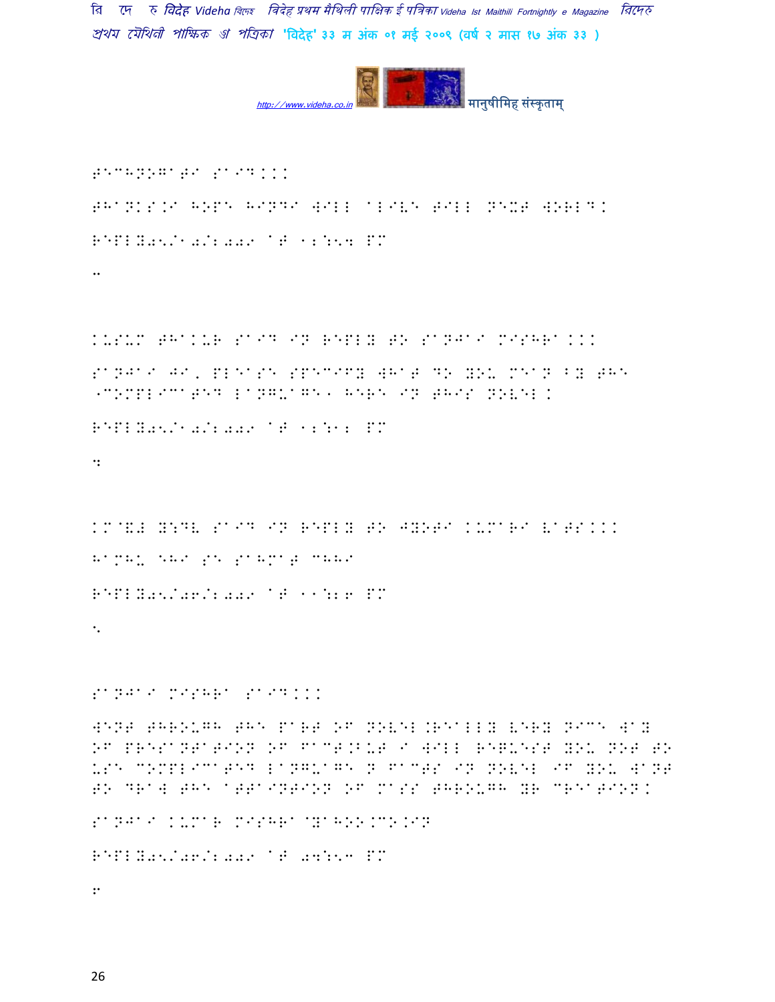REPLYNS AT 1999 AT 1999 AT 1999 AT 1999 AT 1999 AT 1999 AT 1999 AT 1999 AT 1999 AT 1999 AT 1999 AT 1999 AT 199

SANJAI KUMAR MISHA MISHA MISHA MISHA MAR

WENT THROUGH THE PaRT OF NOVEL.REaLLY VERY NICE WaY OF PRESaNTaTION OF FaCT.BUT I WILL REQUEST YOU NOT TO USE COMPLICATED LANGUAGE N FACTS IN NOVEMBER 2012 IN NOVEMBER TO DRaW THE aTTaINTION OF MaSS THROUGH YR CREaTION.

SaNJaI MISHRa SaID...

 $\dddot{\bullet}$ KM@&# Y:DV SaID IN REPLY TO JYOTI KUMaRI VaTS... HaMHU EHI SE SaHMaT CHHI RPPLHAM/ARCHAN (18:26 PM)  $\ddot{\phantom{0}}$ 

REPLY DEPARTMENT PROPERTY

SaNJaI JI, PLEaSE SPECIFY WHaT DO YOU MEaN BY THE "COMPLICaTED LaNGUaGE" HERE IN THIS NOVEL.

KUSUM THaKUR SaID IN REPLY TO SaNJaI MISHRa...

TECHNOLOGICAL SAID... THANKS AND ANNOUNCED AND AND THE SAME HINDI WO REPLY05/10/2009 aT 12:54 PM  $\ddotsc$ 



िव दिन दि विदेह Videha <sub>विष्ठ</sub> विदेह प्रथम मैथिली पाक्षिक ई पत्रिका <sub>Videha</sub> Ist Maithili Fortnightly e Magazine *वि*दिन्ह õथम मैिथली पािक्षक ई पिñका **'**िवदेह**'** ३३ म अंक ०१ मई २००९ (वष र् २ मास १७ अंक ३३ )

 $\ddot{\phantom{1}}$  :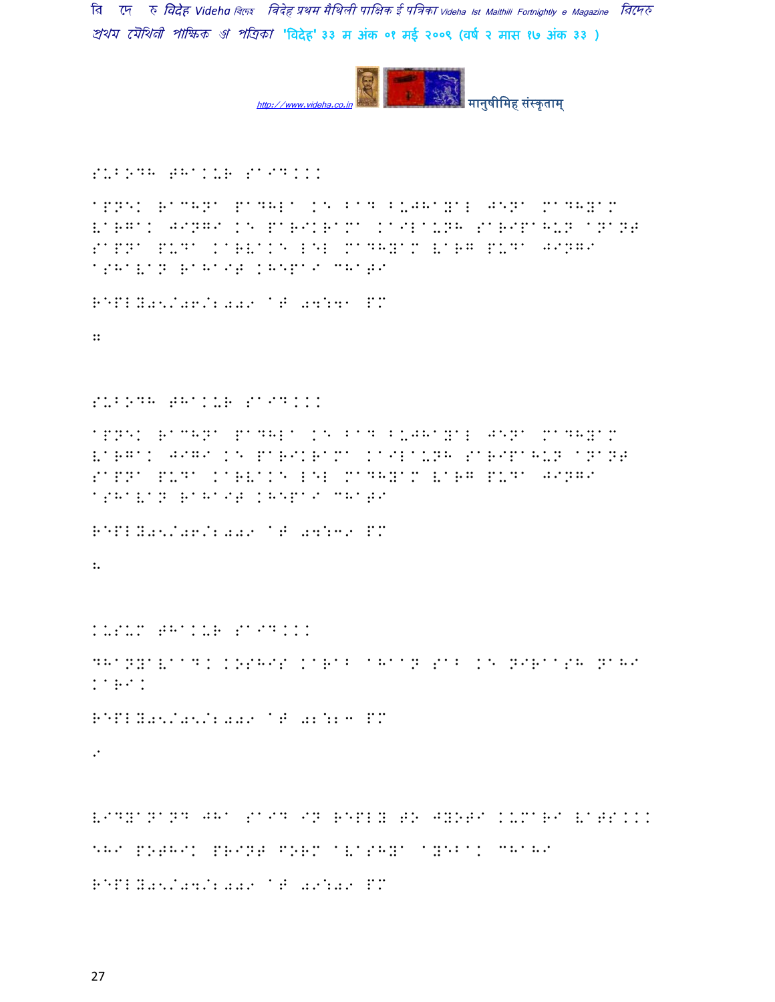VIDYaNaND JHa SaID IN REPLY TO JYOTI KUMaRI VaTS... EHI POTHIK PRINT FORM aVaSHYa aYEBaK CHaHI REPLY 05:09 PM 2009 AT 09:09 PM

KUSUM THAKUR SAID. DHaNYaVaaD. KOSHIS KaRaB aHaaN SaB KE NIRaaSH NaHI KaRI. RREPLYNS AT 2009 AT 02:23 PM PM

 $\ddot{\phantom{a}}$ 

 $\ddots$ 

REPLY05/06/2009 aT 04:39 PM

aPNEK RaCHNa PaDHLa KE BaD BUJHaYaL JENa MaDHYaM VaRGaK JIGI KE PaRIKRaMa KaILaUNH SaRIPaHUN aNaNT SAPINA PUDA KAREVAKE LEL MADHYAM VARG PUDA JINGINA SAPINA aSHaVaN RaHaIT KHEPaI CHaTI

SUBDER THAN SAID.

REPLYNS AT 04:41 PM 2009 AT 04:41 PM 2009 AT 04:41 PM 2009 AT 04:41 PM 2009 AT 04:41 PM 2009 AT 04:41 PM 2009

aPNEK RaCHNa PaDHLa KE BaD BUJHaYaL JENa MaDHYaM VaRGaK JINGI KE PaRIKRaMa KaILaUNH SaRIPaHUN aNaNT SAPUPA PUDA KARYA KARYA PUDA PUDA JINGIN JARJAR aSHaVaN RahaiT Khepai Chatian

SUBDEBTING THANKS



ৱি দে হ *বিदेह Videha ৰিদ্*হ *विदेह प्रथम मैथिली पाक्षिक ई पत्रिका Videha Ist Maithili Fortnightly e Magazine বিদেহ* õथम मैिथली पािक्षक ई पिñका **'**िवदेह**'** ३३ म अंक ०१ मई २००९ (वष र् २ मास १७ अंक ३३ )

 $\ddot{\cdot}$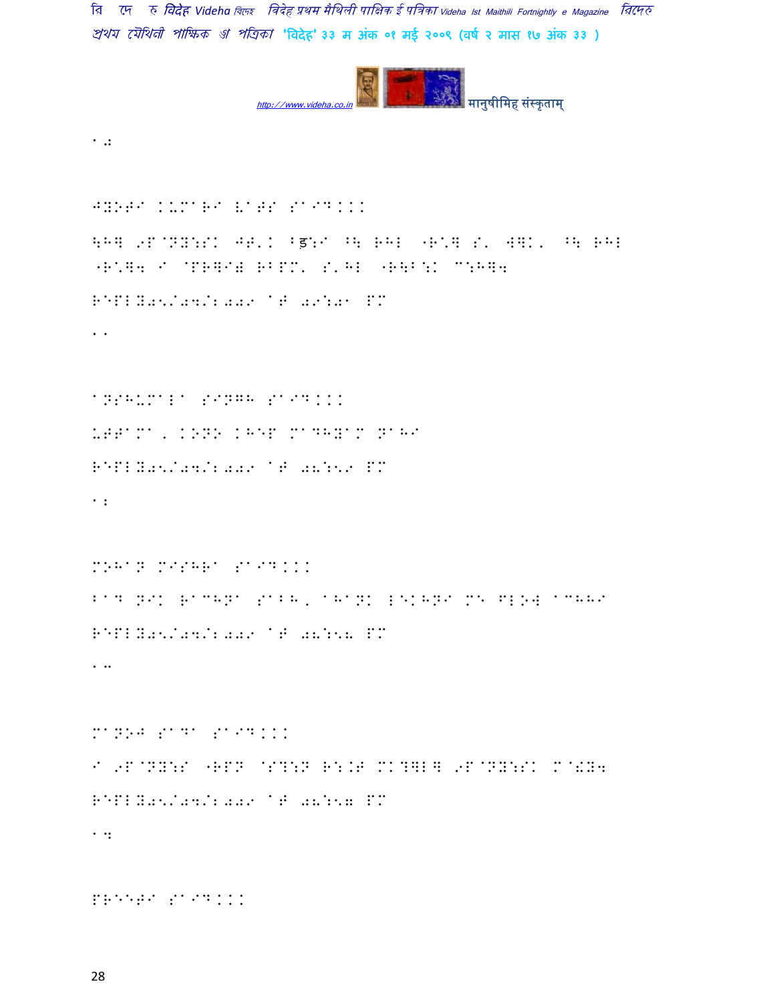28

PREETING TO A STREET

 $144$ 

MaNOJ SaDa SaID... I 9P@NY:S "RPN @S?:N R:.T MK?]L] 9P@NY:SK M@!Y4 REPLYNS AT 08:57 PM

 $\ddot{\phantom{1}}$ 

 $100$ 

REPLYNS AT 08:58 PM

 $\mathcal{M}$  , and  $\mathcal{M}$  is the same integration of the same integration of the same integration of the same integration of the same integration of the same integration of the same integration of the same integration of th BaD NIK RACHNI SABH, aHaNK LEKHNI ME FLOW ACHHI

USS AND A NOTES AND ADDRESS OF THE MADE OF SALES REPLY05/04/2009 aT 08:59 PM  $\boldsymbol{\cdot}$  :

REPLY05/04/2009 aT 09:01 PM  $\ddot{\phantom{1}}$ 

aNSHUMaLa SINGH SaID...

\H] 9P@NY:SK JT'K Bड़:I ^\ RHL "R\*] S' W]K' ^\ RHL "R\*]4 I @PR]I) RBPM' S'HL "R\B:K C:H]4

HIRAN ISOTI KUMARI SAID.

िव दिन दि <mark>विदेह Videha</mark> <sub>विफर</sub> विदेह प्रथम मैथिली पाक्षिक ई पत्रिका Videha Ist Maithili Fortnightly e Magazine *वि*दिन्द õथम मैिथली पािक्षक ई पिñका **'**िवदेह**'** ३३ म अंक ०१ मई २००९ (वष र् २ मास १७ अंक ३३ )

http://www.videha.co.in <u>मार्ग सामग्री के अन्य अनि</u>कारी मानुषीमिह संस्कृताम्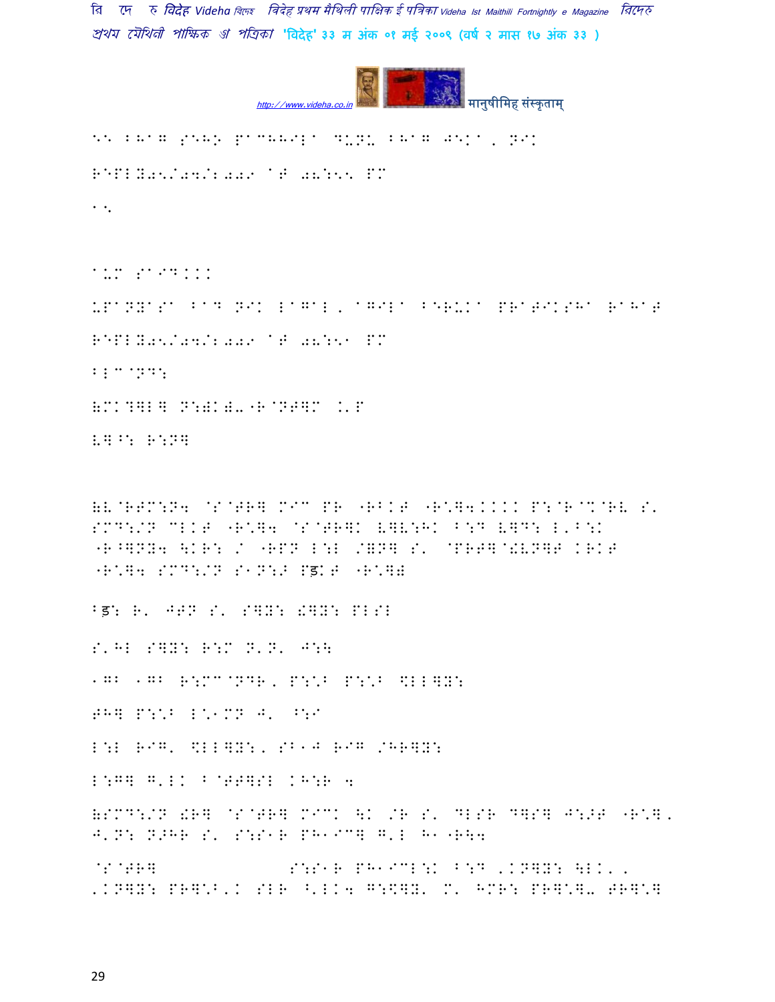

EE BHAG SEHO PACHHILA DUNU BHAG SEHO REPLYNS AT 08:55 PM  $\mathcal{F}(\mathcal{F}_\bullet)$ 

aum Said... UPaNYaSa BaD NIK LaGaL, aGILa BERUKa PRaTIKSHa RaHaT REPLYNS AT 08:50 PM BLC POSTS (MK?]L] N:)K)-"R@NT]M .'P ESS RYNE

(BBC): RATCHES (Van Mic Provided "Race "Records"), Political Provided "Rock" (Records), P.C. (Records), P.C. ( SMORE TELA "BARB" "RTBBRI "BRDAD" PAR BROY ELEN "RE FRONH LAND RELIGION EN LIGION LIGION CONTRARIONAL CONTRARION "R\*]4 SMD:/N S1N:> Pड़KT "R\*])

Bड़: R' JTN S' S]Y: !]Y: PLSL

S'HL SHIP RIN ROOM AND

1GB 1GB P:MC@NDR, P:M P:MC \$1198;

THE PILE REVIEW OF THE

L:L RIG' \$LLIG' \$LLAN RIG /HRIG

Lima G.H. B. C. Ganshi K.

 $S$  SMD: The small discrete that  $\lambda$  is the state of the state of  $\lambda$  . J'N: NORTH SI SIR PHILIC GO AN ARA

MS: MARREY S:S1R PHILICL: STATE S:STATE STATE STATE STATE STATE OF DRESSER SERIES. 'KN]Y: PR]\*B'K SLR ^'LK4 G:\$]Y' M' HMR: PR]\*]- TR]\*]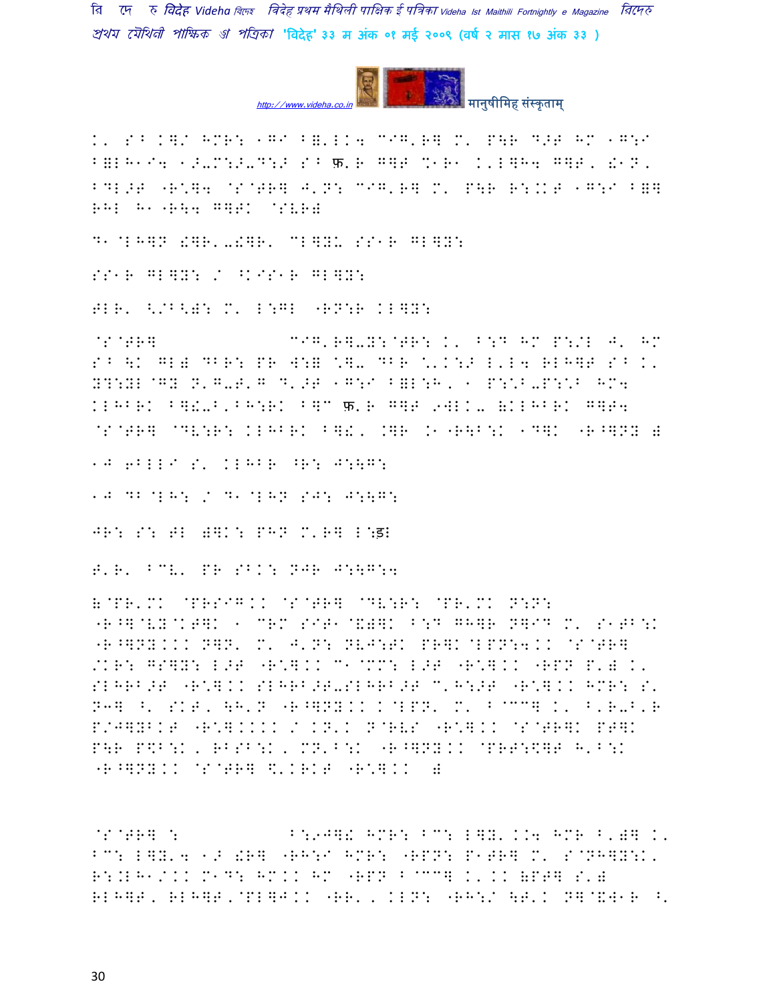ৱি দে <sup>হ</sup> <mark>विदेह Videha</mark> <sub>বিদেহ</sub> ৰিবলৈ *प्रथम मैथिली पाक्षिक ई पत्रिका Videha Ist Maithili Fortnightly e Magazine बिদে*হ õथम मैिथली पािक्षक ई पिñका **'**िवदेह**'** ३३ म अंक ०१ मई २००९ (वष र् २ मास १७ अंक ३३ )



K. SO KORY HOR: 1GI BEEN CIGN BE CLICKE CHAING 1GI B Bellie in the Linie South State State State State State State State State State State State State State State S BOL: THE SECRET SERVICE SERVICE SERVICE SERVICE SERVICE SERVICE SERVICE SERVICE SERVICE SERVICE SERVICE SERVICE RHL H19 HHRL CHAR

D1@LH]N !]R'-!]R' CL]YU SS1R GL]Y:

SS1R GLIGHER (1991) SS1R GLIGHER

TLR' </B<): M' L:GL "RN:R KL]Y:

@S@TR] CIG'R]-Y:@TR: K' B:D HM P:/L J' HM SO A GLO PREBO PRESENTARE CARLES FOR LIGHT BELONGING FOR THE LEG YETHI TRICH, RUBUR OLIFI ARNA PER NEEN EN C'HIG'I LENDI ADA KLEHBRAG BJERK BLEGHER BLEGHER GJERK GJERK GLEGHER GJERK GLEGHER GJERK GJERK GJERK GJERK GJERK GJERK GJERK GJE @S@TR] @DV:R: KLHBRK B]!, .]R .1"R\B:K 1D]K "R^]NY )

19 6BLLI S' KLHBR OG BERNE GRAFI

1J DE SERE / DIG SERE / DIG SIGNE

JR: S: TL )]K: PHN M'R] L:ड़L

T'R' BCV' PR SBK: NJR J:41

(@PR'MK @PRSIG.. @S@TR] @DV:R: @PR'MK N:N: "RECRETE TO BE CONSIDERED SITION TO GHE CONSIDER THE BEST PER TO DISCIPLE TO START TO "REPORTIL PUR, T. "A.PN PERNAN TEUR NIPNATI NYMBO /KR: GS]Y: L>T "R\*].. C1@MM: L>T "R\*].. "RPN P') K' SLAHR DE "PRONING SLAHRBOSTAHRBUR" "RYSTER PRONING SO DAR (P. 1813) AND ROOM PREPENDED AT PERSONAL POTTECD OF PUBLICA P/J]YBKT "R\*].... / KN'K N@RVS "R\*].. @S@TR]K PT]K PAR PRESON REPEATS WORKERS "REPORT: "PRESCHE PLESS "ROW.. WE RECOMMENDED TO A RECOMMENDED TO A REPORT OF A RECOMMENDED TO A RECOMMENDED TO A REPORT OF A REPORT OF

. TE TRAHA : B:9J] : B:9J] : B:0J] : B:2HAME: HOTA: LA HOTA: LA HOTA: LA HOTA: LA HOTA: LA HOTA: L BC: L]Y'4 1> !R] "RH:I HMR: "RPN: P1TR] M' S@NH]Y:K' R:.LH1/.. M1D: HM.. HM "RPN B@CC] K'.. (PT] S') RLAGE, RLAGE, REGULI (RH, ), CLRIS (RHIT, AR, ), RG(RG) ROOM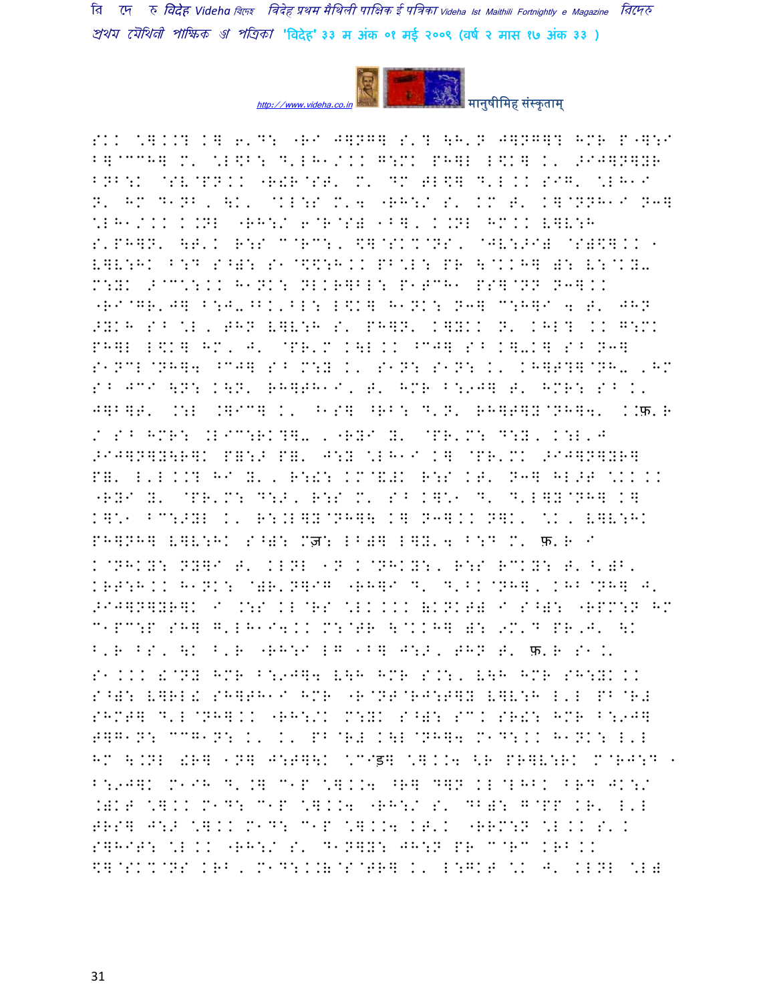http://www.videha.co.in स्ट्रीया स्ट्रेलिया मानुषीमिह संस्कृताम्

SKK \*D: NG TO THE THE STATE OF THE POST PROPERTY TO THE POSTS OF THE POSTS OF THE POSTS OF THE POSTS OF THE PO BECCHE M. MER'S RIEGINING RIM PHE ERIC L. JOURNALE BNB:K @SV@PN.. "R!R@ST' M' DM TL\$] D'L.. SIG' \*LH1I N' HM D1NB, \K' @KL:S M'4 "RH:/ S' KM T' K]@NNH1I N3] \*LH1/.. K.NL "RH:/ 6@R@S) 1B], K.NL HM.. V]V:H S'PH]N' \T'K R:S C@RC:, \$]@SK%@NS, @JV:>I) @S)\$].. 1 V]V:HK B:D S^): S1@\$\$:H.. PB\*L: PR \@KKH] ): V:@KY- $\mathcal{P}(\mathcal{X})$  , the compact of the control point  $\mathcal{Y}$  , and  $\mathcal{Y}$  , and  $\mathcal{Y}$  , and  $\mathcal{Y}$ "RI@GR'J] B:J-^BK'BL: L\$K] H1NK: N3] C:H]I 4 T' JHN >YKH S^ \*L, THN V]V:H S' PH]N' K]YKK N' KHL? .. G:MK PHIL LANG HO, A. (PR.O.1911) PHO PRINCIPLY PHO S1 PTE 19944 (PTAN SI STAB I. S1N: S1N: S1N: S1N: S4N: S9N: S4N ST FOR THIS SON RHIST THAT AN INC. THIS RELATED BY THIS SON RELATED BY SO I J]B]T' .:L .]IC] K' ^1S] ^RB: D'N' RH]T]Y@NH]4' ..फ़'R

/ S^ HMR: .LIC:RK?]- '"RYI Y' @PR'M: D:Y, K:L'J >IJ]N]Y\R]K P=:> P=' J:Y \*LH1I K] @PR'MK >IJ]N]YR] P=' L'L..? HI Y', R:!: KM@&#K R:S KT' N3] HL>T \*KK.. "REBY B. "TERITY TYS. RYE T. PA CHIN T. "LEAR OR DEBY KATA: PONGABE (K. L. BN) BAGI YARAH (K.A. BRADI). DADILI (K. BABNAR).  $P$ HQPHQ (LQL):HK S^): Monic LB(40): LQD, H(30); My R, B: M

KONHER: NY INDIANA ARA-DIA AN' INDIANA ARA-DIA AN' INDIANA ARA-DIA AN' INDIANA ARA-DIA AN' INDIANA ARA-DIA AN' KRT:H.. H1NK: @)R'N]IG "RH]I D' D'BK@NH], KHB@NH] J' >IJ]N]YR]K I .:S KL@RS \*LK... (KNKT) I S^): "RPM:N HM CHECH: PHE ALEAHNAII CRIME ANIIAE BROWN PROF. AI B'R B'R B'R B'R B'R BERGY (ER) HIS HIS LOBERT BY WE BY TH

SN.111 & TRI HMR BYANNA BAR BMR S.I. IAN BMR SHYBII II  $S$ ): Varies and the shift of the second second shift  $S$  is the second second second second second second second second second second second second second second second second second second second second second second sec SHMT] D'L@NH].. "RH:/K M:YK S^): SC. SR!: HMR B:9J] T]G1N: CCG1N: K' K' PB@R# K\L@NH]4 M1D:.. H1NK: L'L  $\#T$  ,  $\#T$  is the probability of the probability of  $\mathbb{R}$  and  $\mathbb{R}$  . The probability of the probability of  $\mathbb{R}$ B:9J]K M1IH D'.] C1P \*]..4 ^R] D]N KL@LHBK BRD JK:/ .)KT \*].. M1D: C1P \*]..4 "RH:/ S' DB): G@PP KR' L'L TRSPECTED AND CONTROLLED AND CHOOSE OF STATES AND CONTROLLED AND SAHARI NI DI ABADI SI DAGAARI AHIR BA COMAT DI SI DI \$]@SK%@NS KRB, M1D:..(@S@TR] K' L:GKT \*K J' KLNL \*L)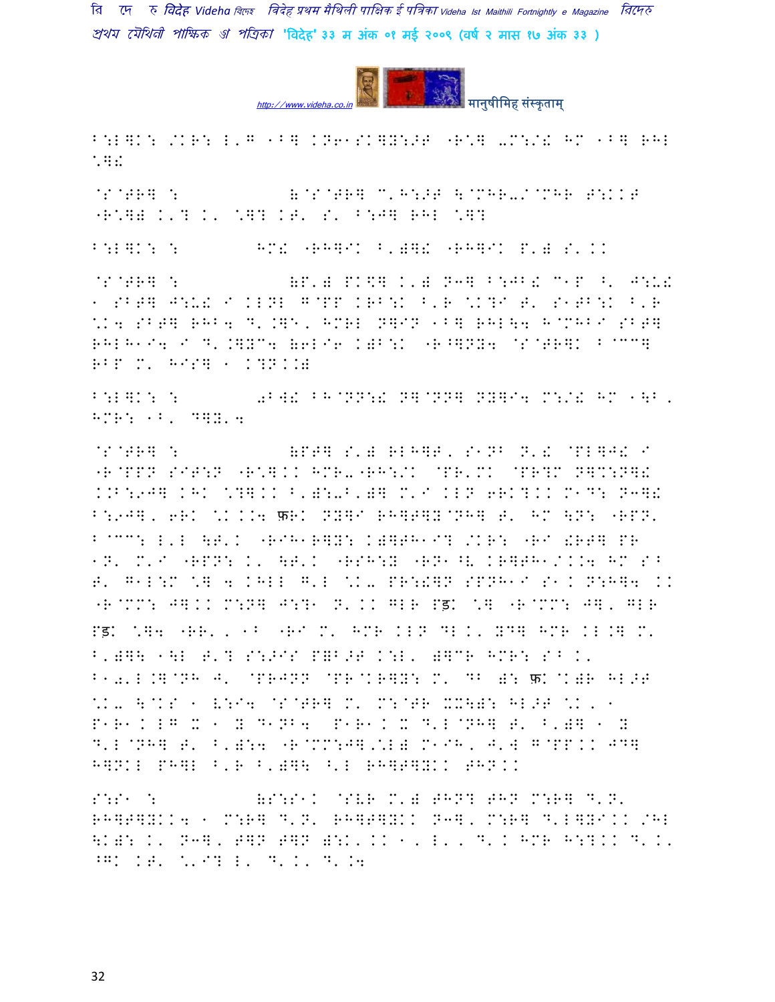

B:L]K: /KR: L'G 1B] KN61SK]Y:>T "R\*] -M:/! HM 1B] RHL  $\ddot{\phantom{0}}$  .  $\ddot{\phantom{0}}$  :  $\ddot{\phantom{0}}$  :

@S@TR] : (@S@TR] C'H:>T \@MHR-/@MHR T:KKT "R\*J#B"(1) # (1) K" (1) B:J" RHL \*[1] RHL \*]

B: 141 (12) S. M. HORE (1998) "RHAIK BY DIRECT (1998) BY BY BY DIRECT (1998) BY BY DIRECT (1998) BY DIRECT (19

@S@TR] : (P') PK\$] K') N3] B:JB! C1P ^' J:U! 1 SBT] J:U! I KLNL G@PP KRB:K B'R \*K?I T' S1TB:K B'R \*K4 SBT] RHB4 D'.]E, HMRL N]IN 1B] RHL\4 H@MHBI SBT] RHLAN I RIGHT, CAGON BELIA I DE SON HARAGA (SON BEACCA) DOOR RBP M' HIS] 1 K?N..)

B:L]K: : 0BW! BH@NN:! N]@NN] NY]I4 M:/! HM 1\B, HMR: 1B' D]Y'4

@S@TR] : (PT] S') RLH]T, S1NB N'! @PL]J! I "R@PPN SITE:N "RANDIC" ROBL (BRYM) | TERIOL | TERNO DUCKPUR ..B:9J] KHK \*?].. B'):-B')] M'I KLN 6RK?.. M1D: N3]! B:1J-PH, 6BC AN NO. 10 BRI NYIHAN BHHAHI NYAH BI AM AIN' (BPN) BOOT IS RELEASED THAT IN THE RIGHT IS A RELEASED IN THE RIGHT IS A RELEASED IN TH 1N' M'I "RPN: K' \T'K "RSH:Y "RN1^V KR]TH1/..4 HM S^ T' G1L:M \*] 4 KHLL G'L \*K- PR:!]N SPNH1I S1. N:H]4 .. "R@MM: J].. M:N] J:?1 N'.. GLR Pड़K \*] "R@MM: J], GLR Ps: NARRY REPORT FROM THE RANGE OF THE LOCATA PORTOGENE OF TH B', 1995 (A) SEC (B) IS PORTAGE (PORTAGE ), IS PORTAGE (A) ACTIVITY (C) ) Biol.: De Chronic Company of Biol. Bends of Company of Service (All De  $\mathbb{R}^n$  . And it is the set of the set of  $\mathbb{R}^n$  is the set of  $\mathbb{R}^n$  . Hence,  $\mathbb{R}^n$ P1R1. LG X 1 Y D1NB4 P1R1. X D'L@NH] T' B')] 1 Y D. E CORRE SEL PILANE (AND SERVICE AND DESCRIPTION OF A POSSIBLE AND A POSSIBLE AREA HANKL PHAL BIR BIRN BIR BHANKAN THAN.

SSI : (S:S1K & SVR M') THAN MOST ON THE MESS OF THE MY DISTURBANCE OF THE MY DISTURBANCE OF THE MY DISTURBANCE RH]T]YKK4 1 M:R] D'N' RH]T]YKK N3], M:R] D'L]YI.. /HL  $K$ ): K' A' N $K$   $\{X,Y\}$  ,  $\{X,Y\}$  ,  $\{X,Y\}$  ,  $\{X,Y\}$  ,  $\{Y,Y\}$  ,  $\{Y,Y\}$  ,  $\{Y,Y\}$  ,  $\{Y,Y\}$  ,  $\{Y,Y\}$  ,  $\{Y,Y\}$  ,  $\{Y,Y\}$  ,  $\{Y,Y\}$  ,  $\{Y,Y\}$  ,  $\{Y,Y\}$  ,  $\{Y,Y\}$  ,  $\{Y,Y\}$  ,  $\{Y,Y\}$  ,  $\{Y,Y\}$  ,  $\{Y,Y\$ ^GK KT' \*'I? L' D'., D'.4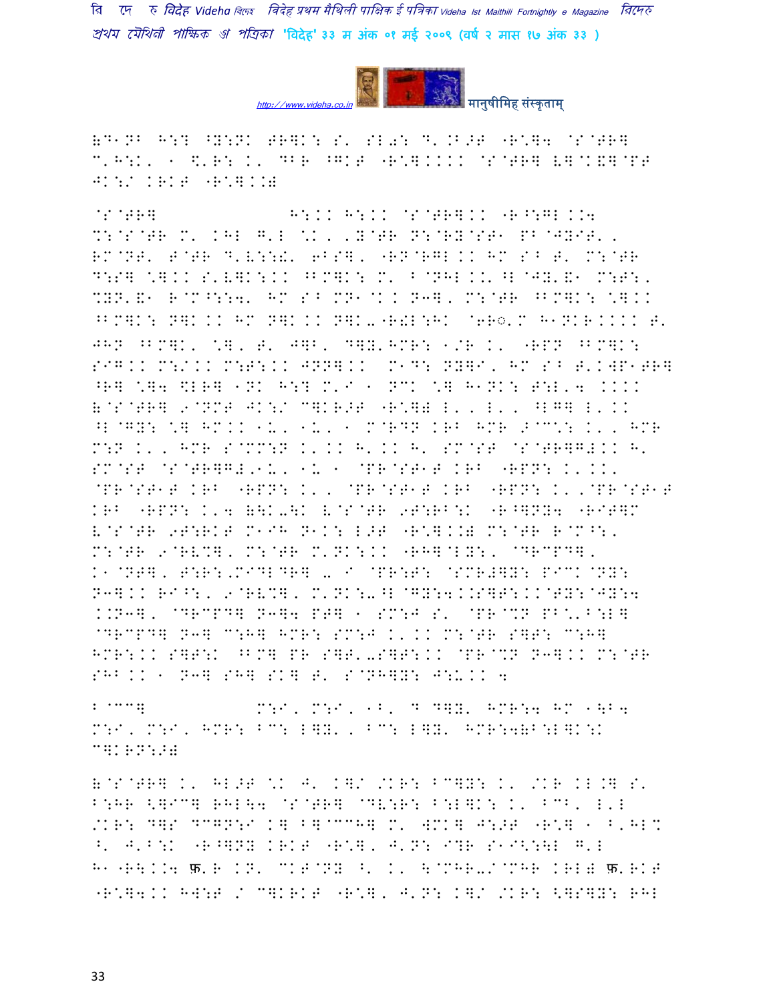

(DT) (D) H: DIRE SERIE (D) (D) SLO: D'.B: SPL0: O'.B+B C'H:K' 1 \$'R: K' D'A' BE 'H: K' ANDEIII' 'R' GHE ES CESTE JK:/ KRKT "R\*]..)

@S@TR] H:.. H:.. @S@TR].. "R^:GL..4 %: MY MERCON, 'YA KURIYI', 'YO KURIYI'YA MAREKARI YA MAREKARI Y RM@NT' T@TR D'V::!' 6BS], "RN@RGL.. HM S^ T' M:@TR D:SE (BOI)K:BOI)K: MYBI MI A MAHIL. H MALE (THA. %YN'&1 R@M^::4' HM S^ MN1@K. N3], M:@TR ^BM]K: \*]..  $B$ M]K: NEW ARTICLE OF THE LOOKE AND ONE ON THE RELEASED AT JHR 'BRYS, TS, T, JP, THR, THR: 1781 / THR: 1, THR: 1781 1 SIGN.. M:/.. M:/.. M:/.. M:/.. M:/.. M:/.. JNN: NY] ^R] \*]4 \$LR] 1NK H:? M'I 1 NCK \*] H1NK: T:L'4 .... (@S@TR] 9@NMT JK:/ C]KR>T "R\*]) L', L', ^LG] L'.. ^L@GY: \*] HM.. 1U, 1U, 1 M@RDN KRB HMR >@C\*: K', HMR M:N K', HMR S@MM:N K'.. H'.. H' SM@ST @S@TR]G#.. H' SM@ST @S@TR]G#,1U, 1U 1 @PR@ST1T KRB "RPN: K'.., @PR@ST1T KRB "RPN: K', @PR@ST1T KRB "RPN: K',@PR@ST1T KRB "PRNYS KLA (KALAR KYTER PRSP) PRODUK PRNA "RPNY LOCAR VANRIA CYRK PYLISER (RYBILE CYCHROMOGY) M:@TR 9@RV%], M:@TR M'NK:.. "RH]@LY:, @DRCPD], K10 T:R:: R:R:, T:R:, T:R: PICK@NY: PICK@NY: PICK@NY: PICK@NY: PICK@NY: PICK@NY: PICK@NY: PICK@NY: PICK@NY: PICK@NY: N3].. RI^:, 9@RV%], M'NK:-^L@GY:4..S]T:..@TY:@JY:4 ..N3], @DRCPD] N3]4 PT] 1 SM:J S' @PR@%N PB\*'B:L] @DRCPD] N3] C:H] HMR: SM:J K'.. M:@TR S]T: C:H] HORS:. SATHES! PR OR SERVISE SATHES!. STRING OF SATHES  $S$ HB.. 1 N3] SHB.. 1 N3] SHB.. 1 N3] SHB.. 4 N3] SHB.. 4 N3]

B@CC] M:I, M:I, 1B' D D]Y' HMR:4 HM 1\B4 MY: M: MORIN, BOOK: BC: LIGHT, BC: LIGHT, BC: LIGHT, BC: LIGHT, BC: LIGHT, BC: LIGHT, BC: LIGHT, BC: LIGHT, BC C]KRN:>)

(@S@TR] K' HL>T \*K J' K]/ /KR: BC]Y: K' /KR KL.] S' B:hR B:HR ATR B: BHL B:HO CATABH OCTAINED AN AIR B: NO CONTROL (BOB) L' /KR: D]S DCGN:I K] B]@CCH] M' WMK] J:>T "R\*] 1 B'HL%  $T_1$   $T_2$ :  $T_3$   $T_4$   $T_5$   $T_6$   $T_7$   $T_8$   $T_9$   $T_9$   $T_9$   $T_9$   $T_9$   $T_9$   $T_9$   $T_9$   $T_9$   $T_9$   $T_9$   $T_9$   $T_9$   $T_9$   $T_9$   $T_9$   $T_9$   $T_9$   $T_9$   $T_9$   $T_9$   $T_9$   $T_9$   $T_9$   $T_9$   $T_9$   $T_9$   $T_9$   $T_9$ How Absolute (WR) Role (WR) Role (WR) Contained Association of the MER-POISSON CHANGE WAS BEEN WARRENT OF THE "R\*]4.. HW:T / C]KRKT "R\*], J'N: K]/ /KR: <]S]Y: RHL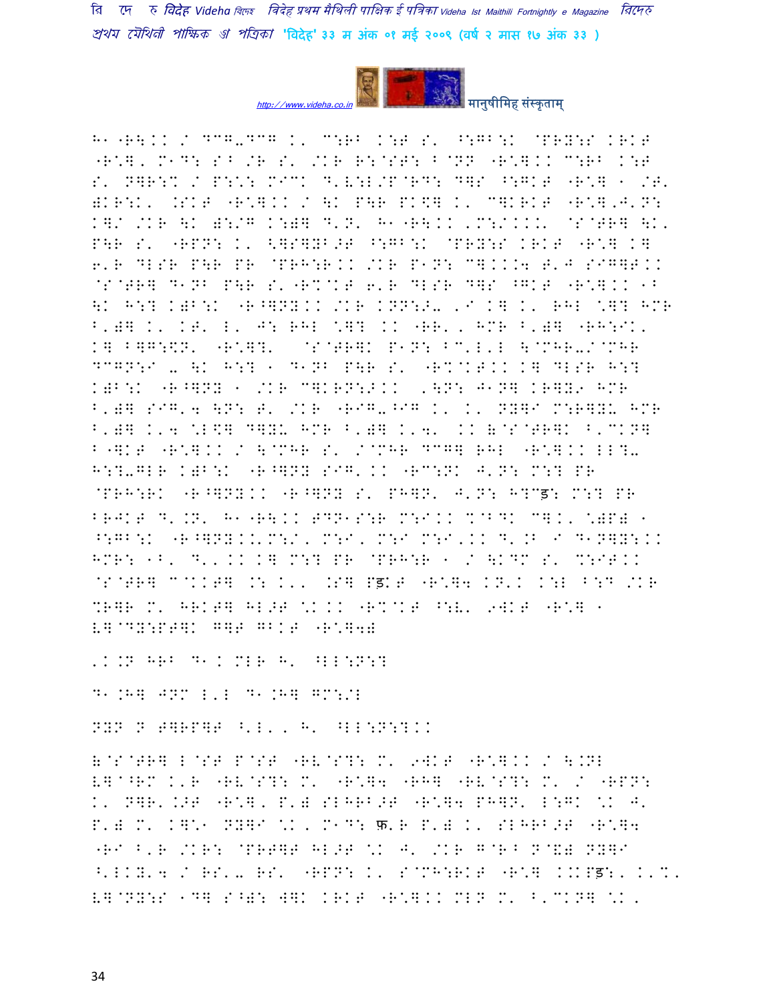

Ho GARING KOMPANYA KI MARA KIRB KI SYARAN SERBIR KETIR "R#NH 2" DX PA (RTA), DE (RTA), DI BO BACARA "RONA". C'RBN 100 "REAR. C:ABR S' N]R:% / P:\*: MICK D'V:L/P@RD: D]S ^:GKT "R\*] 1 /T' )KR:K' .SKT "R\*].. / \K P\R PK\$] K' C]KRKT "R\*],J'N:  $I$ 92 /Kr  $\theta$ : Grish (1989 /K.). 'M:/0921 /Kr (1989 /K.) PAR S', "RPD'E C. "RAPADE AR" FERENC "PROBEE CACH "RECAC' E 6.B DIER PAR PR OPRHANDIG DE PYRA CHILIA BLA PYPHEID @S@TR] D1NB P\R S'"R%@KT 6'R DLSR D]S ^GKT "R\*].. 1B  $\kappa$  H: H: B: E ROS (FOR K). I REFERENCE I KR KNO: HHR \*I RHL \*I B')] K' KT' L' J: RHL \*]? .. "RR', HMR B')] "RH:IK' KE FERNIK, GENER, STRIBER PORT FOLKE ANIHELISING DOGGN: I AN HYB - DAGG PAR KI (BTILBIN PRINS HYB K)B:K "RONDER" (D. B. CALARRICO) (1928) A 24 (1932) ACA B')] SIG'4 \N: T' /KR "RIG-^IG K' K' NY]I M:R]YU HMR B')] K'4 \*L\$] D]YU HMR B')] K'4' .. (@S@TR]K B'CKN] B" HER "PROBLEM" RESOLUTION RECORDS AND DECISION RECORDS AND RELEASED RECORDS AND RELEASED RELEASED RELEASED RELEASED RELEASED RELEASED RELEASED RELEASED RELEASED RELEASED RELEASED RELEASED RELEASED RELEASED RELEASED RELEA H::GLR K)B:K "RO:NE:NE:NK (1) SETER "RUP". THE FR @PRH:RK "R^]NY.. "R^]NY S' PH]N' J'N: H?Cड़: M:? PR BRJKT D'.N' HII. TO AND IN THE TOTAL TO THE COMBAT ^:GB:K "R^]NY..'M:/, M:I, M:I M:I,.. D'.B I D1N]Y:.. HMR: 1B' D''.. K] M:? PR @PRH:R 1 / \KDM S' %:IT.. @S@TR] C@KKT] .: K'' .S] Pड़KT "R\*]4 KN'K K:L B:D /KR %R]R M' HRKT] HL>T \*K.. "R%@KT ^:V' 9WKT "R\*] 1 LA MARINER GAR GELF GENAAM

'K.N HRB D1. MLR HE D1. MLR HE D1.

D1.H] JNM L'L D1.H] GM:/L

NYN NY NY NORDAN' NY NORDAN-PAOSITRA NY TANÀNA ARA-DIA FIRAM-PAOSITRA NY NATAONA ARA-DIA FIRAM-PAOSITRA NY INDR

(@S@TR] L@ST P@ST "RV@S?: M' 9WKT "R\*].. / \.NL V]@^RM K'R "RV@S?: M' "R\*]4 "RH] "RV@S?: M' / "RPN: K' NARA KAR' ARTA YENG YEARA ARTA DI PARA ENAM MITO KO P. B' M', (PEN) (PHR) NI , MY TH W. B' P. B' L. (PIPER FR) (PHR)44 "RI B'R (MI B'R ) O REAGH (MI BE 'N GO 'N GO 'N GO 'N 'N GO 'N HE 'NY INDIAN'I  $K$ KYO RS'- RS'- RS'- RAS'- RS'- RO'- RO'- RO'- RO'- RO'- RO'- RESERVE TO THE V]@NY:S 1D] S^): W]K KRKT "R\*].. MLN M' B'CKN] \*K,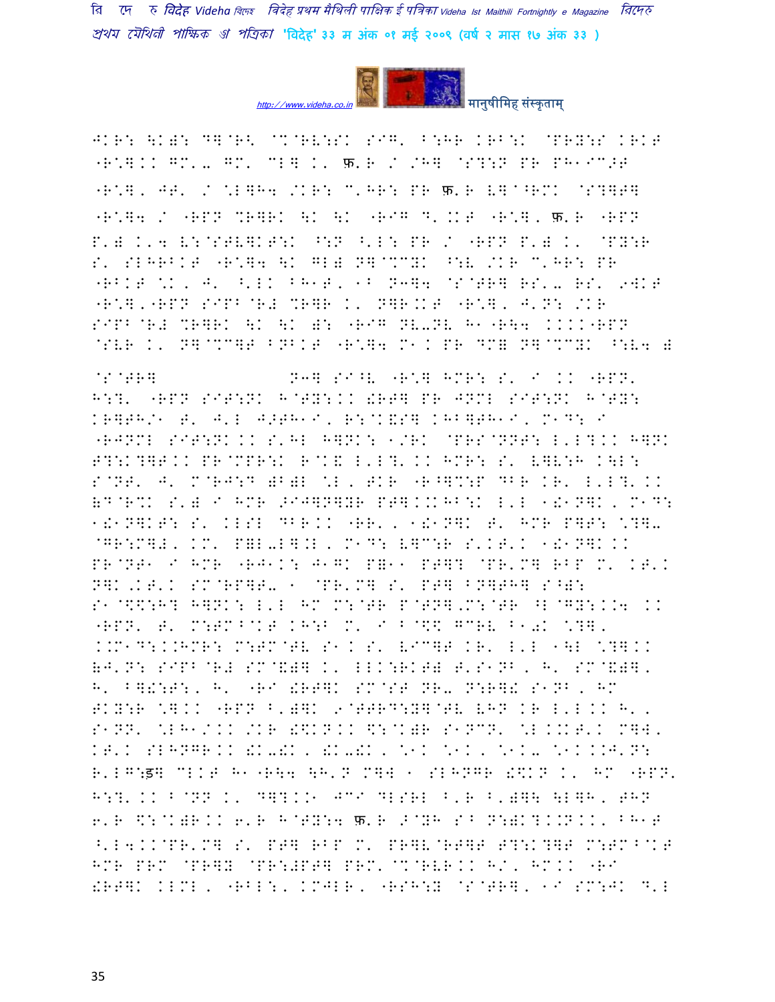$\begin{picture}(10,10) \put(0,0){\line(1,0){10}} \put(10,0){\line(1,0){10}} \put(10,0){\line(1,0){10}} \put(10,0){\line(1,0){10}} \put(10,0){\line(1,0){10}} \put(10,0){\line(1,0){10}} \put(10,0){\line(1,0){10}} \put(10,0){\line(1,0){10}} \put(10,0){\line(1,0){10}} \put(10,0){\line(1,0){10}} \put(10,0){\line(1,0){10}} \put(10,0){\line($ 

JKR: \K): D]@R< @%@RV:SK SIG' B:HR KRB:K @PRY:S KRKT  $R$  (RNH)  $R$  (RNH)  $R$  (RNH)  $R$  (RNH)  $R$  ,  $R$  ,  $R$  ,  $R$  ,  $R$  ,  $R$  and  $R$  and  $R$  properties  $R$  and  $R$ "R\*], JT' / \*L]H4 /KR: C'HR: PR फ़'R V]@^RMK @S?]T] "R\*]4 / "RPN %R]RK \K \K "RIG D'.KT "R\*], फ़'R "RPN P') K'4 V:@STV]KT:K ^:N ^'L: PR / "RPN P') K' @PY:R S' SLHRBKT "R\*]4 \K GL) N]@%CYK ^:V /KR C'HR: PR "RBKT #K, T. H. J. (R. B. D. F. BH) #C, 19 N. BH2T, 19 N. BH1T, 19 N. BH1T, 19 N. BH1T, 19 N. BH1T, 19WKT #C, "ROBIN REPORTED MANUEL OF THE WE SEND AND RESOURCE SIPP (P.E. (1898): "AI" (AI): "BN (1898): "PROPRO H1"PN (889): "CIII"PHIP @SVR K' N]@%C]T BNBKT "R\*]4 M1. PR DM= N]@%CYK ^:V4 )

@S@TR] N3] SI^V "R\*] HMR: S' I .. "RPN' H:?' RON SIT:NE SIT:NE SIT:NE TYPIS IN SITE OF THE SITE OF THE SITE OF THE SITE OF THE SITE OF THE SITE OF THE KRADA KRJITA, PODJENJA KODINE I PODJENJA U VIJENJA "RHANML SITENEN SITE HANK: 1/RK @PRS@NNT: LINK #88 FOR THE STORE REPORT OF THE REAL STORE REPORT OF THE STATE OF THE STATE OF THE STATE OF THE STATE OF THE STATE OF THE STATE OF THE STATE OF THE STATE OF THE STATE OF THE STATE OF THE STATE OF THE STATE OF THE STATE OF THE SONT B), P. (2018-1978) BE BE COLL, SECHO (PERINTENT) IN COLLEGE CO. (D) I HMR + I HMR + I HMR + I HMR + I HMR + I HMR + I HMR + I HMR + I HMR + I HMR + I HMR + I HMR + I HMR + I 1.1N) PROFINSOR (1981) PROFINSOR (1981) LA TERRITORIA (1981) PROPINSOR PIED @GR:M]#, KM' P=L-L].L, M1D: V]C:R S'KT'K 1!1N]K.. PR@NT1 I HMR "RING" I HMR "PHONT PHONE PHONE PHONE WAS ARRESTED FOR A RIGHT OF THE MELTIPS OF THE MELTIPS OF M NAT, KT'K SMORT- 1 AN DIE DIE DIE 1 DIE 1975 SOMETIGE DIE SOMETIGE DIE 1975 S1@\$\$:H? H]NK: L'L HM M:@TR P@TN],M:@TR ^L@GY:..4 .. "RPN' B. THEN'N ME I BM: T. S. PONCHTER POWER (NH) ..M1D:..HMR: M:TM@TV S1. S' VIC]T KR' L'L 1\L \*?].. (HA) PA SMARA MAR SMOKER (I), (ELIABI) EE EN SMAR (HI), SMOKER, H' B]!:T:, H' "RI !RT]K SM@ST NR- N:R]! S1NB, HM TKY:R \*].. "RPN B')]K 9@TTRD:Y]@TV VHN KR L'L.. H', SN' FRANCIS (STANDARI) \*L'ANNI "L'ARTICAL" (SEN. KT'HA) KT'K SLAHIR II KATA SEKARA SEKARA SEKARA SEKARA SEKARA SEKARA SEKARA SEKARA SEKARA SEKARA SEKARA SEKARA SEKARA B.LG:SS CLKT HIT REALS IN THE RIGHT IS SUCH ! REAL REAL H:?'.. B@NN K' D]?..1 JCI DLSRL B'R B')]\ \L]H, THN 6'R \$:@K)R.. 6'R H@TY:4 फ़'R >@YH S^ N:)K?..N.., BH1T  $T$  . The probability of the probability of the probability  $\mathbb{R}$  and  $\mathbb{R}$ HMR PRM MPRHI MPRIPEH PRM, MORERAN HM, HM.1 (HM) !RT]K KLML, "RBL:, KMJLR, "RSH:Y @S@TR], 1I SM:JK D'L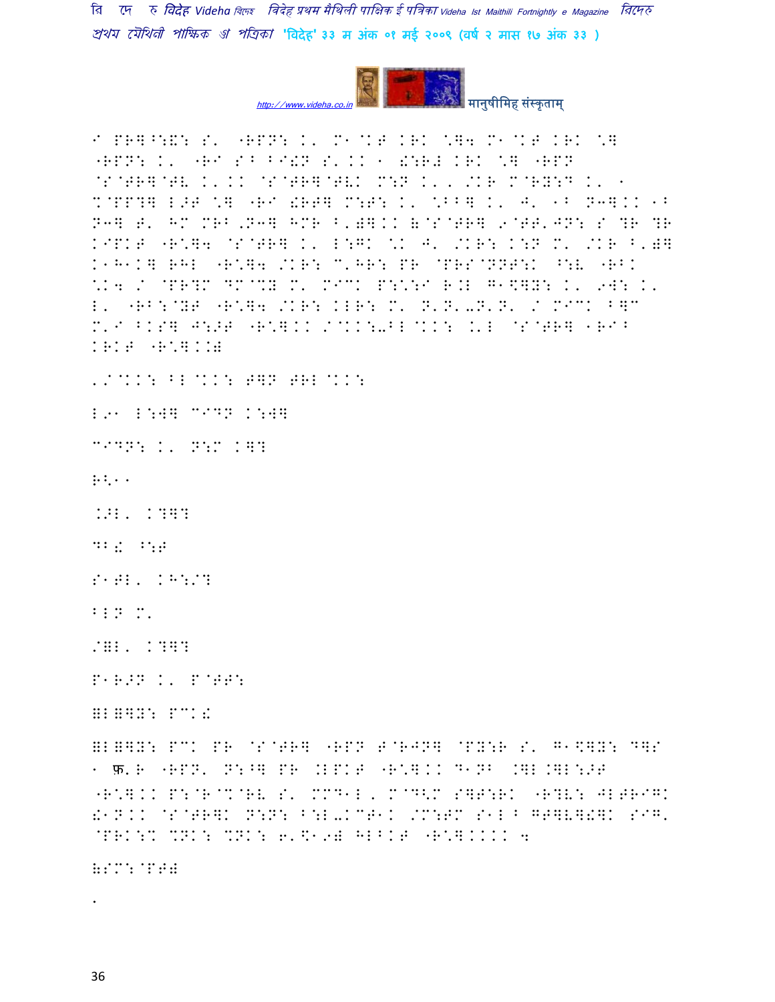

I PRESENCE I PRINCIPALE CHARGE THAT AN INCO "RPN: K' "RI S^ BI!N S'.. 1 !:R# KRK \*] "RPN @S@TR]@TV K'.. @S@TR]@TVK M:N K', /KR M@RY:D K' 1 % WORTH IS A SHE WARD WANTED TO ME TO A SHE WARD AT N39 HM MR MRB HMR BY: (@SOME HMP). (@SOME POSSESSED TO THE SERIES OF THE SERIES OF THE SERIES OF THE SERIES OF KIPKT "R\*]4 @S@TR] K' L:GK \*K J' /KR: K:N M' /KR B')] K1H1K] RHL "RTHE ZIRY T.PRY PR @PRS@NNT: PRS @RT \*K4 / @PR?M DM@%Y M' MICK P:\*:I R.L G1\$]Y: K' 9W: K' L' "RB:@YT "R\*]4 /KR: KLR: M' N'N'-N'N' / MICK B]C MY BKS ROOMS AND A BKS IN A MANUFACTURE IN THE REAL AND MANUFACTURE IN THE REAL AND MANUFACTURE IN THE REAL AND KRKT "R\*D.

'/@KK: BL@KK: T]N TRL@KK:

L91 L:W] CIDN K:W]

COURS IN THE THE

 $\left[\cdot, \cdot, \cdot\right]$ 

 $\ldots$  :  $\ldots$ 

 $\begin{aligned} \mathcal{D} \mathcal{D} \times \mathcal{D} \times \mathcal{D} \times \mathcal{D} \times \mathcal{D} \times \mathcal{D} \times \mathcal{D} \times \mathcal{D} \times \mathcal{D} \times \mathcal{D} \times \mathcal{D} \times \mathcal{D} \times \mathcal{D} \times \mathcal{D} \times \mathcal{D} \times \mathcal{D} \times \mathcal{D} \times \mathcal{D} \times \mathcal{D} \times \mathcal{D} \times \mathcal{D} \times \mathcal{D} \times \mathcal{D} \times \mathcal{D} \times \mathcal{D} \times \mathcal{D} \times \$ 

SHE: CHACT

BLN M.

/=L' K?]?

P1R>N K' P@TT:

=L=]Y: PCK!

=L=]Y: PCK PR @S@TR] "RPN T@RJN] @PY:R S' G1\$]Y: D]S 1 फ़'R "RPN' N:^] PR .LPKT "R\*].. D1NB .]L.]L:>T  $R$  . P: The position of the Model State of the State State of State and State  $R$ !1N.. @S@TR]K N:N: B:L-KCT1K /M:TM S1L^ GT]V]!]K SIG' @PRK:% %NK: %NK: 6'\$19) HLBKT "R\*].... 4

 $B:CP:CPH$ 

 $\bullet$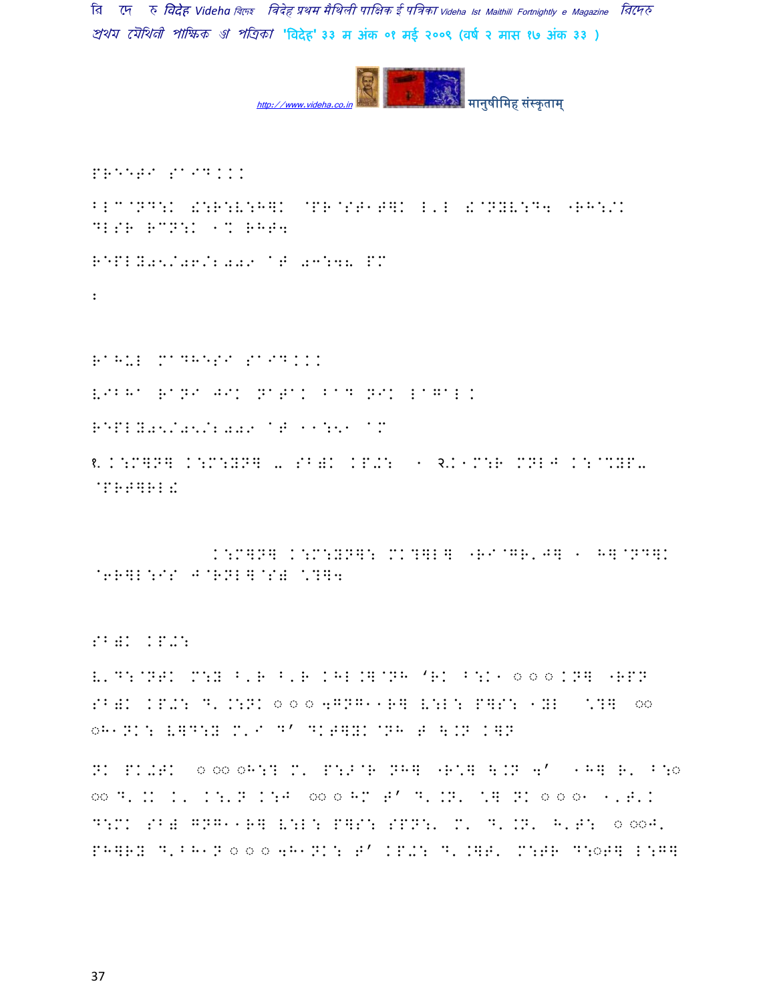

PREETING THE REPORT OF THE REPORT OF THE REPORT OF THE REPORT OF THE REPORT OF THE REPORT OF THE REPORT OF THE

BLC@ND:K #PRESHED: THE MARYLEY: EVERED IN THE PRESHED DLSR RCN:K 1% RHT4

RPPLYNS at 03:48 PM at 03:48 PM

 $\ddot{\cdot}$ 

RaHUL MaDHESI SaID...

BARANI HA RANI JIK NATA DA NIK NIK LAGAL.

REPLYNS AT 11:51 and 11:51 and 11:51 and 11:51 and 11:51 and 11:51 am 11:51 and 11:51 and 11:51 and 11:51 and

१. K:M]N] K:M:YN] - SB)K KP+: 1 २.K1M:R MNLJ K:@%YP- @PRT]RL!

K:MINE K:M:HINE MK?HIR (+8+198, +9 + 1 HE/NDR] OFFER SON ANDERS THE NIRE

SB)K KP+:

V'D:@NTK M:Y B'R B'R KHL.]@NH 'RK B:K1 ◌◌◌KN] "RPN SB)K KPH: O .: NO.: O .: O .: O .: O .: PO.: PH: PH: PH: PH: PH: PH: 1990 OH PIN ENTIM T. M T AND HER THANK HIM I HI

NK PK ARK SO CO CHITK TK PIRAGE THIS HER HIS HIS HY SAHE RY PIRE OO F. II I. I. K:H I NH | OO O HI H' F. IH. NH HI O O O | +.H.I D:MI SPH SBH END: PHILIPS: SPN: W:MI B.H. 0004. PH]RY D'BH1N ◌◌◌4H1NK: T' KP+: D'.]T' M:TR D:◌T] L:G]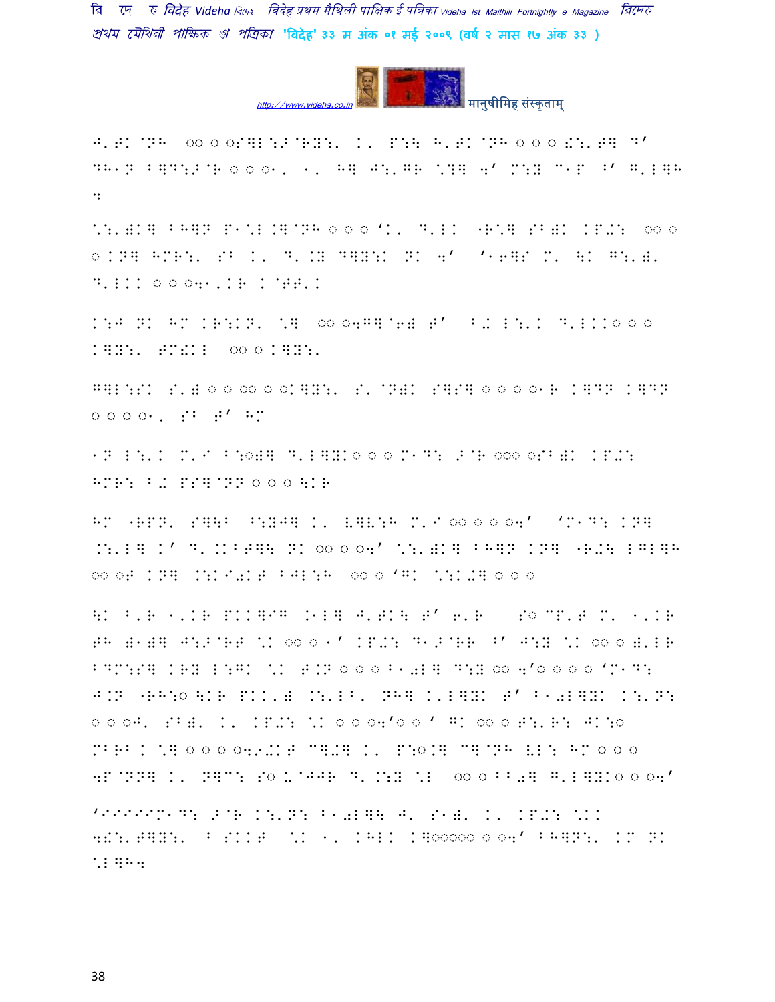

JE, PI (IPH) OO O OFBIALEPHIA, I. PAR P. H. CIPH O O O EA. PH JP DH) B: F BOS FIN O O O) LI HI: GR #11, BB (1981) AN INE ON BY FIN FIN BI BB  $\dddot{\phantom{1}}$ 

\*:: #: # + + ## # + \*: : # \*# 0 0 0 \*: . #. # : + + \* # : + #: . : # : + 00 0 ⊙COR ANEGU PRODUCTURE RRIGU PU A' 'N BRE'N GO'RGE. B.HIT OOOH .IF I THE.I

K:J NK HM KR:KN' \*] ◌◌◌4G]@6) T' B+ L:'K D'LKK◌◌◌ K]Y:' TM!KL ◌◌◌K]Y:'

GREET SK STRING ON STRING STRING STRING ON STRING STRING STRING ◌◌◌◌1' SB T' HM

 $1$ 'A'I B: (N) M'I B: (N) B: (N) B: (N) B: (N) B: (N) B: (N) B: (N) B: (N) B: (N) B: (N) B: (N) B: (N) B: (N) B: (N) B: (N) B: (N) B: (N) B: (N) B: (N) B: (N) B: (N) B: (N) B: (N) B: (N) B: (N) B: (N) B: (N) B: (N) B: (N) HTPS FILTER TRE O O O RIF

 $\bar{H}^{\rm in}_{\rm eff}$  (  $\bar{H}^{\rm in}_{\rm eff}$  )  $\bar{H}^{\rm in}_{\rm eff}$  (  $\bar{H}^{\rm in}_{\rm eff}$  )  $\bar{H}^{\rm in}_{\rm eff}$  (  $\bar{H}^{\rm in}_{\rm eff}$  )  $\bar{H}^{\rm in}_{\rm eff}$  (  $\bar{H}^{\rm in}_{\rm eff}$  )  $\bar{H}^{\rm in}_{\rm eff}$  )  $\bar{H}^{\rm in}_{\rm eff}$  (  $\bar{H}^{\rm in}_{\rm eff}$  )  $\bar{H}^{\rm in}_{\$  $11.1911$  M  $2.111111$   $11.0000000$   $10.111111$   $10.0111111$   $11.01111111$ CO OF IFA IN AN AIR BULLET BOOK OF A HIS LIFE OF OUR

 $\mathrm{K} \Sigma$  is a control of  $\mathrm{K} \Sigma$  . The internal  $\mathrm{K} \Sigma$  is a control of  $\mathrm{K} \Sigma$  in  $\mathrm{K} \Sigma$  is a control of  $\mathrm{K} \Sigma$ TH )1) The set of the probability of the set of the set of the set of the set of the set of the set of the set BOM:SER REFUSED OF A TROOP OF A TREASURY OF A THILD OF A TRUST OF A THILD OF A TRUST OF A THILD OF A THILD OF A THILD OF A THILD OF A THILD OF A THILD OF A THILD OF A THILD OF A THILD OF A THILD OF A THILD OF A THILD OF A JR (B) (RH:SO) RI B) (PIC) .::LD (PIC) EX UNDER COLLEGED .: BY A FICHE REDUCTS .: BS ⊙⊙⊙4, FFH, I, IFIN N! O⊙⊙q'o⊙ N #! ©O⊙ #N.BN #!No MBRB. \*] NE O O OHEN CAPTEN (1) CAPTEN THAT CHAPEN COOP 4P@NN] K' N]C: S◌U@JJR D'.:Y \*L ◌◌◌BB0] G'L]YK◌◌◌4'

'IIIIIM1D: >@R K:'N: B10L]\ J' S1)' K' KP+: \*KK  $+2.111$ :  $+3.111$ :  $+3.111$ :  $+1.111$   $+1.111$   $+1.111$   $+1.110$   $+0.0000$   $0$   $0$   $0$   $+1.111$   $+1.111$   $+1.111$ \*L]H4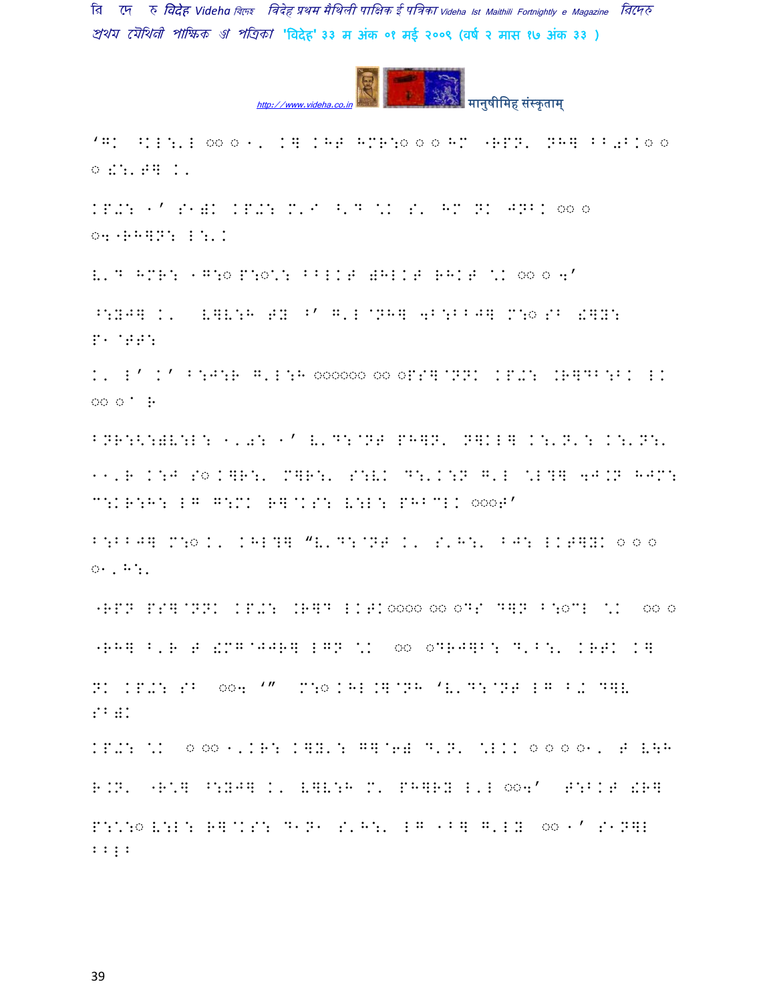

 $\mathcal{S}(\mathbb{R}^n)$  and  $\mathcal{S}(\mathbb{R}^n)$  is the contribution of  $\mathbb{R}^n$  . Then  $\mathbb{R}^n$  are probability of  $\mathbb{R}^n$  and  $\mathbb{R}^n$  are probability of  $\mathbb{R}^n$  and  $\mathbb{R}^n$  are probability of  $\mathbb{R}^n$  and  $\mathbb{$  $\circ$   $f$   $f$   $f$   $f$   $f$   $f$   $f$   $f$ 

KPIN: 1' STAR KPHI I START OF START OF START OF START OF START OF START OF START OF START OF START OF START OF 04 RHHIN: L:

V'D HMR: 1G:◌P:◌\*: BBLKT )HLKT RHKT \*K ◌◌◌4'

 $:$ YI] SAB:BBJ) K' G'L@NH] K' VI G'L@NH] (G'L@NH] 4B:BBJ] M:BBJ] M:BBJ] M:BBJ] M:BBJ] M:BBJ] M:BBJ] M:BBJ] M:BBJ] M:B P1@TT:

K' L' K' A' Bight H. Eng occoco co chemicant (FLI) (BHH REI EI oo of the

ROBARA::) V:L: 2' V: V: L: PAIOBE PHRD. (1981: 8' 1'A: D: 1'A: DA: 1') 11'R K:J S◌K]R:' M]R:' S:VK D:'K:N G'L \*L?] 4J.N HJM: C:H:H: LG G:KR: H:C: PHBCLK RISH: PHBCLK COOP

B:BBBC B:BBC WELL? STORE RECORDS AND A STORE RECORDS AND RECORDS AND RECORDS AND RECORDS AND RECORDS AND RECORDS AND RECORDS AND RECORDS AND RECORDS AND RECORDS AND RECORDS AND RECORDS AND RECORDS AND RECORDS AND RECORDS A  $\circ \cdot$ :  $\cdot \cdot$  :

 $R$ PRIPS PSPECIFIES (PHIPS) REPORTS DO DO DIRECT FUNCTION DO DIRECT  $R$  $R$ Hend bile in and the theory of the condition of the conditions of the conditions of the conditions of the conditions of the conditions of the conditions of the conditions of the conditions of the conditions of the condi NK KPH: SB OOH '" MISCHECHTE 'NH TH'DE EF BIL BHE  $S^4$   $H^4$ KP+: \*K ◌◌◌1'KR: K]Y': G]@6) D'N' \*LKK ◌◌◌◌1' T V\H

PHONO ENERGY RESOURCES TO PROVIDE HE ARRESTS ON A SACRE.  $B = B$ 

R.N' "R\*] ^:YJ] K' V]V:H M' PH]RY L'L ◌◌4' T:BKT !R]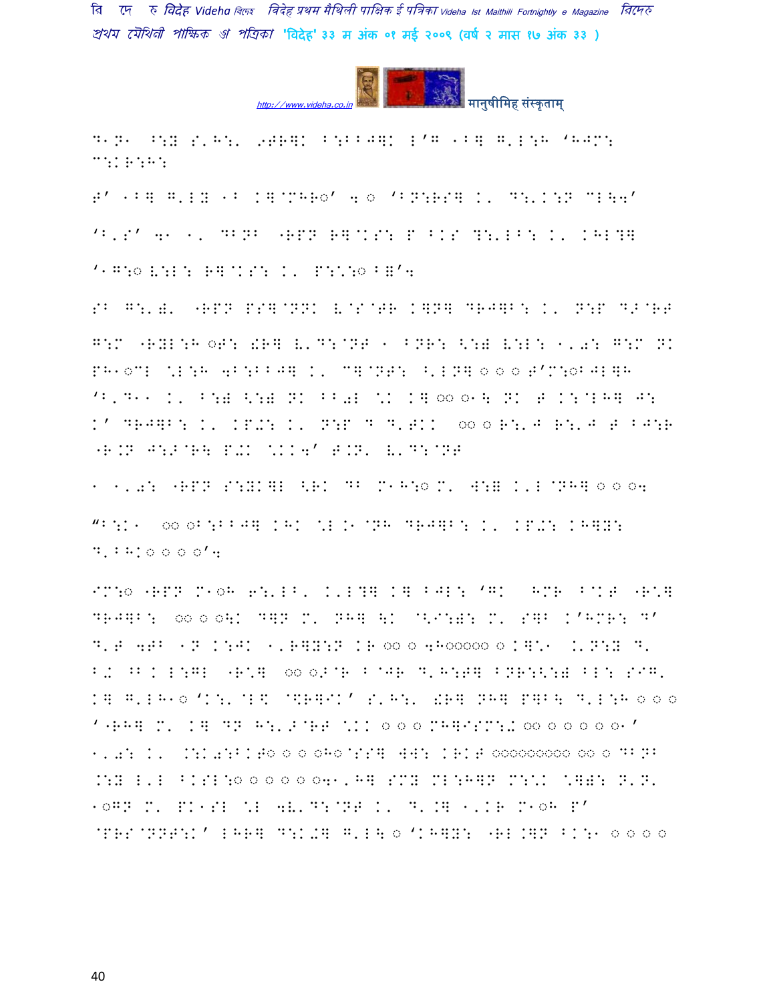

D.D. DE K.H. 9TRE FIFIE EN AN SIM HIS P. C:ESH:

 $H'$  1B G. EX CONSTRUCTION 4 © NETHER IS THIS INFORMATION 'B'S' 41 1' DBNB "RPN R]@KS: P BKS ?:'LB: K' KHL?] ''"O EH: R FENIT I, FINO (H'4)

SB G: PAS B: () "PER POSE VARIOUS AN ANCHOR DRIVER PREPRIES AND DESIGN PROPERTY B:M "RHI:H ©F: ERR E. T: UR + FUR: C:R E:H : +.2: B:M NY PH10TE (ESPHINH) HET L: THIPPH (EEPHIOOO PATSOLHEH) 'B'D'D', 'B'D' B: B: B: B: B: B: NO B: B: 00 0-9 B: B: B: 10 B: B: B: B: K' TRANS K' K' KINI K' THE T' THE L' OO O PHIA BHIA' R' FANR "R.N J:>@R\ P+K \*KK4' T.N' V'D:@NT

1 1'1'0: "RPN SINGER ART WE THEORY AND THE MINHE OCOM

"B:A1 OO OFAFFAR IRI NI KEDATA TAAREEN IN DRING IRRIN  $\Pi$ ,  $\Pi$   $\Pi$   $\Gamma$   $\Theta$   $\Theta$   $\Theta$   $\Theta$   $\Theta$   $\Theta$   $\Gamma$   $\Theta$ 

IM:SO (PERD) DYOR (BALER). ILLEAR I BYLIA REA (MRI) (CRISE) RASE (PENDR DRJ]B: ◌◌◌◌\K D]N M' NH] \K @<I:): M' S]B K'HMR: D' D'T 4TB 1N K: D'T 4TB 1N AN AIRS AN AIR ON O 14HOOOOO O 1970 . IN: Y DE T 1. BH. LI:GL "REAGE" DO OF DE LEST DE REGER DE BEEN DE REGER. KE BIHOMIN HE MEHOV KIHN KHE PHE FBH BIHOOO  $N$  -B+H  $N$  ,  $N$  DH  $N$  H:  $N$  ,  $N$  (Be  $N$  ),  $N$  ,  $\phi$  of  $\phi$  ,  $N$  and  $\phi$  and  $\phi$  of  $\phi$  of  $\phi$ 1'0: K' .:K0:BKT◌◌◌◌H◌@SS] WW: KRKT ◌◌◌◌◌◌◌◌◌◌◌◌DBNB .:Y L'L BKSL:◌◌◌◌◌◌41'H] SMY ML:H]N M:\*K \*]): N'N'  $1$ OHP T. FIIER (1 41.75 TH I. 7. H.18 (1) 1.00 T/ @PRS@NNT:K' LHR] D:K+] G'L\ ◌'KH]Y: "RL.]N BK:1 ◌◌◌◌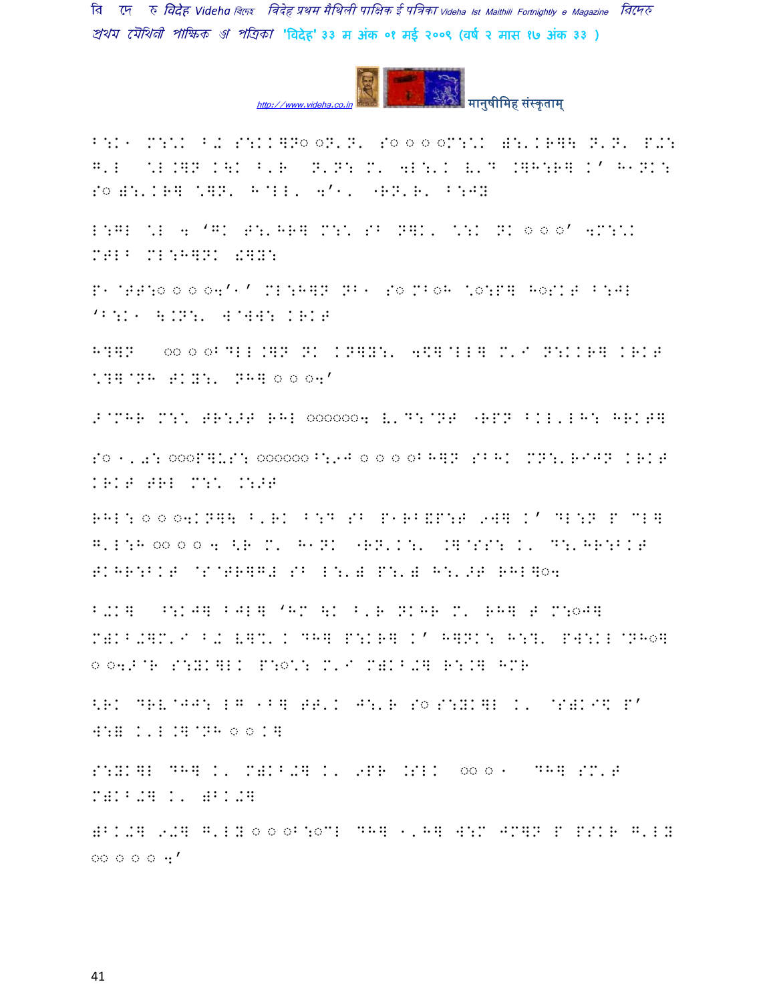

B:K1 M:K1 B:K1 S:K1 H:O OF. B: SO O OF:KI (SH:IPH: B.B. ):C G'L \*L. AN HE REAL FILE AND HIS ALIAN IN THE HIS AND HIS AND HIS ALIAN IN THE MANUFACTURE OF A REAL HIS AND HI SO BILIBE ANN, ANNI, A'N, ABRIE, PIAN

Ligh the Shi Angelen wil at Thil the Second Thi  $M$  ,  $M$  ,  $M$  ,  $M$  ,  $M$  ,  $M$  ,  $M$  ,  $M$  ,  $M$  ,  $M$  ,  $M$  ,  $M$  ,  $M$  ,  $M$  ,  $M$  ,  $M$  ,  $M$  ,  $M$  ,  $M$  ,  $M$  ,  $M$  ,  $M$  ,  $M$  ,  $M$  ,  $M$  ,  $M$  ,  $M$  ,  $M$  ,  $M$  ,  $M$  ,  $M$  ,  $M$  ,  $M$  ,  $M$  ,  $M$  ,  $M$  ,  $M$  ,

PH TEENO O OGA A A TEARBE THAT FO TROP NOTEBY POSTE FARE **N:K1: WESTERN WORKTOWS** 

HORD BOODLAND WAS CITED AND A NARROW WAS ARRESTED FOR A SALE OF A SALE OF A SALE OF A SALE OF A SALE OF A SALE \*?]@NH TKY:' NH] ◌◌◌4'

>@MHR M:\* TR:>T RHL ◌◌◌◌◌◌4 V'D:@NT "RPN BKL'LH: HRKT]

SOʻ) II SOOFALITI OOOOO FILA O'O'O OFAAR SEAT MUSICAFAR MARITI KRKT TRL M:\* .:>T

RHIS 0 0 041 FHR PLIRI PST PP PHENDING DAN IS THINK POTH G'L:H S A CO O O O O HI HING "DI HING "PING" DI SAN MINITE SE KE DI DI MINI "PING "PING" PING "BESTIE BIADIN'S CONTROL OF THE SPIRE AND PERSON

BHK] BHC BHACH BHACH MI BILI BILI BILI BHACH BHC MOBHE MAI FILADI, KUF I BERDI, I DHA BYENI BA COM HADI NGHANI. CEANIE OPHOA ◌◌4>@R S:YK]LK P:◌\*: M'I M)KB+] R:.] HMR

RRI DREJERS ER (FRVD) AND ROSTINGE I NO NING NORTH W:: K'L. HO: K'L. HO: K'L.

STEDHE THE D. DED CHOICH SOME . STAIN OO O FOUTHE STUR  $M$  , and the set of the set of the set of the set of the set of the set of the set of the set of the set of the set of the set of the set of the set of the set of the set of the set of the set of the set of the set of th

 $B\vdash$ ]  $B\vdash$   $B\vdash$   $B\vdash$   $B\vdash$   $C\vdash$   $C\vdash$   $D\vdash$   $D\vdash$   $D\vdash$   $D\vdash$   $D\vdash$   $D\vdash$   $D\vdash$   $D\vdash$   $D\vdash$   $D\vdash$  $OOOOO<sub>1</sub>$ '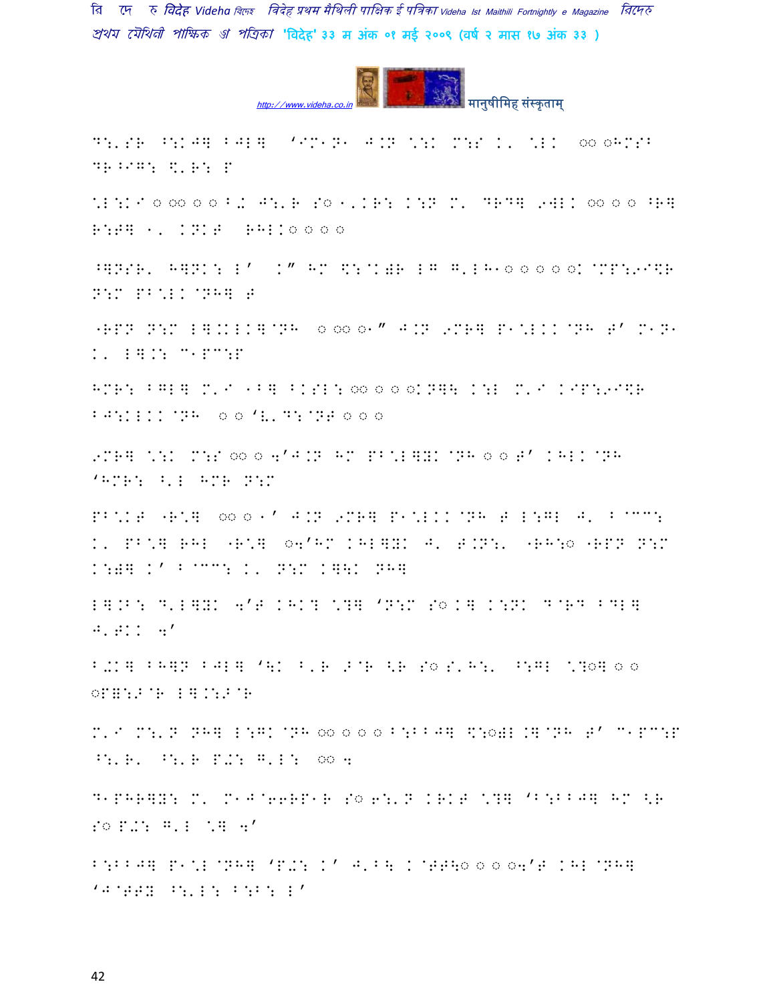

D::BR \*:MATH| F#1# | NATATA #:M %:M:MINI J.N %:MIN| 00 087:M BROWN R.P. P

\*L:KI ♡ ♡ ♡ ♡ P J: #N:B YO + . IBN INN W. MBMH (AHI) ♡ ♡ O PRH  $R: T: T: T: T \longrightarrow T: T: T \longrightarrow T: T: T \longrightarrow T$ 

^]NSR' H]NK: L' K" HM \$:@K)R LG G'LH1◌◌◌◌◌K@MP:9I\$R N:M PB\*LK@NH] T

"RPN N:M L].KLK]@NH ◌◌◌◌1" J.N 9MR] P1\*LKK@NH T' M1N1 K. : C1PC: C1PC: C1PC: C1PC: C1PC: C1PC: C1PC: C1PC: C1PC: C1PC: C1PC: C1PC: C1PC: C1PC: C1PC: C1PC: C1PC: C1P

HTP: BHI E T. CORPINE: BOOOOOTHE I H: T. CONTINUE BJ:KLKK@NH ◌◌'V'D:@NT ◌◌◌

9MRH (191) The 000 H/H IR HT PP IS HER TRANS ON A CHECK TRA **NATES (A.B. ATE NST)** 

PR\*CT # PHP "RED" OO O + K # CP" DIRE PHP IS CONTROLLED HIS HIS "# LIST" BOOK K' PB\*19 PHL "PE19" OH/PD IPE931 PHL "RICPN", "PEP50" PEDP DRID K:)] K' B@CC: K' N:M K]\K NH]

L].B: D'L]YK 4'T KHK? \*?] 'N:M S◌K] K:NK D@RD BDL]  $\mathcal{F}_1$   $\mathcal{F}_2$   $\mathcal{F}_3$   $\mathcal{F}_4$   $\mathcal{F}_5$ 

BH]N BH]N BH]N BILLE SH BH SO E FR, SHH (1909 00) ◌P=:>@R L].:>@R

MIN: MORING OF THE MINUTE OF THE CONFIDENT SEEMS OF THE CONFIDENT SEEMS IN THE CONFIDENT SEEMS OF THE CONFIDENT "H. B. THE PINE W. P. P. CO. 4.

DHIRRIY: M. MHAGHER B. PO BY, B. DELE (1988) 'P:BBC FM (188  $SO(2L1; 0.4; 0.4; 0.4; 0.4)$ 

B:B:BBH] PH:BE:BHH\_MP.IS IM:BH I MERHOOOOH/F IHE MPHH **NATHAN CONSTRAINS ON A SERVICE**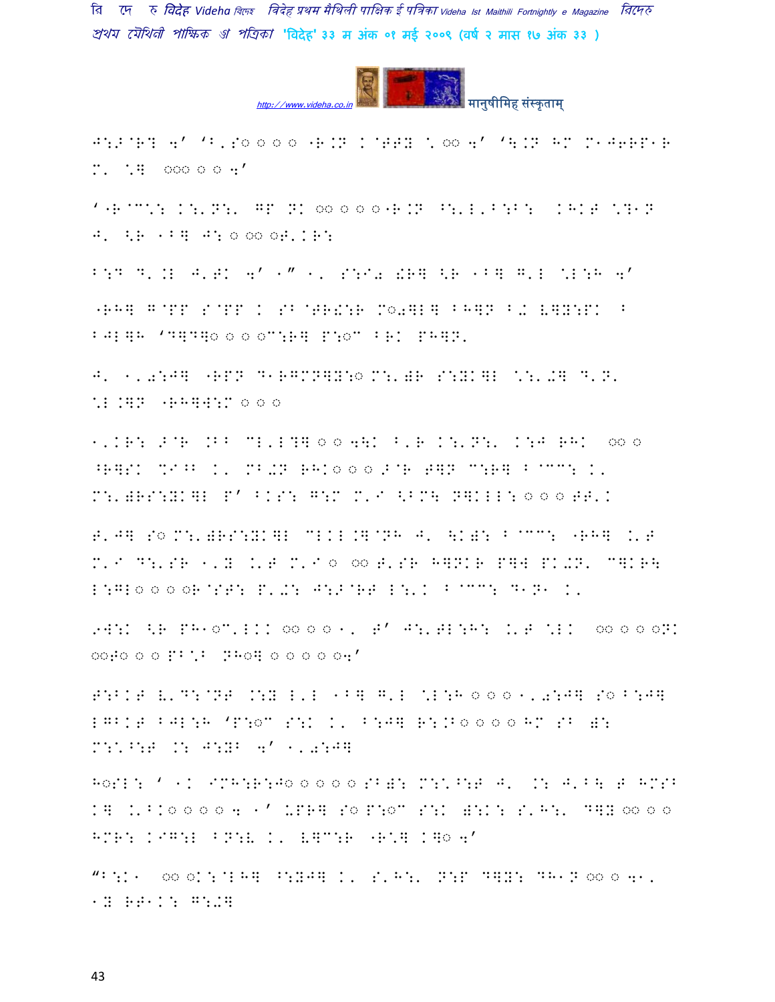

J:>@R? 4' 'B'S◌◌◌◌"R.N K@TTY \* ◌◌4' '\.N HM M1J6RP1R  $M^*$   $M^*$   $M^*$   $M^*$   $M^*$ 

'"R: "The Team Part of The Core of Compact the Research of the Control Research of the Part of the Part of the P  $H_1$  (  $H_2$  ):  $H_1$  (  $H_1$  ):  $H_2$  (  $\infty$  ) of  $H_1$  (  $H_2$  ):

B:D D'.L J'TK 4' 1" 1' S:I0 !R] <R 1B] G'L \*L:H 4' "RHAN G POPP SA SPP K SA SABAGA SOOLNI BHA BHA BHA LI BHIGHIN AF BBL PHINES OR OUTHER FROM PERSONAL

J' 1'0:J] "RPN D1RGMN]Y:◌M:')R S:YK]L \*:'+] D'N'  $N$   $\mathbb{R}$   $\mathbb{R}$   $\mathbb{R}$   $\mathbb{R}$   $\mathbb{R}$   $\mathbb{R}$   $\mathbb{R}$   $\mathbb{R}$   $\mathbb{R}$   $\mathbb{R}$   $\mathbb{R}$   $\mathbb{R}$   $\mathbb{R}$   $\mathbb{R}$   $\mathbb{R}$   $\mathbb{R}$   $\mathbb{R}$   $\mathbb{R}$   $\mathbb{R}$   $\mathbb{R}$   $\mathbb{R}$   $\mathbb{R}$   $\mathbb{R}$   $\mathbb{R}$ 

1'KR: >@R .BB CL'L?] ◌◌4\K B'R K:'N:' K:J RHK ◌◌◌  $R$ SK SK SK SK (ISSN) RHKCO ORDINAL RHEN THAN RHIM COOKS M: BRITH R' BIN WAS THE MEDIC OOCHE.

THE POST REPORT RESIDENT PROPERTY SERVICES TO THE LOCK MIN'T D: YEAR AND THAT MY PARK OF OORT, YEAR PHONE PITH THE TOUR PARK PHONE A LIGHT ON ON OR THE PERSON HOLD FOR THE LIGHT THAT HE THING ARE LIGHTED ON THE LIGHT OF DISCUSSION OF THE UPPER

9W:K PH1OT.EII OO O O F. BY AR.BERN N.B.AHI TOO O O OT  $\overline{O}O\overline{P}$  is a particle  $\overline{P}$  . The set of  $O$  is a particle  $\overline{P}$ 

T:BKT VON THE REAL TO THE REAL THAT COOPS . THAT TO PARE LGBKT BJL: HE: S: HE: SO: MIL: HE: SO: A: HE: HE: SO: A: D: SO: HE: HE: HE: SO: B: D: SO: HE: HE: HE: HE: SO: M:\*^:T .: J:YB 4' 1'0:J]

Hosl: 'N ' 1K IMME REPRO O O O O STEER ON THE PROOF IN THE BOARDING KALLIN .'BU .'BKO OR THE SOST SOFT STORES TO STATE STATE THAT SO OR SOFT DISTURBANCE STATE STATE SO OR SOFT DISTURBANCE. HMR: KIG:L BN:V K' V]C:R "R\*] K]◌4'

"B:K1 OO OIN HH: PHISH: I. P.PH. FHF PHIN TERPOOLS. 1Y RT1K: G:+]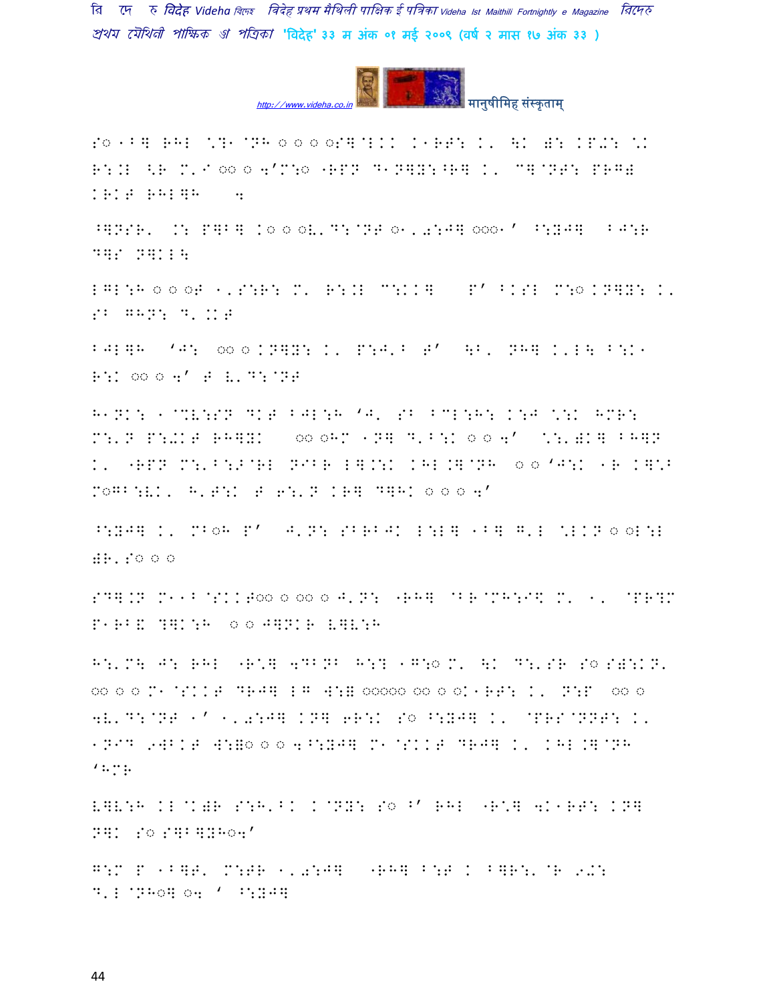

SO FAR BHE AND THE O O OSH NEED IS BEEN IN AN ANDER CHANNEL R:.L (R MON) PORT ROOM ON A MY THROUGHT DIRECT A REPORT OF PROPERTY AT MY CALLED THAT HE CASH OF DIRECT DIRECT  $\ldots$   $\ldots$   $\ldots$   $\ldots$   $\ldots$ 

 $N$  . Photo  $N$  . Photo Eq. ( ) and  $N$  . Photo  $N$  are  $N$  and  $N$  and  $N$  are  $N$  but  $N$  by  $N$  by  $N$  by  $N$  . Then  $N$ DER DER ER

LGR: SA O O OF A LESBES (D. CBSL): MSILIB CO RY A LEB (DSO) DRBBS (L. SB GHN: D'.KT

BJH BAJLINH 'Y: YOO O O DABBELD OO O BEEL AT HE HOF HIS YEAR AT NHILL BEELD OO BEELD AT HIS KILL  $R:K \to \mathbb{R}^n \times \mathbb{R}^n \times \mathbb{R}^n \times \mathbb{R}^n \times \mathbb{R}^n \times \mathbb{R}^n \times \mathbb{R}^n \times \mathbb{R}^n \times \mathbb{R}^n \times \mathbb{R}^n \times \mathbb{R}^n \times \mathbb{R}^n \times \mathbb{R}^n \times \mathbb{R}^n \times \mathbb{R}^n \times \mathbb{R}^n \times \mathbb{R}^n \times \mathbb{R}^n \times \mathbb{R}^n \times \mathbb{R}^n \times \mathbb{R}^n \times \mathbb{R$ 

HANK: 100 V:SN DKT BJL:H:H: 100 V:SN DKT BJL:H: K:SN DKT BCL:H: K: M: P:HKT RHHHIYK OO ORN (PH) P.FG: O O H/ (WILH) BHHHIY  $K_{\rm eff}$  . The contract  $R$  is the contract of  $R$  is the contract of  $R$  and  $R$  and  $R$  are contracted by  $R$  and  $R$  are contracted by  $R$  and  $R$  are contracted by  $R$  and  $R$  are contracted by  $R$  and  $R$  are contrac MOBEREN HIGH: B' HEI FE FE COOL

^:YJ] K' MB◌H P' J'N: SBRBJK L:L] 1B] G'L \*LKN ◌◌L:L  $\mathbf{R}$ :  $\mathbf{R}$  ,  $\mathbf{R}$  ,  $\mathbf{R}$  ,  $\mathbf{R}$  ,  $\mathbf{R}$  ,  $\mathbf{R}$ 

 $S$ D'ATI).N MINIBO SE SA MATI ATA MARE A MARIN'NI MARA MARE A MARIN'NI MERETI PHPPE THINK OO FHPIK EHENR

H: TH'M: BH: 'HI: AT: P: A: B' AT: O T. H: TE. IB SO FEE: T. OO O O J' TELIE PERFE EF REE OOOOO OO O OI EEE II, JEEE TOO O 4V'D:@NT 1' 1'0:J] KN] 6R:K S◌^:YJ] K' @PRS@NNT: K' 1NID 9WBKT W:=◌◌◌4^:YJ] M1@SKKT DRJ] K' KHL.]@NH  $\lambda$  is in Fig.

BARGH KEMBER START KONTROLL SO PALAHET "RENT AKIRTER" KNA  $H$ H $N$   $H$   $S$   $S$   $H$   $H$   $H$   $H$   $H$   $S$   $H$   $V$ 

BY P 1BE THE 1.194 "HHE PER PHER BY REA D'L@NH◌] ◌4 ' ^:YJ]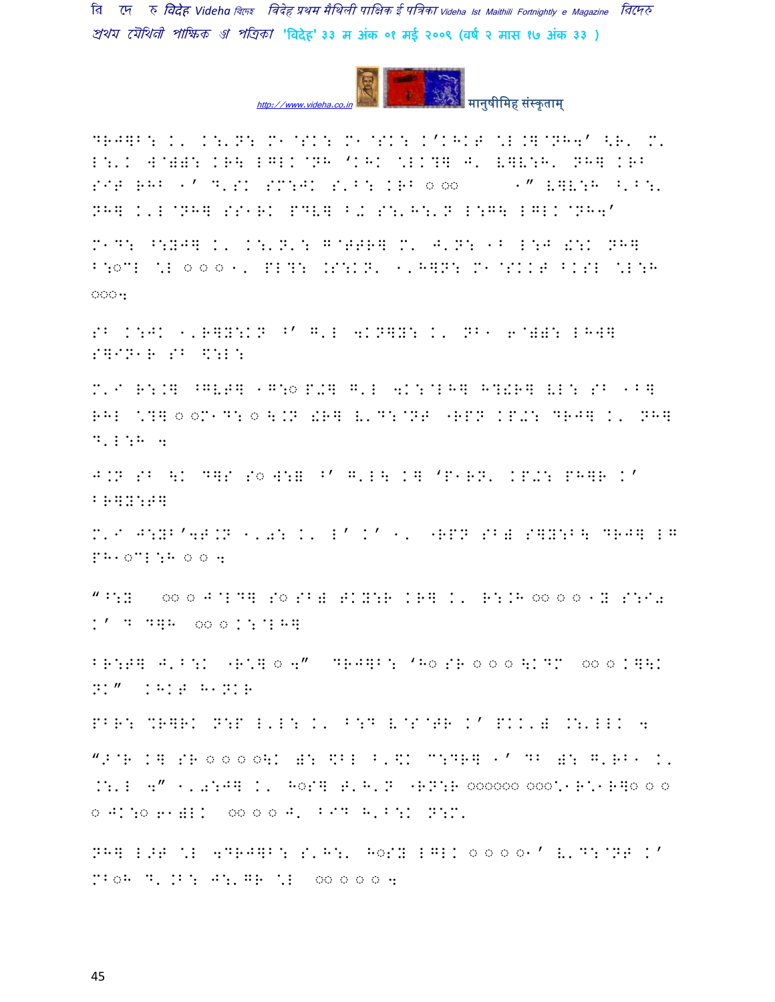

DRJ]B: K' K:'N: M1@SK: M1@SK: K'KHKT \*L.]@NH4' <R' M' L:'K W@)): KR\ LGLK@NH 'KHK \*LK?] J' V]V:H' NH] KRB SIT RHB 1' D'SK SM: KRB ST ST ST SK SM: SK SO OO DE LIJVING AS HAAR IN FINIS NHE COLE TRAH SSN PDV BTEER FOLSTED AND ROBERT EPHOL TRAHY

M1D: ^:YJ] K' K:'N': G@TTR] M' J'N: 1B L:J !:K NH] B:NOTE (18 O O O K. FERRY 18181 B. K. ARREN DA 1811 BKSL #1 AR)  $COO + 1$ 

SB K:JK 1'RIGH 1'RIY: G'L 41'D AG DI 1' DI 1'RIGH 1' A 14' G SHOP S SHOP

M'I R:... O VERSION OF THE RELEASE OF THE SB 18K: SB 18K: SB 18K: SB 18K: SB 18K: SB 18K: SB 18K: SB 18K: SB 1 RHL \*^2010 ON: TO:O BIC KERE EL TO MPA (PRID 1 ELG) TRAR (11 ) PRR D'L:H 4

J.N SB \K D]S S◌W:= ^' G'L\ K] 'P1RN' KP+: PH]R K' **BREE** 

MY AND 'GEN SYNS' LY K' MYS SHIP SB SHOP BORGH IF PH10TH: DO H

" "Y ºSB" | LOOD OF FEITHEN SO STEEL SO BE SO HE SO A RESIST ON ON SIGN ASSOCIATES AT A RESIST OF SECTION OF T K' D D]H ◌◌◌K:@LH]

BR:THE HIS IN THIS OR WAS TRIPLY ON THE ORDER ON THE ORDER ON THE STATE OF DRIVE  $H^*(\mathcal{Y}) = \{H, H, H, H, H, H\}$ 

PBR: %R]RK N:P L'L: K' B:D V@S@TR K' PKK') .:'LLK 4

"B" THE THOOOOH HE THE FIT "THE KY THE BE FIELD .:'L 4" +..ANHH I. FORH R.F.F. F FRING OOOOO OOO', FI, FHO O O  $O$   $\frac{1}{2}$   $\frac{1}{2}$   $\frac{1}{2}$   $\frac{1}{2}$   $\frac{1}{2}$   $\frac{1}{2}$   $\frac{1}{2}$   $\frac{1}{2}$   $\frac{1}{2}$   $\frac{1}{2}$   $\frac{1}{2}$   $\frac{1}{2}$   $\frac{1}{2}$   $\frac{1}{2}$   $\frac{1}{2}$   $\frac{1}{2}$   $\frac{1}{2}$   $\frac{1}{2}$   $\frac{1}{2}$   $\frac{1}{2}$   $\frac{1}{2}$   $\frac{1}{2$ 

NHE EVENTE STEFFER YOUR FOUR EFECT O O O OF A BUTTETING CA  $T^*$ o $\vdash$ ' $T$ ,  $T^*$ ,  $T^*$ ,  $T^*$ ,  $T^*$ ,  $T^*$ ,  $T^*$ ,  $T^*$ ,  $T^*$ ,  $T^*$ ,  $T^*$ ,  $T^*$ ,  $T^*$ ,  $T^*$ ,  $T^*$ ,  $T^*$ ,  $T^*$ ,  $T^*$ ,  $T^*$ ,  $T^*$ ,  $T^*$ ,  $T^*$ ,  $T^*$ ,  $T^*$ ,  $T^*$ ,  $T^*$ ,  $T^*$ ,  $T^*$ ,  $T^*$ ,  $T^*$ ,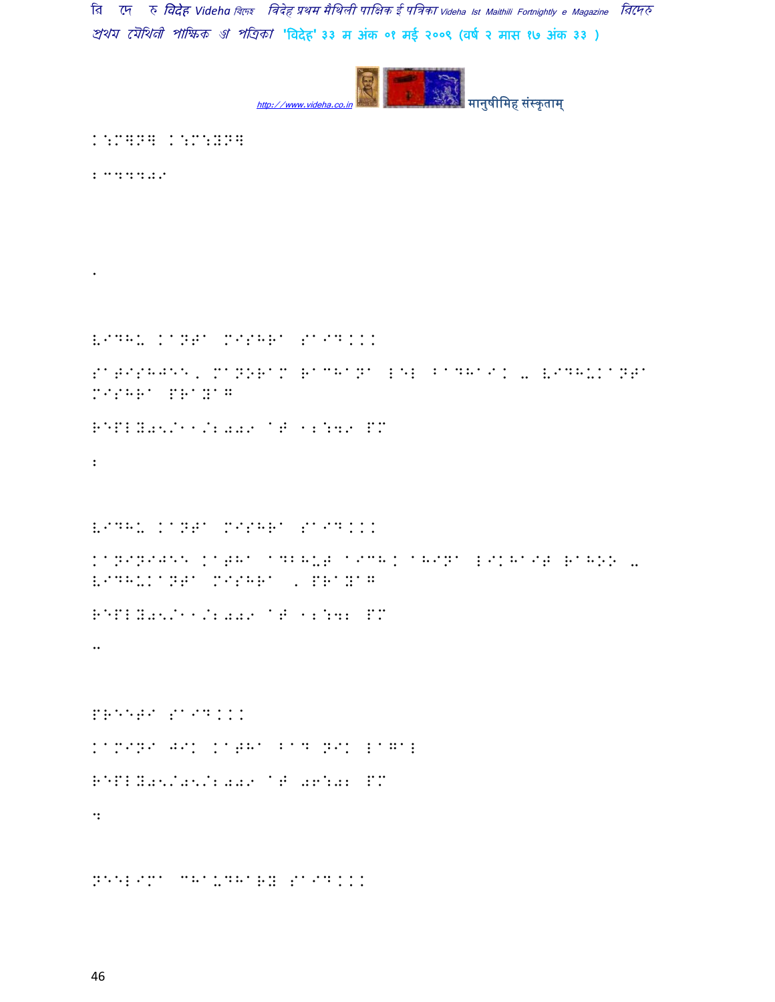Satishinger, Manoram Rachand Rachael and Lel Badhai. 1987

Kaninger katha at the anne and the anne and the second and the second second second second second second second



**K:** We have the second control of the second control of the second control of the second control of the second control of the second control of the second control of the second control of the second control of the second

MISHRa PRaYaG

PREETING SAID.

VIDHU KaNTa MISHRa SaID...

RPPLYDS/11/2009 at 12:49 PM PM PM PM

VIDHU KaNTa MISHRa SaID...

VIDHUKaNTa MISHRa , PRaYaG

RPPLHAMP (2009) 2009 aT 12:42 PM

Kampung Kamini Jik Kathang Nik Laga

REPLY05/05/2009 aT 06:02 PM

NEELIMa CHaUDHaRY SaID...

2344409

 $\mathbf{1}_{\mathbf{1}_{\mathbf{1}_{\mathbf{1}}\mathbf{1}_{\mathbf{1}}\mathbf{1}_{\mathbf{1}}\mathbf{1}_{\mathbf{1}}\mathbf{1}_{\mathbf{1}}\mathbf{1}_{\mathbf{1}}\mathbf{1}_{\mathbf{1}}\mathbf{1}_{\mathbf{1}}\mathbf{1}_{\mathbf{1}}\mathbf{1}_{\mathbf{1}}\mathbf{1}_{\mathbf{1}}\mathbf{1}_{\mathbf{1}}\mathbf{1}_{\mathbf{1}}\mathbf{1}_{\mathbf{1}}\mathbf{1}_{\mathbf{1}}\mathbf{1}_{\mathbf{1}}\mathbf{1}_{\mathbf{1}}\mathbf{$ 

2

 $\ddotsc$ 

46

 $\ddot{\phantom{0}}$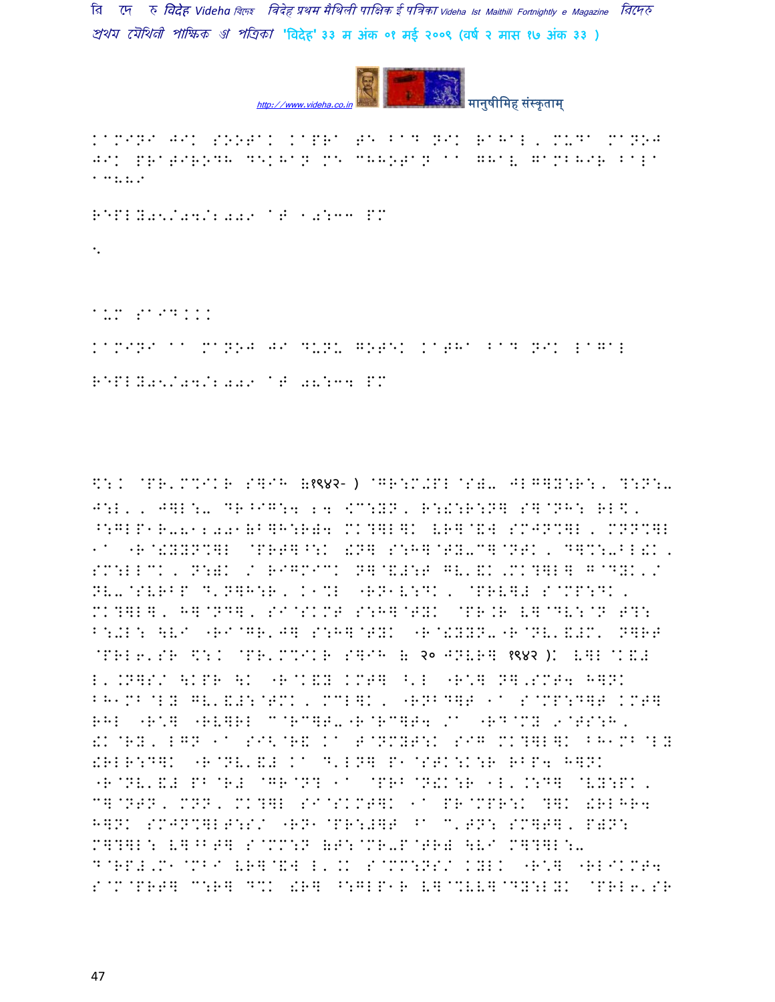

Kamani Ani Sootak Kareer Soota Te Bad Nik Rahal, Muda Manoja JIK PRaTIRODH DEKHaN ME CHHOTaN aa GHaV GaMBHIR BaLa  $\cdots$  and  $\cdots$ 

REPLYNS AT 10:33 PM REPLY AT 10:33 PM REPLY

 $\ddot{\phantom{0}}$ 

aum Said...

Kamini aan mandalaan manoon aan manoon din mandalaan katika Badan Nik Lagal Nik Lagal Nik Lagal Nik Lagal Nik

REPLYNS AT 08:34 PM AT 08:34 PM

\$:. @PR'M%IKR S]IH (१९४२- ) @GR:M+PL@S)- JLG]Y:R:, ?:N:- J:L', J]L:- DR^IG:4 24 [C:YN, R:!:R:N] S]@NH: RL\$, ^:GLP1R-812001(B]H:R)4 MK?]L]K VR]@&W SMJN%]L, MNN%]L 1a "R@!YYN%]L @PRT]^:K !N] S:H]@TY-C]@NTK, D]%:-BL!K, SM:LLCK, N:DRIGHT N: CHARGARY, NEW PROPERTY OF A SMALL GAME OF A STATE OF A SMALL GAME OF A SMALL GAME OF A SM NV-@SVRBP D'N]H:R, K1%L "RN1V:DK, @PRV]# S@MP:DK, MK?]L], H]@ND], SI@SKMT S:H]@TYK @PR.R V]@DV:@N T?: P: NIE NO "BE "RIM "RIGHE "RIGE" (PO "RIGHE "RENT" RODER "RODER" RODER "RODER" RODER "RODER" NO "RODER "RODER @PRL6'SR \$:. @PR'M%IKR S]IH ( २० JNVR] १९४२ )K V]L@K&# L'.N]S/ \KPR \K "R@K&Y KMT] ^'L "R\*] N],SMT4 H]NK BH1MB TO BE CONSIDERED TO A SAMPLE A SAMPLE TO A SAMPLE TO A SAMPLE TO A SAMPLE TO A SAMPLE TO A SAMPLE TO A S RHL "R\*] "RV]RL C@RC]T-"R@RC]T4 /a "RD@MY 9@TS:H, !K@RY, LGN 1a SI<@R& Ka T@NMYT:K SIG MK?]L]K BH1MB@LY !RLR:D]K "R@NV'&# Ka D'LN] P1@STK:K:R RBP4 H]NK "RENV'A: BE PROV'A: "PROV'E ROOM OF PRINSIPLE AND INVESTIGATION C]@NTN, MNN, MK?]L SI@SKMT]K 1a PR@MPR:K ?]K !RLHR4 H]NK SMJN%]LT:S/ "RN1@PR:#]T ^a C'TN: SM]T], P)N: MARRIA SAMARA SOMAN BEYON CHANGE SERVICENTS. DORP#, MINOR CORPORATION CONTINUES THIS CONTINUES. S@M@PRT] C:R] D%K !R] ^:GLP1R V]@%VV]@DY:LYK @PRL6'SR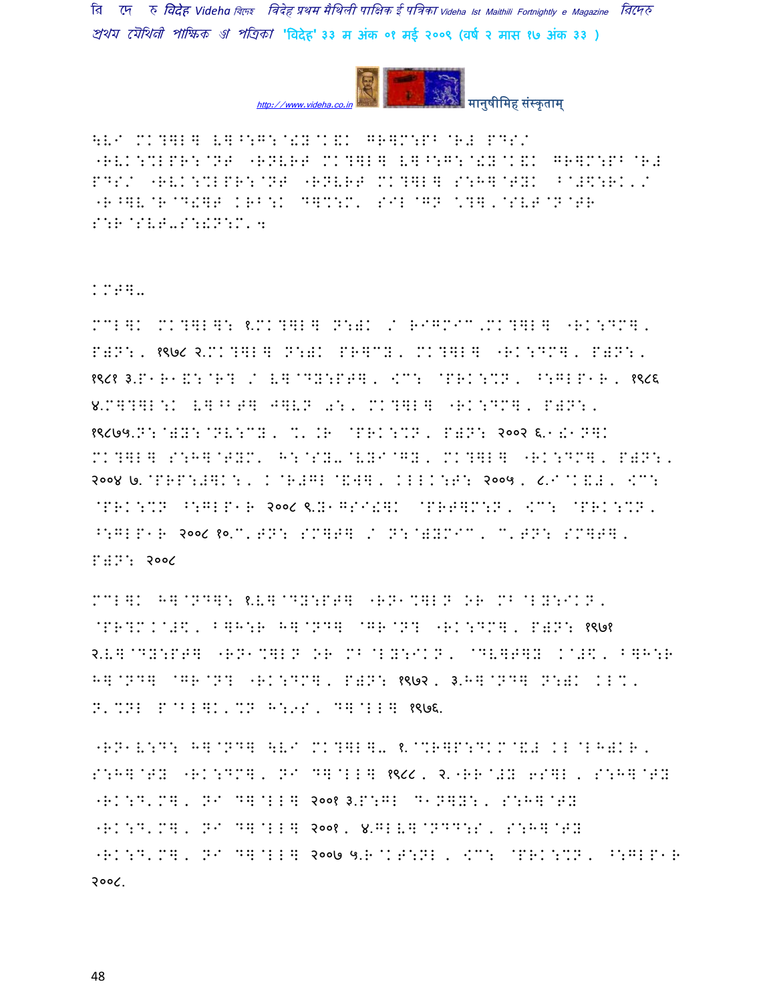

 $\Pi$  Marrier Commission (Section Post Post "RVK: LPR: NORT "ROKE "ROCK: LPRICHT" (PRICHT MAGES) "PRODUCT "PART OF LA PDS/ "RVK:%LPR:@NT "RNVRT MK?]L] S:H]@TYK ^@#\$:RK'/  $\cdot$  R^B= R^B (R^B) SILM (R^B = R^B + R^B + R^B + R^B + SVT + R^B + SVT + SVT + SVT + SVT + SVT + SVT + SVT + SVT + SVT + SVT + SVT + SVT + SVT + SVT + SVT + SVT + SVT + SVT + SVT + SVT + SVT + SVT + SVT + SVT + SVT + SVT S:R@SVT-S:!N:M'4

 $1.79911$ 

MCLAR MACHINE RESERVED ON A RIGHT OF THE RESERVENCE OF THE RELATIONSHIPS OF THE RELATIONSHIPS OF THE RELATIONSHIPS OF THE RELATIONSHIPS OF THE RELATIONSHIPS OF THE RELATIONSHIPS OF THE RELATIONSHIPS OF THE RELATIONSHIPS OF PAPY, 1996 R.T. THE RUPPER PRRIME, TO THE RUPPERTY . PAPY, L  $8$ ९८१ ३.P+ B+ E1 TBT (1) EH TRENPER , RTTE (TECTION, PIREP+B),  $8$ ९८६  $8.7\pm\textcolor{red}{\textbf{1211}}\pm\textcolor{red}{\textbf{131}}\pm\textcolor{red}{\textbf{1421}}\hspace{0.05cm}\textcolor{red}{\textbf{141}}\pm\textcolor{red}{\textbf{151}}\hspace{0.05cm}\textcolor{red}{\textbf{171}}\pm\textcolor{red}{\textbf{181}}\pm\textcolor{red}{\textbf{191}}\pm\textcolor{red}{\textbf{191}}\pm\textcolor{red}{\textbf{191}}\pm\textcolor{red}{\textbf{101}}\pm\textcolor{red}{\textbf{101}}\pm\textcolor{red}{\$ १९८७५.N:@)Y:@NV:CY, %'.R @PRK:%N, P)N: २००२ ६.1!1N]K MK?]L] S:H]@TYM' H:@SY-@VYI@GY, MK?]L] "RK:DM], P)N:, २००४ ७. TERPERENT EVENT CHAR CHER KIER IN TERRITORY & CONTRIBUTION @PRK:%N ^:GLP1R २००८ ९.Y1GSI!]K @PRT]M:N, [C: @PRK:%N,  $\left\{ \begin{array}{ccc} \mathbb{P}\left(1,\mathbb{R}^d; \mathbb{R}^d; \mathbb{R}^d; \mathbb{R}^d; \mathbb{R}^d; \mathbb{R}^d; \mathbb{R}^d; \mathbb{R}^d; \mathbb{R}^d; \mathbb{R}^d; \mathbb{R}^d; \mathbb{R}^d; \mathbb{R}^d; \mathbb{R}^d; \mathbb{R}^d; \mathbb{R}^d; \mathbb{R}^d; \mathbb{R}^d; \mathbb{R}^d; \mathbb{R}^d; \mathbb{R}^d; \mathbb{R}^d; \math$ P)N: २००८

MCLAD: PRINGRAM (1988): 1999 PRINGRAM (1995): 1999 PRINGRAM DRIVER, IN @PR?M.@#\$, B]H:R H]@ND] @GR@N? "RK:DM], P)N: १९७१ २.V]@DY:PT] "RN1%]LN OR MB@LY:IKN, @DV]T]Y .@#\$, B]H:R H]@ND] @GR@N? "RK:DM], P)N: १९७२, ३.H]@ND] N:)K KL%, N'%NL P@BL]K'%N H:9S, D]@LL] १९७६.

"RN1V:D: H]@ND] \VI MK?]L]- १.@%R]P:DKM@&# KL@LH)KR, S:HAR:DAR:DAR:DRI, PAURRIER (1966), 2. ARCIDER MEER (1966), Sinari 196 "RK:D'M], NI D]@LL] २००१ ३.P:GL D1N]Y:, S:H]@TY "RK:D'M], NI D]@LL] २००१, ४.GLV]@NDD:S, S:H]@TY "RK:D'M], NI D]@LL] २००७ ५.R@KT:NL, [C: @PRK:%N, ^:GLP1R २००८.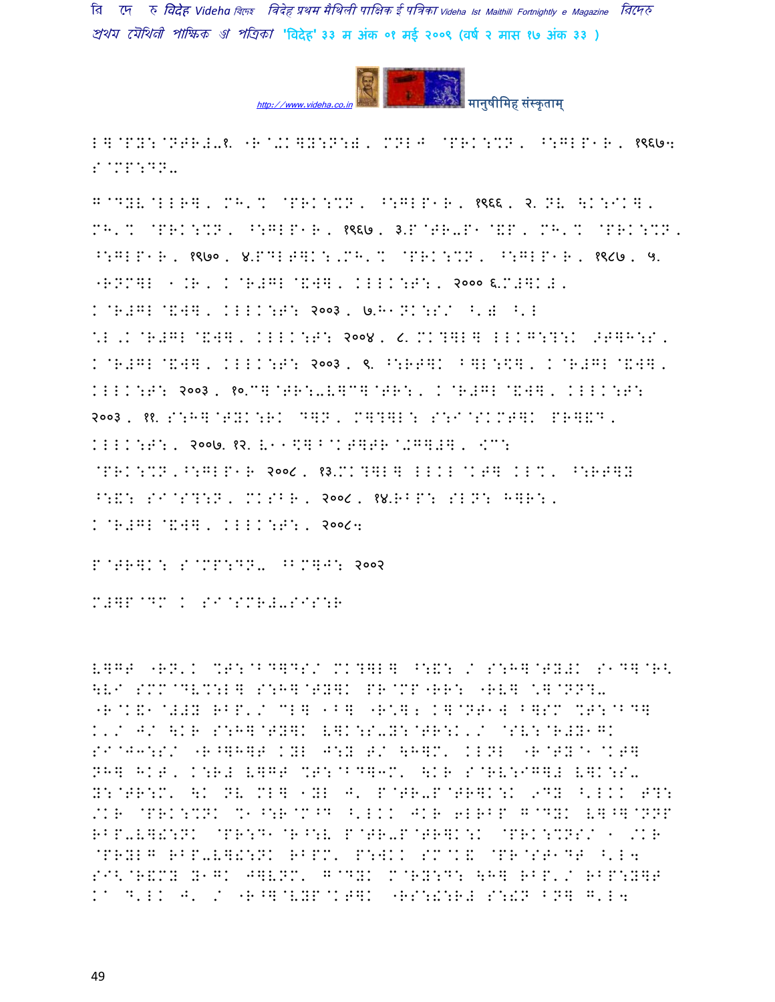

L]@PY:@NTR#-१. "R@+K]Y:N:), MNLJ @PRK:%N, ^:GLP1R, १९६७4 SOME STATES

GOVORE GEET AND CONSIDERED AND DO RELEASED AND RELEASED AND RELEASED AT A DISPOSITION OF THE INTERNATIONAL SURFA MHTM @PRESSERIES & PRACE & SURFACE & PRINCIPAL MELTIPS & PRESSERIES & PRINCIPAL MELTIPS & PRESSERIES & PRINCIP  $\left\{0.11, 0.12, 0.12, 0.12, 0.12, 0.12, 0.12, 0.12, 0.12, 0.12, 0.12, 0.12, 0.12, 0.12, 0.12, 0.12, 0.12, 0.12, 0.12, 0.12, 0.12, 0.12, 0.12, 0.12, 0.12, 0.12, 0.12, 0.12, 0.12, 0.12, 0.12, 0.12, 0.12, 0.12, 0.12, 0.12,$  $R$   $\rightarrow$   $R$   $\rightarrow$   $R$   $\rightarrow$   $R$   $\rightarrow$   $R$   $\rightarrow$   $R$   $\rightarrow$   $R$   $\rightarrow$   $R$   $\rightarrow$   $R$   $\rightarrow$   $R$   $\rightarrow$   $R$   $\rightarrow$   $R$   $\rightarrow$   $R$   $\rightarrow$   $R$   $\rightarrow$   $R$   $\rightarrow$   $R$   $\rightarrow$   $R$   $\rightarrow$   $R$   $\rightarrow$   $R$   $\rightarrow$   $R$   $\rightarrow$   $R$   $\rightarrow$   $R$   $\rightarrow$   $R$   $\rightarrow$   $R$   $\rightarrow$   $R$   $K^{\text{H}}$  (  $K^{\text{H}}$  ),  $K^{\text{H}}$  (  $K^{\text{H}}$  ),  $K^{\text{H}}$  ),  $K^{\text{H}}$  ,  $K^{\text{H}}$  ,  $K^{\text{H}}$  ,  $K^{\text{H}}$  ,  $K^{\text{H}}$  ,  $K^{\text{H}}$  ,  $K^{\text{H}}$  ,  $K^{\text{H}}$  ,  $K^{\text{H}}$  ,  $K^{\text{H}}$  ,  $K^{\text{H}}$  ,  $K^{\text{H}}$  ,  $K^{\text{H}}$  ,  $K$  $\mathcal{M}$  . The function of  $\mathcal{M}$  and  $\mathcal{M}$  . The constant  $\mathcal{M}$  is the function of  $\mathcal{M}$ K@R#GR#GR#GL@AWIN: R#GL@O\$, S. PHP#FH, PHH HEH; K@R#HECH#H, KLLIK:T: २००३, १०.TH:HP:LLHTH:FP: YORY, KOR#GL@BOA २००३, ११. Fire Tallian, Mary, Marian Partier Press, Thanks, KLLK:T:, २००७. १२. V11\$]^@KT]TR@+G]#], [C: @PRK:%N,^:GLP1R २००८, १३.MK?]L] LLKL@KT] KL%, ^:RT]Y ^:&: SI@S?:N, MKSBR, २००८, १४.RBP: SLN: H]R:,  $K: \mathbb{R} \to \mathbb{R} \to \mathbb{R} \to \mathbb{R} \to \mathbb{R} \to \mathbb{R} \to \mathbb{R} \to \mathbb{R} \to \mathbb{R} \to \mathbb{R} \to \mathbb{R} \to \mathbb{R} \to \mathbb{R} \to \mathbb{R} \to \mathbb{R} \to \mathbb{R} \to \mathbb{R} \to \mathbb{R} \to \mathbb{R} \to \mathbb{R} \to \mathbb{R} \to \mathbb{R} \to \mathbb{R} \to \mathbb{R} \to \mathbb{R} \to \mathbb{R} \to \mathbb{R} \to \math$ 

P@TR]K: S@MP:DN- ^BM]J: २००२

M#]P@DM K SI@SMR#-SIS:R

 $\Omega$ GT "RN'K "ROOM" (STEER STEER STEER STEER STEER STEER STEER STEER STEER STEER STEER STEER STEER STEER STEER  $\lambda$  SMM  $\lambda$  SMM  $\lambda$  so the small sequence of  $\lambda$  . The small  $\lambda$  and  $\lambda$  and  $\lambda$ "R@K&1@##Y RBP'/ CL] 1B] "R\*]; K]@NT1W B]SM %T:@BD] K'/ John Sien (1983), John Sien (1983), John Sien (1983), John Sien (1983), John Sien (1983), John Sien (1983) SIMBOL MARINI RIMA TURLIMI MARINI RIMA TURLIMI MARINI RIMA TURLIMI MARINI RIMA TURLIMI MARINI RIMA TURLIMI RIM NH] HKT, K:R# V]GT %T:@BD]3M' \KR S@RV:IG]# V]K:S-Y:@TR:M' \K NV ML] 1YL J' P@TR-P@TR]K:K 9DY ^'LKK T?: /KR @PRK:%NK %1^:R@M^D ^'LKK JKR 6LRBP G@DYK V]^]@NNP RBP-V]!:NK @PR:D1@R^:V P@TR-P@TR]K:K @PRK:%NS/ 1 /KR @PRYLG RBP-V]!:NK RBPM' P:WKK SM@K& @PR@ST1DT ^'L4 SIX YOUR GON' GUNS IN THE WALL TO DURING AND RELEASED TO DURING KA D'LA D'AN D'AR PENNEDIG PENNAMBAN SYADI POPUP, EN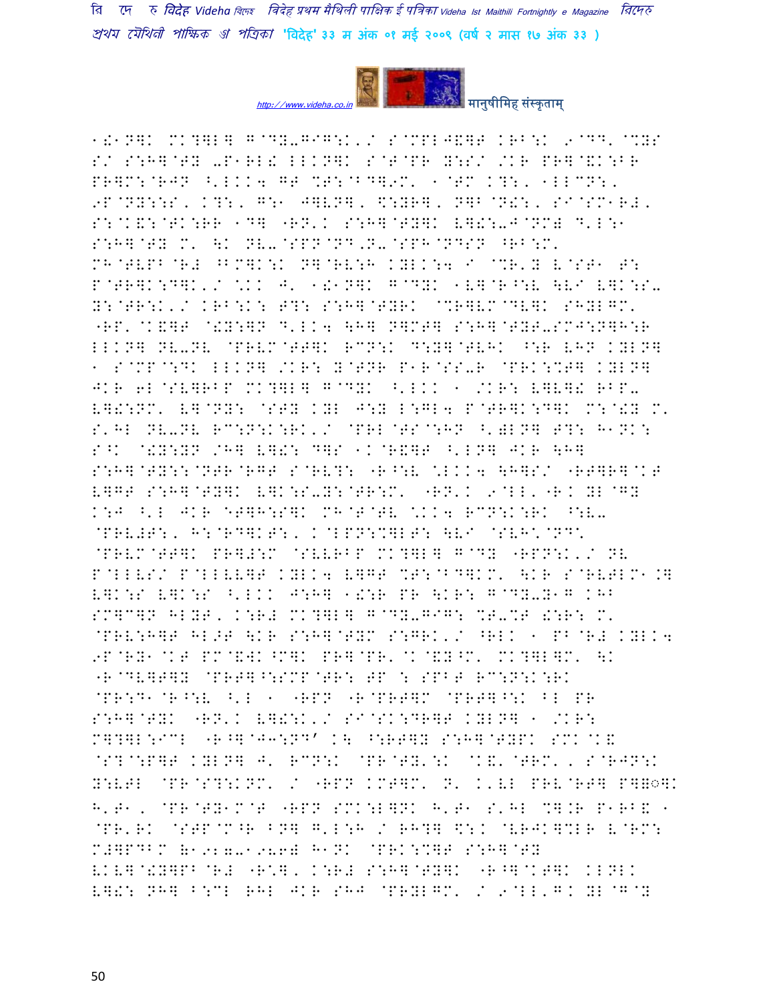http://www.videha.co.in/<br>कार्याली मानुषीमिह संस्कृताम्

1!1N]K MK?]L] G@DY-GIG:K'/ S@MPLJ&]T KRB:K 9@DD'@%YS S/ S:HARIMAD WERKER SOME IN A SPRING TO A SERIES ON A SPARE THAT THE SATURD THAT PR]M:@RJN ^'LKK4 GT %T:@BD]9M' 1@TM K?:, 1LLCN:, 9P@NY::S, K?:, G:1 J]VN], \$:YR], N]B@N!:, SI@SM1R#, S:@K&:@TK:RR 1D] "RN'K S:H]@TY]K V]!:-J@NM) D'L:1 S:H]@TY M' \K NV-@SPN@ND,N-@SPH@NDSN ^RB:M' MH@TVPB@R# ^BM]K:K N]@RV:H KYLK:4 I @%R'Y V@ST1 T: P@TR]K:D]K'/ \*KK J' 1!1N]K G@DYK 1V]@R^:V \VI V]K:S-Y: The second control of the second control of the second control of the second control of the second control o<br>The second control of the second control of the second control of the second control of the second control of "RP'@K&]T @!Y:]N D'LK4 \H] N]MT] S:H]@TYT-SMJ:N]H:R LLCAN ABLAND (PREVIMATOR) ANGHALANI (PERSONA KAYLOGEAN 1 S@MP@:DK LLKN] /KR: Y@TNR P1R@SS-R @PRK:%T] KYLN] JKR 6. SEPISER PRAKTIJE GOVERNO I RADIO U VJERU BIJE GODINE PRAKTIJ LANSARD, LANGARA GERARDI IN GANG INAPI KOMPANYANI DI MENGEUD. S'HL NALDRE BYSTEN SHIL NO MEH MHA MARCON ROBERTS AN RIS: S^K @ Y:YN 2019 DER YOU ARE A DISTURBED ON A DISTURBED ON THE DERIVATION OF THE UNION OF THE UNION OF THE UNIO S:HE:BIG::PRR(PPR) STREIG (RFIE (BI): "RFBC/" (RPBPC) BARA VIRA VANAK BAKSANG SARIK VAN KONG SI SA KONG MARA K:J JKR ET JAR ET SANG HER ET JANG ET HIS SEKA ROMAN SEKARA REPORT OM DIGA ANG MATERIAL ANG MATERIAL ANG MATER @PRV#T:, H:@RD]KT:, K@LPN:%]LT: \VI @SVH\*@ND\* @PRVM@TT]K PR]#:M @SVVRBP MK?]L] G@DY "RPN:K'/ NV P@LLVS/ P@LLVV]T KYLK4 V]GT %T:@BD]KM' \KR S@RVTLM1.] KA:S V:K:S V:KI: PR PR Y:S PR PR PR PR PR PR SERVED SMARTAGE (HEGE), KISBE MKRIGA HUYTGILAYAN MGALMA SISBIYON MPRISHRE HEJE ROH SSHRIGED SSHRIO ZO HEDO KOPA THE CHE CH 9P@RY1@KT PM@&WK^M]K PR]@PR'@K@&Y^M' MK?]L]M' \K "RESTRIGHED" (TE BERIKE TE "SPBT" BESIG (TE "SPBT B") BITGET RC:NES @PR:D1@R^:V ^'L 1 "RPN "R@PRT]M @PRT]^:K BL PR S:NHRIME: PRESIDINERSID, ZORINI NI NARARA DER BROK DI RN M]?]L:ICL "R^]@J3:ND' K\ ^:RT]Y S:H]@TYPK SMK@K& @S?@:P]T KYLN] J' RCN:K @PR@TY':K @K&'@TRM', S@RJN:K Y:VIL @PROSTED AND AND PROVIDED AND AND PERSONAL PROVIDED H. A. . . . THE GRIEVING SERVENT SHORE HER SALE SOME THAN BEEN A @PR'RK @STP@M^R BN] G'L:H / RH?] \$:. @VRJK]%LR V@RM: Mandale Market Market Mandale Market Market Market Market Market Market Market Market Market Market Market Mar VKV) RA POSLEDEN "PROVINCIONO SI STARIO (POR PORTO) - PROVINCIO (PORTO) V]!: NH] B:CL RHL JKR SHJ @PRYLGM' / 9@LL'G. YL@G@Y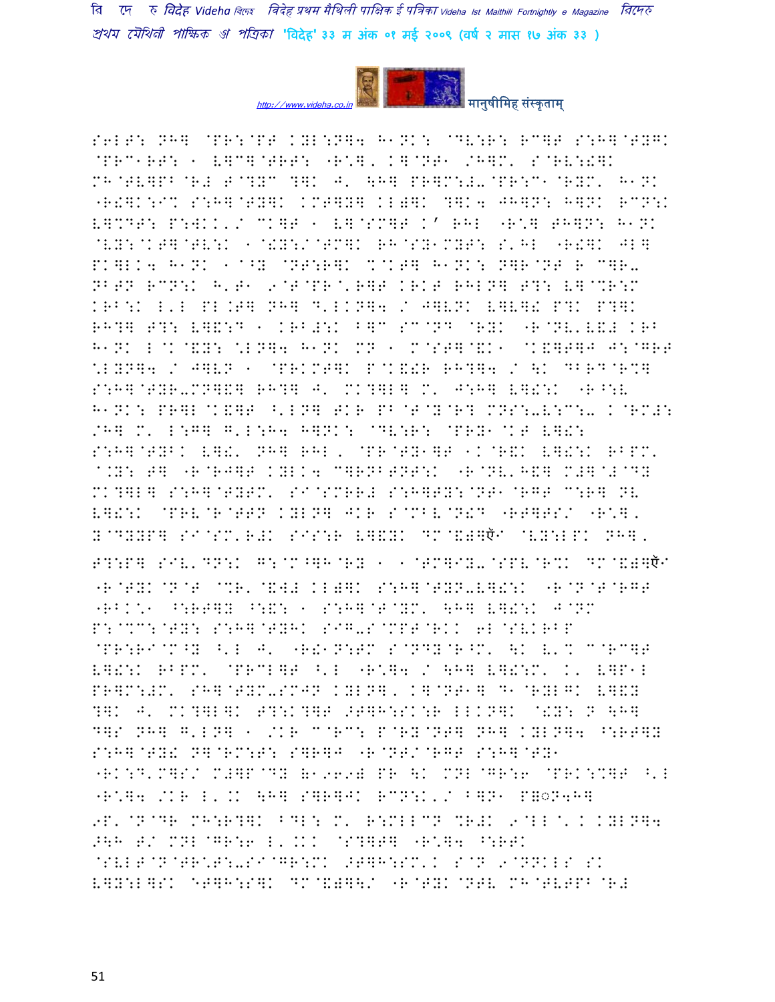

S6LF: NHI @PR: NH: NH: NHI HINK: NH: NH: RC @PRC1RT: 1 V]C]@TRT: "R\*], K]@NT1 /H]M' S@RV:!]K MH@TV]PB@R# T@?YC ?]K J' \H] PR]M:#-@PR:C1@RYM' H1NK "READ YOU SYNH YANHI (ISAHIH (ISAHI) NHI A "ANNIYE" NHII (BUSYE) ESTRAN PNALLI TISA KENYSAN IKAN HAL HALS ARSA HKRI @VY:@KT]@TV:K 1@!Y:/@TM]K RH@SY1MYT: S'HL "R!]K JL] PK]LK4 H1NK 1@^Y @NT:R]K %@KT] H1NK: N]R@NT R C]R-NBTN RCN:K H'T1 9@T@PR@'R]T KRKT RHLN] T?: V]@%R:M KRB:K L'ARB:K L'ARB:K L'ARB:K L'ARB:K L'ARB:K L'ARB:K L'ARB:K L'ARB:K L'ARB:K L'ARB:K L'ARB:K L'ARB:K L'ARB:K<br>K. Arb:K L'Arb:K L'Arb:K L'Arb:K L'Arb:K L'Arb:K L'Arb:K L'Arb:K L'Arb:K L'Arb:K L'Arb:K L'Arb:K L'Arb:K L'Arb RHTR RTY EREYT ( ) IR(BY) FRT PT TRT (RB) ( ) PTPELEED (R) H1NK L@K@&Y: \*LN]4 H1NK MN 1 M@ST]@&K1 @K&]T]J J:@GRT \*LYN]4 / J]VN 1 @PRKMT]K P@K&!R RH?]4 / \K DBRD@R%] S:H]@TYR-MN]&] RH?] J' MK?]L] M' J:H] V]!:K "R^:V H1NK: PRB MEDRE ALEGE BOR PROFINE THE MANUFACTION /H] M' L:G] G'L:H4 H]NK: @DV:R: @PRY1@KT V]!: S:H]@TYBK V]!' NH] RHL, @PR@TY1]T 1K@R&K V]!:K RBPM' @.Y: The Commission of the California California California California California California California California L'ARE RICENSAR NEDERLO SINONEELE SINAREED NICHTY: NERE ON NEDERLO V]!:K @PRV@R@TTN KYLN] JKR S@MBV@N!D "RT]TS/ "R\*], Y@DYYP] SI@SM'R#K SIS:R V]&YK DM@&)]ऍI @VY:LPK NH], T?:P] SIV'DN:K G:@M^]H@RY 1 1@TM]IY-@SPV@R%K DM@&)]ऍI "R@TYK@N@T @%R'@&W# KL)]K S:H]@TYN-V]!:K "R@N@T@RGT  $R$ BK\*1  $\sim$  1 S:RTH  $\sim$  1 S:H;H  $\sim$  1 S:H;H  $\sim$  1 S:H;  $\sim$  1 S:H;  $\sim$  1 S:H; P:@%C:@TY: S:H]@TYHK SIG-S@MPT@RKK 6L@SVKRBP @PR:RI@M^Y ^'L J' "R!1N:TM S@NDY@R^M' \K V'% C@RC]T V]!:K RBPM' @PRCL]T ^'L "R\*]4 / \H] V]!:M' K' V]P1L PR]M:#M' SH]@TYM-SMJN KYLN], K]@NT1] D1@RYLGK V]&Y R TREAT AN INC. THE RESEARCH THE REPORT OF THE SERVICE OF THE REPORT OF THE THING  $\mathcal{R}$ DAR DAA ALIJA KOONG: PARTI KYLNI ING PARTI NA MARA DA  $\frac{1}{2}$  . The significant state of the significant state of the significant state of the significant state of the significant state of the significant state of the significant state of the significant state of the signif "RE:D'MONTH PRODUCT PRODUCT PRODUCT AND RESIDENCE AND RESIDENCE AND RESIDENCE AND RESIDENCE AND RESIDENCE AND  $R$  . The contribution of the set of the state response  $R$ 9P'@N@DR MH:R?]K BDL: M' R:MLLCN %R#K 9@LL@'. KYLN]4 >\H T/ MNL@GR:6 L'.KK @S?]T] "R\*]4 ^:RTK @SVLT@N@TR\*T:-SI@GR:MK >T]H:SM'K S@N 9@NNKLS SK V]Y:L]SK ET]H:S]K DM@&)]\/ "R@TYK@NTV MH@TVTPB@R#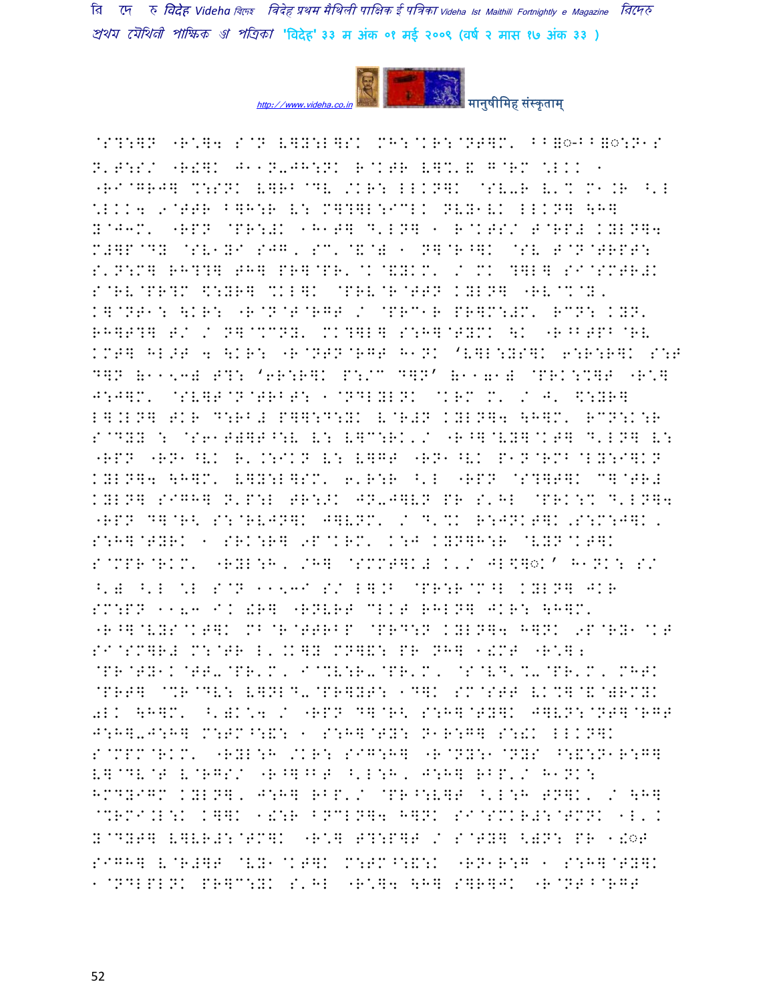

@STINER @SP.HE: S@N LEBEERIN WAN NIPS MEERIN PRIBO-PRIBONE B N'T:S/ "RICH" AVIALIANE PORTH ENTITY OF THE CITY  $R$  (RIGGR) with the contribution of  $R$  is the state  $R$  vector  $R$  . \*LKK4 9@TTR B]H:R V: M]?]L:ICLK NVY1VK LLKN] \H] YO THA DOUGHER BY THE REAL OF THE REPORT OF THE REPORT OF THE REPORT OF THE REAL ASSAULT. M#]P@DY @SV1YI SJG, SC'@&@) 1 N]@R^]K @SV T@N@TRPT: S'N:M] RH??] TH] PR]@PR'@K@&YKM' / MK ?]L] SI@SMTR#K S@RV@PR?M \$:YR] %KL]K @PRV@R@TTN KYLN] "RV@%@Y, K]@NT1: \KR: "R@N@T@RGT / @PRC1R PR]M:#M' RCN: KYN' RHEATH AZ Z PHINNPE, SITHER SYMBOARD, AD (APPARP OR KMT#B HLBB 4 BLBB (BMTHPFFFFFFFFF) NLBIABER B:B:RBBB 200 D]N (1153) T?: '6R:R]K P:/C D]N' (1171) @PRK:%]T "R\*] J:J]M' @SV]T@N@TRBT: 1@NDLYLNK @KRM M' / J' \$:YR] L].LN] TKR D:RB# P]]:D:YK V@R#N KYLN]4 \H]M' RCN:K:R S@DYY : @S61T)]TYPE : @S61TP PART (RACHT) DECISION OF COMPARY (PRODUCT) DECISION OF CONTINUES. "RPN "RN1^V KRIST", IKN VERSTEN "RN1^VK R'.:IKN VERSTEN "RN1^VK P1N. IKN VERSTEN DER RESERVEN DER DIE SON DER KHINA AND VIRIN BIN AVRIL (1990) VIRIN MIGHT KHINA SIGHE N'P:L ANG ANG ANG PRANGALANG MANG "RPN D]@R< S:@RVJN]K J]VNM' / D'%K R:JNKT]K,S:M:J]K, SSARCHER IN SRKSRA IN KRAME KORMIS IN MEDIKING SAMPROVES SOME THAN A COMPART REPORT OF THE CONTROL OF THE CONTROL OF THE SAMPLE OF THE SAMPLE OF THE SAMPLE O  $\{V_i\}_{i=1}^K$  of  $\{V_i\}_{i=1}^K$  . The same of the same of the same of the same of the same of the same of the same of the same of the same of the same of the same of the same of the same of the same of the same of the sam SM:PN 1183 I. PO ROBERT CHRONIA I. ING. PHENHLUIS I. PHENIX.  $R$  . The second contract of the second contract of the second contract  $R$  is a second contract of the second contract of the second contract of the second contract of the second contract of the second contract of the sec SI@SM]R# M:@TR L'.K]Y MN]&: PR NH] 1!MT "R\*]; @PR@TY1K@TT-@PR'M, I@%V:R-@PR'M, @S@VD'%-@PR'M, MHTK @PRT] @%R@DV: V]NLD-@PR]YT: 1D]K SM@STT VK%]@&@)RMYK  $0.4$  ()  $0.4$  ()  $0.4$  (),  $0.4$  ,  $0.7$  ( $0.4$  ),  $0.7$  (for the  $0.7$  state  $0.7$  and  $0.7$  state  $0.7$  state  $0.7$  state  $0.7$ J:HA:HI:HA:H:H] (11961) PA:EA: Nir: Sa:H:H (1416) (12:H; S:H:G] S: S: LK (14:Th) S@MPM@RKM' "RYL:H /KR: SIG:H] "R@NY:1@NYS ^:&:N1R:G] V]@DV@T V@RGS/ "R^]^BT ^'L:H, J:H] RBP'/ H1NK: HOMBY CHIME, HYRIGM KYRNIGH KIYR RUN RUN, Z HAR @%RMI.L:K K]]K 1!:R BNCLN]4 H]NK SI@SMKR#:@TMNK 1L'.

 $S$   $\overline{S}$   $\overline{S}$   $\overline{S}$   $\overline{S}$   $\overline{S}$   $\overline{S}$   $\overline{S}$   $\overline{S}$   $\overline{S}$   $\overline{S}$   $\overline{S}$   $\overline{S}$   $\overline{S}$   $\overline{S}$   $\overline{S}$   $\overline{S}$   $\overline{S}$   $\overline{S}$   $\overline{S}$   $\overline{S}$   $\overline{S}$   $\overline{S}$   $\overline{S}$   $\overline{S}$   $\$ 1@NDLPLNK PR]C:YK S'HL "R\*]4 \H] S]R]JK "R@NT^@RGT

Y TRIER (EREEIN NATH) (PENR) AND THE INC. PRINTING  $\Gamma$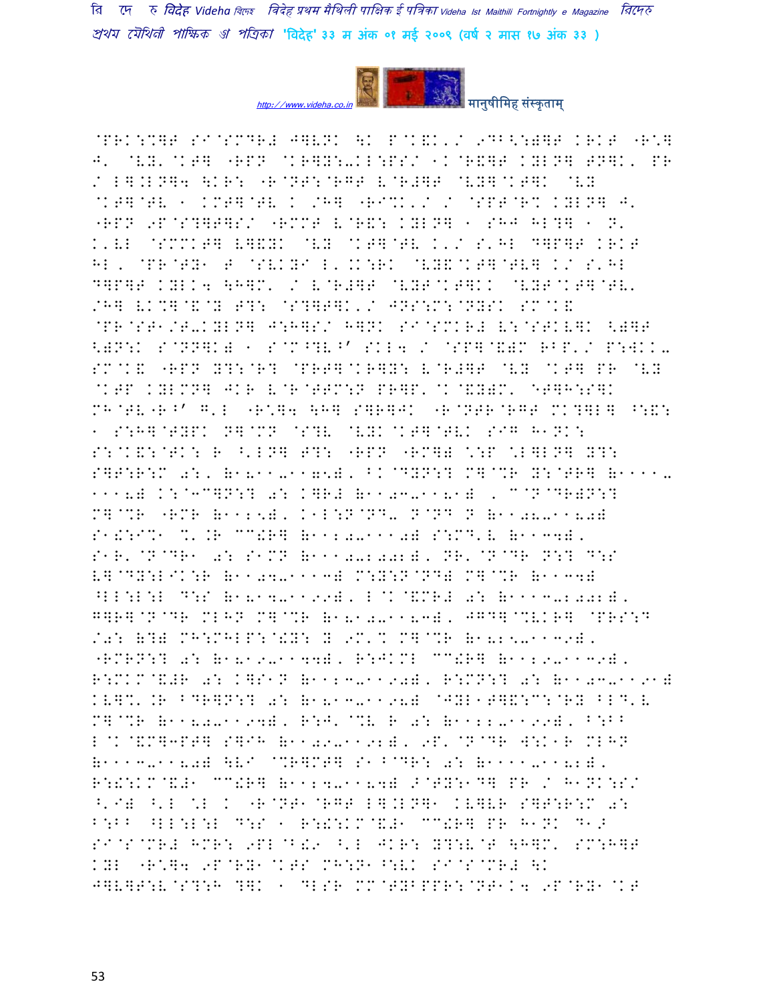http://www.videha.co.in/<br>कारणीतिमह संस्कृताम्

TO STORE SIMILAR HER SOME TIME I SUBSIDE SERVE J' @VY'@KT] "RPN @KR]Y:-KL:PS/ 1K@R&]T KYLN] TN]K' PR / L].LN]4 \KR: "R@NT:@RGT V@R#]T @VY]@KT]K @VY @KT]@TV 1 KMT]@TV K /H] "RI%K'/ / @SPT@R% KYLN] J' "RPN 9P@S?"TRN 9P@S?"TRN 9P@S?"TRN 9P@S?"TRN 9P@S?"TRN 9P@S?"TRN 9P@S?"TRN 9P@S?"TRN 9P@S?"TRN 9P@S?"TRN 9P@S? K'VAN MATSAR KANAN MANGUNI VAN SANG DI SINA KATA SA SA MARAH MANGUNI SA SA MAY MANGUNI SA SA MAY MANGUNI SA SA HL, @PR@TY1 T @SVKYI L'.K:RK @VY&@KT]@TV] K/ S'HL DAPAR DIRIG ARAC / LORIA OLIPOGRI @UYT@KTAR /H] VK%]@&@Y T?: @S?]T]K'/ JNS:M:@NYSK SM@K& @PR@ST1/T-KYLN] J:H]S/ H]NK SI@SMKR# V:@STKV]K <)]T <)N:K S@NN]K) 1 S@M^?V^' SKL4 / @SP]@&)M RBP'/ P:WKK-SM@K& "RPN Y?:@R? @PRT]@KR]Y: V@R#]T @VY @KT] PR @VY @KTP KYLMN] JKR V@R@TTM:N PR]P'@K@&Y)M' ET]H:S]K MH@TV"RI \R#Q##`###`####;`#`Y##`###`Q`H##`\*## 1 S:H]@TYPK N]@MN @S?V @VYK@KT]@TVK SIG H1NK: S:@K&:@TK: R ^'LN] T?: "RPN "RM]) \*:P \*L]LN] Y?: SARTED AL BREAKEN DER MINISTER OF TRINK ALTHOR (1111-111 1118) K:@3C]N:? 0: K]R# (1103-1181) , C@N@DR)N:? MA "MAR" REPORT (1125), KNO. NO NORTH (11108-1180), KNO. NO NORTH (1108-1180), KNO. NO NORTH (1108-1180), KNO. STERM STORY TO ALL AND THE STORY SERVICE. S1R'@N@DR1 0: S1MN (1110-2002), NR'@N@DR N:? D:S V]@DY:LIK:R (1104-1113) M:Y:N@ND) M]@%R (1134) ^LL:L:L D:S (1814-1199), L@K@&MR# 0: (1113-2002), BHOR MARSHIN MARK MARK MARK MARK MARK MARK (1810) /0: (?) MH:MHLP:@!Y: Y 9M'% M]@%R (1825-1139), "RMRNI: 25 (1819-1144), Richard College (1120-1144), Richard Co RGMOMMER 0: KIST (1123-1191), RIST (1123-1190), RGMORG 0: (1103-1191), RSM (1103-1191), RSM (1103-1191), RSM ( KV]%'.R BDR]N:? 0: (1813-1198) @JYL1T]&:C:@RY BLD'V MAG (1180-1194), ROMAN (1180-1194), ROMAN (1122-1199), B:BBC L@K@&M]3PT] S]IH (1109-1192), 9P'@N@DR W:K1R MLHN (111) The Committee of Constitution of the Committee of Constitution of the Committee of Committee of Committee Oriental Committee of the Committee of Committee of Committee of Committee of Committee of Committee of Commit R:!:KM@&#1 CC!R] (1124-1184) >@TY:1D] PR / H1NK:S/ ^'I) ^'L \*L K "R@NT1@RGT L].LN]1 KV]VR S]T:R:M 0: B:BB ^LL:L:L D:S 1 R:!:KM@&#1 CC!R] PR H1NK D1> SIMS THE HURE WILL SEE ALL HURS HILL OF HAND, SUSHAR KYL "R\*!" R\*! R\*! R\*! J]V]T:V@S?:H ?]K 1 DLSR MM@TYBPPR:@NT1K4 9P@RY1@KT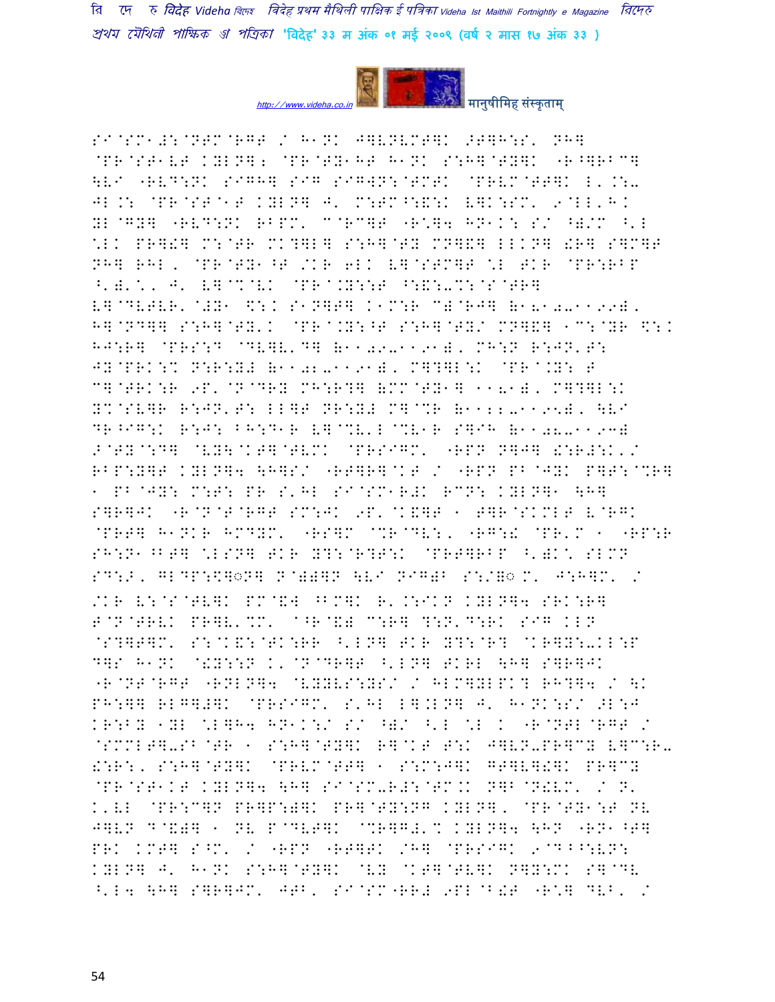

SIMI SIMI NEW YORK ON THE PERSON CONTROL CONTROL @PR@ST1VT KYLN]; @PR@TY1HT H1NK S:H]@TY]K "R^]RBC]  $\overline{u}_1$  ,  $\overline{u}_2$  ,  $\overline{u}_3$  ,  $\overline{u}_4$  ,  $\overline{u}_5$  ,  $\overline{u}_6$  ,  $\overline{u}_7$  ,  $\overline{u}_8$  ,  $\overline{u}_9$  ,  $\overline{u}_1$  ,  $\overline{u}_2$  ,  $\overline{u}_3$  ,  $\overline{u}_4$  ,  $\overline{u}_5$  ,  $\overline{u}_7$  ,  $\overline{u}_8$  ,  $\overline{u}_9$  ,  $\overline{u}_8$  ,  $\overline{u$ JL.: @PR@ST@1T KYLN] J' M:TM^:&:K V]K:SM' 9@LL'H. WE CARD "PRINCIPLE TO A ROW OR THE REPORT OF SALE OF SALE OF SALE SALE OF SALE OF SALE OF SALE OF SALE OF SALE \*LK PR]!] M:@TR MK?]L] S:H]@TY MN]&] LLKN] !R] S]M]T NH] RHL, @PR@TY1^T /KR 6LK V]@STM]T \*L TKR @PR:RBP  $^{\circ}$  ), J' V]  $^{\circ}$  ,  $^{\circ}$  ,  $^{\circ}$  ,  $^{\circ}$  ,  $^{\circ}$  ,  $^{\circ}$  ,  $^{\circ}$  ,  $^{\circ}$  ,  $^{\circ}$  ,  $^{\circ}$  ,  $^{\circ}$  ,  $^{\circ}$  ,  $^{\circ}$  ,  $^{\circ}$  ,  $^{\circ}$  ,  $^{\circ}$  ,  $^{\circ}$  ,  $^{\circ}$  ,  $^{\circ}$  ,  $^{\circ}$  ,  $^{\circ}$  ,  $^{\circ}$  ,  $^{\circ}$  BUTTEREE, THIS CITY PARU IS THE TOTH OF THE BEST SINGLE. H]@ND]] S:H]@TY'K @PR@.Y:^T S:H]@TY/ MN]&] 1C:@YR \$:. HJ:R] @PRS:D @DV]V'D] (1109-1191), MH:N R:JN'T: JY@PRK:% N:R:Y# (1102-1191), M]?]L:K @PR@.Y: T CA 18P: GB' 20, 12 1963, CAGETA, BCC 18324, MIRES (CATALLIS) BY YELHE RYAR.AY IIHA RRYBE MATH BEELLARYSAN, ALC DR: FORSI () BH:PS: F. PH:DP: B. (BB: MIBL) E (MIB) B: GREEN (B) (1810-1193). >@TY@:D] @VY\@KT]@TVMK @PRSIGM' "RPN N]J] !:R#:K'/ RBP:YOURNEY RESOURCE IN APP PERMISSING PIPE 1 PB 1985 DYRAY PR SIME SOMIE RED KALL ROPE I BEPHY RAR S]R]JK "R@N@T@RGT SM:JK 9P'@K&]T 1 T]R@SKMLT V@RGK @PRT] H1NKR HMDYM' "RS]M @%R@DV:, "RG:! @PR'M 1 "RP:R SH:NP PER SESPECTE BIR RIPRO (IPRPPPP) ARS KESP SORY, GLOBERSHOPE POWERP, BEST PSPHET SYNCHOL, HYPERIN IN /KR V:@S@TV]K PM@&W ^BM]K R'.:IKN KYLN]4 SRK:R] FOR SHELL PRESS, THE REAL PRESS, THE SIGN SIGNER CONTROL @S?]T]M' S:@K&:@TK:RR ^'LN] TKR Y?:@R? @KR]Y:-KL:P DHIS HINK MINISTER OF THE RICH OF STAR SHE SHERR  $R$  (RONTER ) (RONTER "RONLING" (V) (C) HOVER POST (RHOURS / C) (RD) PH:]## BI##J#IN (PRSY#Z, S.HL L#1LP# #, SYZ\:SMZ JES# KR:BY 1YL \*L]H4 HN1K:/ S/ ^)/ ^'L \*L K "R@NTL@RGT / @SMMLT]-SB@TR 1 S:H]@TY]K R]@KT T:K J]VN-PR]CY V]C:R- !:R:, S:H]@TY]K @PRVM@TT] 1 S:M:J]K GT]V]!]K PR]CY @PR@ST1KT KYLN]4 \H] SI@SM-R#:@TM.K N]B@N!VM' / N' K'VAN MORTHER: NORTH DESCRIPTION AND AN ANGELE AND A J]VN D@&)] 1 NV P@DVT]K @%R]G#'% KYLN]4 \HN "RN1^T] PRK KMT] S^M' / "RPN "RT]TK /H] @PRSIGK 9@D^^:VN: KHEPH A. H-H. PAPH GHU. JEB JI HINK BERGIN SUTTE ^'L4 \H] S]R]JM' JTB' SI@SM"RR# 9PL@B!T "R\*] DVB' /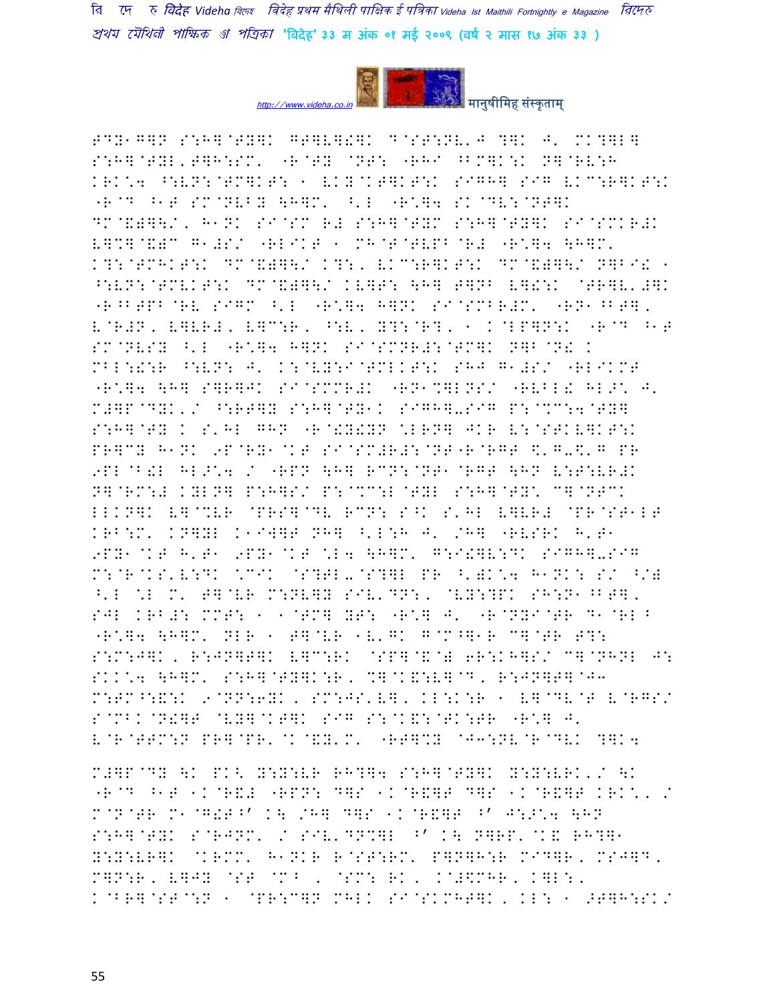http://www.videha.co.in स्ट्रीलिया मानुषीमिह संस्कृताम्

TDY1G]N S:H]@TY]K GT]V]!]K D@ST:NV'J ?]K J' MK?]L] S: "S: "HIS REST AN INDIA" "REST AND THE STATE REPORT OF THE STATE REPORT OF THE STATE REPORT OF THE STATE REP KRK\*4 ^:VN:@TM]KT: 1 VKY@KT]KT:K SIGH] SIG VKC:R]KT:K  $R$  -p of the spotness emerged to enter spotness veep. DM@&)]\/, H1NK SI@SM R# S:H]@TYM S:H]@TY]K SI@SMKR#K V]%]@&)C G1#S/ "RLIKT 1 MH@T@TVPB@R# "R\*]4 \H]M' K.: TO THE THE TWO CONSTRUCTIONS IN THE TWO CONSTRUCTIONS IN THE TWO CONSTRUCTIONS IN THE TWO CONSTRUCTIONS IN ^:VN:@TMVKT:K DM@&)]\/ KV]T: \H] T]NB V]!:K @TR]V'#]K  $R$   $\bar{R}$  and  $\bar{R}$  is the state of  $\bar{R}$  . The sigm of  $\bar{R}$  is the mass of  $\bar{R}$  is the state of  $\bar{R}$  ,  $\bar{R}$ R VRAP, VARDA, VAR, VAR, STR VRT, VICTORING (ROD OVR SM@NVSY ^'L "R\*]4 H]NK SI@SMNR#:@TM]K N]B@N! K MBL::R ^:VIS A:VI K:VI K:DV:ION:ION: JH# # UZ: VH:VIC: "RENDRA "RARD" SIRBREAT "RYNIME BIO" (REDKIMPE DEN "RABIRE BIO" REUNI (AL) MARP 1981 LIN (PERBRO) SERROGRIKI SIGPARGLEKA SPENDING 1988 S: S:HIR (1988) STATES (RING) (PHOTOGRAPH IN STRIKT (PHOTOGRAPH) (PHOTOGRAPH) (PHOTOGRAPH) PRATO H1NK DO LA PORGHI SI SIMBOLI BAGI SI DA 1994 (PRA SI PRATO BORD \$'G" PR 9PL@B!L HL>\*4 / "RPN \H] RCN:@NT1@RGT \HN V:T:VR#K NA SERIE KYLNIE POPALIZ PO STROVE SERIE POPALIZER. TA SPESI LLKN]K V]@%VR @PRS]@DV RCN: S^K S'HL V]VR# @PR@ST1LT KRB:M' KN]YL K1IW]T NH] ^'L:H J' /H] "RVSRK H'T1 9POKT H'AN SPOKT H'AND, PRYSONST SYPHONY M:@ROKSERT\\WY:\YMT#FLYMTH| PR \$2#1NK: S/TL-0 FN FN  $\mathcal{P}_\text{G}$  ,  $\mathcal{P}_\text{G}$  ,  $\mathcal{P}_\text{G}$  ,  $\mathcal{P}_\text{G}$  ,  $\mathcal{P}_\text{G}$  ,  $\mathcal{P}_\text{G}$  ,  $\mathcal{P}_\text{G}$  ,  $\mathcal{P}_\text{G}$  ,  $\mathcal{P}_\text{G}$  ,  $\mathcal{P}_\text{G}$  ,  $\mathcal{P}_\text{G}$  ,  $\mathcal{P}_\text{G}$  ,  $\mathcal{P}_\text{G}$  ,  $\mathcal{P}_\text{G}$ STAR: CORPORATION IN 1. 1970 ROBERTS THROUGH TROUGHT OF DATABATE POINT OF TRANSPORT "R\*]4 \H]M' NLR 1 T]@VR 1V'GK G@M^]1R C]@TR T?: S:M:J. G:RA @SPIRE RIC: RETAINS OF SPIRE RECEIVED A RESOLUTE THAT A RECEIVED A N SKK AG HAND, SCHAN GRUNDE, MACK BREAK OF STRANGHAM M:TM^:&:K 9@NN:6YK, SM:JS'V], KL:K:R 1 V]@DV@T V@RGS/ SMOTRO TREAK MEDAL TEARS STAR STRITEGIE TAG SARA (ARTA). ROF MARTIN PRACTIC PROVIDED AND MOVED AND STRING

MARP TRO AI (PIA) ONONGA (PHORA YIHR) NAORI (ONONGA). V:AI "R@D ^1T 1K@R&# "RPN: D]S 1K@R&]T D]S 1K@R&]T KRK\*, / MONDER MONDER MONDER MANUFACTURE TO A STATISTIC STARTHE START JOSE RRIE IM IN RHAD TO BATH. Y:Y:VRIA PICKROWSKI, MARKAR ROST:RIK PICKROWSKI, PARA PICKROWSKI, MIDALIA PICKROWSKI, MIDALIA MARSHI, VALUE AND MONTH, STRING AND MARSHI, STRING AND MARKET AND MARK AND MARK AND MARK AND MARK AND MARK AND K@BRIG:N THE STORE STATE SIMPLE SIGNED AS SHARIK SI

55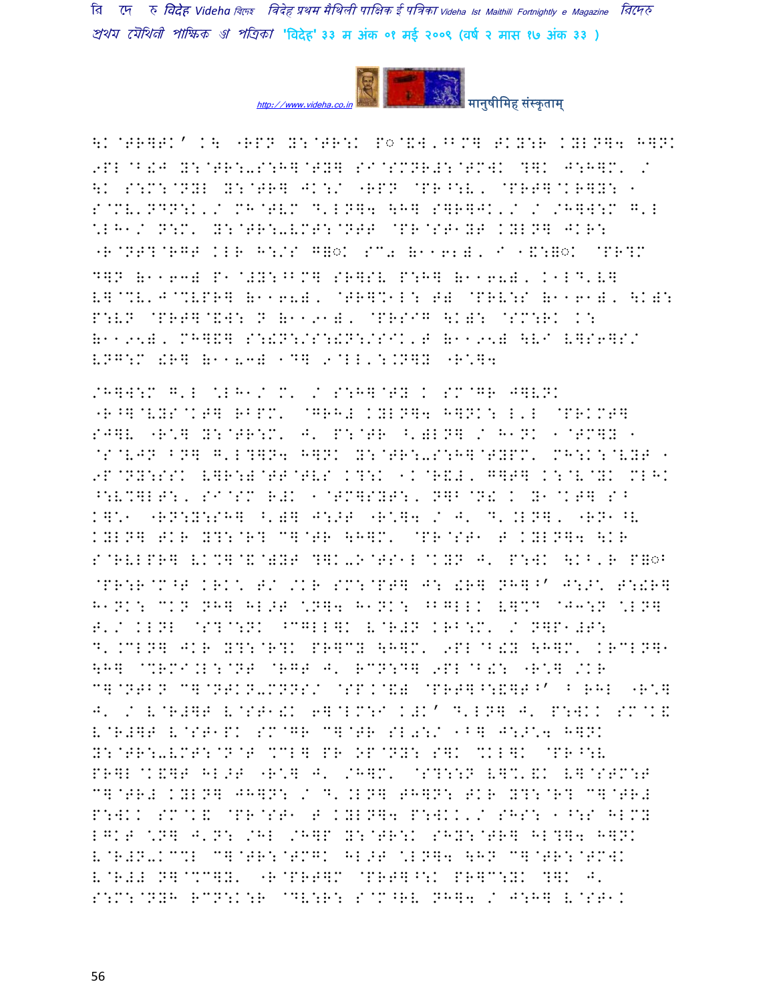

 $\Ket{R}$  Treams of  $\Ket{R}$  and  $\Ket{R}$  are the  $\Ket{R}$  such that  $\Ket{R}$  and  $\Ket{R}$  has  $\Ket{R}$ 9PL@B!J Y:@TR:-S:H]@TY] SI@SMNR#:@TMWK ?]K J:H]M' /  $K$  S:  $\kappa$  S:  $\kappa$  and  $\kappa$  is the problem  $\kappa$  . The problem  $\kappa$  is the problem  $\kappa$  is the problem  $\kappa$ S@MV'NDN:K'/ MH@TVM D'LN]4 \H] S]R]JK'/ / /H]W:M G'L TH AS IN MAIN COMPARED WAS THE STORY WHO WE HAVE AN EAST "RENTRATO TRAGE CONSTRUCT AND THE CONTROL CONTROL CONTROL CONTROL CONTROL CONTROL CONTROL CONTROL CONTROL CONTR DAR (1163) P103 (1168) P:TH (1168), P.H.P. (1168), K.H.P. (1168), K.H.P. (1168), K.H. (LA MOL) A MOLERA, Greendi, MARAONIA (1161), PRISAN (Greendi, Aldas PSER (PREFUGES ROBE), ARTICRESCH BIGES (PROBE), DS  $1195 \times 10^{11}$  and  $1195 \times 10^{11}$  and  $1195 \times 10^{11}$  and  $1195 \times 10^{11}$  and  $1195 \times 10^{11}$  and  $1195 \times 10^{11}$ ROWNS: MARINE (1183) 2013 1D. NEWSTEPHEN (1183) 2014

/H]W:M G'L \*LH1/ M' / S:H]@TY K SM@GR J]VNK "REPRISORIC CORPORATION" (PREPAR CORPORATION PROCESSION) (PRESCORR SJ]V "R\*] Y:@TR:M' J' P:@TR ^')LN] / H1NK 1@TM]Y 1 DE VIN BOL FOR DIE VAN DIE VAN DIE SOME DIE SOME DIE SOME DIE SOME DIE SOME DIE SOME DIE VAN DIE SOME 9P@NY:SSK V]R:)@TT@TVS K?:K 1K@R&#, G]T] K:@V@YK MLHK ^:V%]LT:, SI@SM R#K 1@TM]SYT:, N]B@N! K Y1@KT] S^ K]\*1 "RN:Y:SH] ^')] J:>T "R\*]4 / J' D'.LN], "RN1^V KORNER BY ROOTS OP TO ME HERR, OTE STEADER OR CORNER BY B S@PLEPRP LOTECECHE THOURCHEVE CORPOR, PGHD ACTIVE PHOT @PR:R@M^T KRK\* T/ /KR SM:@PT] J: !R] NH]^' J:>\* T:!R] HOUR: CRUP OF HEAD ANDER HOUR TO HILL ENDY TO HINK ALD T TH, 2001 EPH (MOST PER NORTHER BIG AS ORDER N STATE OF THE SERVED AS D'.CLN] JKR Y?:@R?K PR]CY \H]M' 9PL@B!Y \H]M' KRCLN]1  $\#$  RHIT of  $\mathbb{R}$  or the problem  $\mathbb{R}$  , and  $\mathbb{R}$  in  $\mathbb{R}$  is the problem of  $\mathbb{R}$  ,  $\mathbb{R}$  is the problem of  $\mathbb{R}$ CAR CAR CONTROLS CONTROLS OF CARDINAL CONTROLS CONTROL CONTROL TO RELEASE THE CONTROL OF THE CONTROL OF THE CO J' / Van Linguiste (1983) (1984) (1985) (1984) (1985) (1985) (1985) (1986) (1986) (1986) (1986) (1986) (1986) V@R#]T V@ST1PK SM@GR C]@TR SL0:/ 1B] J:>\*4 H]NK Y:@TR:-VMT:@N@T %CL] PR OP@NY: S]K %KL]K @PR^:V PRAL MICHA PESA (PRNA) AL SIPAT. (MYANYA CAAN CO CA MYANYA C]@TR# KYLN] JH]N: / D'.LN] TH]N: TKR Y?:@R? C]@TR# P:WIKK SMOKE CRECKER PORTHER PERIOD AS SHOWN THAT I LGKT #P: / NIGHT # JOHN & JOHN AND Y: / JOHN AND Y: / HIS Y: / HIS HILL AND HIS HILL HANK: / V@R#N-KC%L C]@TR:@TMGK HL>T \*LN]4 \HN C]@TR:@TMWK R YEAR DO MONDA A HERE Y TEECH MA BECYKE YOU " S:M:MYH RCH:S:M:DV:R:R: SOM:R: SAH-2 / HI-H EOST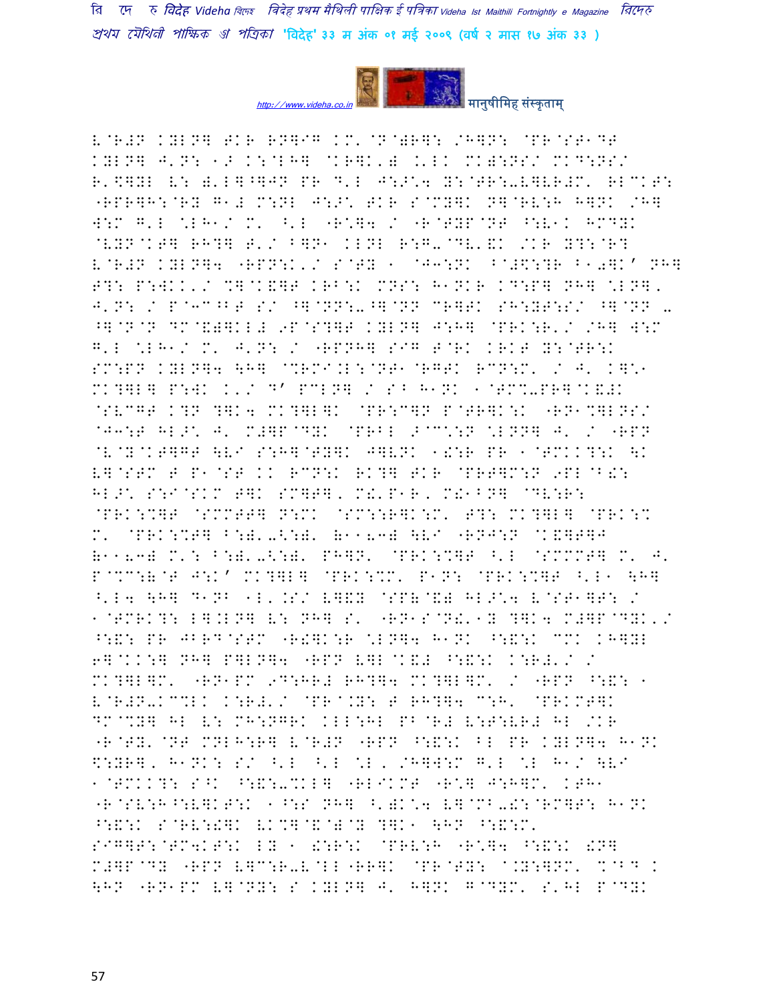

V@R#N KYLN] TKR RN]IG KM'@N@)R]: /H]N: @PR@ST1DT KYLN] J'N: 1> K:@LH] @KR]K') .'LK MK):NS/ MKD:NS/ R'\$]YL V: )'L]^]JN PR D'L J:>\*4 Y:@TR:-V]VR#M' RLCKT: "RPR]H:@RY G1# M:NL J:>\* TKR S@MY]K N]@RV:H H]NK /H] W:M G'L \*LEW YOU ALE ARCHE ZO RESERVED FILE ON RUSS @VYN@KT] RH?] T'/ B]N1 KLNL R:G-@DV'&K /KR Y?:@R?  $\mathbb{R}$  , the new state  $\mathbb{R}$  , the new state  $\mathbb{R}$  , the state  $\mathbb{R}$  , the state  $\mathbb{R}$  , the state  $\mathbb{R}$ T?: P:WKK'/ %]@K&]T KRB:K MNS: H1NKR KD:P] NH] \*LN], J'N: / P@3C^BT S/ ^]@NN:-^]@NN CR]TK SH:YT:S/ ^]@NN - ^]@N@N DM@&)]KL# 9P@S?]T KYLN] J:H] @PRK:R'/ /H] W:M B'L E 'NEHH' M' J'A: PE'N 'N 'HEPPHE' SIGH' A' DE' YE A' DE' YE TREKE SM:PN KYLNA HA MIRNIN ROMAN HAR BOMIN. L'AL (AL) MK?]L] P:WK K'/ D' PCLN] / S^ H1NK 1@TM%-PR]@K&#K @SVCGT K?N ?]K4 MK?]L]K @PR:C]N P@TR]K:K "RN1%]LNS/ @J3:T HL>\* J' M#]P@DYK @PRBL >@C\*:N \*LNN] J' / "RPN @V@Y@KT]GT \VI S:H]@TY]K J]VNK 1!:R PR 1@TMKK?:K \K BACKER PIRTE IN ROBIN RIA BIR CORPORATION CO HLPD STAMTON THE STUDIES CONTROL CONTROL CONTROL @PRK:%]T @SMMTT] N:MK @SM::R]K:M' T?: MK?]L] @PRK:% M' MORING B: DAILY (1183) AND HE SEEMS AND MORING (1183) March Communications (1183) March 2014, Philipped March 2014, Philipped March 2014, Philipped March 20 P@%C:(@T J:K' MK?]L] @PRK:%M' P1N: @PRK:%]T ^'L1 \H]  $\mathcal{F}_L$  and  $\mathcal{F}_R$  discrete  $\mathcal{F}_R$  . So the special contribution of  $\mathcal{F}_R$  is a special value of  $\mathcal{F}_R$ 1@TMRK?: L].LN] V: NH] S' "RN1S@N!'1Y ?]K4 M#]P@DYK'/ ^:&: PR JBRD@STM "R!]K:R \*LN]4 H1NK ^:&:K CMK KH]YL 69 MILNE PHE PHEPHE (682 KHE MILA (683) INBULIOU MARRIE "ROOMSTER" (1999) "ROOMSTER RESOURCE "RED " POSSESSE R@R#PWICKI: INFALI @PR@.Y:R: P-PRHH\_CNPK @PRICPHI DM SMARK HE V: MH:NGR HE VI: HE PROPERTY IS A VIEW HE VIEW "R@TY'@NT MNLH:R] V@R#N "RPN ^:&:K BL PR KYLN]4 H1NK \$:YR], H1NK: S/ ^'L ^'L \*L, /H]W:M G'L \*L H1/ \VI 1@TMKK?: S^K ^:&:-%KL] "RLIKMT "R\*] J:H]M' KTH1 "RESV:HIS ARE POSSESSED OF THE CONTACT ON HIS NEW HIS NEXT HIS NEW YORK. THE INCOME ^:&:K S@RV:!]K VK%]@&@)@Y ?]K1 \HN ^:&:M' SIGNER SIGNER SIGNER STREET STREET STREET STREET STREET M#]P@DY "RPN V]C:R-V@LL"RR]K @PR@TY: @.Y:]NM' %@BD K \HN "RN1PM V]@NY: S KYLN] J' H]NK G@DYM' S'HL P@DYK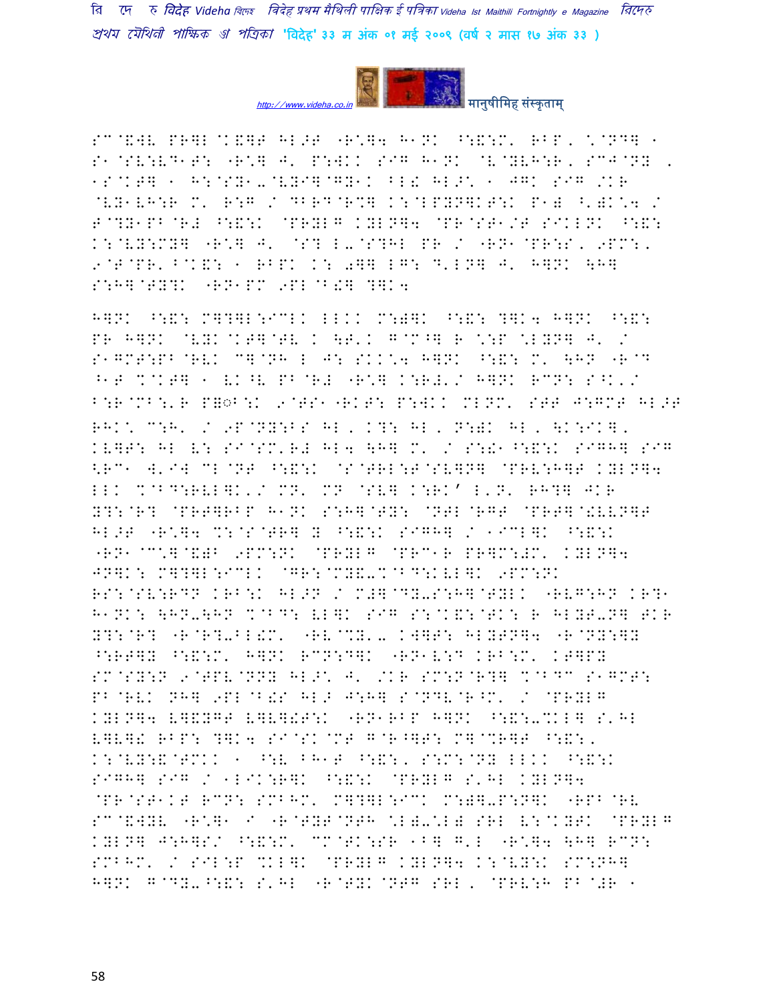http://www.videha.co.in स्ट्रीय कार्या मानुषीमिह संस्कृताम्

SC BAL PRH CENT HILP "RONA HIL "PEND, RFP, "STRN " STA TERLIGRISTA BIGHT: "RELIGIONES" DE L'ATTENDA DELL'ORIGINA DE L'INTERNATIONE (L'INTERNATIONE DE L'INTERNATI 1S@KT] 1 H:@SY1-@VYI]@GY1K BL! HL>\* 1 JGK SIG /KR @VY1VH:R M' R:G / DBRD@R%] K:@LPYN]KT:K P1) ^')K\*4 / T@?Y1PB@R# ^:&:K @PRYLG KYLN]4 @PR@ST1/T SIKLNK ^:&: K:@VY:MY] "R\*] J' @S? L-@S?HL PR / "RN1@PR:S, 9PM:, 9@T@PR'^@K&: 1 RBPK K: 0]] LG: D'LN] J' H]NK \H] SSERVERS (RNIPS PRODUCED PRODUCED PRODUCED PRODUCED PRODUCED PRODUCED PRODUCED PRODUCED PRODUCED PRODUCED PRODUCED PRO

HAGO CORRES D'ANNES (1991) D'ABAD (1985) NAVER A AAGD (1985) PR HANK MUSIC CONTOH, I AGUS A MITAL A "VAR" VESPE AL VI Statement in the statement of the statement of the statement of the statement of the statement of the statement ^1T %@KT] 1 VK^V PB@R# "R\*] K:R#'/ H]NK RCN: S^K'/ B:R#MITH:R PHOP:R P:WHI-HI:B:P:B:R P:WI: P:PIN HE-HI:BH: RHK\* C:H' / 9P@NY:BS HL, K?: HL, N:)K HL, \K:IK], TEMPS HE BEST TITLED HER HAN TO STEEL THIS SIMULATE SIG RCHT MAL KALI TE TOAI (PADAS) (TAT TABE NA TAOOR POR IT KYLNANA I DE ORA) LLK %@BD:RVL]K'/ MN' MN @SV] K:RK' L'N' RH?] JKR Y?:@R? @PRT]RBP H1NK S:H]@TY: @NTL@RGT @PRT]@!VVN]T  $\mathcal{H}$  ,  $\mathcal{H}$  ,  $\mathcal{H}$  ,  $\mathcal{H}$  is the state  $\mathcal{H}$  is the state  $\mathcal{H}$  included in  $\mathcal{H}$  ,  $\mathcal{H}$  ,  $\mathcal{H}$  ,  $\mathcal{H}$  ,  $\mathcal{H}$  ,  $\mathcal{H}$  ,  $\mathcal{H}$  ,  $\mathcal{H}$  ,  $\mathcal{H}$  ,  $\mathcal{H}$  ,  $\mathcal{H}$  ,  $\$ "RNN" MORTEAR "SPM:NK "TEGHT" MERTY POPPHYLG AN ARREST JARAK: MARAHI SYMED (MARA MARAI SYMEDIAN) (KRISER) RS: MORE RESOURCE ARE AN INFORMATION OF THE MAIL IN A ROUNDER IN A ROUNDER IN A ROUNDER IN A ROUNDER IN A ROUND H1NK: \HN-\HN %@BD: VL]K SIG S:@K&:@TK: R HLYT-N] TKR Y?:@R? "R@R?-BL!M' "RV@%Y'- KW]T: HLYTN]4 "R@NY:]Y ^:RT]Y ^:&:M' H]NK RCN:D]K "RN1V:D KRB:M' KT]PY SMOSY:N 9 ON 19 ON 19 ON 19 ON 19 ON 19 ON 19 ON 19 ON 19 ON 19 ON 19 ON 19 ON 19 ON 19 ON 19 ON 19 ON 19 ON 1 PB@RVK NH] 9PL@B!S HL> J:H] S@NDV@R^M' / @PRYLG KHENNA KARDAA KARANG VAN RIP AAN STREED HINK IN RO LALAR BITY TALK POST TO ME A GREEN TANGER STREET K:@VY:&@TMKK 1 ^:V BH1T ^:&:, S:M:@NY LLKK ^:&:K SIGHA SIG / 1LIK:RAH / SHER / SHAHA KYAL KAHARA @PR@ST1KT RCN: SMBHM' M]?]L:ICK M:)]-P:N]K "RPB@RV SC "B4BL" (PSB) "PT "R#BFCPP" (LAL)LA SPL (L)-COBR "TPBP" KYLN] J:H]S/ ^:&:M' CM@TK:SR 1B] G'L "R\*]4 \H] RCN: SMBHM' / SIL:P %KL) AND MORE ON A SHELL KYLNI AND A SHELL KYLNI A SHELL KYLNI A SHELL KYLNI A SHELL KYLNI A SH HANK GOVERNMENT SPILL THE SPILL OF SRL, AND SALL,  $\mathbb{R}^n$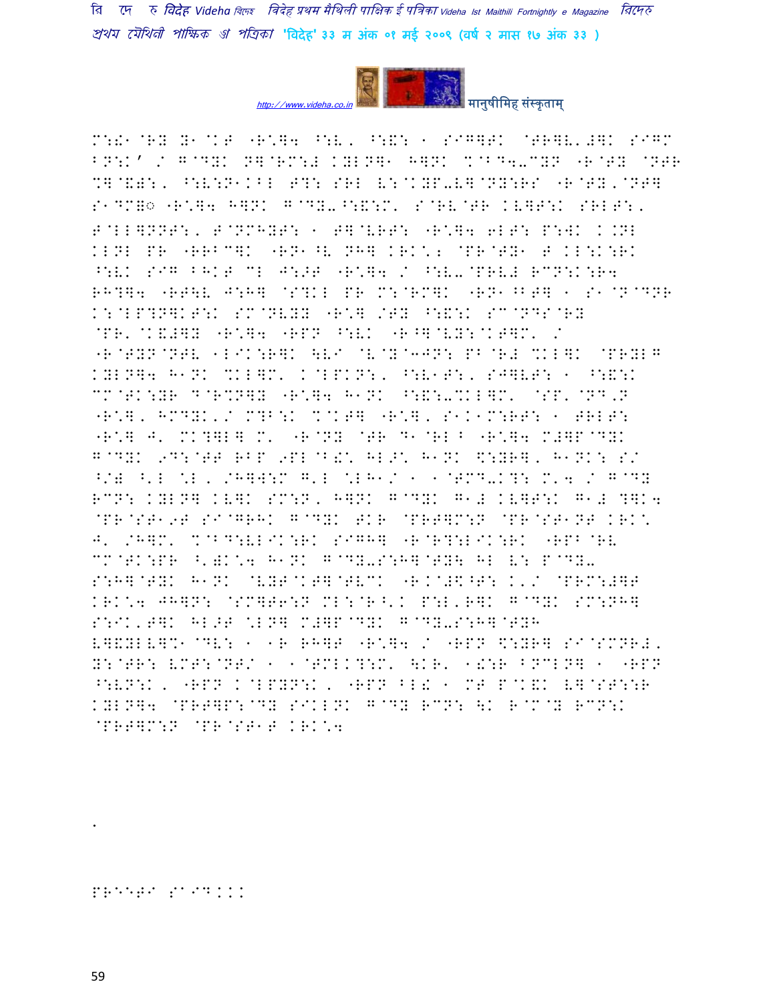

M:!1@RY Y1@KT "R\*]4 ^:V, ^:&: 1 SIG]TK @TR]V'#]K SIGM BN:K' / G@DYA: /BOH:KA | KALPAK | ROD: | CONTRACTAR | REGENIER %]@&):, ^:V:N1KBL T?: SRL V:@KYP-V]@NY:RS "R@TY,@NT]  $S$  THE GROUP CONSTRUCTION CONTROL SERVED STATES TACLE TO THE RELEASE TO THE RELEASE THE VALUE OF THE RELEASE TO THE VALUE OF THE VALUE OF THE VALUE OF THE VAL KLNL PR "RRBC]K "RN1^V NH] KRK\*; @PR@TY1 T KL:K:RK ^:VK SIG BHKT CL J:>T "R\*]4 / ^:V-@PRV# RCN:K:R4 RH?]4 "RT\V J:H] @S?KL PR M:@RM]K "RN1^BT] 1 S1@N@DNR K:@LP?N]KT:K SM@NVYY "R\*] /TY ^:&:K SC@NDS@RY @PR'@K&#]Y "R\*]4 "RPN ^:VK "R^]@VY:@KT]M' /  $R$  (POST) THE SECTION CONTROL CONTROL PROPERTY (PER SECTION AND  $R$ KYLN)4 H1NK %KL, H1NK %KL, H1NK %KL, H1NK %KL, H1NK %KL, H1NK %KL, H1NK %KL, H1NK %KL, H1NK %KL, H1NK %KL, H1N COMMENTARY DOMESTIC RELEASED ON THE ENDINEERING METHOD OF SPIRE "RENNE", "ROMANI", MORTHE "ROMANIE", SPANIE, STANDERS STARE EN STAATSTE "R\*] J' MK?]L] M' "R@NY @TR D1@RL^ "R\*]4 M#]P@DYK G@DYK 9D:@TT RBP 9PL@B!\* HL>\* H1NK \$:YR], H1NK: S/ ^/) ^'L \*L, /H]W:M G'L \*LH1/ 1 1@TMD-K?: M'4 / G@DY RCN: KHINI KURNI KYLN, HHIN GCHIK GALI KUHI GALI HILA @PR@ST19T SI@GRHK G@DYK TKR @PRT]M:N @PR@ST1NT KRK\* J' /H]M' %@BD:VLIK:RK SIGH] "R@R?:LIK:RK "RPB@RV COMPTER PRESS HIS COMPOSITION GODS IN BY THE STER TEST HITK ON TEACHER TEACH "HEN TEACH AND TO A TEACHER KRK: NA JAPA DE MENGENDO DE NORMA SOM EN LIGARIO A CADE SMERA S S:IK'T|K HL>T \*LN] M#IP \* THE GOD - THE TYHE GOD - THE TYPE GADE V]&YLV]%1@DV: 1 1R RH]T "R\*]4 / "RPN \$:YR] SI@SMNR#, Y:@TR: VMT:@NT/ 1 1@TMLK?:M' \KR' 1!:R BNCLN] 1 "RPN ^:VN:K, "RPN K@LPYN:K, "RPN BL! 1 MT P@K&K V]@ST::R KHEPRA (PRART) DREADER GODY RONE RODY RECOVERED @PRT]M:N @PR@ST1T KRK\*4

PREETI SaID...

 $\bullet$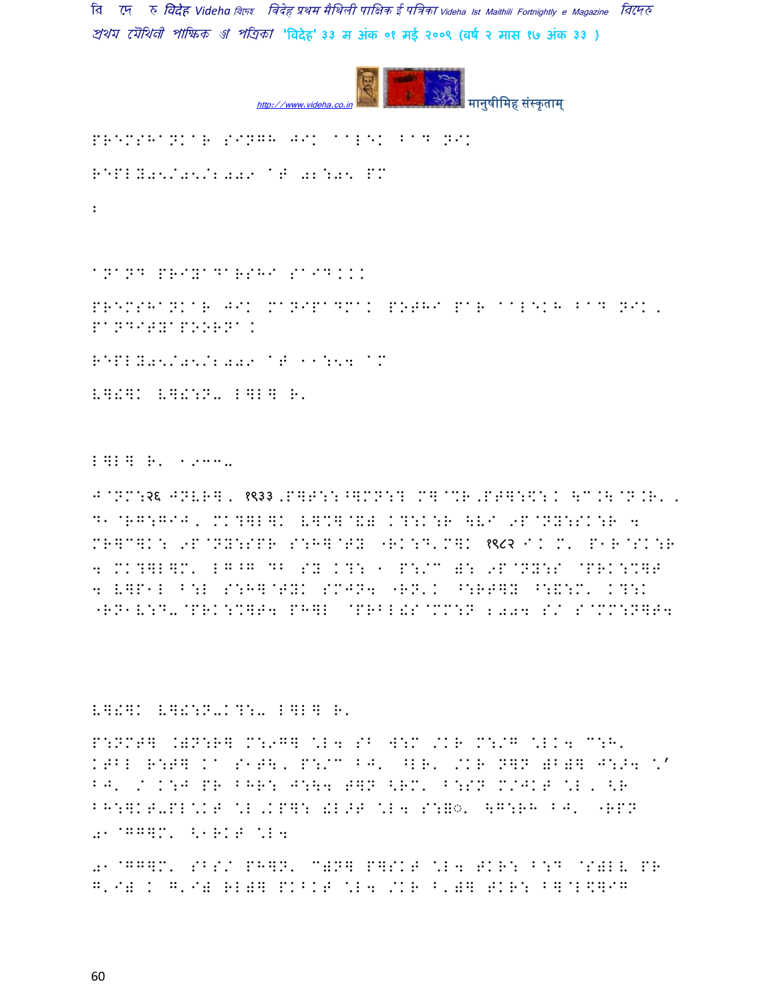

PREMSHANKAR SINGH JIK AALEK SINGH JIK AALEK BAD NI KARA SINGH JIK AALEK BAD NIK AALEK BAD NIK AALEK BAD NIK DI

REPLY05/05/2009 aT 02:05 PM

 $\ddot{\cdot}$ 

aNaND PRIYaDaRSHI SaID...

PREMSHaNKaR JIK MaNIPaDMaK POTHI PaR aaLEKH BaD NIK, PaNDITYaPOORNa.

RREPLYNS AT 11:54 and 11:54 am 11:54 and 11:54 aM 11:54 aM 12:54 aM 12:54 aM 12:54 aM 12:54 aM 12:54

V]!]K V]!:N- L]L] R'

L]L] R' 1933-

JA: 1901336 JADELEH, 2. 8833, ETHENN: PHODENT: OH TOE LEFANNS CONTROL AT CHITE. 2. D) NEBERA DIREK ERTRIK DININ ALA 20 VENIN 4 MR]C]K: 9P@NY:SPR S:H]@TY "RK:D'M]K १९८२ I. M' P1R@SK:R 4 MK?]L]M' LG^G DB SY K?: 1 P:/C ): 9P@NY:S @PRK:%]T  $\mathcal{A}$  values of the system of the small system  $\mathcal{A}$  . The system of the system  $\mathcal{A}$  and  $\mathcal{A}$  $R$  . The probability of  $R$  phases of  $R$  is the probability of  $R$  is the solution of  $R$  same  $R$  is the solution of  $R$  and  $R$  is the solution of  $R$  is the solution of  $R$  is the solution of  $R$  is the solution of  $R$ 

V]!]K V]!:N-K?:- L]L] R'

P:NMT] .)N:R] M:9G] \*L4 SB W:M /KR M:/G \*LK4 C:H' KARB R:TH KO SHARI P:/C BA, BB, ZIB BAR BRAN A:24 \*Y BJA, J. C. S. B. B: J. P. B. B: J. B: J. B: J. B: J. B: J. B: J. B: J. B: J. B: J. B: J. B: D. B: D. BH:BI:BI:D' :LIB:BI:BI:BI:D' :HIO. H"HH BJ -HTT 01@GG]M' <1RKT \*L4

010 TRABAC, CONSIDERATA ENGLAR DE PADI BILI DE CONSIDERATIVO PRINCIPALE EN ENGLA G'I) K G'I) REJ K G'ALLA E LE C'ELLES AN LIGID D'ALLA E L'ADE DE L'AR DE DE PERSEN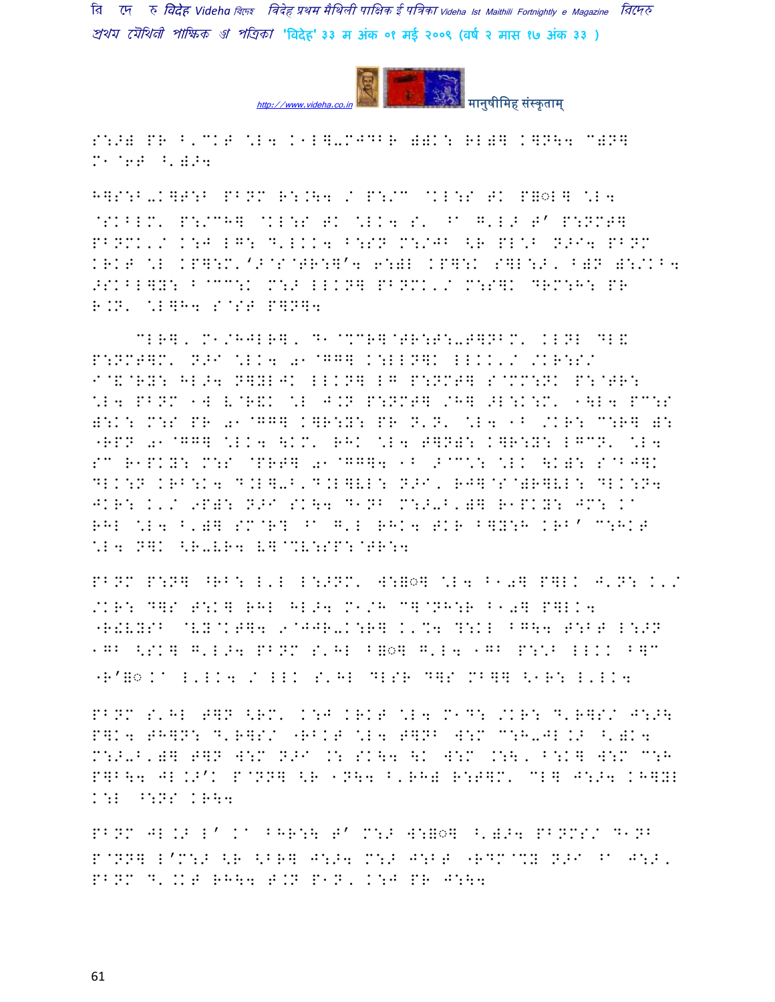

STORE TR BOTTE TER IS BECAME BOEKT REED ITHROTEN M1@6T ^')>4

H]S:B-K]T:B PBNM R:.\4 / P:/C @KL:S TK P=◌L] \*L4 @SKBLM' P:/CH] @KL:S TK \*LK4 S' ^a G'L> T' P:NMT] PBNMK'/ K:J LG: D'LKK4 B:SN M:/JB <R PL\*B N>I4 PBNM KRKT \*L KPUNIN YATETYENUYA GNABI KIDUK SUBAKA PARTANIK Y >SKBL]Y: B@CC:K M:> LLKN] PBNMK'/ M:S]K DRM:H: PR R.N. S.N. Band S.N. S.N. PHPA

 CLR], M1/HJLR], D1@%CR]@TR:T:-T]NBM' KLNL DL& P:NMT]M' N>I \*LK4 01@GG] K:LLN]K LLKK'/ /KR:S/ I@&@RY: HL>4 N]YLJK LLKN] LG P:NMT] S@MM:NK P:@TR: \*L4 PBNM 1W V@R&K \*L J.N P:NMT] /H] >L:K:M' 1\L4 PC:S ):K: M:S PR 01@GG] K]R:Y: PR N'N' \*L4 1B /KR: C:R] ): "RPIC GROTHHE "NEIGH" RICOL" (PRIC "NEA" GHOGER "I HPNIE" E HOOL. "NEA" SC R1PKY: M:S @PRT\_1PKY: MORE OF SALE OF SALE OF THE SALE OF SALE OF SALE OF SALE OF SALE OF SALE OF SALE OF S DRA: N BROART AN DE RAISE AN DE RHARIES (DRAM). D'ARRIEN NA DE RAISE AU DE RAISE AU JKR: K'/ 9P): N>I SK\4 D1NB M:>-B')] R1PKY: JM: Ka RHL \*L4 B')] SM@R? ^a G'L RHK4 TKR B]Y:H KRB' C:HKT \*L4 N]K <R-VR4 V]@%V:SP:@TR:4

PROVINCE PRACELE ENCOY, RNBOW NEW PARTICULE CONTROLLY /KR: D]S T:K] RHL HL>4 M1/H C]@NH:R B10] P]LK4 "RELEPT" NEBYLAND @VYSBALYBATILLYSBANDER PRESENTER 1GB <SK] G'L>4 PBNM S'HL B=◌] G'L4 1GB P:\*B LLKK B]C "R'HO L'A LILE A L'ILE SINA DISPERSIONALE L'ESSE LILA

PBNM S'HL T]N <RM' K:J KRKT \*L4 M1D: /KR: D'R]S/ J:>\ PACA PARRY RIBRIT ARIST NIA PARRY AND MINUALITY CILA M:>-B')] T]N W:M N>I .: SK\4 \K W:M .:\, B:K] W:M C:H PARTAH JEMI PINARA RETERHI RIJAH BIBARA, MERTARA I PARE K:L ^:NS KR\4

PBNM JL.> L' Ka BHR:\ T' M:> W:=◌] ^')>4 PBNMS/ D1NB P@NN] L'M:> <R <BR] J:>4 M:> J:BT "RDM@%Y N>I ^a J:>, PBNM D'.KT RH\4 T.N P1N, K:J PR J:\4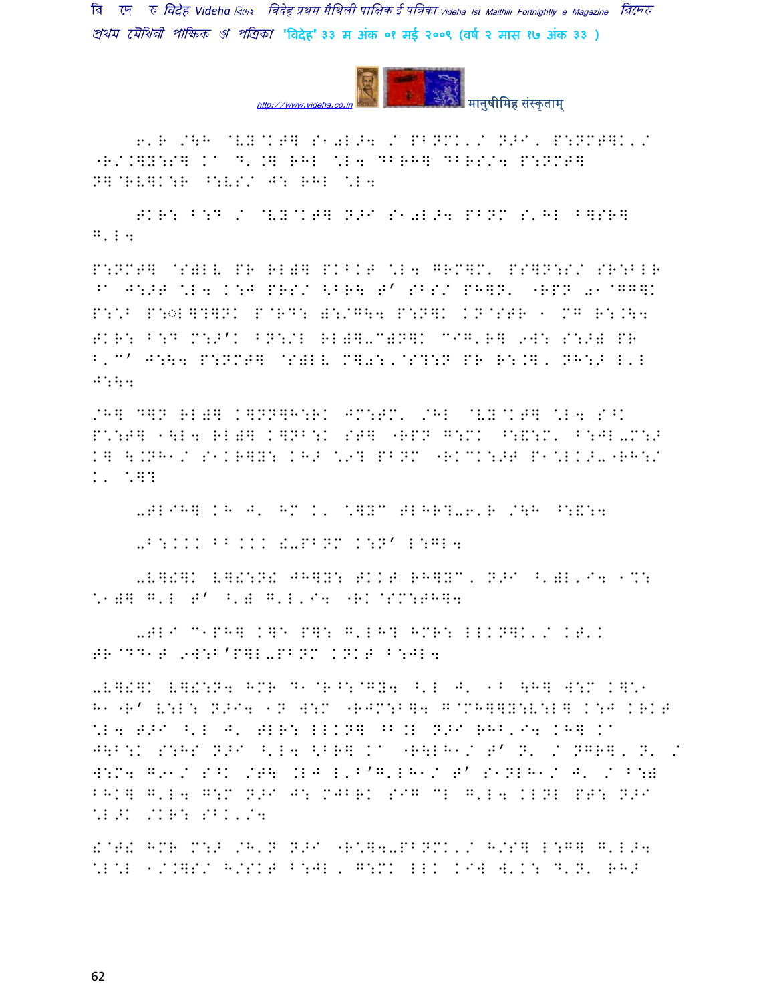

 6'R /\H @VY@KT] S10L>4 / PBNMK'/ N>I, P:NMT]K'/ "R/.]Y:S] Ka D'.] RHL \*L4 DBRH] DBRS/4 P:NMT] N]@RV]K:R ^:VS/ J: RHL \*L4

TRO B:D / B:D / DISTING THE RESIDENCE OF A SHIP SET OF A SHIP BETWEEN STOLEN STOLEN.  $H_1$  :  $H_2$ 

P:NMT] @S)LV PR RL)] PKBKT \*L4 GRM]M' PS]N:S/ SR:BLR ^a J:>T \*L4 K:J PRS/ <BR\ T' SBS/ PH]N' "RPN 01@GG]K P:\*B P:◌L]?]NK P@RD: ):/G\4 P:N]K KN@STR 1 MG R:.\4 TKR: B:D M:>'K BN:/L RL)]-C)N]K CIG'R] 9W: S:>) PR B'C' John P:NCH (MALL CAN), NH: PR R:.H, NH: LI  $\mathcal{F}:\mathcal{F}\to\mathcal{F}$ 

/H] D]N RL)] K]NN]H:RK JM:TM' /HL @VY@KT] \*L4 S^K PT:THE FAIR REBECTED TO THE FACTOR RETURNS TO THE LITTLE K) R. SE (1996) ST. ST. SHARISHI, KHO "ROST PER TANG "RECONOLES PER TANG "REPORT"  $\mathbb{R}^n$  .  $\mathbb{R}^n$  :  $\mathbb{R}^n$  :

LAIR AH (PH) A. (PM K. (1937) ALPETIALE (PER (PHM) +:

-B:... BB... !-PBNM K:N' L:GL4

 -V]!]K V]!:N! JH]Y: TKKT RH]YC, N>I ^')L'I4 1%: \*1)] G'L T' ^') G'L'I4 "RK@SM:TH]4

 -TLI C1PH] K]E P]: G'LH? HMR: LLKN]K'/ KT'K BROWN BOARD (PHELPOID COLE PANER)

 $\ldots$ HERE ERENTA AMB DE NORTH DE ALI 4, et and dim (B). H1 H2 V:L: N: N: N: N: N: N: N: N: N: N: H4 (B) THE BILL: N: N: N: N: N: N: N: N:  $\mathcal{L}_1$  is the set of the set of the set of the set of the set of  $\mathcal{L}_1$ JA: S: S:HS NJ/ (L4 LFER ), NHH HV/ B/ N, NHH (NGC), W:MA G91/ SOME SPECIES IN THE SINGLE STATES OF SINGLE STATES IN STARS. BHC:B'HC:B'HC:MORE CHEEL SYM MI HO:B'HC:BE BHC MAY \*L: SBK', SBK', SBK', SBK

!@T! HMR M:> /H'N N>I "R\*]4-PBNMK'/ H/S] L:G] G'L>4 \*L\*L 1/.]S/ H/SKT B:JL, G:MK LLK KIW W'K: D'N' RH>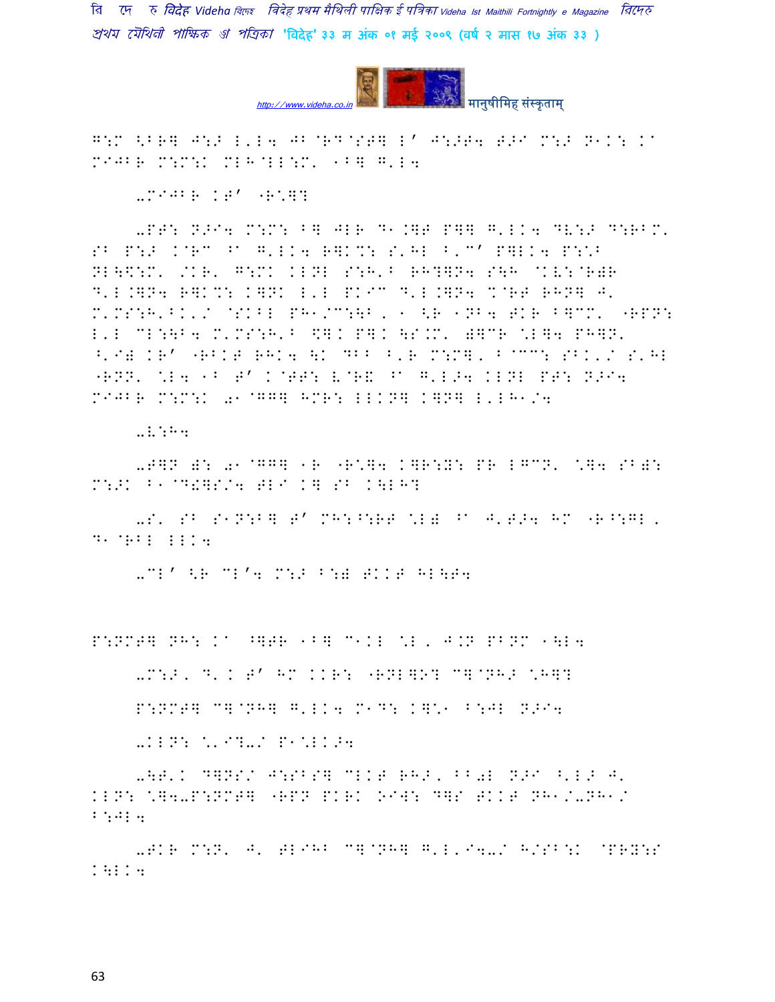

G:M <BR] J:> L'L4 JB@RD@ST] L' J:>T4 T>I M:> N1K: Ka MIJBR M:M:K MLH@LL:M' 1B] G'L4

-MIJBR KTRY (REDRIK

-PT: NORTH MINI-BEND DIRECT PRISE DIRECT SB P:> .@RC ^a G'LK4 R]K%: S'HL B'C' P]LK4 P:\*B NL\\$:M' /KR' G:MK KLNL S:H'B RH?]N4 S\H @KV:@R)R D'L. E CHORA CHANCIA L'ESTA D'ANN D'AN D'E CHORA D'E CHANG RHAN RHND AN L'ANN AN D'ANN AN D'AN D'AN D'AN D'AN MINIMUM : THIS SAME THAT THE REAL PROPERTY OF THE BEAT THE THE SAME THAT THE REAL PROPERTY OF THE REAL PROPERTY. LI THE STIME \$ WHI FAILAND. BUTH 1998 PHR. ^'I) KR' "RBKT RHK4 \K DBB B'R M:M], B@CC: SBK'/ S'HL "RNN" (RNN) FANN' FRANK EN DER FRANKEN FRANKEN PORT MIJBR M:M:K 01@GG] HMR: LLKN] K]N] L'LH1/4

 $\ldots$ : H44

-THE SACTES IN A SERVE AND A SERVES IN THE REPORT OF THE SACTO M: K B1@D: K B1@D: H SB KORE

 $S$  S1N: RF S1N:B]  $B$  M  $\overline{C}$  and  $\overline{C}$  and  $\overline{C}$   $\overline{C}$  and  $\overline{C}$   $\overline{C}$  and  $\overline{C}$   $\overline{C}$  and  $\overline{C}$ December 2009

-CL' <R CL'4 M:> B:) TKKT HL\T4

P:NMT: NH: Ka 'TREE (19 MAIL ) AND PEND (19 M

-M:>, D'. T' HM KKR: "RNL]O? C]@NH> \*H]?

P:NMT] C]@NH] G'LK4 M1D: K]\*1 B:JL N>I4

-KLN: \*\* P1\*LK: \*\* P1\*LK

 $\Box$ H:K  $\Box$  DH:B: $\Box$ NS/  $\Box$  DH: DH: H:B:  $\Box$  DH:  $\Box$  DH:  $\Box$  DH:  $\Box$   $\Box$   $\Box$   $\Box$ KLN: \*]4-P:NMT] "RPN PKRK OIW: D]S TKKT NH1/-NH1/  $\mathcal{L}$  is defined as

 -TKR M:N' J' TLIHB C]@NH] G'L'I4-/ H/SB:K @PRY:S  $k$  is  $k$  in the  $k$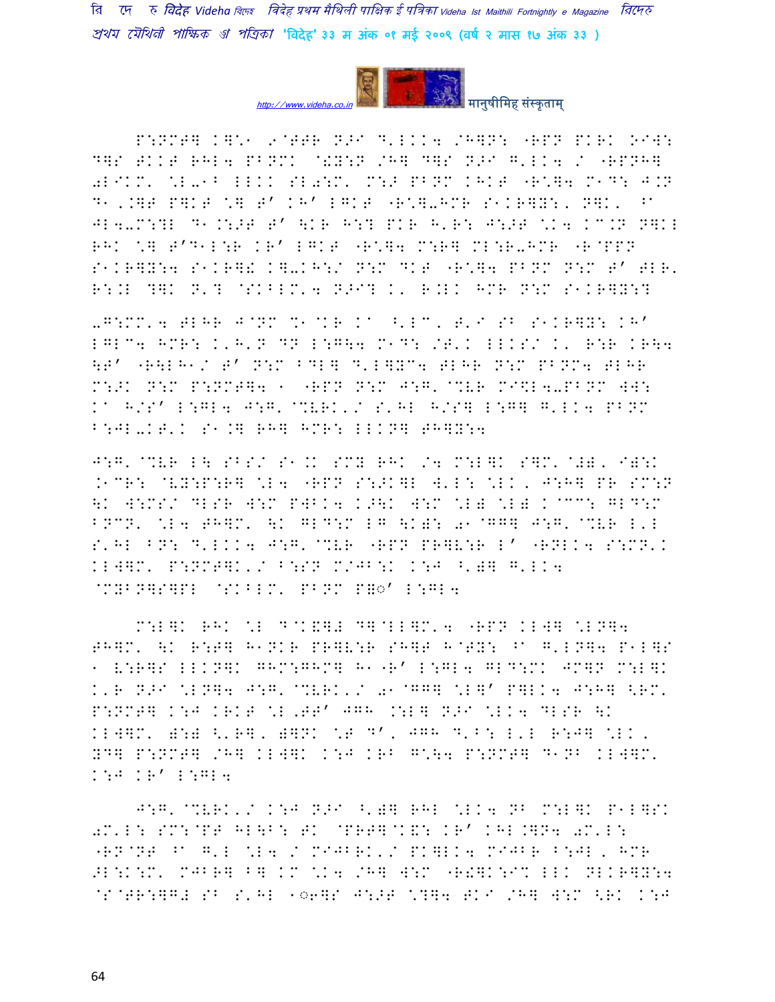

 P:NMT] K]\*1 9@TTR N>I D'LKK4 /H]N: "RPN PKRK OIW: D]S TKKT RHL4 PBNMK @!Y:N /H] D]S N>I G'LK4 / "RPNH] 0LIKM' \*L-1B LLKK SL0:M' M:> PBNM KHKT "R\*]4 M1D: J.N D1,.DH FHI ATH AN IAN FAIR SANGADA IN BAHI . DHI . T JALAUDINIE (PKRISZA) AZ BORGANIE BIRGA HORIE ANIZA NOGA (OMROE) DILI RHK \*] T'D1L:R KR' LGKT "R\*]4 M:R] ML:R-HMR "R@PPN SNO BAGGA SINC BAG O ALC'HGO "PGD" PO BLI HENAMA SPIPO "PGD" BY "BEBL R:.L ?]K N'? @SKBLM'4 N>I? K' R.LK HMR N:M S1KR]Y:?

-G:MM'4 TLHR J@NM %1@KR Ka ^'LC, T'I SB S1KR]Y: KH' LGLC4 HMR: K'H'N DN L:G\4 M1D: /T'K LLKS/ K' R:R KR\4 \T' "R\LH1/ T' N:M BDL] D'L]YC4 TLHR N:M PBNM4 TLHR M:B: M:M P:NH:A | P:N P:N D:N P:N. MI\$ N/MI\$LP:M 445 KA H/S' L:GHFA HYP, MIND. 2021-01-H229 I:GPB P.I.4 PPNM B:JL-KT'K S1., THE HORIZON THREE HORIZON.

J:G'@%VR L\ SBS/ S1.K SMY RHK /4 M:L]K S]M'@#), I):K .1CR: @VY:P:R] \*L4 "RPN S:>K]L W'L: \*LK, J:H] PR SM:N \K W:MS/ DLSR W:M PWBK4 K>\K W:M \*L) \*L) K@CC: GLD:M BNCN' \*L4 TH]M' \K GLD:M LG \K): 01@GG] J:G'@%VR L'L S'HL BN: D'LACKA JERN TILE (PRIVI PRAL'AR E MOPRETI S'ANNI). KLAMOK PSOVANICZ PSPO OZAPSI ISA PLAN MILA OMBORNED CONSTRUCTION PERSON

 M:L]K RHK \*L D@K&]# D]@LL]M'4 "RPN KLW] \*LN]4 TH]M' \K R:T] H1NKR PR]V:R SH]T H@TY: ^a G'LN]4 P1L]S 1 V:R]S LLKN]K GHM:GHM] H1"R' L:GL4 GLD:MK JM]N M:L]K K'L BY GEART (NE GHE THA AN INDEEDING) A LOTHER ONE HOLD CALLED THE GOAL HAS HE REDGET PYPTAN ISA IBIA MELAWA ANG INEN DIA PASALIN MENGE KLAMO, BYB KLAMO BHO, NA MY, JANG MUSIKI, ANG MAN NI L YD] P:NMT] /H] KLW]K K:J KRB G\*\4 P:NMT] D1NB KLW]M' K:H: K:H: L:GL4

J:G'#1, TOEBOO, ZOO G'ARO BAZOO, FLAAR (BRE), NA D'AI D'AND D'AE ALCO BY E AE D' 0M'L: SM:@PT HL\B: TK @PRT]@K&: KR' KHL.]N4 0M'L: "RN@NT ^a G'L \*L4 / MIJBRK'/ PK]LK4 MIJBR B:JL, HMR >L:K:M' MJBR] B] KM \*K4 /H] W:M "R!]K:I% LLK NLKR]Y:4 @S@TR:]G# SB S'HL 1◌6]S J:>T \*?]4 TKI /H] W:M <RK K:J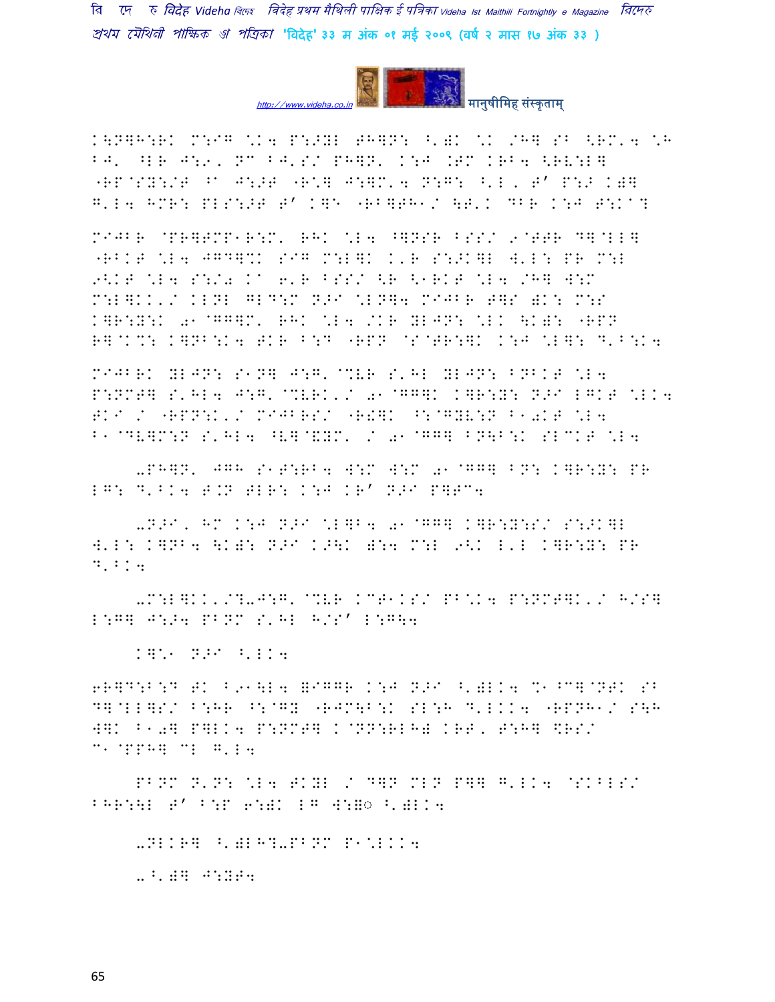

KAPERANI TASE NIW PAPER PREPA (KWE /H] SR (KRT.W NR BJ' BE' AND IS THE RISK PHONE (INC AN INC BING RELIE WHIST CONSTRUCT THE REAL PROPERTY OF THE REAL PROPERTY OF THE REAL ASSESSMENT OF THE REAL AND REAL PROPERTY OF THE REAL PROPERTY OF THE REAL PROPERTY OF THE REAL PROPERTY OF THE REAL PROPERTY OF THE REAL PROPERTY OF THE RE G'L4 HMR: PLS:B'A' R' ME' HALL ARL TO RESTRICT

MITHR @PRESERVES BATWER & LOCKER BOOK & THE PROPERTY OF TRACK  $R$  . The significant of the significant of the significant  $R$  and  $R$  is the significant of  $R$ 9914 N:4 SYZA 17 B.B FRY 98 98 9914 N:4 298 997 M:LIKK', KIRL GLD:M NIJ MIJ KI TI KI TI KI TI KOMA DI S K]R:Y:K 01@GG]M' RHK \*L4 /KR YLJN: \*LK \K): "RPN R]@K%: K]NB:K4 TKR B:D "RPN @S@TR:]K K:J \*L]: D'B:K4

MIJGRA SI: GEORGE BIJ DE ORGANISME BIJ DE ORGANISME FLANDER FLANDER P:P:NH SYHL4 J:G". MIELY/ 01 MUUR Y:B:18 JEK EUR NELA TKI / MIJARES (MIJDRA) BEZ (BEZO) (ATAN PENEGET A GYV: A NE H B14 OFBERING BLACKER (FREDRICKT COMGA) OFFER BOGHEN SLCKET I BOGHEN.

APHAN, ABH SYRGER HIT HIT AN TARR FOR CHENDE PR LG: D'ANN TRAINE THAT AN INDIANAIE

 -N>I, HM K:J N>I \*L]B4 01@GG] K]R:Y:S/ S:>K]L W'L: K]NB4 \K): N>I K>\K ):4 M:L 9<K L'L K]R:Y: PR  $\mathcal{D}_1$  is the set

-M:L'AND AND AN INDIA AND AN INCH AND A SHARA PART OF A SHARA PART OF A SHARA PART OF A SHARA PART OF A SHARA<br>-A:L'AN INCH AN INCH AN INCH AN INCH AN INCH AN INCH AN INCH AN INCH AN INCH AN INCH AN INCH AN INCH AN INCH A EGAR AND STRING SOME ANY STRAG

Kanada Kanada Kanada Kanada Kanada Kanada Kanada Kanada Kanada Kanada Kanada Kanada Kanada Kanada Kanada Kanad

6R]D:B:D TK B91\L4 =IGGR K:J N>I ^')LK4 %1^C]@NTK SB D]@LL]S/ B:HR ^:@GY "RJM\B:K SL:H D'LKK4 "RPNH1/ S\H WHICH AN PHILM PARTNE I MRTHINE INFORMATION AND Constitution of the constant

 PBNM N'N: \*L4 TKYL / D]N MLN P]] G'LK4 @SKBLS/ BHR: B' BI BHR: B" 45H0 B.ABIA

-NLKR] ^')LH?-PBNM P1\*LKK4

 $\ldots$  :  $\vdots$   $\vdots$   $\vdots$   $\vdots$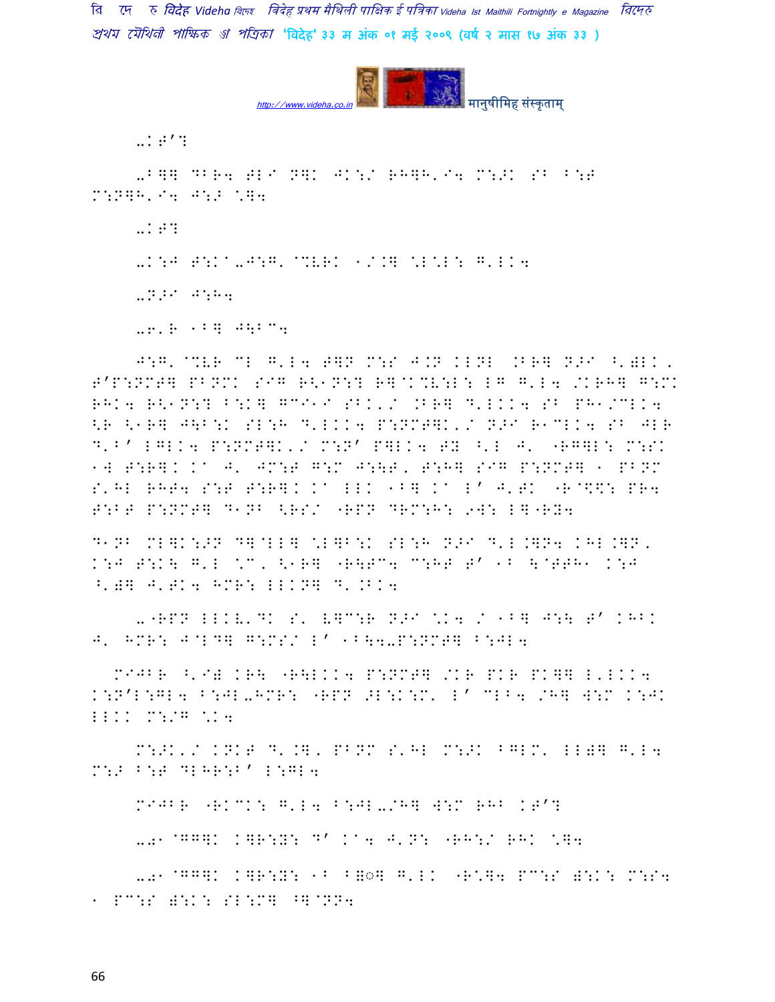

 $\ldots$  :  $\vdots$ 

 -B]] DBR4 TLI N]K JK:/ RH]H'I4 M:>K SB B:T W:NH, 24 412 184

 $\ldots$  : : : :

-K:J T:Ka-J:G'@%VRK 1/.] \*L\*L: G'LK4

-N>I J:H4

-6'R 1B] J\BC4

 J:G'@%VR CL G'L4 T]N M:S J.N KLNL .BR] N>I ^')LK, T'P:NMT] PBNMK SIG R<1N:? R]@K%V:L: LG G'L4 /KRH] G:MK RHK4 R<1N:? B:K] GCI1I SBK'/ .BR] D'LKK4 SB PH1/CLK4 <R <1R] J\B:K SL:H D'LKK4 P:NMT]K'/ N>I R1CLK4 SB JLR D'B' LGLK4 P:NMT]K'/ M:N' P]LK4 TY ^'L J' "RG]L: M:SK 1W T:R]. Ka J' JM:T G:M J:\T, T:H] SIG P:NMT] 1 PBNM S'HL RHT4 S:T T:R]. Ka LLK 1B] Ka L' J'TK "R@\$\$: PR4 T:BT P:NMT] D1NB <RS/ "RPN DRM:H: 9W: L]"RY4

D1NB ML]K:>N D]@LL] \*L]B:K SL:H N>I D'L.]N4 KHL.]N, K:H #SK: MI: KI: K:H +BSK: TSH #/ F | B'A#A (19 ^')] J'TK4 HMR: LLKN] D'.BK4

 -"RPN LLKV'DK S' V]C:R N>I \*K4 / 1B] J:\ T' KHBK J, HMR: JOHN: HMR: J. P. PROVINCENT

MITBR AND CHANGHAILS PROGRESS ON PROGRESSION K:N'A:N'A:H:H:A:N'A:N'A:N'A:N'A:N'A:N' L' C'A:N' L' CA' L' CA' L' CA' L' CA' L' CA' L' CA' L' CA' L' CA' L' CA 1111 M:/B 114

MER: KONKT D'E GUNDE, PER D'ANGELIE D'ER MANGELME SE HET MILLEA **M:** B:T DRESS RESORT

MARK "RKCK: G'L4 B:ARELYAN HET BAR KEMI

-01@GG]K K]R:Y: D' Ka4 J'N: "RH:/ RHK \*]4

 -01@GG]K K]R:Y: 1B B=◌] G'LK "R\*]4 PC:S ):K: M:S4 1 PC:S ):K: SL:M] ^]@NN4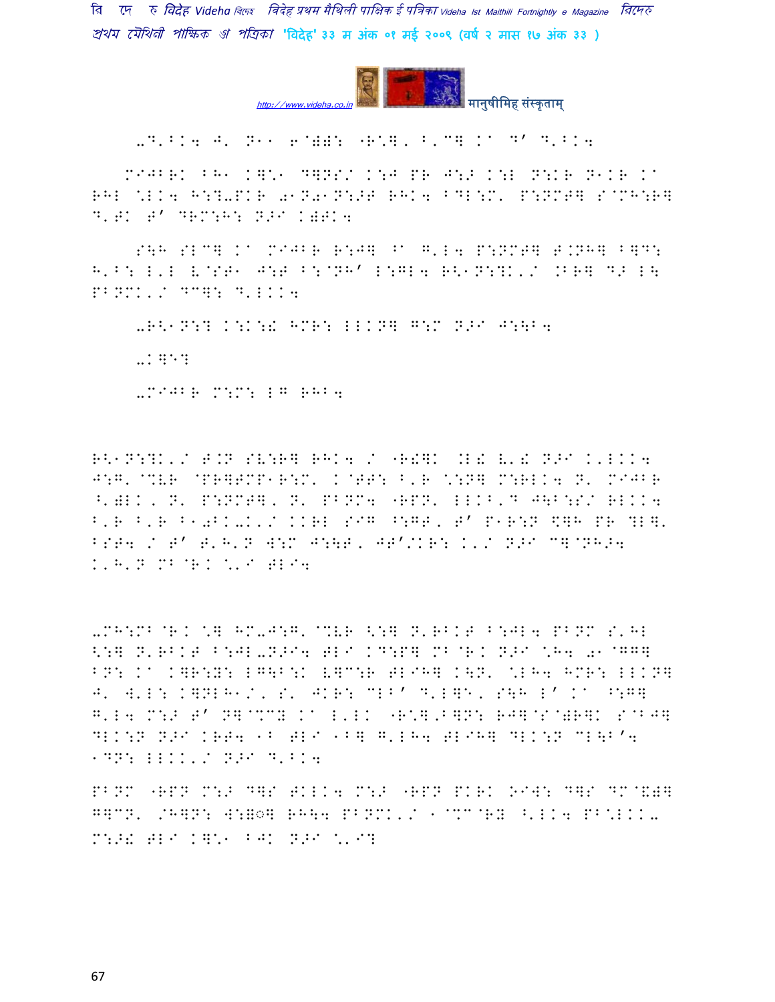

-D'BK4 J' N11 6@)): "R\*], B'C] Ka D' D'BK4

 MIJBRK BH1 K]\*1 D]NS/ K:J PR J:> K:L N:KR N1KR Ka RHL \*LEVA H::LEVA A:JAZIR PHIA PHIA T RENO P:NIMT S MUH:R D'AT HA DECIMI DEA CHAIN

STAR SLCA SLC SLOWER RIGHT RIGHT RIGHT RESIDENT AND RESIDENT TRANSPORTED TO AN ALL PROPERTY TO ANNUAL BE SURFL H: P: L'E: L'ESP, ANE P: NORM LIMES BROTHILLY CREATER IN PBNMK'/ DC]: D'LKK4

-R<1N:? K:K:! HMR: LLKN] G:M N>I J:\B4

 $\ldots$  :  $\ldots$  :

-MIJBR M:M: LG RHB4

R<1N:?K'/ T.N SV:R] RHK4 / "R!]K .L! V'! N>I K'LKK4 J:G'@%VR @PR]TMP1R:M' K@TT: B'R \*:N] M:RLK4 N' MIJBR ^')LK, N' P:NMT], N' PBNM4 "RPN' LLKB'D J\B:S/ RLKK4 BIR'R BIR BIR BIR BIR BIR BIR SIG OLD SIG FIRE SIGNER AND THE SIGNER. BST4 / TO THE ROOM OF THE CONSTRUCTION OF THE CONTROL OF THE CONSTRUCTION OF THE CONSTRUCTION OF THE CONSTRUCTION OF THE CONSTRUCTION OF THE CONSTRUCTION OF THE CONSTRUCTION OF THE CONSTRUCTION OF THE CONSTRUCTION OF THE C K'H'N MBOR. \* I TA

-MH:MB@R. \*] HM-J:G'@%VR <:] N'RBKT B:JL4 PBNM S'HL KNB B:BKT# KNABLBURG BER TRNBB DK NET BURG NAB 26 MAAB ROPE CON CORPINENT E PARTED CLAIMER GROUP ROPE CORP. INCREASING THO PR J', G. EN CHREARIN, S. GUAN MER MER STEAD SAAR EN CONSTAN GL4 M: T'AR: "BRO D'A L'UNIONE D'AN L'ARDA D'A L'ARDA "RIPA "RIPA "MERAL", BO MI PA DLK:N N>I KRT4 1B TLI 1B] G'LH4 TLIH] DLK:N CL\B'4 1991 - LLKK ' NORTH

PBNM "RPN M:> D]S TKLK4 M:> "RPN PKRK OIW: D]S DM@&)] BHTR. (GHIN: HINGH RHAA PROVINS) (COMPOSING RICH PROVINS).  $M: \mathbb{R}^n \to \mathbb{R}^n \to \mathbb{R}^n \to \mathbb{R}^n \to \mathbb{R}^n \to \mathbb{R}^n \to \mathbb{R}^n \to \mathbb{R}^n \to \mathbb{R}^n \to \mathbb{R}^n \to \mathbb{R}^n \to \mathbb{R}^n \to \mathbb{R}^n \to \mathbb{R}^n \to \mathbb{R}^n \to \mathbb{R}^n \to \mathbb{R}^n \to \mathbb{R}^n \to \mathbb{R}^n \to \mathbb{R}^n \to \mathbb{R}^n \to \mathbb{R}^n$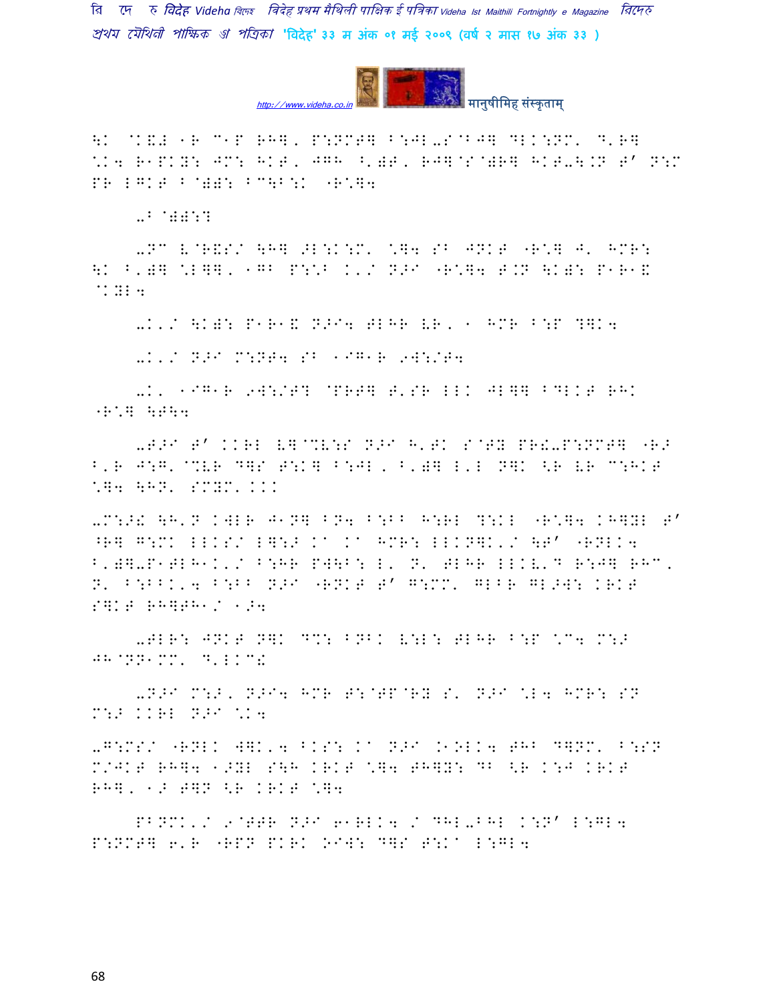

 $K$   $\Omega$   $\Omega$  . The contribution of the contribution of the contribution of the contribution of the contribution of the contribution of the contribution of the contribution of the contribution of the contribution of the co  $\Lambda$ I Android in the state  $\Lambda$  three states in the state  $\Lambda$  in the state  $\Lambda$  in  $\Lambda$ PR LAGK BOWER BOWER BOWER

 $\mathbb{R}^2$ :  $\mathbb{R}^2$  :  $\mathbb{R}^2$  :  $\mathbb{R}^2$  :

-NC V. V. V. SERIE SE SA JAMES "REGULA "L'ANCHE "HOLL" "POSTAGE"  $\kappa$  B'), 1GB P: FRIDGE POST CONTROL TO THE RED RESOLUTION OF  $\kappa$  is presented to  $\kappa$  $^{\prime\prime}$  . Hence the  $^{\prime\prime}$ 

 $K$ /,  $K$ ): P1R1 $K$ : P14  $K$  and  $R$  is particle  $R$  and  $R$  is  $R$  through  $R$  is  $R$  . The  $R$  is  $R$  is  $R$ 

-K'/ N>I M:NT4 SB 1IG1R 9W:/T4

 -K' 1IG1R 9W:/T? @PRT] T'SR LLK JL]] BDLKT RHK  $R^2$   $R^2$   $R^2$   $R^2$   $R^2$   $R^2$   $R^2$   $R^2$   $R^2$   $R^2$   $R^2$   $R^2$   $R^2$   $R^2$   $R^2$   $R^2$   $R^2$   $R^2$   $R^2$   $R^2$   $R^2$   $R^2$   $R^2$   $R^2$   $R^2$   $R^2$   $R^2$   $R^2$   $R^2$   $R^2$   $R^2$   $R^2$   $R^2$   $R^2$   $R^2$   $R^2$   $R^2$ 

 -T>I T' KKRL V]@%V:S N>I H'TK S@TY PR!-P:NMT] "R> B'R J:G'@%VR D]S T:K] B:JL, B')] L'L N]K <R VR C:HKT \*]4 \HN' SMYM'...

-M:>! \H'N KWLR J1N] BN4 B:BB H:RL ?:KL "R\*]4 KH]YL T' ^R] G:MK LLKS/ L]:> Ka Ka HMR: LLKN]K'/ \T' "RNLK4 B')]-P1TLH1K'/ B:HR PW\B: L' N' TLHR LLKV'D R:J] RHC, N' B:BBC'4 B:BBK'328 GEDE EN MINISTRY MILLE GELECTION SHIRHIMA RH

-TLR: BNBK ADS BY DAIRY SERVICES AND DESCRIPTION OF THE BELONG BY DISCOVERING BY THE BELONG BY SERVICE BY SERVICE JH@NN1MM' D'LKC!

-NOIA M: NOIA HORE SO NE THE SNAPI OF A HORE SO M:> KKRL N>I \*K4

-G:MS/ "RNLK W]K'4 BKS: Ka N>I .1OLK4 THB D]NM' B:SN M/JKT RHA4 1998 (SAH KERKTAT RHANG TO AR KYA KELA RH], 1> T]N <R KRKT \*]4

PROPOSIC OF TRANSIC RANGED AND THE CONTROL RESIDENCE IN THE CONTROL CONTROL AS P:NMT] 6'R "RPN PKRK OIW: D]S T:Ka L:GL4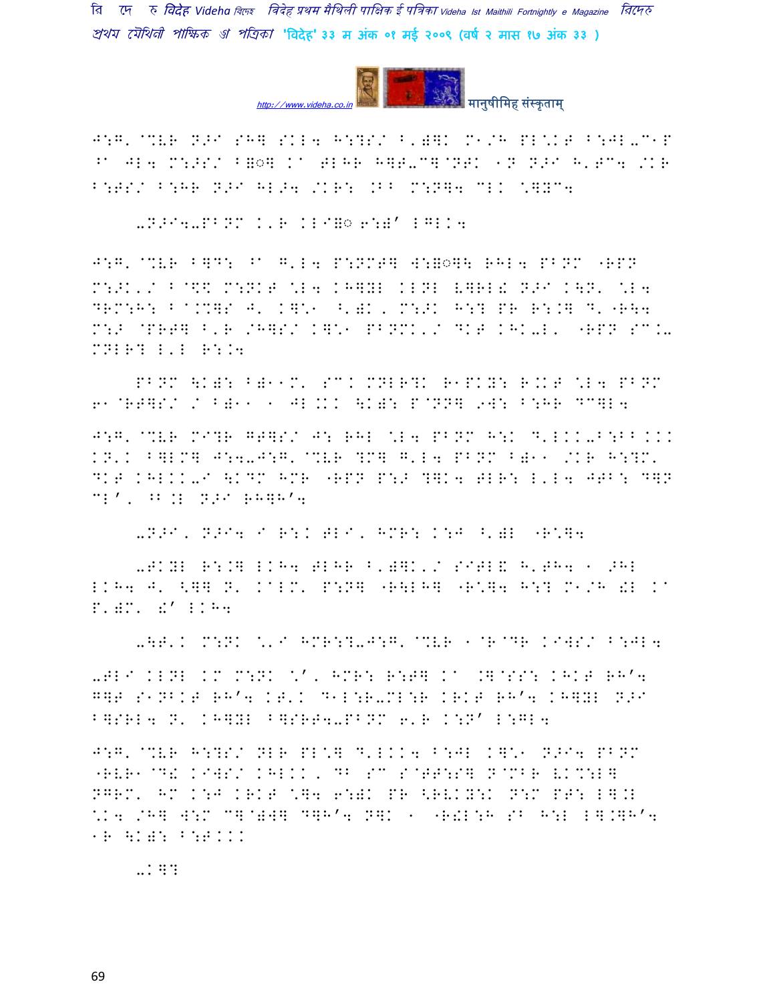

J:G'@%VR N>I SH] SKL4 H:?S/ B')]K M1/H PL\*KT B:JL-C1P ^a JL4 M:>S/ B=◌] Ka TLHR H]T-C]@NTK 1N N>I H'TC4 /KR B:TSP/ B:TS- NO HE NO HE SOLE TO MINE TO A CHINE

ANANG KALIMPOT KALIMANG KALIMATAN KALIMAT

J:G'A", "J'EB" (FIGH) P: B'A' FG'ADY BHOWN "RPEA" FFAD "PRAM" M: K'/ Barat and the state of the state of the state of the state of the state of the state of the state of th<br>In the state of the state of the state of the state of the state of the state of the state of the state of the DRM:H: B@.%]S J' K]\*1 ^')K, M:>K H:? PR R:.] D'"R\4 M:> @PRT] B'R /H]S/ K]\*1 PBNMK'/ DKT KHK-L' "RPN SC.- MNLR? L'L R:.4

 PBNM \K): B)11M' SC. MNLR?K R1PKY: R.KT \*L4 PBNM 61@RT]S/ / B)11 1 JL.KK \K): P@NN] 9W: B:HR DC]L4

J:G'#1, MILE (INSTER) REBEVO (RIV. BRE) (18 H. BIRIDI (RIVE) (RIVE) (18 H. BEROSI) KN'K BIN GYLAYA, MIR 308 A.B. PRN BEK (N.B. HYO) DKT KHLKK-I RED AN DER STRAND BLANKE I RED AN DER STRAND HAR DER STRAND HAN DER STRAND HAR DER STRAND HAR DER TEAL HEIR NEW RHEAM.

-N>I, N>I4 I R:. TLI, HMR: K:J ^')L "R\*]4

 -TKYL R:.] LKH4 TLHR B')]K'/ SITL& H'TH4 1 >HL LINA J. CHH J. LILI. PYPH (PHINH) (POHA HYT POIN AL LI P.HT. R/ Black

 $\Box$ A B: J] ( ) (1) A: M: A M B: A HORICARY (10) B:  $\Box$  (1)  $\Box$  The  $\Box$  (1)  $\Box$  and  $\Box$  and  $\Box$ 

-TLI KLNL KM M:NK \*', HMR: R:T] Ka .]@SS: KHKT RH'4 BART SINDS RHYA CELO PIDALTIAN CHOR RHYA CHAAR CHI BRL4 N' KHIYL BRL4 N' KHIYL BLAND 6'R KING

J:G'@%VR H:?S/ NLR PL\*] D'LKK4 B:JL K]\*1 N>I4 PBNM "RELEASTED (INGENS) DAE DIE VORTVERTE STREEKE DOOR EN EINDER NGRM' HAS CONSIDERED TO A SECOND THE CONSIDERT \*K1 & CVPH ( 4747) OH: MB FB H: MH P M C DHI SH ( ) H AI E AF ( ) FA E ( ) H DH P M H 1R \XX + B:T.1.1

-K]?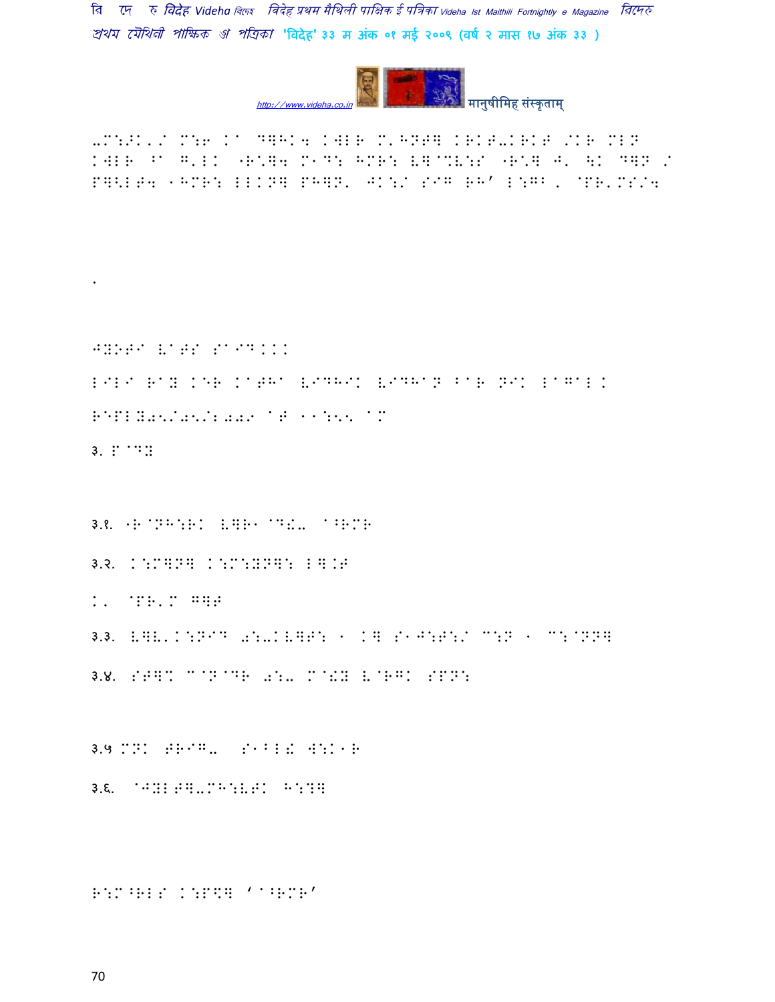

-M:>K'/ M:6 Ka D]HK4 KWLR M'HNT] KRKT-KRKT /KR MLN KWLR 'R\* HAIL 'R\*HAIL' DAN RING EN MID: HAIL PALLAN (PRINT LLIVAN PHAN, ALTIVITAN BHY LINA), MPRINING

JANS SAIDER SAIDERS

LILI RAY KER KATHA VIDHIK VIDHA VIDHA VIDHA SAMA NIK LAGAL.

REPRESENTATION OF PROPERTY

 $3.$   $P^{\prime}$   $P^{\prime}$   $P^{\prime}$ 

 $\bullet$ 

३.१. "R@NH:RK V]R1@D!- @^RMR

३.२. *KINDER KINDER HIS LI*IE

K' MELT SHE

३.३. 1. NIL. 1 NEW YOR. 1 KINID 0: NID 10: NID 0: NID 10: NID 10: NID 10: NID 10: NID 10: NID 10: NID 10: NID 1

३.४. START CONDINATE WITH CONDITIONS OF PROPERTY

3.9 MNK TRIGHT TRIGHT WELL STATED

3.6. <sup>2</sup> MH: PH:VTH H:P: 0 MH:VH

R:M^RLS K:P\$] '@^RMR'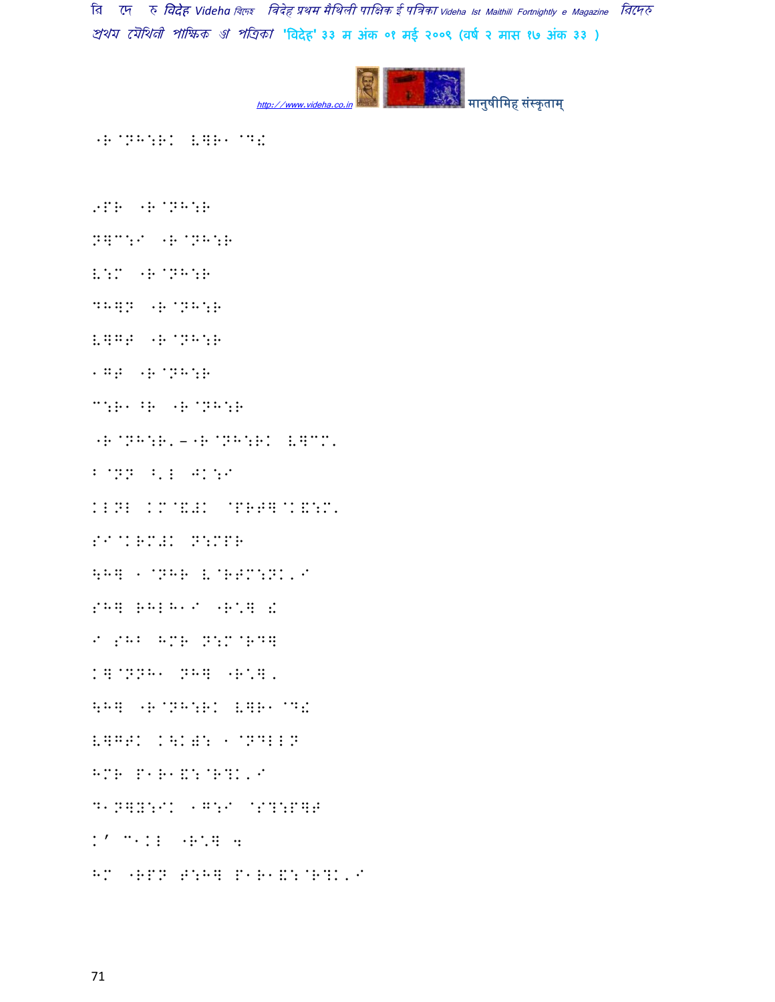

"Render Products and Products and Products and Products and Products and Products and Products and Products an<br>Products and Products and Products and Products and Products and Products and Products and Products and Produc

9PR "R@NH:R

N]C:I "R@NH:R

V:M "R@NH:R

DH]N "R@NH:R

LARE SECRETE

1GT "R@NH:R

T:R1P GEORGE

 $H^1(\mathbb{R}^n;\mathbb{R}^n)=H^1(\mathbb{R}^n;\mathbb{R}^n;\mathbb{R}^n;\mathbb{R}^n;\mathbb{R}^n)$ 

BONN COMPANY

KLNL KM@&#K @PRT]@K&:M'

SI@KRM#K N:MPR

\H] 1@NHR V@RTM:NK'I

SHE RHLHI "CHINE "R

I SHB HMR N:M@RD]

K]@NNH1 NH] "R\*],

\H] "R@NH:RK V]R1@D!

 $\frac{1}{2}$  GTC  $\frac{1}{2}$  (  $\frac{1}{2}$  ,  $\frac{1}{2}$  ,  $\frac{1}{2}$  ,  $\frac{1}{2}$  ,  $\frac{1}{2}$  ,  $\frac{1}{2}$  ,  $\frac{1}{2}$  ,  $\frac{1}{2}$  ,  $\frac{1}{2}$  ,  $\frac{1}{2}$  ,  $\frac{1}{2}$  ,  $\frac{1}{2}$  ,  $\frac{1}{2}$  ,  $\frac{1}{2}$  ,  $\frac{1}{2}$  ,  $\frac{1}{2}$  ,  $\frac$ 

 $\mathcal{H}_1$  , and  $\mathcal{H}_2$  , and  $\mathcal{H}_3$  , and  $\mathcal{H}_4$  , and  $\mathcal{H}_5$  , and  $\mathcal{H}_6$  , and  $\mathcal{H}_7$  , and  $\mathcal{H}_8$  , and  $\mathcal{H}_7$ 

D1N]Y:IK 1G:I @S?:P]T

 $M^{\prime}$  CHL  $H^{\prime}$  and  $H^{\prime}$ 

HM "RPN T:H] P1R1&:@R?K'I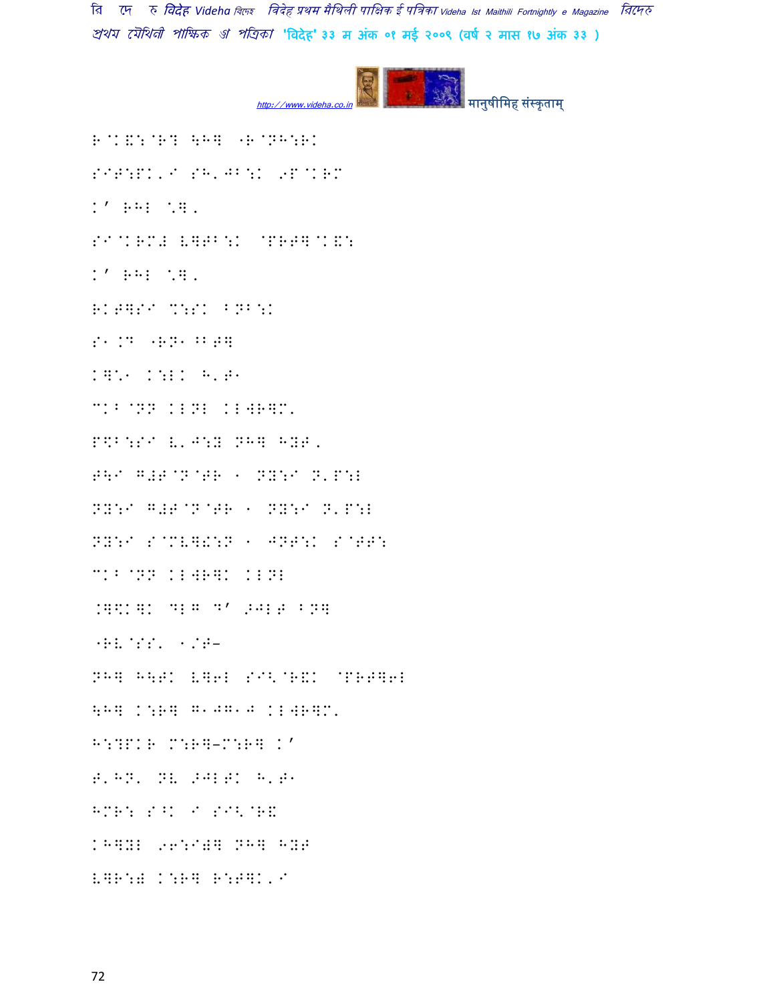

ROCKBING: RANGER SIT:PK'I SH'JB:K'I SH'JB:K'I SH'JB:K'I SH'JB:K'I SH'JB:K'I SH'JB:K'I SH'JB:K'I SH'JB:K'I SH'JB:K'I SH'JB:K'I S  $N'$  RHPL  $N$ SIMME VEHICLES  $M$  RH  $M$  $R$  , and the state of the state of the state of the state of the state of the state of the state of the state of the state of the state of the state of the state of the state of the state of the state of the state of the S1.D "RN1^BT"  $\frac{1}{1}$  K:Lk H'T11  $\frac{1}{1}$  K:Lk H'T11  $\frac{1}{1}$  K:Lk H'T11  $\frac{1}{1}$ TO STORY CONTROL CONTROL P\$B:SI V'J:Y NH] HYT, THE GHEAT GENERAL SERVICE NY:I G#T@N@TR 1 NY:I N'P:L SHIP SOMERIES - ANDRE SOME TI KURA KELURA KEL .]\$K]K DLG D' >JLT BN] "RV@SS' 1/T– NHE HARD GREE STOCK CONSTRUCT \H] K:R] G1JG1J KLWR]M' H:?PKR M:R]–M:R] K' HINY NI HATHI HINY HTML: SAN I SIN THE (998) NHI 96: III NH 98: RHIN: CHE RHEN.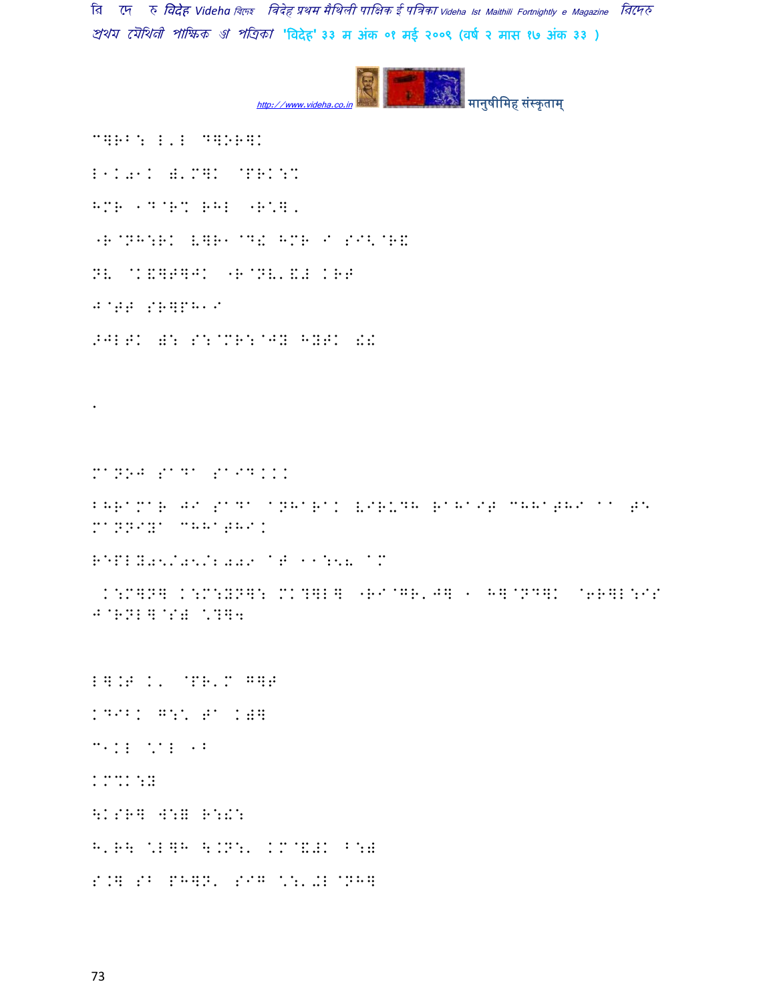

**CHARGE CONSTRUCTS** L1K01K )'M]K @PRK:% HMR 1D@R% RHL "R\*], "RONH: RAR OR POR I SIN OR NV @K&]T]JK "R@NV'&# KRT JOURNAL SERVICE >JLTK ): S:@MR:@JY HYTK !!

 $\ddot{\phantom{1}}$ 

MaNOJ SaDa SaID...

BHRaMaR JI SaDa aNHaRaK VIRUDH RaHaIT CHHaTHI aa TE MaNNIYa CHHaTHI.

RREPLYNS and the state of

K:MINE C:M:MINE MINE ROOM (APSON): AN ACOUNT PRODUCT THE RIGHT J@RNL]@S) \*?]4

**LAND CONSIDERED** KDIBK G:\* Ta K)] CHE THE SALE KM%K:Y \KSR] W:= R:!: H. BA: MERRY A (PA) ( KOMMERRY FAB S. SB PHER, SAW ARE THE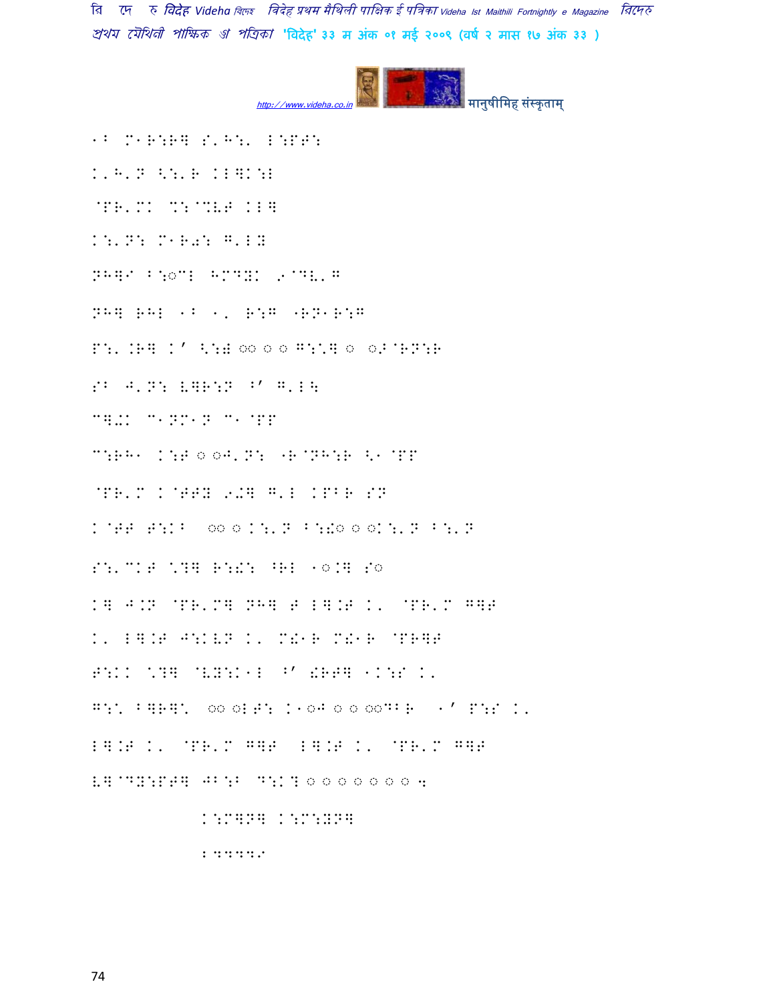

1B M1R:R] S'H:' L:PT: K'H'N <:'R KL]K:L @PR'MK %:@%VT KL] K: M1R0: M1R0: G'LY THE BOTH WITH STILL NHL RHL 1B 1, RNH 1921BN PH: IPH IM RHE OO O O FHIP O OF THRIP  $S^{\mathrm{H}}$  J'A: FR:N EHENF (18) (8), EHE CHAIR CONSTRUCTS CONTROL THER CORTS HITER ROTE @PR'M K@TTY 9+] G'L KPBR SN  $K^{\prime}$  The  $K^{\prime}$   $H^{\prime}$  and  $K^{\prime}$   $\Omega$  is  $\Omega$ :  $\Omega$  is  $\Omega$ :  $\Omega$ :  $\Omega$ :  $\Omega$ :  $\Omega$ :  $\Omega$ :  $\Omega$ :  $\Omega$ :  $\Omega$ :  $\Omega$ :  $\Omega$ :  $\Omega$ :  $\Omega$ :  $\Omega$ :  $\Omega$ :  $\Omega$ :  $\Omega$ :  $\Omega$ :  $\Omega$ :  $\Omega$ :  $\Omega$ :  $\Omega$ :  $\Omega$ :  $\Omega$ :  $\Omega$ :  $\Omega$ :  $\Omega$ STEATED THE FEED AND HE SO IT SO KALANG MELIM PAN BULGAN KI MELIMAN K' LA LA MIRICI (MILA MENANG MENGE T:KK \*?] @VY:K1L ^' !RT] 1K:S K'  $F(X; \mathbb{R}) = \mathbb{R} \setminus \{0\} \cup \{0\} \cup \{0\} \cup \{0\} \cup \{0\} \cup \{0\} \cup \{0\} \cup \{0\} \cup \{0\} \cup \{0\} \cup \{0\} \cup \{0\} \cup \{0\} \cup \{0\} \cup \{0\} \cup \{0\} \cup \{0\} \cup \{0\} \cup \{0\} \cup \{0\} \cup \{0\} \cup \{0\} \cup \{0\} \cup \{0\} \cup \{0\} \cup \{0\} \cup \{0\} \cup \{0\} \cup \{0\}$ LAN COMPANY COMPANY COMPANY COMPANY  $E$ H $\cdot$ PH $E$ :PH $\cdot$ H $\cdot$ B:B  $\cdot$ PH $\cdot$ H $\cdot$ B  $\circ$  o o o o o o  $\cdot$ 

K:M]N] K:M:YN]

244449

74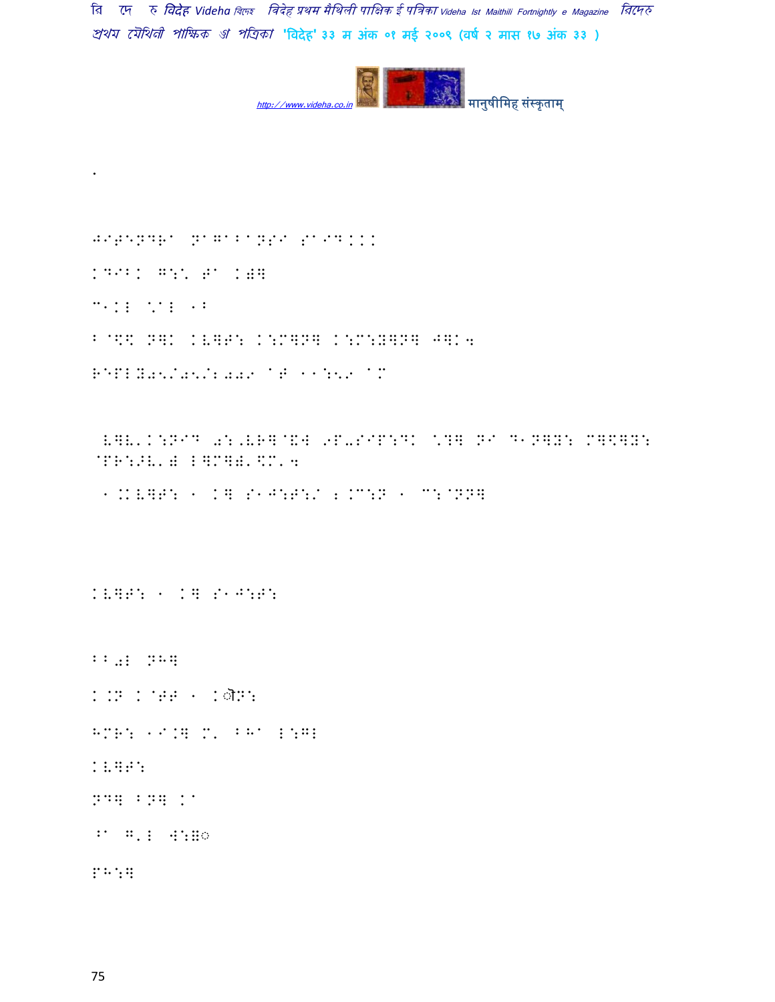िव दिन है *विदेह Videha बिल्ह विदेह प्रथम मैथिली पाक्षिक ई पत्रिका Videha Ist Maithili Fortnightly e Magazine <i>विद*मह õथम मैिथली पािक्षक ई पिñका **'**िवदेह**'** ३३ म अंक ०१ मई २००९ (वष र् २ मास १७ अंक ३३ )



JANG NAGARA NAGARA NAGARA NAGARA SAID. KDIBK G:\* Ta K)] CHE THE SPE B@\$\$\$ NIK KORA KONSTRATIONS REPLY 05/2009 at 11:59 and 11:59 and 11:59 and 11:59 and 11:59 and 11:59 and 11:59 and 11:59 and 11:59 and 11:

KAN SIPER VIOLENCE SELECTION (VAN DE PRODUCTATION) W: PR: VIII LE SECONDE PRESS

1.KV: 1.Han S1 (1 H): 1 (1 Analysis) (1 C:N): 1 (1 M): 1 C:N 1 C:N 1 C:N 1 C:N 1 C:N 1 C:N 1 C:N 1 C:N 1 C:N 1

THE CONSTRUCTS

 $\Omega$  -  $\Omega$  -  $\Omega$  -  $\Omega$  -  $\Omega$ 

 $\mathbf{1}_{\mathbf{1}_{\mathbf{1}}\mathbf{1}_{\mathbf{1}}}$ 

K.N K.N KOMER 1 KOMER 1

HTBS: 12018 T. PAC BSB

**TEBRIT** 

 $99999999977$ 

 $T^*$   $H$ :  $H$   $H$ :  $H$ 

 $P^{\text{H}}(P^{\text{H}})$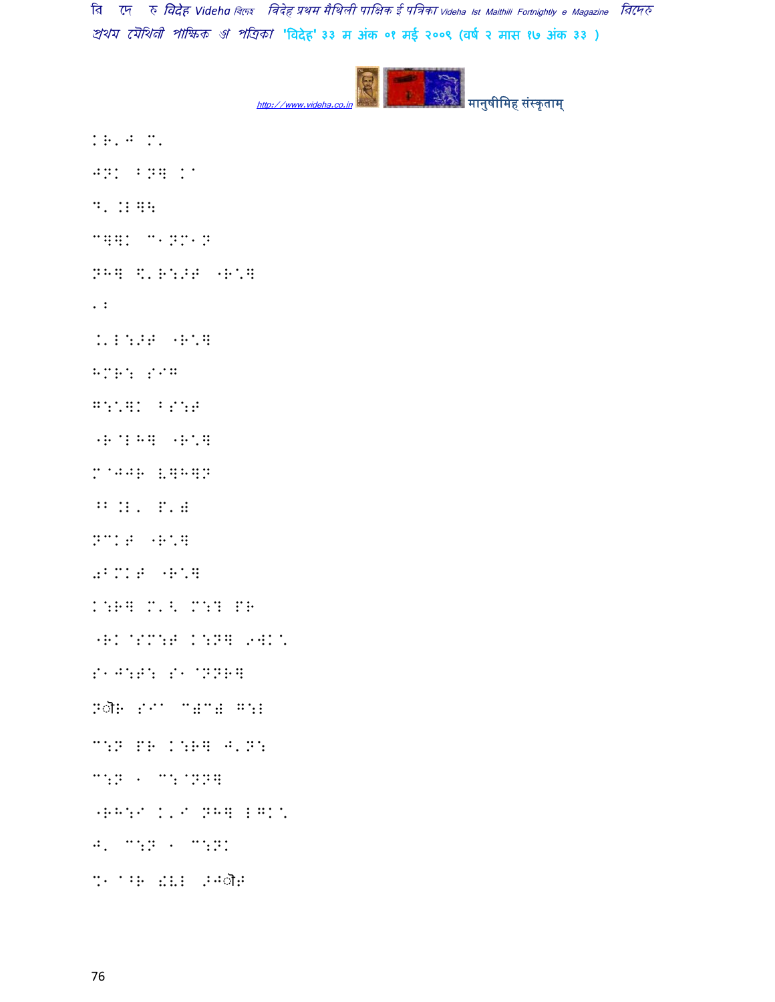

KR'J M'

HNK BH<sub>1</sub>

D'.L]\

THE CONDUCT

NH] \$'R:>T "R\*]

 $\cdot$  :

1.1012F (PNP)

HTP: SIGH

B:tH: FFHE

"R@LH] "R\*]

 $T$  Value (1999)

^B.L' P')

**NOVEMBER** 

0BMKT "R\*]

**CHE MA MY PR** 

"RK" RK" RH" (1998) 9811

SN-S1910 S10000

N◌ॊR SIa C)C) G:L

TAR TE CARR 4.75

C:N 1 C:N 1 C:N 1 C:N 1 C:N 1 C:N 1 C:N 1 C:N 1 C:N 1 C:N 1 C:N 1 C:N 1 C:N 1 C:N 1 C:N 1 C:N 1 C:N 1 C:N 1 C:

HHYM I K'I NHE ERIN

 $J$  C:N  $\sim$  T:NK:

%1@^R !VL >J◌ॊT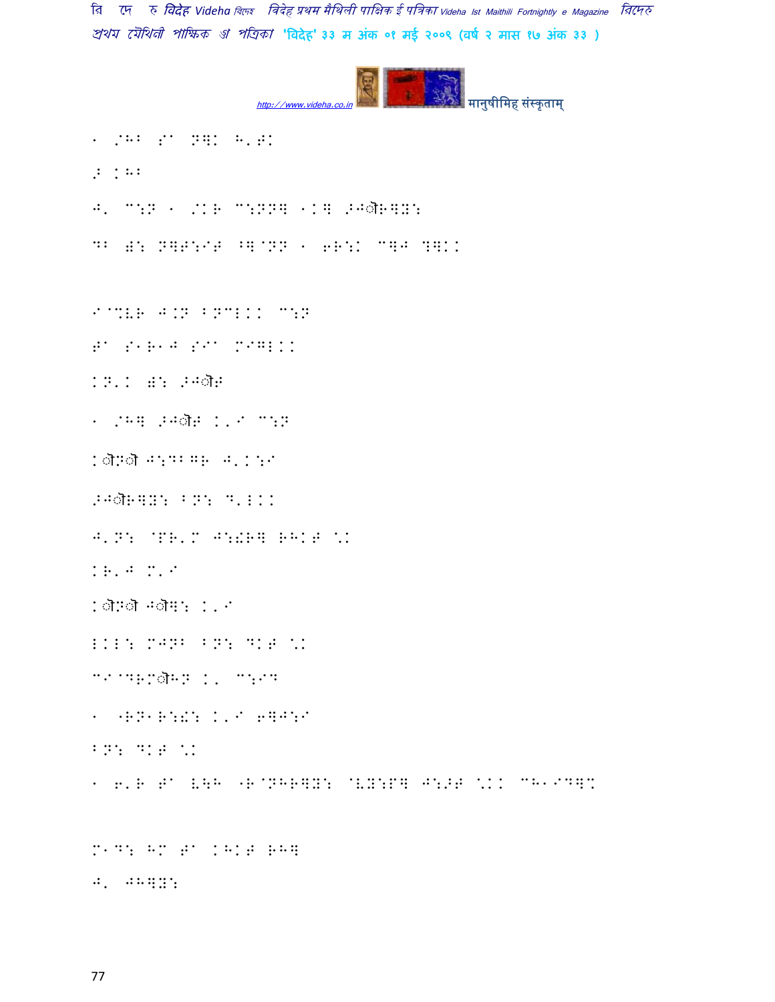

1 /HB SA NH SA N

 $\mathbb{R}^n \subset \mathbb{R}^n$ 

J', C:N / C:R C:NNR (18) 29009881

**BE SHERR BETH ): NEW 198 198** 

I@%VR J.N BNCLKK C:N

BT SPEED STATES

 $I: \mathbb{R}^n \to \mathbb{R}^n$  :  $I: \mathbb{R}^n \to \mathbb{R}^n$ 

1 /HE /H@F (117 TEP

Kाले मान मान प्राप्त करते हैं।<br>प्राप्त करने पर प्राप्त करने पर प्राप्त करने के प्राप्त करने के प्राप्त करने के स

>J◌ॊR]Y: BN: D'LKK

J. W: MER'M J: RHKT RHKT AN

KR'J M'I

 $\mathbb{R}^n$ े में अंस $\mathbb{R}^n \subset \mathbb{R}^n$  , where  $\mathbb{R}^n$ 

LIN TAN BN: DE NI

CROSS CIONS

1 "RN1R:!: K'I 6]J:I

BN: DKT \* DKT

1 6'R Ta V\H "R@NHR]Y: @VY:P] J:>T \*KK CH1ID]%

**T-TA HT F KHKT RHE** 

 $J_{\rm 2}$  JHHEET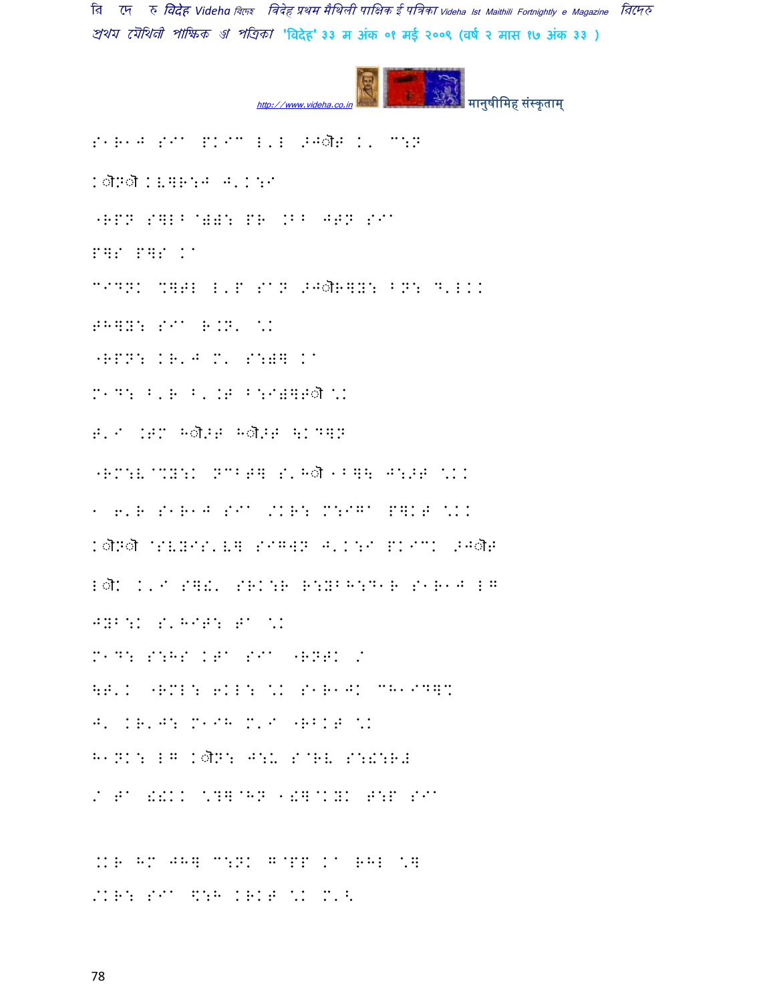

SHEHAT SIM SIA PKIC SAGE KITA PAR  $R^2$  . The  $R^2$  and  $R^2$  are  $R^2$  and  $R^2$  are  $R^2$  . The  $R^2$ "RPN S]LB@)): PR .BB JTN SIa PHS PHS IN CIDNK %]TL L'P SaN >J◌ॊR]Y: BN: D'LKK FRANCIS SIA R.N. "RPN: KR'J M' S: STARR (2) MORTH BY BILLING BY BELLEVILLE The The Hole Hole of the "ROM: VOIC 379 RH" S.P \* FR #NOB 101 1 6. P S1R1J SIA /M:IGA PIPE \*KK KONSO DESERTAT DE SUPERTI SIGNE DE SUPERTI SIGNE Latin K'I San San Silis San Silis Shini Latin Shini Latin Shini Latin Shini Latin Shini Latin Shini Latin Shin JYB:K S'HIT: Ta \*K M1D: S:HS KTa SIa "RNTK / \T'K "RML: 6KL: \*K S1R1JK CH1ID]% J' KR'J: M1IH M'I "RBKT \*K HARD: ER CORR AND STEE STEDER / Ta !!KK \*?]@HN 1!]@KYK T:P SIa

.KR HM JH] C:NK G@PP Ka RHL \*] /KR: SIa \$:H KRKT \*K M'<

78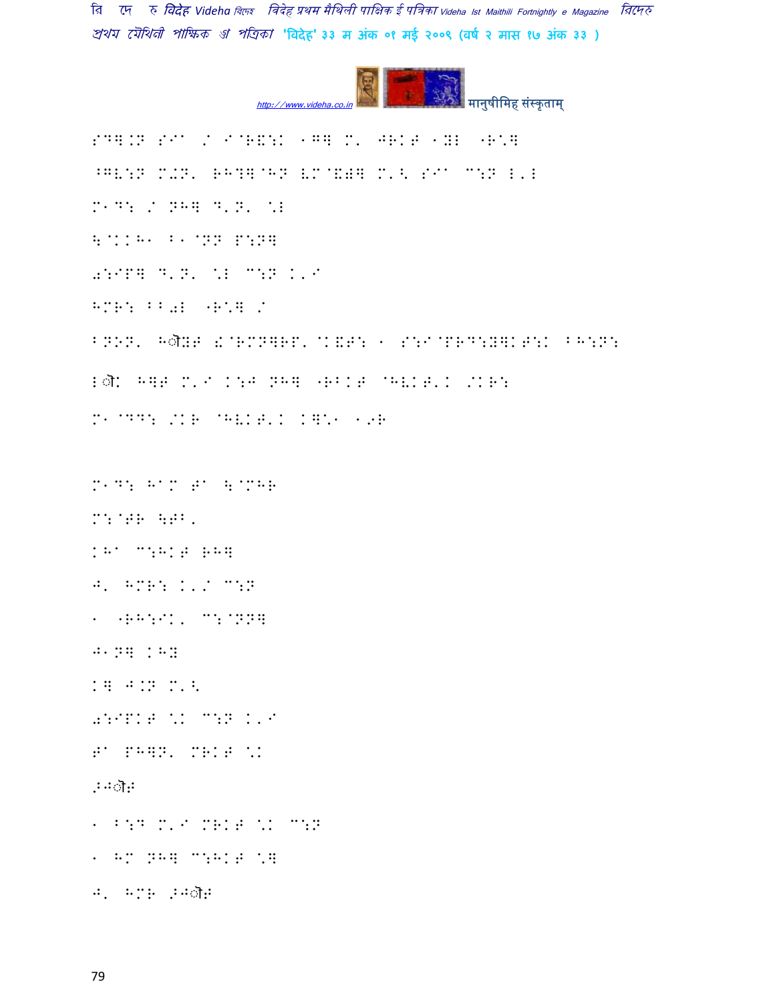ৱি দে *হ विदेह Videha बिलर विदेह प्रथम मैथिली पाक्षिक ई पत्रिका Videha Ist Maithili Fortnightly e Magazine <i>ৱিদে*হ õथम मैिथली पािक्षक ई पिñका **'**िवदेह**'** ३३ म अंक ०१ मई २००९ (वष र् २ मास १७ अंक ३३ )



SOURCE SO AN SIA WARRANT IN SIA WARRANT IN SERIES OF THE UNIVERSITY OF THE UNIVERSITY OF THE UNIVERSITY OF THE ^GV:N M+N' RH?]@HN VM@&)] M'< SIa C:N L'L M1D: / NH] D'N' \*L  $\oplus$   $\cdots$   $\oplus$   $\cdots$   $\oplus$   $\oplus$   $\oplus$   $\oplus$   $\oplus$ 0:IPP P.P. M. THR 1.7 **HTP: BB0L "RTB0L"** BNON' HOND RIGHT ! IS IN THE THE THREE IN THIS L◌ॊK H]T M'I K:J NH] "RBKT @HVKT'K /KR: TO THE ZIE CHILE, I THIS SOF M1D: HaM Ta \@MHR M:@TR \TB' KHA CHA CHA CHA CHA J' HMR: K'/ C:N 1 **"RH:IK' C:** NN HH: J1N] KHY KR #12 M.A. 0: IPKT \* K C:N KY K C:N Ta PH]N' MRKT \*K ়∺ৗ≓ 1 B:D MY MARKET AND MARK 1 HM NHE CHIELE CH J' HTP JAGR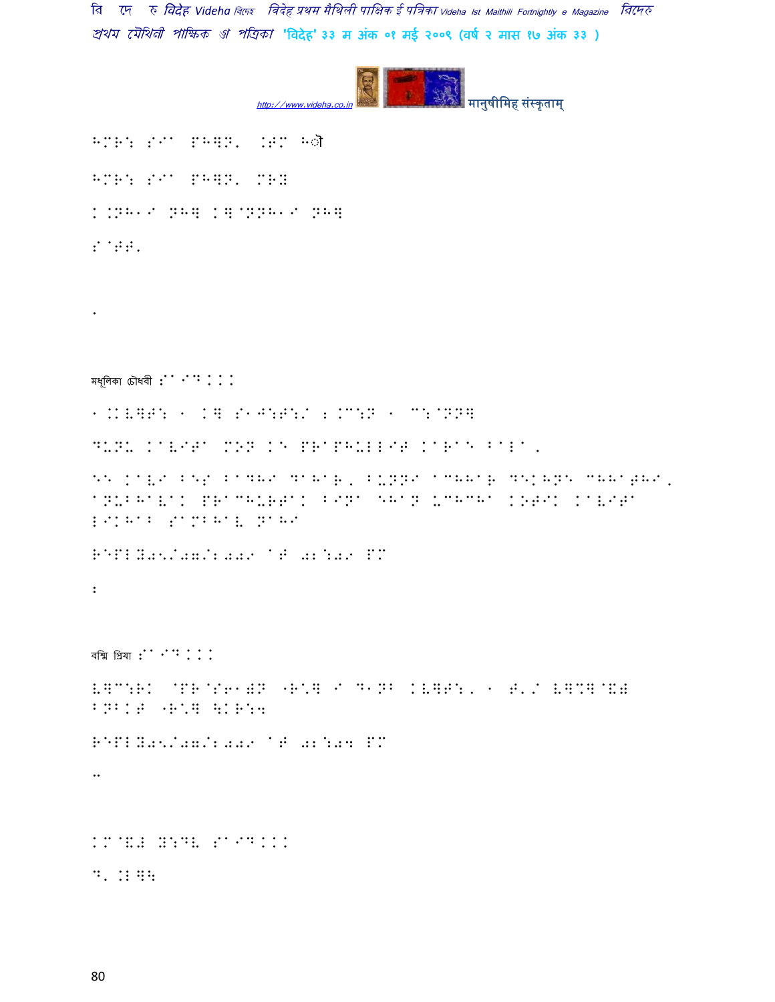

HTP: SIA PHER. 187 HO HTP: SIA PHRY, TRI K.NH1I NHE KERKIN NHE SOFT STATES

মধূলিকা চৌধবী :  $\cdots$ :  $\cdots$ 

1.KV]T: 1 K] S1J:T:/ 2.C:N 1 C:@NN]

RUNU KALENDING MARAE BALA, PERSONAL PADA BALA, PERSONAL PRAPHULLIT KARAE BALA, PERSONAL PRAPHULLIT KARAF BALA,

EE KaVI BES BaDHI DaHaR, BUNNI aCHHaR DEKHNE CHHaTHI, aNUBHaVaK PRACHURTAK BINA EHAN UCHCHA KOTIK KAVIT LIKHaB SaMBHaV NaHI

V]C:RK @PR@S61)N "R\*] I D1NB KV]T:, 1 T'/ V]%]@&)

REPLY05/07/2009 aT 02:09 PM

REPLY05/07/2009 aT 02:04 PM

 $\ddot{\cdot}$ 

 $\ddot{\phantom{0}}$ 

 $\sim 100$ 

বশ্মি প্রিয়া $: \cdot \cdot \cdot : \cdot$ :

BNBKT "R\*H"

KM Y:D SAID. THE YEAR OLD SAID.

D'.L]\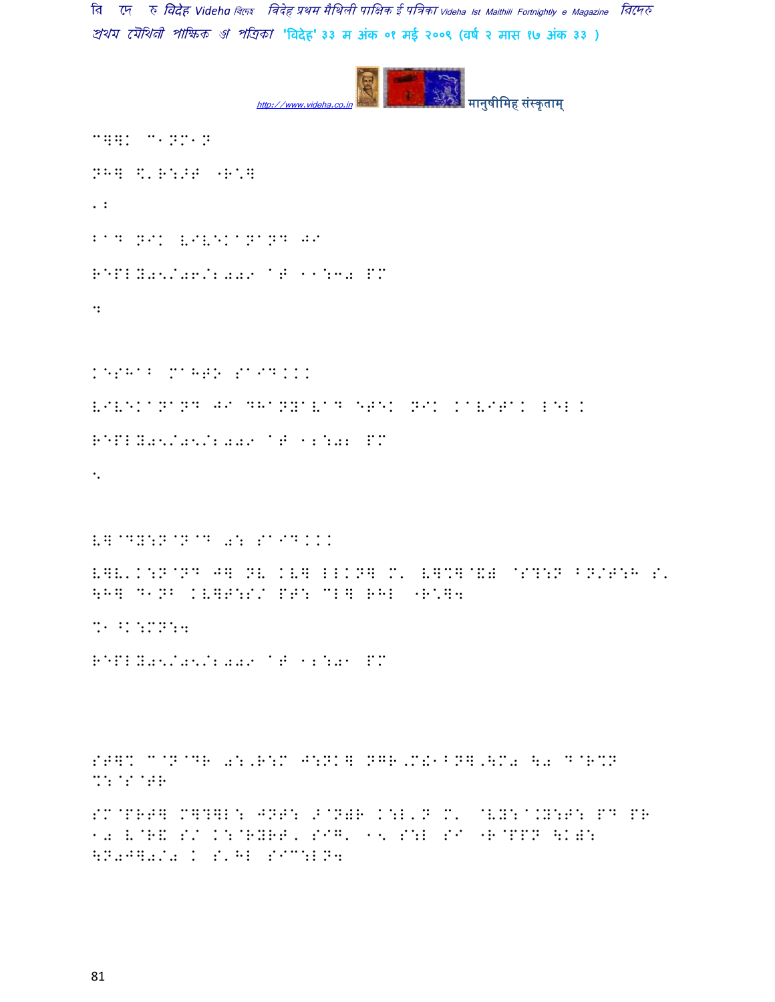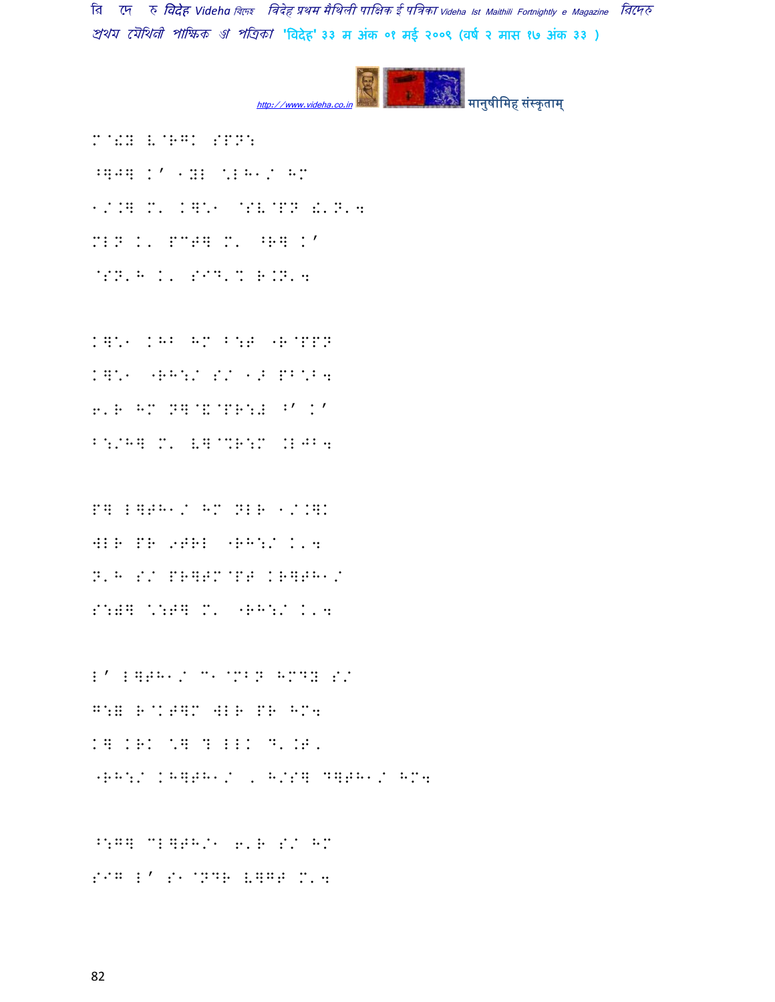

M@!Y V@RGK SPN: ^]J] K' 1YL \*LH1/ HM 1/100 MW KATO 1000 MW KATO 1000 MW KATO 1000 MW KATO 1000 MW KATO 1000 MW KATO 1000 MW KATO 1000 MW KATO 1000 MLN K' PCH M' BH (K @SN'H K' SID'% R.N'4

K#1 KHB HM B:T "R@P K]\*1 "RH:/ S/ 1> PB\*B4 6. F HM NH NE TENE (F/ 1/ B:/HE M. LE MENT (1944)

PU LUBARY AT PLE RYSHI WIR PR 9TRL "RH:/ K'41 N'H S/ PR]TM@PT KR]TH1/ S:)] \*:T] M' "RH:/ K'4

 $T$  CHF CLASS CONSIDERING THE SAME SET  $\mathbb{R}^n$ 

SIG LY SIGNED REAL TIME

L' LAGARIT CHI CHI HOME SI B: ROKER WAR WAR WAR KRK THE THE TANK "RH:/ KH]TH1/ , H/S] D]TH1/ HM4

82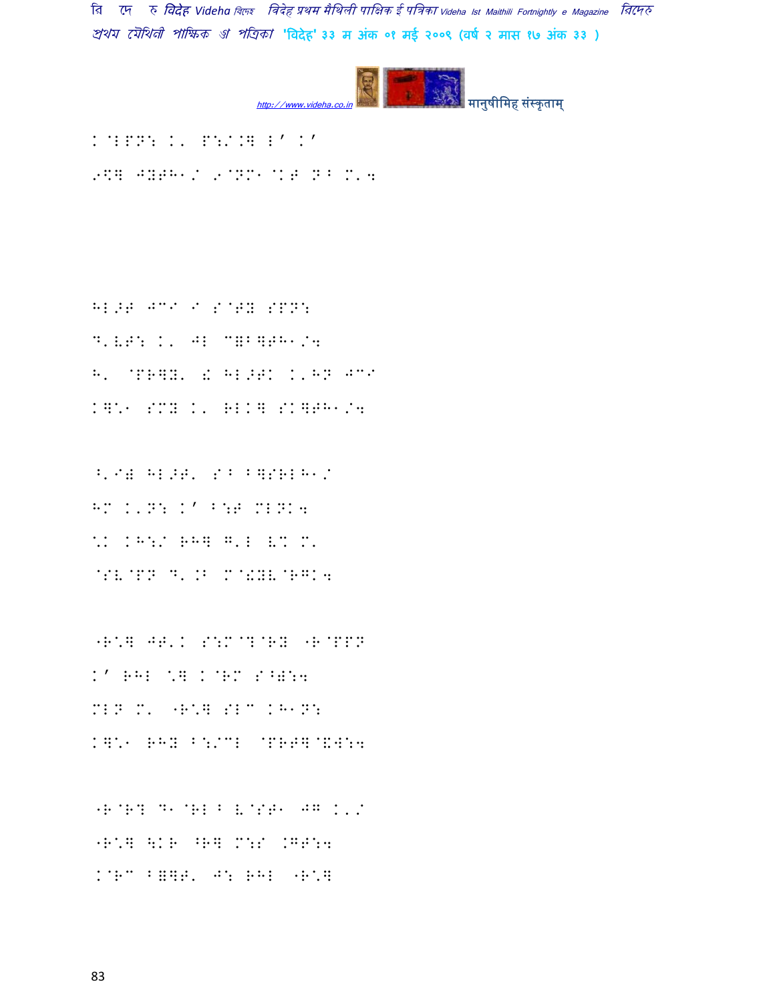

KMPN: K' PENDREY KY 9\$] JYTH1/ 9@NM1@KT N^ M'4

HLIB HRV SPINE SPRI D'UT: K' JL CHE CHE CHE CHE H' THE WAS HERE IN HEAT KANY KYE IL BILA SKARPANY

^'I) HL>T' S^ B]SRLH1/ HT KITH KY BAH TERDA \*K KH:/ RH] G'L V% M' @SV@PN D'.B M@!YV@RGK4

"R\*] JT'K S:M@?@RY "R@PPN K' RHL NA C'API S'ABA MERUPAT MENGINYA MENYE KA) RHY B:/CL @PRT

RECEPT TO THE ROBOTING WHICH IS  $H: \mathbb{R} \to \mathbb{R}$  . Given the  $\mathbb{R} \to \mathbb{R}$  . Given  $\mathbb{R} \to \mathbb{R}$ .@RC B=]T' J: RHL "R\*]

83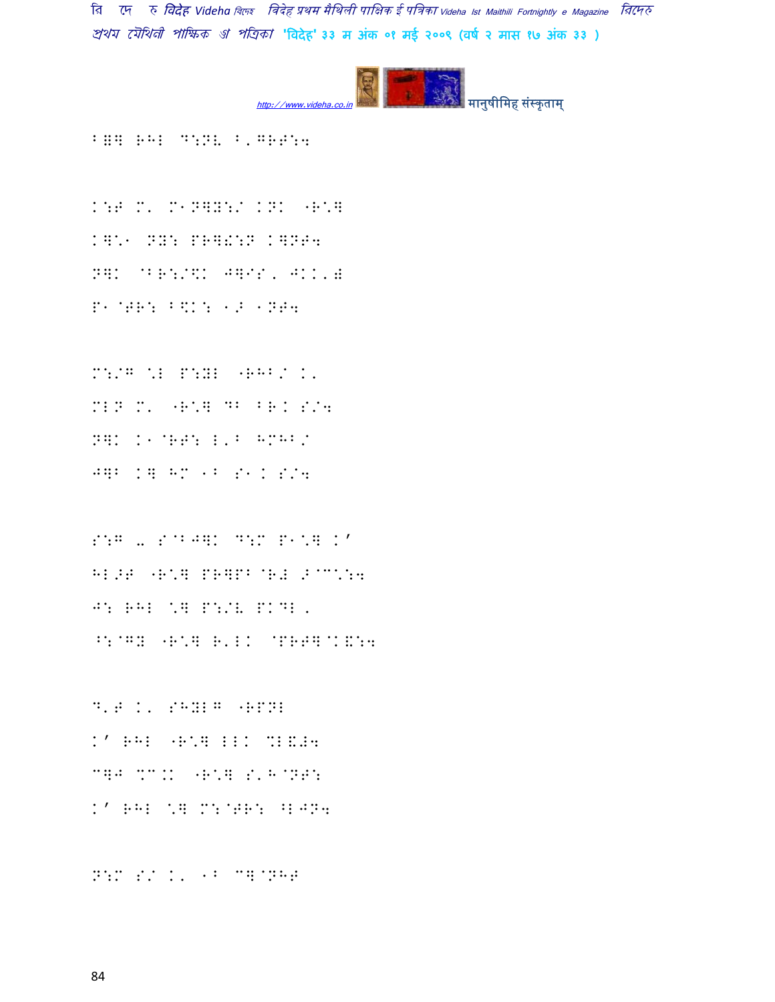

BBC RHL DOCK BY BEATLE

K:T MY MANAGEMENT PROPERTY KAN KALENDAR KAN KANG KALENDAR PERSEBUTAN KANG ALAM KERJA DAN PERSEBUTAN KAN PERSEBUTAN PERSEBUTAN PADA PADA P NAK MERING ANG ANG PINA PHONE: B\$K: A F + 2H4

M:/G \*L P:YL "RHB/ K' MENT MORE TO BE SAN N]K K1@RT: L'B HMHB/ HH IB BI ST ST ST SIL

SOME STRAND CONTROLLER HLBB "RTH TRAPP "RA" & CONTRA J: RHL \*] P:/V PKDL, ^:@GY "R\*] R'LK @PRT]@K&:4

D'ALLEN SHYLG K' RHL "RYB BIC WEER THE TULE GENE CONTROL K' RHL NA TROBBY ALAPA

N:M S/ K' 1B C]@NHT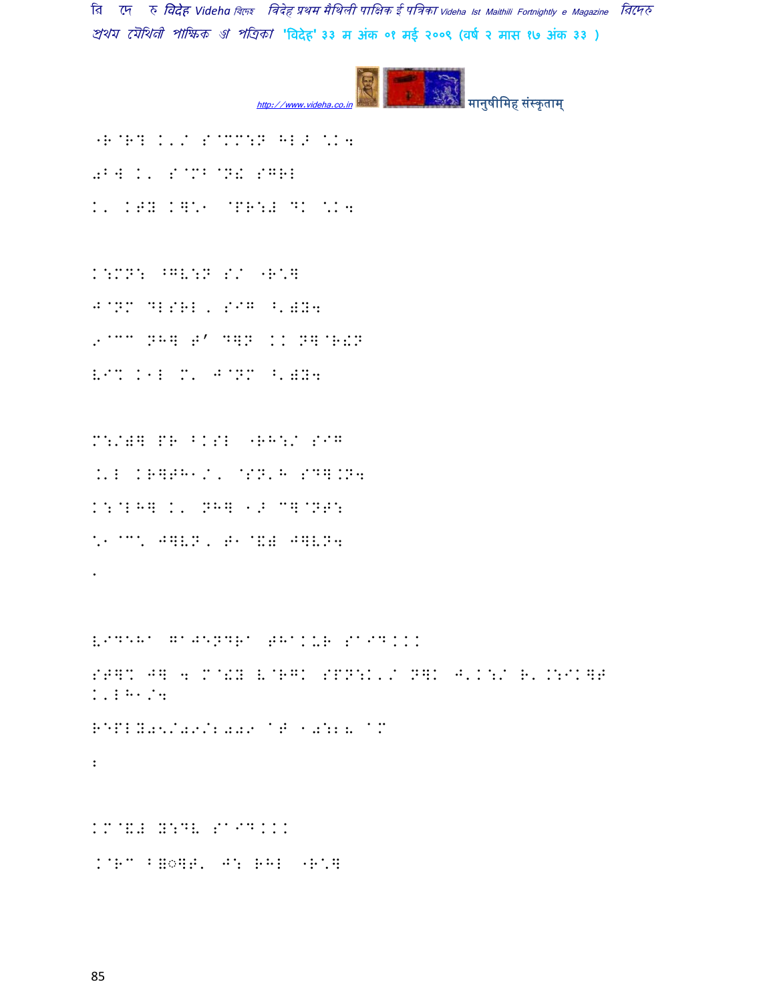

"R@R? K'/ S@MM:N HL> \*K4 0BW K K SOME SCRL SHEET K. KATY KATY KALENDARY DA

K:MN: PRESP PO (BNB J@NM DLSRL, SIG ^')Y4 9@CC NH] T' D]N .. N]@R!N VIX K1L M' JON SERVICE STREET

M:/)] PR BKSL "RH:/ SIG .'L KR]TH1/, @SN'H SD].N4 K:@LH] K' NH] 1> C]@NT: \*1@C\* J]VN, T1@&) J]VN4  $\ddot{\phantom{0}}$ 

VIDEHa GaJENDRa THaKUR SaID... ST]% J] 4 M@!Y V@RGK SPN:K'/ N]K J'K:/ R'.:IK]T  $L_1$  in the  $L_2$ RREPLACEMENT OF SAND CO  $\ddot{\cdot}$ 

KM WHO SAID. THE SAID SAID. .@RC B=◌]T' J: RHL "R\*]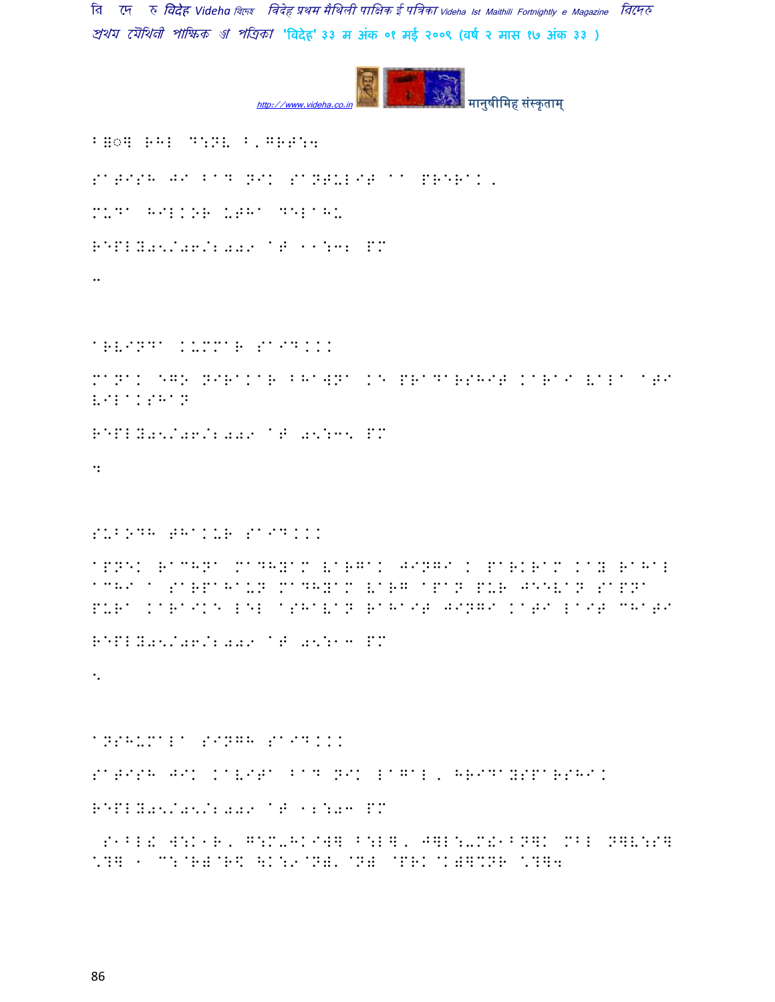

BEGRIEGE CONSIL RIGHTS Satish Ji bad ni Bad ni Bad ni Kantulit aa MUDa HILKOR UTHa DELaHU REPLYNS AT 11:32 PM AT 11:32 PM  $\ddot{\phantom{0}}$ aRVINDA KUMMAR SAID. MaNaK EGO NIRaKaR BHaWNa KE PRaDaRSHIT KaRaI VaLa aTI ESPITE PROP REPLY 05:35 PM at 05:35 PM at 05:35 PM at 05:35 PM at 05:35 PM at 05:35 PM at 05:35 PM at 05:35 PM at 05:35 PM  $\dddot{\bullet}$ SUBORG TANGAN TANGAN TANGAN TANGAN TANGAN TANGAN TANGAN TANGAN TANGAN TANGAN TANGAN TANGAN TANGAN TANGAN TANG aPNEK RaCHNa MaDHYaM VaRGaK JINGI K PaRKRaM KaY RaHaL aCHI a SaRPaHaUN MaDHYaM VaRG aPaN PUR JEEVaN SaPNa PURA KARANG KALAIKE LELA ASHAYAN ASHAY LAIT CHATI LAIT CHATI LAIT CHATI LAIT CHATI LAIT CHATI LAIT CHATI LAIT REPLY 05:13 PM aT 05:13 PM aT 05:13 PM aT 05:13 PM aT 05:13 PM aT 05:13 PM aT 05:13 PM aT 05:13 PM aT 05:13 PM  $\ddot{\phantom{0}}$ anshumala singh said... STUPPER AND ISLAMENT FOR SPAIN BOWER, HENRIGHTSPARS REPLY05/05/2009 aT 12:03 PM STORE WELL AND MELTING BILL AND NUMBER OF BUSINESS \*?] 1 C:@R)@R\$ \K:9@N)'@N) @PRK@K)]%NR \*?]4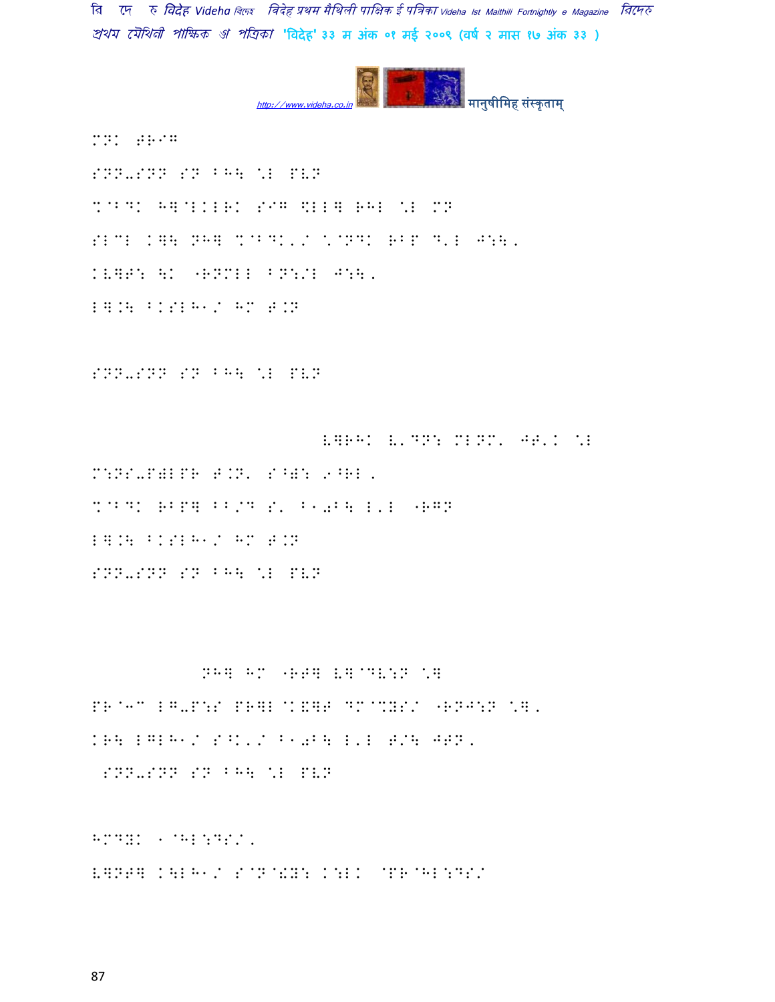

MNK TRIG SNN-SNN SN BH\ \*L PVN %@BDK H]@LKLRK SIG \$LL] RHL \*L MN SLCL K]\ NH] %@BDK'/ \*@NDK RBP D'L J:\,  $\frac{1}{2}$  ,  $\frac{1}{2}$  ,  $\frac{1}{2}$  ,  $\frac{1}{2}$  ,  $\frac{1}{2}$  ,  $\frac{1}{2}$  ,  $\frac{1}{2}$  ,  $\frac{1}{2}$  ,  $\frac{1}{2}$  ,  $\frac{1}{2}$  ,  $\frac{1}{2}$  ,  $\frac{1}{2}$  ,  $\frac{1}{2}$  ,  $\frac{1}{2}$  ,  $\frac{1}{2}$  ,  $\frac{1}{2}$  ,  $\frac{1}{2}$  ,  $\frac{1}{2}$  ,  $\frac{1$ 1918 FINDS - NO HO

SNN-SNN SNN SNN SNN SNN

RHK V'N'DN: MARK VAN STRI M:NS-P)LPR T.N. S. PORT T.N. S. P %@BDK RBP] BB/D S' B10B\ L'L "RGN 1918 CONTROL STR SNN-SNN SN BH\ \*L PVN

THE HM SHEE EESTERF OF PR@3C LG-P:S PR]L@K&]T DM@%YS/ "RNJ:N \*], KR\ LALAX STILLY SYNTH LI SIN AND. SNN-SNN-SNN SNN SNN-SNN SNN SNN

However, we have a second contribution of the second contribution  $\mathcal{L}_\mathcal{A}$ RANA VALLAS SON SAN VALLAS SON SAN VALLAS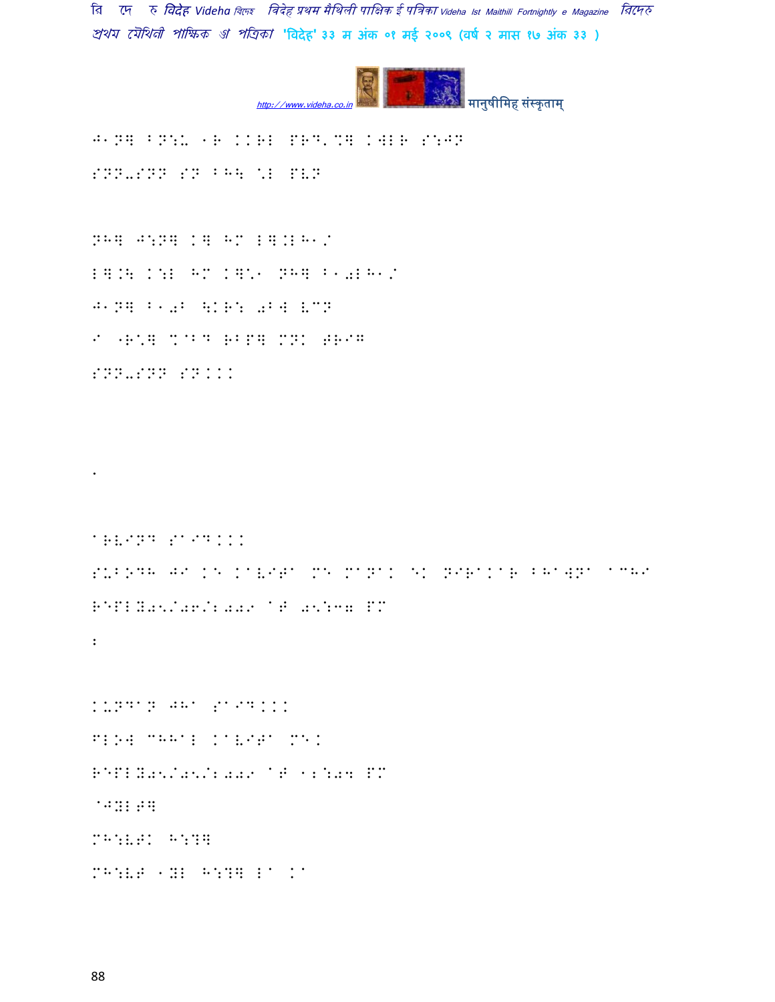

JA: PH: A PARL A BACKER PROVINCE (1988) SSERIES SNN-SNN SNN SNN SNN

NH] J:N] K] HM L].LH1/ LAN K:L HI KAN KHA B10LH1/ JH00B VCH B10B VCH BTP I "R\*] %@BD RBP] MNK TRIG SNN-SNN SN...

arvives and said... SUBODH JAK IN KENAM ME MANAK EK NI MANAK EK NIRAK EK NIRAK RREPLYNS AT 1999 AT 1999 AT 1999 AT 1999 AT 1999 AT 1999 AT 1999 AT 1999 AT 1999 AT 1999 AT 1999 AT 1999 AT 19  $\ddot{\cdot}$ 

KUNDAN JERUSI FLOW CHHALL KAVITA ME. REPLY 05/2009 at 12:04 PM @JYLT] **MH:VTK H:VTK MH:VI 1999** LA KATER 1999

 $\bullet$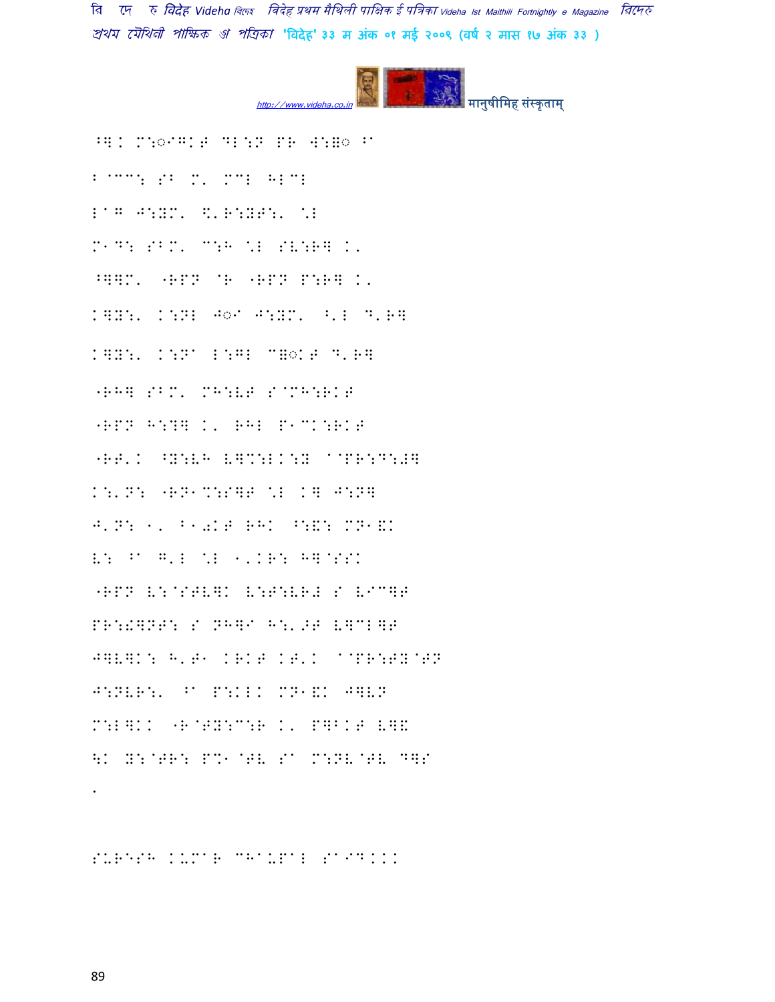िव दिन है *विदेह Videha बिलर विदेह प्रथम मैथिली पाक्षिक ई पत्रिका Videha Ist Maithili Fortnightly e Magazine <i>विद*मह õथम मैिथली पािक्षक ई पिñका **'**िवदेह**'** ३३ म अंक ०१ मई २००९ (वष र् २ मास १७ अंक ३३ )



**PHI TROPHIE TEAT TH HIMO PI** BOTTLE MODEL HELL 1: The State Company of the State Company of the State Company of the State Company of the State Company of the D: TE SPONSON (SV:R) SENERONI WHILE GRIP OF GRIP PER I. K]Y:' K:NL J◌I J:YM' ^'L D'R] KHEN: (1991-1988) THOIR 7.89 "RH] SBM' MH:VT S@MH:RKT "RPN H:?] K' RHL P1CK:RKT  $R$  . The property of the property of the property of the property of the property of the property of the property of the property of the property of the property of the property of the property of the property of the prop K:'N: "RN1%:S]T \*L K] J:N] J'N: 1' BIOKT RHK AND THE REAL PROPERTY K: C: C: C: V: C: H; HE SEK "RPN V:@STV]K V:T:VR# S VIC]T PR:!]NT: S NH]I H:'>T V]CL]T J]V]K: H'T1 KRKT KT'K @@PR:TY@TN J:NVR:' ^a P:KLK MN1&K J]VN M:L]KK "R@TY:C:R K' P]BKT V]& \K Y:@TR: P%1@TV Sa M:NV@TV D]S  $\ddot{\phantom{1}}$ 

SURESH KUMAR CHAUPAL SAID.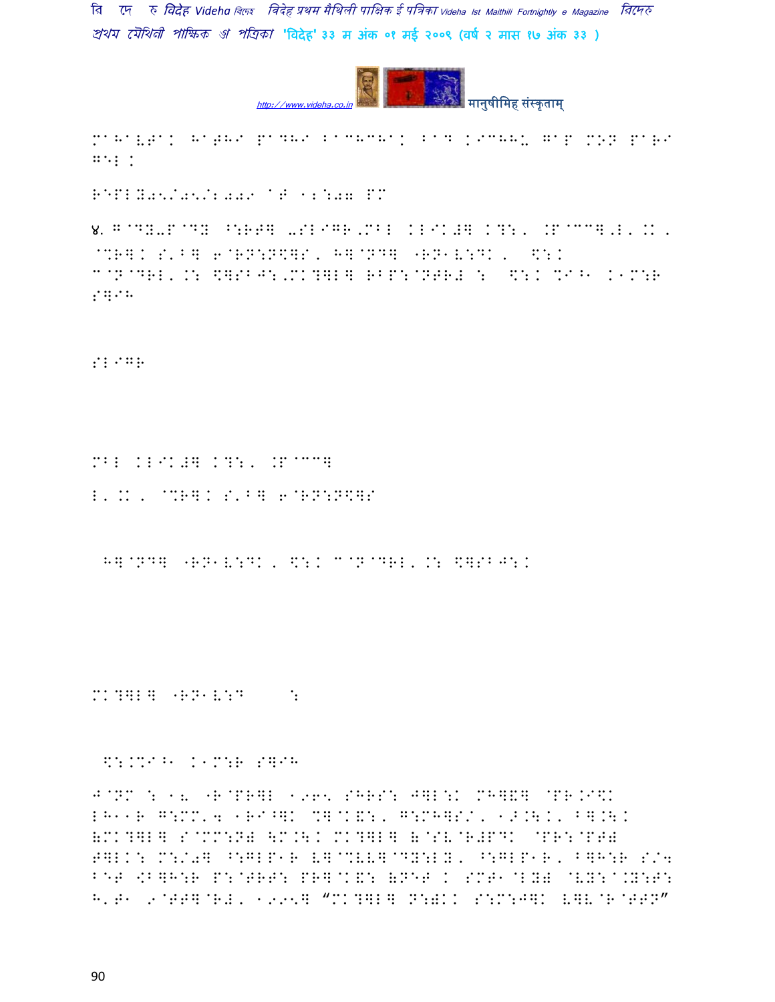

MaHaVTaK HaTHI PaDHI BaCHCHaK BaD KICHHU GaP MON PaRI  $H^1$   $\vdots$   $\vdots$ 

REPLYNS AT 12:07 PM 12:07 PM

४. G@DY-P@DY ^:RT] -SLIGR,MBL KLIK#] K?:, .P@CC],L'.K, @%R]. S'B] 6@RN:N\$]S, H]@ND] "RN1V:DK, \$:. CONDITIONS CONSIDERED BEEN CHEEF & SOURCES IN A SOURCE S]IH

SLIGHT

MBL KLIKE KRIK KRIST

L'.K, @%R]. S'B] 6@RN:N\$]S

H]@ND] "RN1V:DK, \$:. C@N@DRL'.: \$]SBJ:.

MAKREY "REPORTS"

\$:.%I^1 K1M:R S]IH

J@NM : 18 "R@PR]L 1965 SHRS: J]L:K MH]&] @PR.I\$K LH11R G:MM'4 1RI^]K %]@K&:, G:MH]S/, 1>.\., B].\. (MK?]L] S@MM:N) \M.\. MK?]L] (@SV@R#PDK @PR:@PT) THE CONTROL BY CONSIDERED AN INTERNATIONAL BIJ THE CONTROL OF BACK COOLS BET REPORT IN THE REPORT OF STRAINING AND THE CONSTRUCTION OF THE REPORT OF THE PROPERTY OF THE REPORT OF THE REPORT OF THE PROPERTY OF THE PROPERTY OF THE PROPERTY OF THE PROPERTY OF THE PROPERTY OF THE PROPERTY OF THE PR H'T1 9@TT]@R#, 1995] "MK?]L] N:)KK S:M:J]K V]V@R@TTN"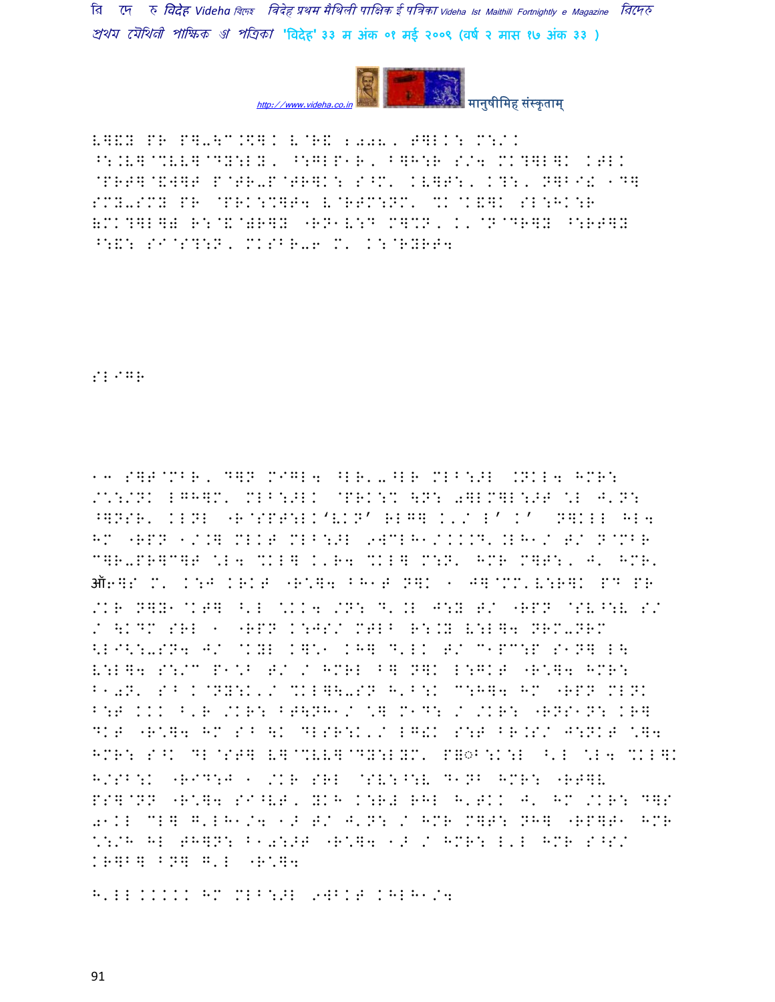

V]&Y PR P]-\C.\$]. V@R& 2008, T]LK: M:/. ^:.V]@%VV]@DY:LY, ^:GLP1R, B]H:R S/4 MK?]L]K KTLK @PRT]@&W]T P@TR-P@TR]K: S^M' KV]T:, K?:, N]BI! 1D] SMY-SMY PR @PRK:%]T4 V@RTM:NM' %K@K&]K SL:HK:R (MAR) ROOM RECORDS TO MAKE THE RELEASED RELEASED AND RELEASED AND RELEASED AND RELEASED AND RELEASED AND RELEASED AND RELEASED AND RELEASED AND RELEASED AND RELEASED AND RELEASED AND RELEASED AND RELEASED AND RELEASED AND ^:&: SI@S?:N, MKSBR-6 M' K:@RYRT4

SLIGHT

13 S]T@MBR, D]N MIGL4 ^LR'-^LR MLB:>L .NKL4 HMR: /\*:/NK LGH]M' MLB:>LK @PRK:% \N: 0]LM]L:>T \*L J'N: ^]NSR' KLNL "R@SPT:LK'VKN' RLG] K'/ L' K' N]KLL HL4 HM "RPN 1/.] MLKT MLB:>L 9WCLH1/...D'.LH1/ T/ N@MBR MAGLIPHTAR NIG MILA KLIBA NI HA MILA MARI AMR MARA L'AL AMPRI ऑ693 C. CAR CROB ARNEA FRA PORT A ABOC, ENROY PROP. /KR N]Y1@KT] ^'L \*KK4 /N: D'.L J:Y T/ "RPN @SV^:V S/ / \KDM SRL 1 "RPN K:JS/ MTLB R:.Y V:L]4 NRM-NRM REPROGRAM AN INDEPENDENT AN ALL SENSOR PORTER EN PRO V:L]4 S:/C P1\*B T/ / HMRL B] N]K L:GKT "R\*]4 HMR: B10NY: STRING MANY: SN HONG MANY: SN HY "RPN MERI B:T KKK B'R /KR: BT\NH1/ \*] M1D: / /KR: "RNS1N: KR] DKT BROGEN "RIT" BOOD "PE BRATIS IN BRETON BABY A ROBOT HAD THE NEW HMR: S^K DL@ST] V]@%VV]@DY:LYM' P=◌B:K:L ^'L \*L4 %KL]K H/SB:K "RID:J 1 / SB:K "RID:J 1 / SB:K SRL @SV:X D1NB HMR: "RT]V D1NB HMR: "RT PS]@NN "R\*]4 SI^VT, YKH K:R# RHL H'TKK J' HM /KR: D]S 01KL CL] G'LH1/4 1> T/ J'N: / HMR M]T: NH] "RP]T1 HMR \*:/H HL TH]N: B10:>T "R\*]4 1> / HMR: L'L HMR S^S/ KRAND BOOK BOOK BOOK

H'LL..... HM MLB:>L 9WBKT KHLH1/4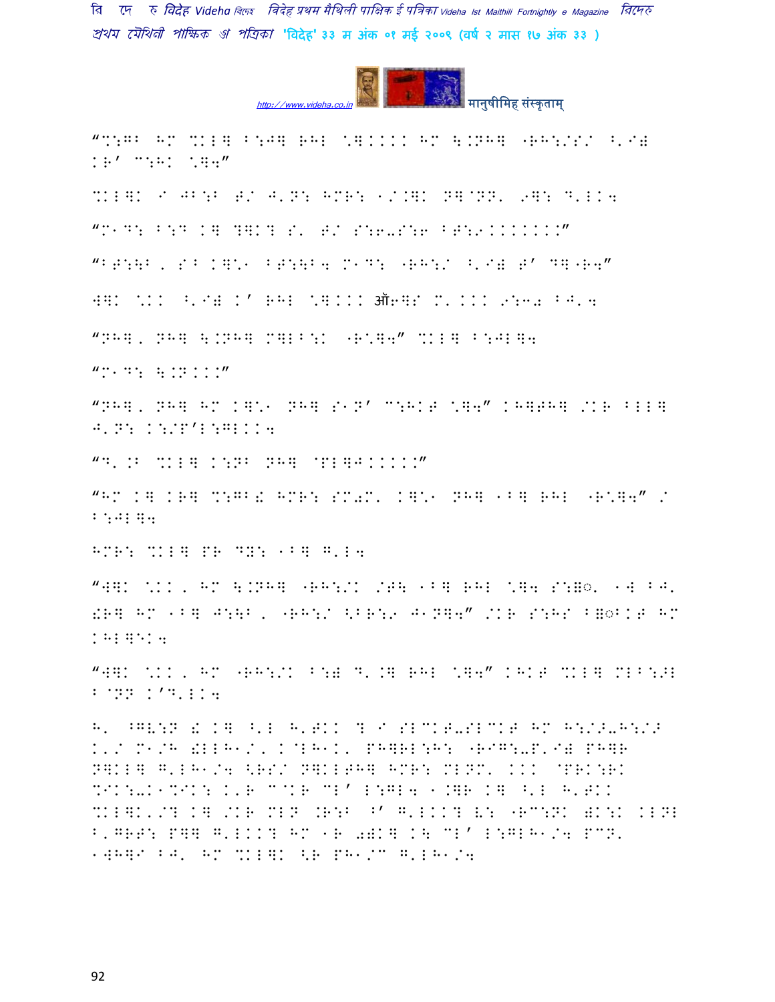िव दिन दि*विदेह Videha विलर्च विदेह प्रथम मैथिली पाक्षिक ई पत्रिका <sub>Videha</sub> ist Maithili Fortnightly e Magazine <i>वि*दिपरु õथम मैिथली पािक्षक ई पिñका **'**िवदेह**'** ३३ म अंक ०१ मई २००९ (वष र् २ मास १७ अंक ३३ )



"WINH AT WIER FAAR BAE NEIDIG AT RIMAR ABANIKI FLAB  $\mathbb{R}^n$  . The  $\mathbb{R}^n$  -defined as

%KL]K I JB:B T/ J'N: HMR: 1/.]K N]@NN' 9]: D'LK4

MISSEN PORT I B: THI B: S. SEE SOBRISH PROPIESI I I SI SI

 $W: B\setminus B$  is said to the set of  $B$  independent of  $B$  . The  $B$  is  $B$  is  $B$  independent of  $B$  in  $B$  is  $B$  is  $B$  in  $B$ 

WHI TO I FACK IT WHAT THIS I SHE TO I STORY AND THE REAL

"NHI , NHE SIMH MHI MI (HAHA" WILH JAHIR.

 $\mathbf{W}^{\mathbf{m}}_{\mathbf{m}} \leftarrow \mathbf{W}^{\mathbf{m}}_{\mathbf{m}} \leftarrow \mathbf{W}^{\mathbf{m}}_{\mathbf{m}} \left( \mathbf{W}^{\mathbf{m}}_{\mathbf{m}} \right) \mathbf{W}^{\mathbf{m}}_{\mathbf{m}}$ 

"NHA HU, NHA HO HO KA BU KUTHA MA' KATA KHI KATA KU KATA KHI ATA HI KATA KHI ATA BARA A KATA BARA HA BARA A KA H. FEORGETH SERVICE

"B. B %KL] H: CHB NHH NH HAILLIN

"HM K] KR] %:GB! HMR: SM0M' K]\*1 NH] 1B] RHL "R\*]4" /  $\mathbb{R}$  is a graph  $\mathbb{R}$ 

HMR: %KL] PR DY: 1B] G'L4

"HAN YOU ARE AUTHER HENDS WHEN FAN HE STAND, HANDAL !R] HM 1B] J:\B, "RH:/ <BR:9 J1N]4" /KR S:HS B=◌BKT HM KHLBRD HO

MARI (NI) AT PHENIC FIA B: P. DR. BHE (NHAM) D'E MILER (DEFINE BONN KYT. 114

H. ^GGUER & LE H. E. H. BIL TE SCHILLER TIP HIS HISLANDI K./ M1/H 2000 PH/K (FOR PHILINE PHONE PHIL DALEA ALEA ZE KEEZ DALEARA ADER DEDD. III KORKIEK WIKI:-WIK: KIR COL COL CHAR CHE CHOOL A.HI %KL]K'/? K] /KR MLN .R:B ^' G'LKK? V: "RC:NK )K:K KLNL B'S ARRIVES AND THE COMMUNIST CONTROL AND A CLOSE TO A CLOSE TO A LIMITARY CONTROL AND A REPORT OF A LIMITARY O 1WH]I BJ' HM %KL]K <R PH1/C G'LH1/4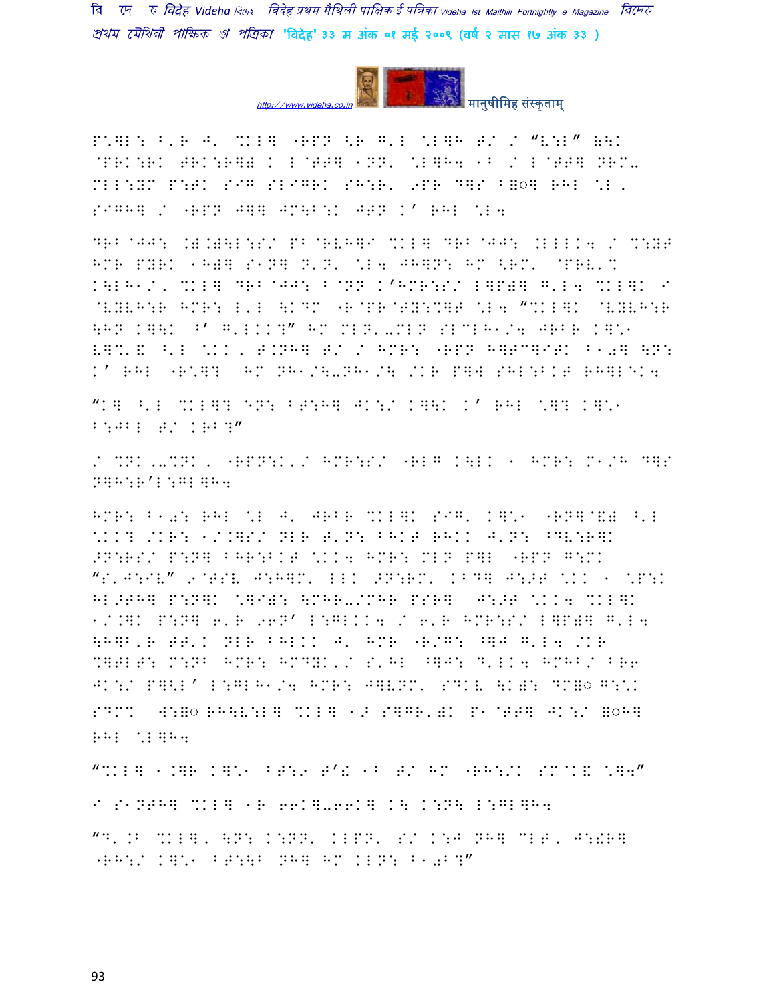

PTHER RING OF REAL PROPERTY AND HIS CONDITIONS OF MILLS WILL ALL @PRK:RK TRK:R]) K L@TT] 1NN' \*L]H4 1B / L@TT] NRM-MLL:YM P:TK SKIG SLIGHT SHE DISTURBATION SHE DISTURBATION OF L SIGHT / RPN AND AND KORPOR HALL TO

DRB DRAG J: .).).) THE MARVE CONSIDERATION OF A SALE OF A SALE OF A SALE OF A SALE OF A SALE OF A SALE OF A SA HMR PYRK 1H)] S1N] N'N' \*L4 JH]N: HM <RM' @PRV'% KALHI, SHIRIPINI, BODI, BODI, BODI, BANA KULI MYLGER-AR HORA: L'LE THE MARINE THO "REPORT "NO AT "WILL BE THE "TEGERAR"  $\#N$  (  $\#N$  )  $\#N$  (  $\#N$  ) if  $\#N$  , where  $\#N$  is the mass of  $\#N$  is the mass of  $\#N$  $K$  (Fig. ) and the substitution of the substitution of  $K$  , the substitution of  $K$  ,  $\Omega$  and  $\Omega$   $\Omega$  and  $\Omega$ K' K' RHE "C' RHL "RHL "PARTICANT RHOLDER" I PARE " I RHE SHLI RHI PE " RHI PE SH

"K] ^'L %KL]? EN: BT:H] JK:/ K]\K K' RHL \*]? K]\*1 B:JBL TREES

/ %NK,-%NK, "RPN:K'/ HMR:S/ "RLG K\LK 1 HMR: M1/H D]S N]H:R'L:GL]H4

HMR: B10: RHP: NE JA, JARER MIESEN SIGH, CSEN (ARTS MED B.E. \*KK? /KR: 1/.]S/ NLR T'N: BHKT RHKK J'N: ^DV:R]K >N:RS/ P:N] BHR:BKT \*KK4 HMR: MLN P]L "RPN G:MK "ST. AGREW" DOMETE (AGRATIC BEI) (JPGBD) (1979-1980) AGJER (1110-1980) ITG HEVER P:NTH): \MHRGE RORELOORE PERH = PROFINS \OO & COLERO 1/.]K P:N] 6'R 96N' L:GLKK4 / 6'R HMR:S/ L]P)] G'L4  $\mathrm{H}\mathrm{H}\mathrm{H}\mathrm{H}\mathrm{H}$  , and the state of the state  $\mathrm{H}\mathrm{H}\mathrm{H}$  and  $\mathrm{H}\mathrm{H}\mathrm{H}$  is a control of the state of the state  $\mathrm{H}\mathrm{H}\mathrm{H}$ %]TLT: M:NB HMR: HMDYK'/ S'HL ^]J: D'LK4 HMHB/ BR6 JK:/ PIRE / ESPERY JA: PDRS: PREDO L: PROESCHE PORG PSU SOMM W: CORE SOMMARY WELL AND SUPPOSE THE SUBJECT OF THE SUBJECT OF THE SUBJECT OF THE SUBJECT OF THE SUBJECT OF THE SUBJECT OF THE SUBJECT OF THE SUBJECT OF THE SUBJECT OF THE SUBJECT OF THE SUBJECT OF THE SUBJECT OF THE RHL 1194

 $N$ KL] FT:9 THE CHILD FERR FROM STORIC HIM SERVICE IN THE  $\pi$ I S1NTH] %KL] 1R 66K]-66K] K\ K:N\ L:GL]H4 "B. B %KL; H: K:N: K:H: K:H: K:H: K: K: H: H: CH: A:H:H

 $R$  . For the state of the state  $R$  and  $R$  is stated by  $R$  . By  $R$  and  $R$  and  $R$  and  $R$  and  $R$  and  $R$  and  $R$  and  $R$  and  $R$  and  $R$  and  $R$  and  $R$  and  $R$  and  $R$  and  $R$  and  $R$  and  $R$  and  $R$  and  $R$  and  $R$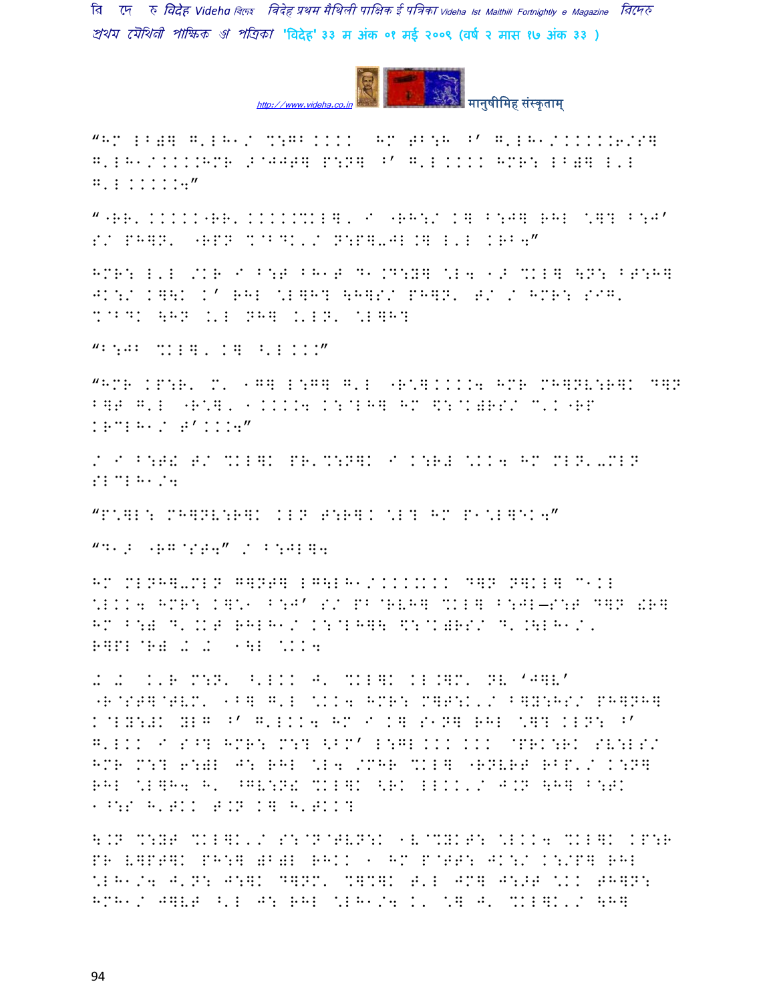

"HM LB)] G'LH1/ %:GB.... HM TB:H ^' G'LH1/.....6/S] G'L'E AR VIOLOGIA PER L'A CHARRE (ENERRE CRACIA LE LOCOLOGIA PER LE LEGRE CELLE B. .........

"MYEEL IIIII AEEL IIIIIII BEL YO YERSI I BOYSHE EREOGHE FSHY S/ PH]N' "RPN %@BDK'/ N:P]-JL.] L'L KRB4"

HMR: L'L /KR I B:T BH1T D1.D:Y] \*L4 1> %KL] \N: BT:H]  $\mathcal{A}$  (Sec. ), and the significant interaction of  $\mathcal{A}$  and  $\mathcal{A}$  is significant interaction. %@BDK \HN .'L NH] .'LN' \*L]H?

 $W: \frac{1}{2}$  $B: \frac{1}{2}$   $B: \frac{1}{2}$   $B: \frac{1}{2}$   $B: \frac{1}{2}$   $B: \frac{1}{2}$   $B: \frac{1}{2}$ 

"HTR CITER T. (HAR ESAN A.E. GRINICIS, ATR TANGLERY THE BOOK BILL "RECORDS" IN THE BOOK RECORDS AND SEE KRCLH1991

/ I B:T! T/ %KL]K PR'%:N]K I K:R# \*KK4 HM MLN'-MLN SLCLHOON

"POSSED THERLING IS FREED ON HOT POINT HOLD

 $W^*$   $\vdots$   $\vdots$   $\vdots$   $\vdots$   $\vdots$   $\vdots$   $\vdots$   $\vdots$   $\vdots$   $\vdots$   $\vdots$   $\vdots$   $\vdots$ 

HOW OF DARLOTE DURRENE IE RAE AKONOOIDOOIDO IR REDUCHTE IN NORDE \*LKK4 HMR: K]\*1 B:J' S/ PB@RVH] %KL] B:JL—S:T D]N !R] HM B:) D'.KT RHLH1/ K:@LH]\ \$:@K)RS/ D'.\LH1/, R]PL@R) + + 1\L \*KK4

 $\pm$  (  $\pm$  )  $\pm$  (  $\pm$  )  $\pm$  (  $\pm$  )  $\pm$  (  $\pm$  )  $\pm$  (  $\pm$  )  $\pm$  (  $\pm$  )  $\pm$  )  $\pm$  (  $\pm$  )  $\pm$  (  $\pm$  )  $\pm$  (  $\pm$  )  $\pm$  (  $\pm$  )  $\pm$  (  $\pm$  )  $\pm$  (  $\pm$  )  $\pm$  (  $\pm$  )  $\pm$  (  $\pm$  )  $\pm$  (  $\pm$  )  $\pm$ "R@ST]@TVM' 1B] G'L \*KK4 HMR: M]T:K'/ B]Y:HS/ PH]NH] K YENGEN HEAR YA ALELIA AM YA IA SYRA BAE NAN IEN SEMI Y G'L'AN SO HORT I SON BOLLET AT DIA A SERIAL LI LI LI LI LI STALI SPELI SVENI SV: HMR MY: 6:10 PH M: RHL WHR WILE "ROLLE REPLY KYRT RHL \*LEHH H. JHENBE TIER (SEI BEILLY J.N ANH FYR. 1^:S H'TKK T.N K] H'TKK?

\.N %:YT %KL]K'/ S:@N@TVN:K 1V@%YKT: \*LKK4 %KL]K KP:R PR V]PT]K PH:] )B)L RHKK 1 HM P@TT: JK:/ K:/P] RHL \*LH1/4 J'N: J:]K D]NM' %]%]K T'L JM] J:>T \*KK TH]N: HTH I AND A LIFE AN HILL TIME AND I WAS ARRESTED FOR HILL FOR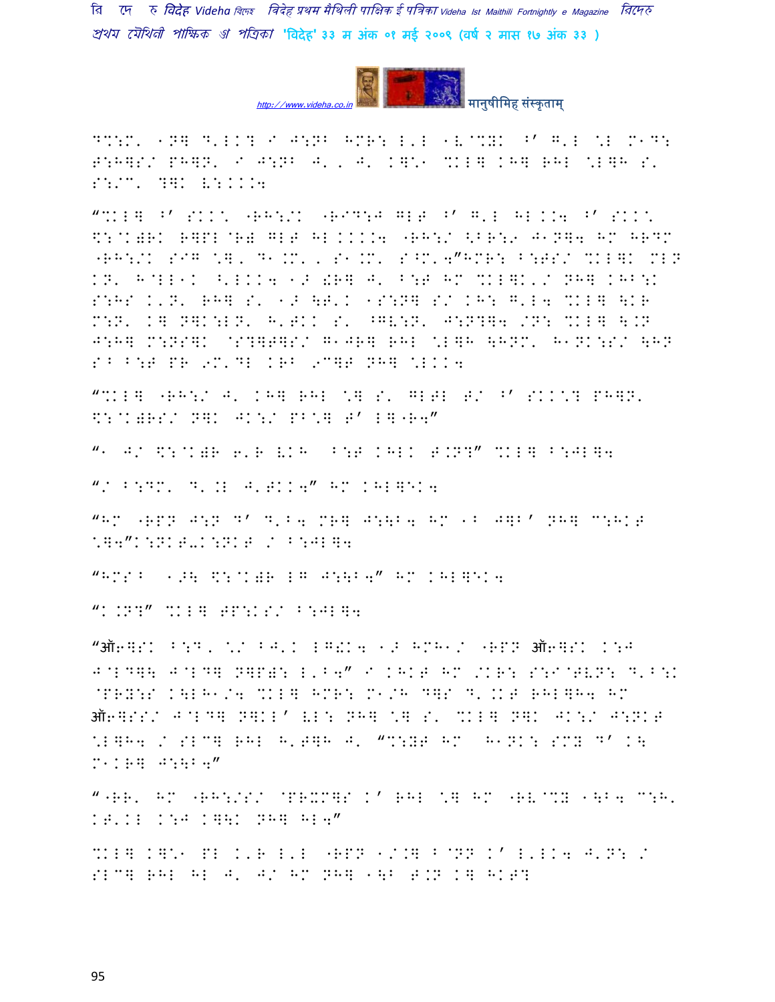ৱি দে *হ विदेह Videha बिलर विदेह प्रथम मैथिली पाक्षिक ई पत्रिका Videha Ist Maithili Fortnightly e Magazine विদেহ* õथम मैिथली पािक्षक ई पिñका **'**िवदेह**'** ३३ म अंक ०१ मई २००९ (वष र् २ मास १७ अंक ३३ )



D%:M' 1N] D'LK? I J:NB HMR: L'L 1V@%YK ^' G'L \*L M1D: T:H]S/ PH]N' I J:NB J', J' K]\*1 %KL] KH] RHL \*L]H S' S:/C' ?]K V:...4

"WILE BOOK "RIDIO" (HHELL) "GHTTER" REAR (PROFESSION) ARE LIGHT ON ALL LIGHT \$:@K)RK R]PL@R) GLT HL....4 "RH:/ <BR:9 J1N]4 HM HRDM  $R$  . The signal state of the signal state of the signal measure  $R$  and  $R$  is the signal mass of the signal  $R$  mass  $R$  and  $R$  and  $R$  and  $R$  and  $R$  and  $R$  and  $R$  and  $R$  and  $R$  and  $R$  and  $R$  and  $R$  and  $R$  and KN' H@LLIK RELLIGION BERGHA 19 NH #N %KLBE.KY NHB KHB:K S:HS K'N' RH] S' 1> \T'K 1S:N] S/ KH: G'L4 %KL] \KR MYS KONG AT NA KI NI ANG ANG AKANG AKANG ANG ANG ANG ANG ANG ANG A JOHN MINING MONETHER PARAGE END MINE ARDER SACHING HAD SO B:T PR 9M'DL KRB 9CH 9CH 9CL KA

"WIEB (BR)" S. 188 BH: 18 S. BEB BL AN WINDS PHEN \$:@K)RS/ N]K JK:/ PB\*] T' L]"R4"

" H: M: S: Mar ( B: R ( B: M ) + M: CH: C ( B: MI) " W: E B: F M: H H (

" ( B:DM' D'.L J'TK' D'.L J'TK

"HM "RPN HYD D' D'E DE DE HYD D' D' HW 1B JOHN D'BAI \*]4"K:NKT-K:NKT / B:JL]4

 $"$  HMS  $i$  is the set of  $H$  in the  $H$  and  $H$  is the  $H$ 

"K.NPT" WIEB APRIKA BSALBA

"WHEN BEEN IN BUILDER ON BUILDER AND THE COMMUNIST COMPARY IN THE SERVE OF THE SERVE OF THE SERVE OF THE SERVE OF THE SERVE OF THE SERVE OF THE SERVE OF THE SERVE OF THE SERVE OF THE SERVE OF THE SERVE OF THE SERVE OF THE J@LD]\ J@LD] N]P): L'B4" I KHKT HM /KR: S:I@TVN: D'B:K @PRY:S K\LH1/4 %KL] HMR: M1/H D]S D'.KT RHL]H4 HM ऑ69221 JACD PRO PRIETY ALEN (PRRO NA ON COLEAR PRIO ANNO ANDRI A \*L]H4 / SLC] RHL H'T]H J' "%:YT HM H1NK: SMY D' K\  $M: \mathbb{R}^n \to \mathbb{R}^n$ 

""RR' HM "RH:/S/ @PRXM]S K' RHL \*] HM "RV@%Y 1\B4 C:H' KT'KL K:J K]\K NH] HL4"

%KL] K]\*1 PL K'R L'L "RPN 1/.] B@NN K' L'LK4 J'N: / SLCA HAL HI J. J. H. HE NHE VAT BILL IN KIND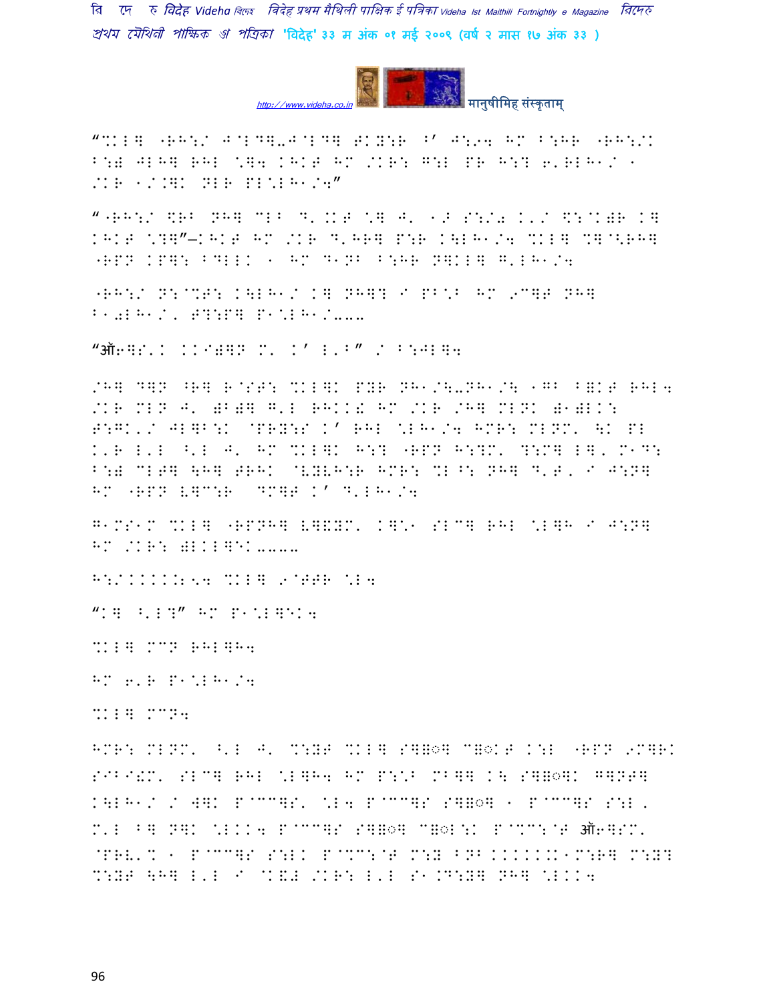

"%MLDE RECHER POST OF THE REPORT OF THE GROUP OF THE SERVED OF THE POST OF PERPENDIC B:) JLH] RHL \*]4 KHKT HM /KR: G:L PR H:? 6'RLH1/ 1 /KR 1/.]K NLR PL\*LH1/4"

"HH:/ \$RP PHE TER TVICE NE AV KJ FIVA IV T \$: VAR VAR I KHKT \*?]"—KHKT HM /KR D'HR] P:R K\LH1/4 %KL] %]@<RH] "RPN KP]: BDLLK 1 HM D1NB B:HR N]KL] G'LH1/4

 $\sim$  RH: A S  $\sim$  The FM 9 RH  $\sim$  The PH  $\sim$  The PH  $\sim$  The PH  $\sim$  The PH  $\sim$  The PH  $\sim$ B10LH1/, T?:P] P1\*LH1/---

 $``3$  $\tilde{\text{m}}$  $\cdot$  $\tilde{\text{m}}$  $\tilde{\text{m}}$  $\tilde{\text{m}}$   $\tilde{\text{m}}$   $\tilde{\text{m}}$   $\tilde{\text{m}}$   $\tilde{\text{m}}$   $\tilde{\text{m}}$   $\tilde{\text{m}}$   $\tilde{\text{m}}$   $\tilde{\text{m}}$   $\tilde{\text{m}}$   $\tilde{\text{m}}$   $\tilde{\text{m}}$   $\tilde{\text{m}}$   $\tilde{\text{m}}$   $\tilde{\text{m}}$   $\tilde{\text{m}}$   $\tilde{\text{$ 

/H] D]N ^R] R@ST: %KL]K PYR NH1/\-NH1/\ 1GB B=KT RHL4 /KR MLN J' )B)] G'L RHKK! HM /KR /H] MLNK )1)LK: TEGROOM AF REGOVEREDEN OM THAT NEAR WAY A PRYSING TEGROOM AT UITE K'R L'AN SAN MAN , MARIE HE SAN HE SAN HI: M' RONN HE SAN HE SAN HE SAN HE SAN HE SAN HE SAN HE SAN HE SAN HE S R:N B: 100 (BER) (BER) (DISERNE AVEN D'T, PNICHE D'E POINT D'AIRE HM "RPN RADIO" DOG A DA DA DA

GH \$12 % KLOCHER "REPORTED A RESIDENT A SLOT REPORT TO A REPORT THAT I AN INCORPOR HM /KR: )LKL]EK----

H:/.....254 %KL] 9@TTR \*L4

 $\mathbf{W}_1^T \mathbf{H} = \mathbf{H}_1 \mathbf{H}_2^T \mathbf{H}^T \mathbf{H}_1^T \mathbf{H}_2^T \mathbf{H}_2^T \mathbf{H}_3^T \mathbf{H}_3^T \mathbf{H}_4^T \mathbf{H}_5^T \mathbf{H}_6^T \mathbf{H}_7^T \mathbf{H}_8^T \mathbf{H}_9^T \mathbf{H}_9^T \mathbf{H}_9^T \mathbf{H}_9^T \mathbf{H}_9^T \mathbf{H}_9^T \mathbf{H}_9^T \mathbf{H}_9^T \mathbf{H}_9^T \mathbf{H}_9^T$ 

%KL] MCN RHL]H4

HM 6'R P1\*LH1/4

%KL] MCN4

HMR: MERN, 'LE' A. MAGRA MIR SANOR MNOLF ('AL' 'HER' SMRE' SIBI PECOL SELTH (BAE) NEHHA (AC) BOLI CAHHH (DA) KHHOHO (AHHAHH K\LHI/ / WILHI/ POPPER (SIN POPPER (HOSPITAL POPPER) MORE OF REAL AND CONTROLLY THE CONSIDERED CONTROLLY CONTROLLY CONTROLLY CONTROLLY CONTROLLY CONTROLLY CONTROLLY @PRV'% 1 P@CC]S S:LK P@%C:@T M:Y BNB......K1M:R] M:Y? %:YT \H] L'L I @K&# /KR: L'L S1.D:Y] NH] \*LKK4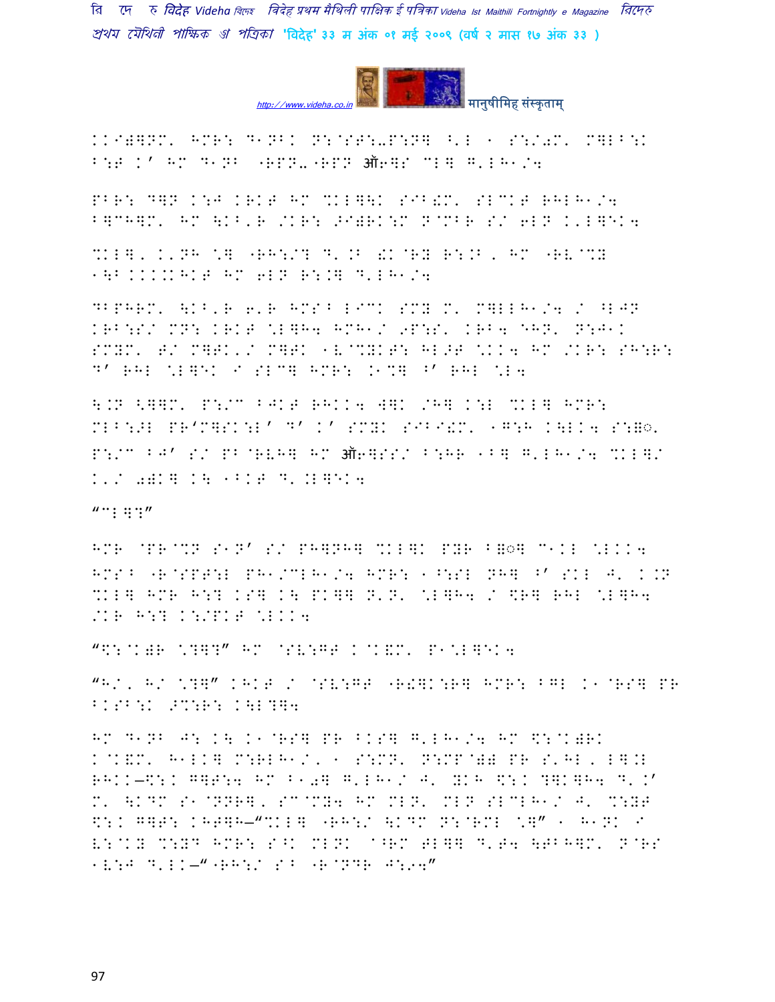

KI) KABRO N: POBS NIP (P) ON ORS SERIES NORDER NI EN AN ASSAULT NORDER SI B:T K' HONDA DI RESTAURE DE STARTE "TE BOLES CALL

PRES THE CONSIDERT TO BHE: PRESC, SITCH BHILL/4 B)CHIM'S HARRY STRAIGHT IN THE RESIDENT OF THE RESIDENT OF THE RESIDENCE IN THE RESIDENCE OF THE RESIDENCE OF

%KLI, BIL, KONG, KONG, PIL, BIL, BIL, TEG, DENGAN RING PELITOG 1\B....KHKT HM 6LN R:.] D'LH1/4

DBPHRM' \KB'R 6'R HMS^ LICK SMY M' M]LLH1/4 / ^LJN KRB:S/ MN: KRKET \*LIHH \*UHI/ 9P:S/ KRKH EHN. 2P:S SMYM' T/ M]TK'/ M]TK 1V@%YKT: HL>T \*KK4 HM /KR: SH:R: D' RHL (1885) SLC HOW ROBS IN THE FLAME (184

\.N <]]M' P:/C BJKT RHKK4 W]K /H] K:L %KL] HMR: MESSER PRYMENTER MY DRY POWER PROPORTY (MORE CHEOR POWER P:/C BJ' S/ PB@RVH] HM ऑ6]SS/ B:HR 1B] G'LH1/4 %KL]/ K', The East of the Control of the District of the U.S. of the U.S. of the U.S. of the U.S. of the U.S. of the

 $w$ ":  $\cdots$  :  $\cdots$ 

HTR MPR MIN SN' SN' PHEPHE WILHI STOR POOR MAIL NICK HMS^ "R@SPT:L PH1/CLEH1/4 HMR: 10:SLP NHE: 10:SLP NH %KL] HMR H:? KS] K\ PK]] N'N' \*L]H4 / \$R] RHL \*L]H4 /KR H:? K:/PKT \*LKK4

"WE CHE THE " HO THEFT CONFIDENT BOOKS

"H/, H/ THM IHI ("THING" RENE WARRIES ON A RENE RE  $\frac{1}{2}$  ,  $\frac{1}{2}$  ,  $\frac{1}{2}$  ,  $\frac{1}{2}$  ,  $\frac{1}{2}$  ,  $\frac{1}{2}$  ,  $\frac{1}{2}$  ,  $\frac{1}{2}$  ,  $\frac{1}{2}$  ,  $\frac{1}{2}$  ,  $\frac{1}{2}$  ,  $\frac{1}{2}$  ,  $\frac{1}{2}$  ,  $\frac{1}{2}$  ,  $\frac{1}{2}$  ,  $\frac{1}{2}$  ,  $\frac{1}{2}$  ,  $\frac{1}{2}$  ,  $\frac{1$ 

HM D1NB J: K\ K1@RS] PR BKS] G'LH1/4 HM \$:@K)RK K@K&M' H1LK] M:RLH1/, 1 S:MN' N:MP@)) PR S'HL, L].L RHKK—\$:. G]T:4 HM B10] G'LH1/ J' YKH \$:. ?]K]H4 D'.' M' \KDM S1@NNR], SC@MY4 HM MLN' MLN SLCLH1/ J' %:YT \$:. G]T: KHT]H—"%KL] "RH:/ \KDM N:@RML \*]" 1 H1NK I V:@KY %:YD HMR: S^K MLNK @^RM TL]] D'T4 \TBH]M' N@RS 1V:J D'LK—""RH:/ S^ "R@NDR J:94"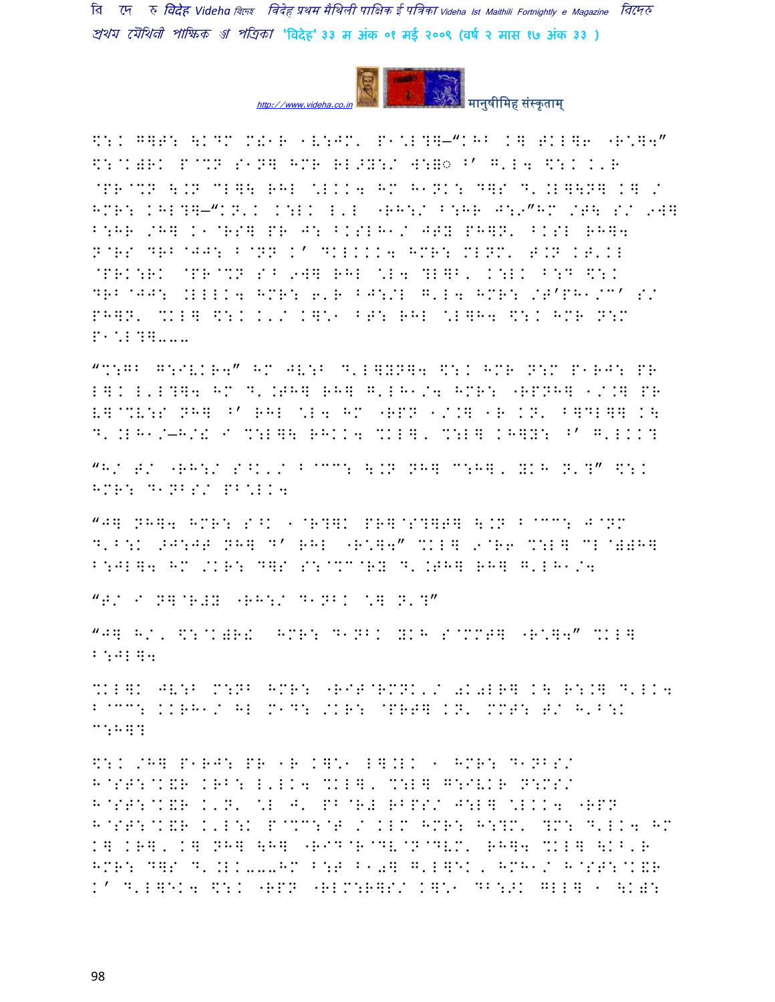िव दिन दि*विदेह Videha विलर्च विदेह प्रथम मैथिली पाक्षिक ई पत्रिका <sub>Videha</sub> ist Maithili Fortnightly e Magazine <i>वि*दिपरु õथम मैिथली पािक्षक ई पिñका **'**िवदेह**'** ३३ म अंक ०१ मई २००९ (वष र् २ मास १७ अंक ३३ )



\$:. G]T: \KDM M!1R 1V:JM' P1\*L?]—"KHB K] TKL]6 "R\*]4" \$:@K)RK P@%N S1N] HMR RL>Y:/ W:=◌^' G'L4 \$:. K'R  $\overline{\phantom{a}}$  . The contract of the energy decomposition is defined by  $\overline{\phantom{a}}$  . The contract of the contract of the contract of the contract of the contract of the contract of the contract of the contract of the contra HMR: KHENREN KI:LK LIL "RHI: BI:HR J:9"HM /TH: EN 29W B:HR /HB I: BKSL PR J: BI: BKI J-BE PHEN, BI: BKSL N@RS DRB@JJ: B@NN K' DKLKKK4 HMR: MLNM' T.N KT'KL @PRK:RK @PR@%N S^ 9W] RHL \*L4 ?L]B' K:LK B:D \$:. DRB@JJ: .LLLK4 HMR: 6'R BJ:/L G'L4 HMR: /T'PH1/C' S/ PHEN SI: B' SI: K' KLA (1918) FRI (1918-1911 \$11 BTE 717 P<sub>1</sub>\*L<sub>2</sub></sub>

"WIER" PECALLER" HM JEAN JR.EABRA AND PEC PRO PRO PRAGIE L]. L'L?]4 HM D'.TH] RH] G'LH1/4 HMR: "RPNH] 1/.] PR  $\mathbb{R}$  B) (1975) 1974 – In Renault in Renault 1. Holden in Renault 1. Holden in Renault 1. Holden in Renault 1. Holden B. HAV. AND I WINNE HAN A WINN WHEN IANNY OF HINGS

"H/ B/ SPH:/ ST./ SOUTH RIP PRE THE SING BORY TIL HMR: D1NBS/ PB\*LK4

"J] NH]4 HMR: S^K 1@R?]K PR]@S?]T] \.N B@CC: J@NM D'B:K >J:JT NH] D' RHL "R\*]4" %KL] 9@R6 %:L] CL@))H] B:JL]4 HM /KR: D]S S:@%C@RY D'.TH] RH] G'LH1/4

"H/ I NH:RH: HH:/ BIN:/ NH: R.T"

"J] H/, \$:@K)R! HMR: D1NBK YKH S@MMT] "R\*]4" %KL] B:JL]4

%KL]K JV:B M:NB HMR: "RIT@RMNK'/ 0K0LR] K\ R:.] D'LK4 B@CC: KKRHI/ HL MID: /KR: /KR: #PRT] KN' MMT: #2052  $C: H \to H$ 

\$:. /H] P1RJ: PR 1R K]\*1 L].LK 1 HMR: D1NBS/ H@ST:@K&R KRB: L'LK4 %KL], %:L] G:IVKR N:MS/ H@ST:@K&R K'N' \*L J' PB@R# RBPS/ J:L] \*LKK4 "RPN H@ST:@K&R K'L:K P@%C:@T / KLM HMR: H:?M' ?M: D'LK4 HM KAR, KRID KARD, KARDING MENGENGAN KARA MENGENGAN RANG KALIFUNGAN ANG MANGHAM RANG MANGHAM RANG MANGHAM RANG MA HMR: D]S D'.LK---HM B:T B10] G'L]EK, HMH1/ H@ST:@K&R K' D'LEAN & C'HI -RPN "REMARKI" (AN) D'ALL' ALLA (AND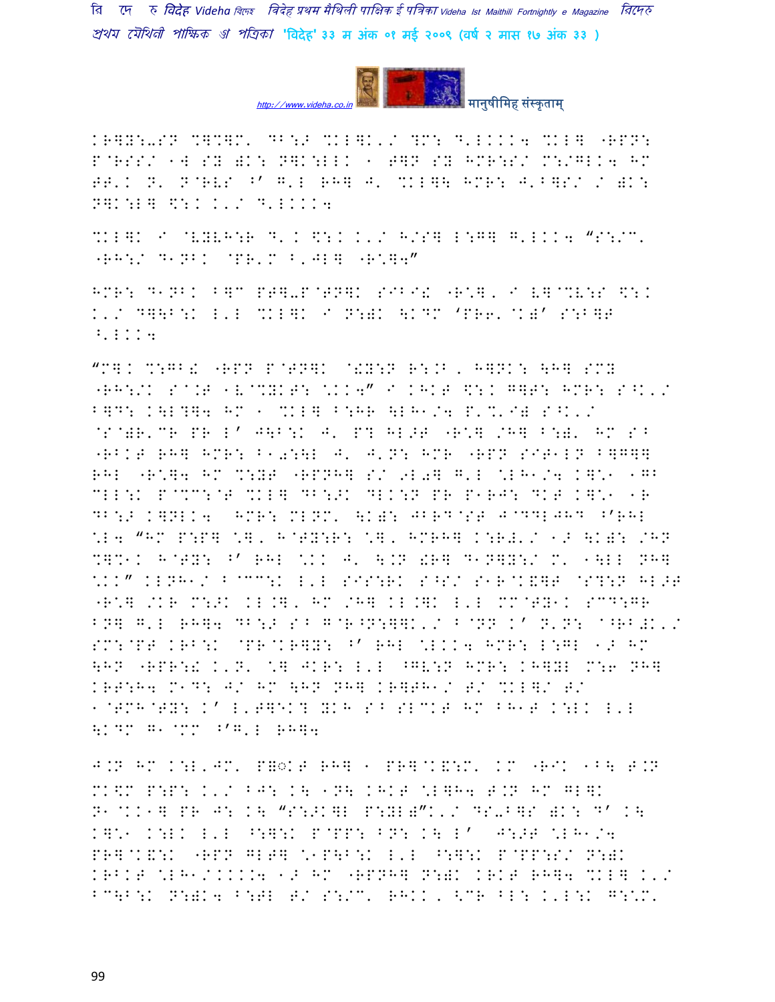

KR]Y:-SN %]%]M' DB:> %KL]K'/ ?M: D'LKKK4 %KL] "RPN: P@RSS/ 1W SY )K: N]K:LLK 1 T]N SY HMR:S/ M:/GLK4 HM TH'S N' N' NORVS OF A NORVS OF A NORVS OF A SALE OF A SALE OF A SALE OF A SALE OF A SALE OF A SALE OF A SALE O NED BEER TO DO DO TO EDD DA

%KL]K I @VYVH:R D'. \$:. K'/ H/S] L:G] G'LKK4 "S:/C' "RH: D1NBK @PR'M B'JAPAN

HMR: D1NBK B]C PT]-P@TN]K SIBI! "R\*], I V]@%V:S \$:.  $K$  , and the set of  $K$  in the set of  $K$  in the set of  $K$  in the set of  $K$  in the set of  $K$  $\mathcal{F}_k$  is a local control.

"W:G: "T:HF: "H:R TH: "HH: "H:R TH: B: "H: "H: " "RH:K S@.T 19 S.T 100 PROVIDED \$: . C 100 PROVIDED \$:. G .T . G .T: . C BBOY: KALTA BI KONG BERGALAN BI BI KONG BI BI KOK @S@)R'CR PR L' J\B:K J' P? HL>T "R\*] /H] B:)' HM S^ "RBKT RHE HMR: B10:19: H. H. PY HMR "RPN SITH" BJ BHAA RHL "RENHA HO SYNDA "RENHE SI SELAH ALE SI NERVA INDI YANG CLEAR COMMAND ON A POST WAS CONSIDERED AND DRIVING WAS CONSIDERED AS A RELEASED OF A RELEASED FOR DURING WAS C DB:> K]NLK4 HMR: MLNM' \K): JBRD@ST J@DDLJHD ^'RHL  $\Delta$ E $\Delta$  "MAD" for the  $\Delta$  H  $\Delta$  the the  $\Delta$  to  $\Delta$  is  $\Delta$  . In the  $\Delta$  is a set of  $\Delta$  is  $\Delta$  is  $\Delta$  is  $\Delta$  is  $\Delta$  is  $\Delta$  is  $\Delta$  is the  $\Delta$ %]%1K H@TY: ^' RHL \*KK J' \.N !R] D1N]Y:/ M' 1\LL NH] \*KK: \* KLNH+1/ B@CC:K STANDER STATE STATE STATE STATE STATE STATE STATE STATE STATE STATE STATE STATE STATE STA  $R$  (RTM)  $R$  (RTM)  $R$  (RTM)  $R$  (RTM)  $R$  (RTM)  $R$  (RTM)  $R$  (RTM)  $R$  (RTM)  $R$  (RTM)  $R$  (RTM)  $R$  (RTM)  $R$  (RTM)  $R$  (RTM)  $R$  (RTM)  $R$  (RTM)  $R$  (RTM)  $R$  (RTM)  $R$  (RTM)  $R$  (RTM)  $R$  (RTM)  $R$  (RTM)  $R$  (RTM)  $R$ BND GJL RHD: SO GARD SA GREGO AN KYLIKA SM: TH KRB: THRIRH \* PHE MINIA HMR: L:GH + AW  $\,$  APP  $\,$  RPP  $\,$  RPC (  $\,$  ,  $\,$  ,  $\,$  )  $\,$  ,  $\,$  ,  $\,$  ,  $\,$  ,  $\,$  ,  $\,$  ,  $\,$  ,  $\,$  ,  $\,$  ,  $\,$  ,  $\,$  ,  $\,$  ,  $\,$  ,  $\,$  ,  $\,$  ,  $\,$  ,  $\,$  ,  $\,$  ,  $\,$  ,  $\,$  ,  $\,$  ,  $\,$  ,  $\,$  ,  $\,$  ,  $\,$ KRAT:H4 M1D: J/ H2 HH2 MH KRHAH/ S B2 MIB1/ B2 1 MATH MATH IN K' L'ATHETY IN A SLOCKT HAT KING SOLETING  $\mathcal{H}$  of  $\mathcal{H}$  and  $\mathcal{H}$  and  $\mathcal{H}$  and  $\mathcal{H}$ 

J.N HM K:L'JM' P=◌KT RH] 1 PR]@K&:M' KM "RIK 1B\ T.N MK\$M P:P: K'/ BJ: KAN SIN HIN GLATA SINA TANG BIR HIT PERS N1@KK1] PR J: K\ "S:>K]L P:YL)"K'/ DS-B]S )K: D' K\ K:RN K:NK:LK LIL AN FRANCIS PORT A PROGRAM AN INFORMATION PR]@K&:K "RPN GLT] \*1P\B:K L'L ^:]:K P@PP:S/ N:)K KRBKT \*LH1/....4 1> HM "RPNH] N:)K KRKT RH]4 %KL] K'/ BCAR:K N:HER B:K BELING BELING KOR BERING BELING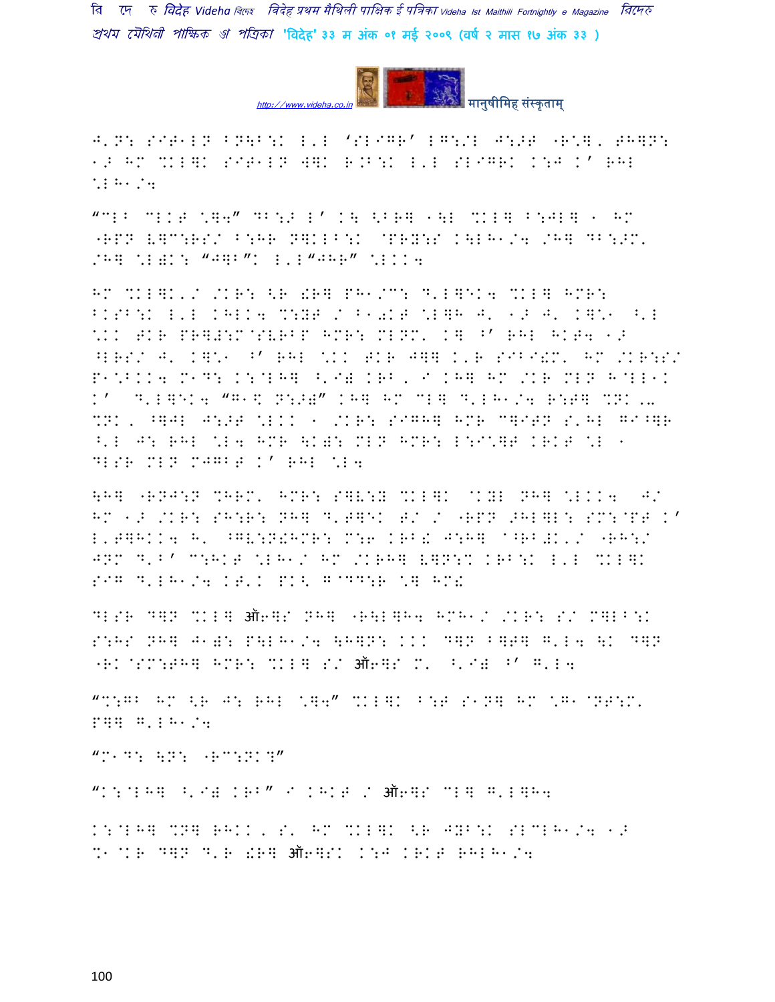

JP: SITHLE BOOK SITHING IN A LILL IN STRIKE A BASIC LOCATION TO THE SITH SITHING. 1> HM %KL]K SIT1LN W]K R.B:K L'L SLIGRK K:J K' RHL  $\mathbb{Z}$ :  $\mathbb{Z}$  +  $\mathbb{Z}$  +  $\mathbb{Z}$ 

 $N$  TECLB  $\sim$  THE  $\mu$  of the end of the state  $\mu$  . The state  $\mu$  is the state  $\mu$ "RPN VLAMERIJ KER DALI KELIKA I MERGEN I REPRIJE JAK MA MAJIJ  $\frac{1}{2}$ HE  $\frac{1}{2}$  (  $\frac{1}{2}$   $\frac{1}{2}$   $\frac{1}{2}$   $\frac{1}{2}$   $\frac{1}{2}$   $\frac{1}{2}$   $\frac{1}{2}$   $\frac{1}{2}$   $\frac{1}{2}$   $\frac{1}{2}$   $\frac{1}{2}$   $\frac{1}{2}$   $\frac{1}{2}$   $\frac{1}{2}$   $\frac{1}{2}$   $\frac{1}{2}$   $\frac{1}{2}$   $\frac{1}{2}$   $\frac{1}{2}$   $\frac{1}{2$ 

HM %KL]K'/ /KR: <R !R] PH1/C: D'L]EK4 %KL] HMR: BKSB:K L'L KHLK4 %:YT / B10KT \*L]H J' 1> J' K]\*1 ^'L \*KK TKR PR]#:M@SVRBP HMR: MLNM' K] ^' RHL HKT4 1> ^LRS/ J' K]\*1 ^' RHL \*KK TKR J]] K'R SIBI!M' HM /KR:S/ P1\*BKK4 M1D: K:@LH] ^'I) KRB, I KH] HM /KR MLN H@LL1K K' D'L]EK4 "G1\$ N:>)" KH] HM CL] D'LH1/4 R:T] %NK,- %NK, `HH:`HGZE \EII`\ ]XIBG EYAHA HMB "AMR CA'HL AY'HL ^'L J: RHL \*L4 HMR \K): MLN HMR: L:I\*]T KRKT \*L 1 DLSR MLN MJGBT K' RHL \*L4

 $\mathrm{H}\mathrm{H}\mathrm{H}\to\mathrm{H}\mathrm{H}\mathrm{H}\mathrm{H}\mathrm{H}$  . This is the same  $\mathrm{H}\mathrm{H}\mathrm{H}$  in the same  $\mathrm{H}\mathrm{H}$  is the same  $\mathrm{H}\mathrm{H}$ HM 1> /KR: SH:R: NH] D'T]EK T/ / "RPN >HL]L: SM:@PT K' L'EARNICH AL (PREGRENDEG DOGE) ER E AGNER (1985) DER EL 2009 BRG JNM D'B' C:HKT \*LH1/ HM /KRH] V]N:% KRB:K L'L %KL]K SIG D'LH1/4 KT'K PK< G@DD:R \*] HM!

DRSR DRS DIER MARK DRR HARERHA HOHN / JIAN SV DREKNI S:HS NH] J1): P\LH1/4 \H]N: KKK D]N B]T] G'L4 \K D]N "HE MOVEME HORE WEEK EN MARS ON SACH FACHER

"%:GB HM <R J: RHL \*]4" %KL]K B:T S1N] HM \*G1@NT:M' PHILIP COMMANDER

 $\mathbf{W}^{\bullet\bullet}_\bullet: \mathbb{R}^n \to \mathbb{R}^n \mathbb{R}^n \to \mathbb{R}^n \mathbb{R}^n \mathbb{R}^n \mathbb{R}^n \mathbb{R}^n$ 

"K:@LH] ^'I) KRB" I KHKT / ऑ6]S CL] G'L]H4

K:@LH] %N] RHKK, S' HM %KL]K <R JYB:K SLCLH1/4 1> %1@KR D]N D'R !R] ऑ6]SK K:J KRKT RHLH1/4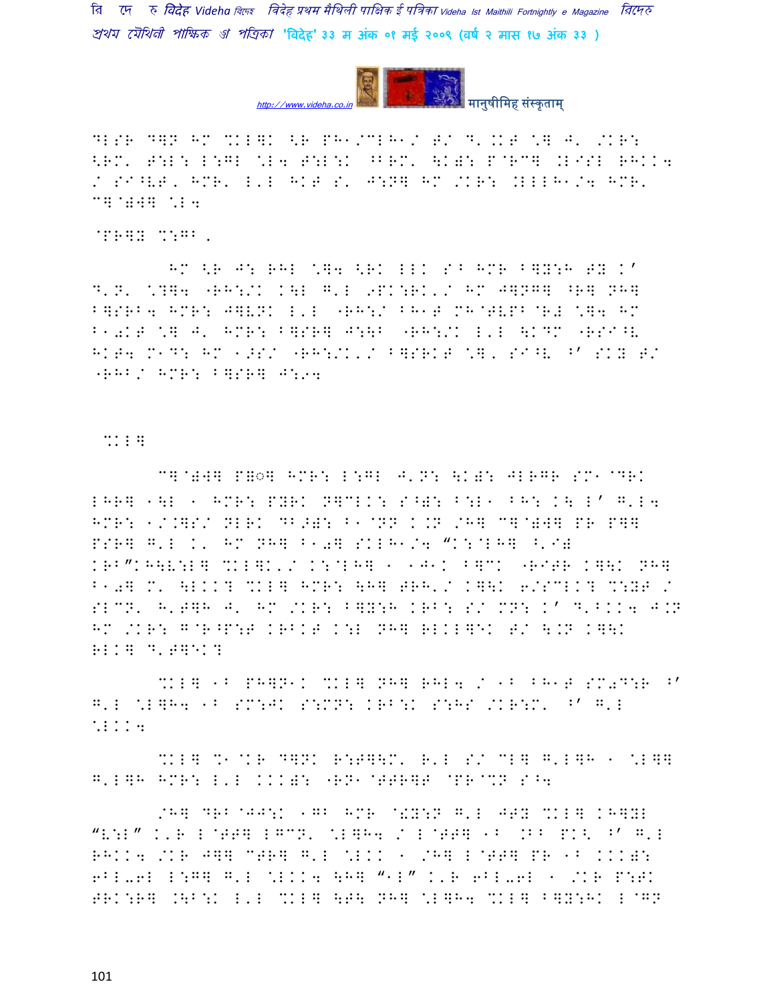

DLSR D]N HM %KL]K <R PH1/CLH1/ T/ D'.KT \*] J' /KR: KED, GREEN ENHE MEACHNEN, PRED, ALBN ROBOTH IEREE BALLA / SI^VT, HMR' L'L HKT S' J:N] HM /KR: .LLLH1/4 HMR' TH MARK COLLE

@PR]Y %:GB,

HM (RHL #1 PHR (RHL RED) RED PRINT BERGE RED AN D'N' D'AIRE (ARHSIN) I RECORDE (API)SEN L'OCHD (ARDER) FRA JPHR BAR: BRAND HAR: SRB4 HMR: JANA PHONE MARSHA & B B10KT AN JI HORS (FREE (PSR) (PRESING) E.E. BICHD (PRESIN HKT4 M1D: HM 1>S/ "RH:/K'/ B]SRKT \*], SI^V ^' SKY T/ "RHB/ HMR: B]SR] J:94

 $N: H$ 

MA MBAA (PBOA) HORE (ESAA) H.DSC HOBS (HERA): PO (MD) MAR LI RABI 1 HMR: PYRK NICLES NICLES NICLES AND RIGHT AND RESEARCH AT LINE BH: B:L1 B HMR: 1/.]S/ NLRK DB>): B1@NN K.N /H] C]@)W] PR P]] PSR] G'L K' HM NH] B10] SKLH1/4 "K:@LH] ^'I) KRB"KH\V:L] %KL]K'/ K:@LH] 1 1J1K B]CK "RITR K]\K NH] B108 MY RELEASED MY RESIDENCY CHANNELS WITH TRANSIT SLCN' H'T]H J' HM /KR: B]Y:H KRB: S/ MN: K' D'BKK4 J.N HO /KR: BAC: BORE KEAR: CHE COAR: CHE CHE LEATHER TV. CHOOK THE COAR RLIE T. PRINSE

 $N$  ( ) is the phase  $N$  -  $N$  ( ) is the phase  $\mathbb{R}$  -  $\mathbb{R}$  ,  $\mathbb{R}$  be a smooth smooth smooth smooth smooth B.: S:HA PROTHE FITH CHRISTIAN SING /KRIT. WHI \*LKK4

 $W_1$  (  $W_2$  )  $W_3$   $W_4$   $W_5$   $W_6$   $W_7$   $W_8$   $W_9$   $W_1$   $W_2$   $W_3$   $W_4$   $W_5$   $W_6$   $W_7$   $W_8$   $W_9$   $W_9$   $W_9$   $W_9$   $W_9$   $W_9$   $W_9$   $W_9$   $W_9$   $W_9$   $W_9$   $W_9$   $W_9$   $W_9$   $W_9$   $W_9$   $W_9$   $W_9$   $W_9$  B. LAR HORI LE KOLIN (RN) GREAR (TROTT PRE

 /H] DRB@JJ:K 1GB HMR @!Y:N G'L JTY %KL] KH]YL "WINE" CODE E NOONG EMMIN NIHA 2 E NOONG KA LIB EN EN AK MUE RHKK4 /KR J]] CTR] G'L \*LKK 1 /H] L@TT] PR 1B KKK): 6BL16E ENH W.E NEIN HAH "HY LIE 6BL16E K 218 PN6 TRK:R] .\B:K L'L %KL] \T\ NH] \*L]H4 %KL] B]Y:HK L@GN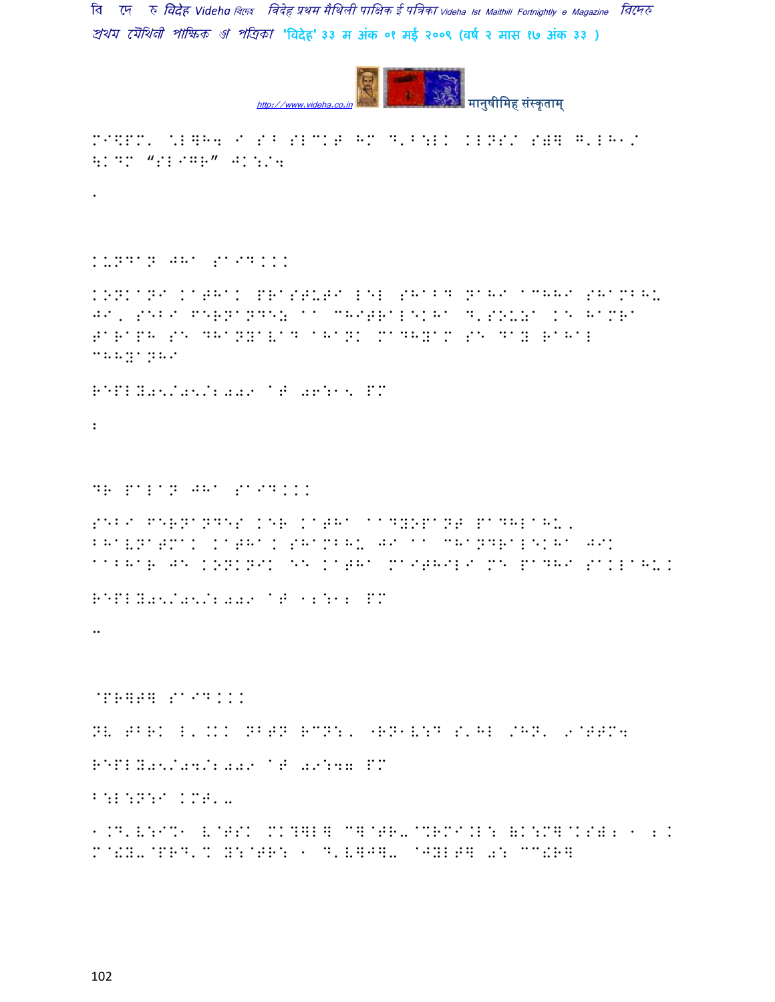

MARET, SIABA A SLOCKT SI SLAM D'AI SI SLOCKT SI D'ALLE  $\text{H} \Sigma \Sigma \Sigma$  (Weight  $\text{H} \Sigma \Sigma$  )  $\text{H} \Sigma$ 

 $\ddot{\phantom{1}}$ 

KUNDAN JARAHA

KONG KATHA KATHA PRASTUTI LEL SHABBAR DA SHABBAR DA SHABBAR DA SHABBAR DA SHABBAR DA SHABBAR DA SHABBAR DA SHA JI, SEBI FERNaNDEZ aa CHITRaLEKHa D'SOUZa KE HaMRa TaRaPH SE DHaNYaVaD aHaNK MaDHYaM SE DaY RaHaL THEY YEAR

RPPE Basilasile aast of the article FD

 $\ddot{\cdot}$ 

**BR PALAN JAN SAID.** 

SEBI FERNaNDES KER KaTHa aaDYOPaNT PaDHLaHU, BHaVNaTMaK KaTHa. SHaMBHU JI aa CHaNDRaLEKHa JIK aaBHar Je Kathar Je Katha Maithili mengenai menjadi saklahu.

NV TBRK L'.KK NBTN RCN:, "RN1V:D S'HL /HN' 9@TTM4

MO TREPO Y CORREIX O POLINCER COMPANY OF CONTROL

1.D'V:I%1 V@TSK MK?]L] C]@TR-@%RMI.L: (K:M]@KS); 1 2.

REPLYNS AT 12:12 PM AT 12:12 PM

REPLYNS AT 09:47 PM AT 09:500 PM

 $\ddot{\phantom{2}}$ 

102

**WEIGHT SAID...** 

B:L:N:I KMT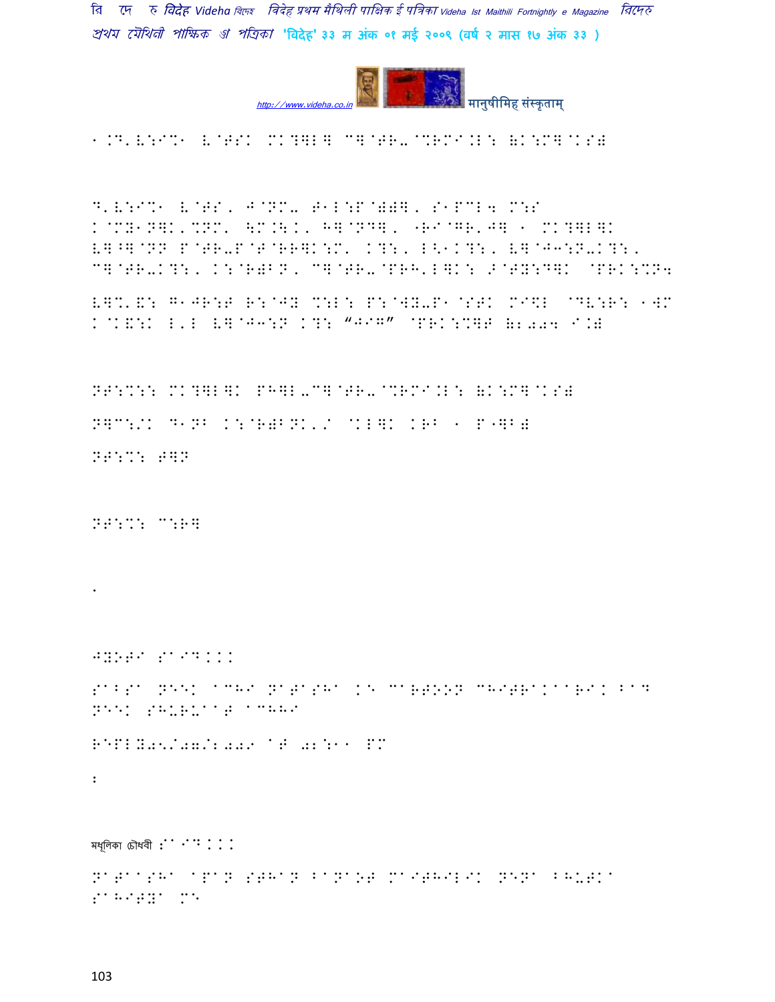103

 $\mathbb{R}$ মধূলিকা  $\mathbb{R}$ ষিধী :  $\mathbb{R}$   $\mathbb{R}$   $\mathbb{R}$   $\mathbb{R}$  :  $\mathbb{R}$  :  $\mathbb{R}$  : NaTaaSHa aPaN STHaN BaNaOT MaITHILIK NENa BHUTKa SaHITYa ME

 $\ddot{\cdot}$ 

ROPER REPLACEMENT OF SERVICE PO

JYOTI SAID... Sabsa Neek achi na Tagaari. Badan kale chin na ma'aari ahaar ah markaari. Badan ah markaari ah markaari. Badan SHURUAAT SHURUAAT ACHA AASAA AASAA AASAA AASAA AASAA AASAA AASAA AASAA AASAA AASAA AASAA AASAA AASAA AASAA AAS

**NT: C:RESPONDENT** 

 $\ddot{\phantom{1}}$ 

N]C:/K D1NB K:@R)BNK'/ @KL]K KRB 1 P"]B) NT:%: T]N

C]@TR-K?:, K:@R)BN, C]@TR-@PRH'L]K: >@TY:D]K @PRK:%N4 V]%'&: G1JR:T R:@JY %:L: P:@WY-P1@STK MI\$L @DV:R: 1WM

K MERK F.E EUSANY KIN MASUW MIRKYTHE BEAAN SIE

NAT: MARIO MARIL-CARDELINING REPORTED A LITE

D'ISTORY E MARIN AMPIRE THE THE THE THE TIME OF THE UNION OF THE UNION OF THE UNION OF THE UNION OF THE UNION K@MYNING\_AYAL\, HIMPIN, HIMPIN, HIMPIN, HIMPIN, HIMPIN, TIME EAR PART ROWELL OF PERIODIC CARD BASING (EAR OF PERIODIC)

1.D'V:I%1 V@TSK MK?]L] C]@TR-@%RMI.L: (K:M]@KS)

िव दिन दि<mark>विदेह Videha</mark> <sub>विफर</sub> विदेह प्रथम मैथिली पाक्षिक ई पत्रिका Videha Ist Maithili Fortnightly e Magazine *वि*दिन्द õथम मैिथली पािक्षक ई पिñका **'**िवदेह**'** ३३ म अंक ०१ मई २००९ (वष र् २ मास १७ अंक ३३ )

http://www.videha.co.in **मान्यु क्रिये जिल्लाम्**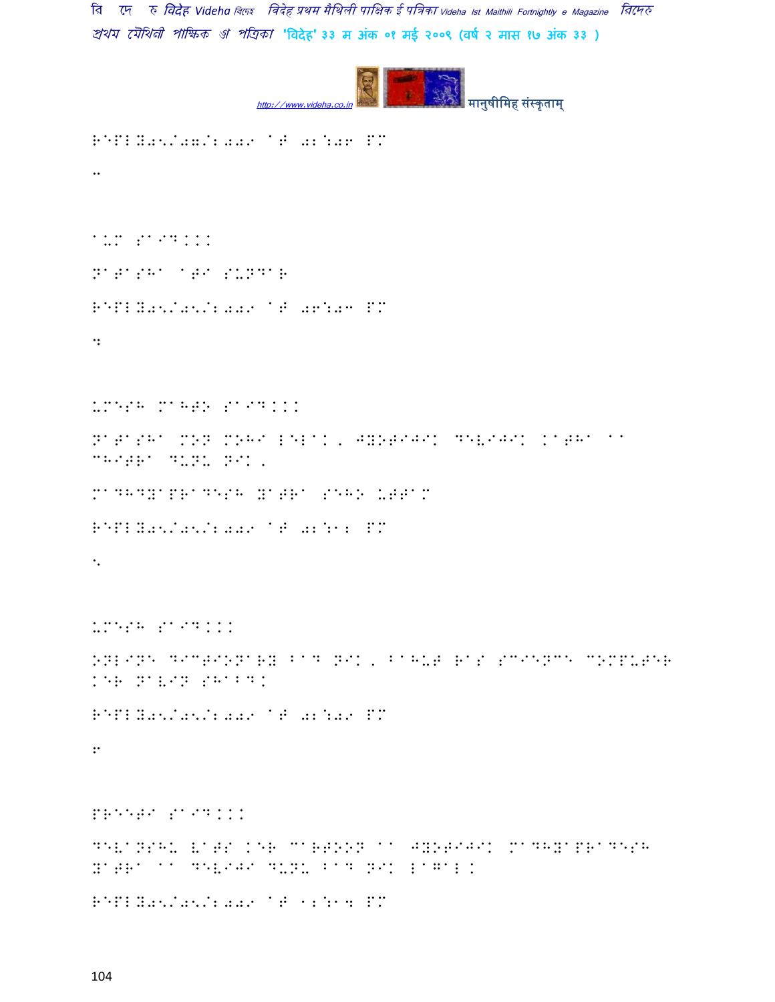

REPLY 07:06 PM 2009 AT 02:06 PM 20:06 PM 20:07

 $\ddotsc$ 

aum Said...

NaTaSHa aTI SUNDaR

REPLY 05:03 PM 2009 AT 06:03 PM

 $\dddot{\cdot}$ 

UMESH MaHTO SaID...

NaTaSHa MON MOHI LELaK, JYOTIJIK DEVIJIK KaTHa aa

ONLINE DICTIONARY BAD NIK, BAHUT RAS SCIENCE COMPUTER ON THE SCIENCE COMPUTER OF

DEVANSHU VATS KER CARTOON AAN JARAMADESHU VATS KER

THANK TIME NIK,

MaDHDYaPRaDESH YaTRa SEHO UTTaM

REPLY05/05/2009 aT 02:12 PM

 $\ddot{\phantom{0}}$ 

 $\ddot{\cdot}$ 

104

umesh said...

KER NaVIN SHaBD.

PREETI SaID...

RPPLYDS/2009 at 02:09 PM at 02:09 PM

REPLY05/05/2009 aT 12:14 PM

YaTRA AA DEVILLEE DUNU BAD NIK LAGAL.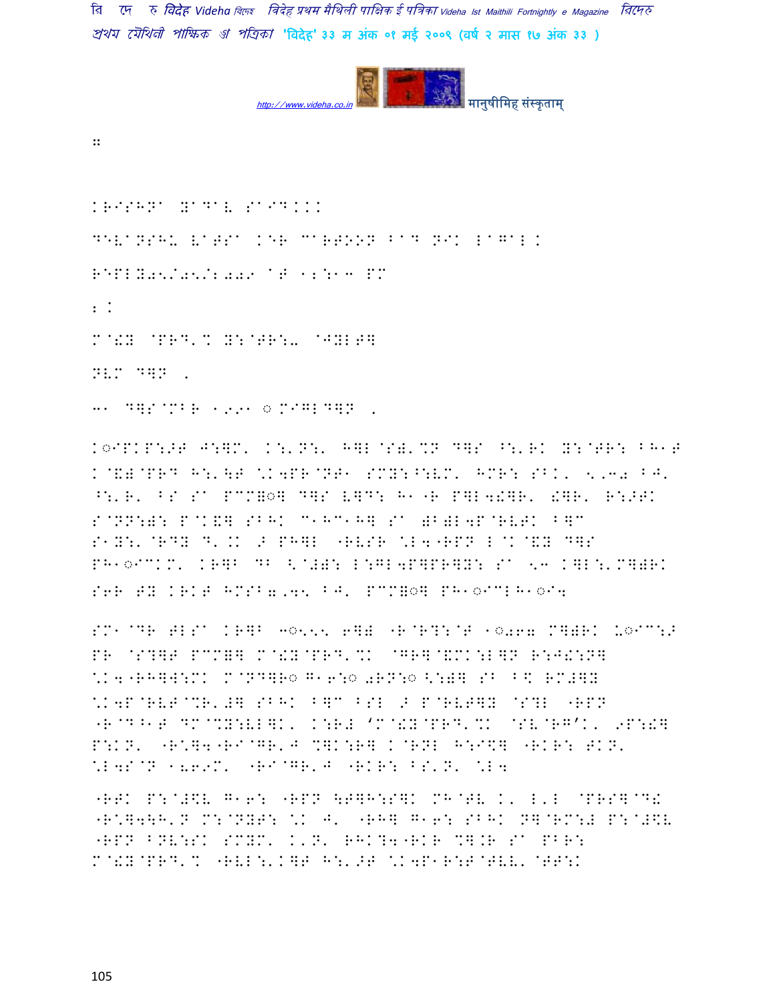

 $\mathbf{::}$ 

KRISHNA YADAVI MANSHU VATSA KER CARTOON BAD NIK LAGAL. REPLYNS AT 12:13 PM 2009 aT 12:13 PM 2009 aT 12:13 PM 2009 aT 12:13 PM 2009 aT 12:13 PM 2009 aT 12:13 PM 2009  $\mathbf{1}$ M@!Y @PRD'% Y:@TR:- @JYLT]  $H:U \to H:U \to V$ 31 DEEP THE 1991 OUT THE THE ..

KOPP: PADE (PART) (KA: DA) (PRE AND ATH) PRE (PAIR) BI (BA'GEA' FP) B K@&)@PRD H:'\T \*K4PR@NT1 SMY:^:VM' HMR: SBK' 5,30 BJ'  $\sim$  (Fig. ) - PCM=c PC DIRECT BY BOTH POST PHOTOGRAPH (FIG. ) - RECEPTION DIRECT PICKERS IN RECEPTION OF  $\sim$ S@NN:): P@K&] SBHK C1HC1H] Sa )B)L4P@RVTK B]C S1Y:'@RDY D'.K > PH]L "RVSR \*L4"RPN L@K@&Y D]S PH1⊙ZTICK (PHP1) RESIGNED ENHIBRITHER BY SA CHEN. CHEN S6R THI CACA ACSTACLES FALL POTTHOM PH1⊙COMERIOCE

STR TRE BEST TLERE 300000 BREAKERFEND FORBETTREED LOSTER PR @S?]T PCM=\_NO SONG PROVIDED AT THE CONTROL OF REAL PROPERTY. \*K4"RH]W:MK M@ND]R◌G16:◌0RN:◌<:)] SB B\$ RM#]Y \*K4P@RVT@%R'#] SBHK B]C BSL > P@RVT]Y @S?L "RPN  $R$  , we have the probability of the state of the state  $\mathcal{R}$  . The state  $\mathcal{R}$ P:KN' "R\*]4"RI@GR'J %]K:R] K@RNL H:I\$] "RKR: TKN' \*L4S@N 1869M' "RI@GR'J "RKR: BS'N' \*L4

"RTH P: POST P: PHONO ARTHOR ARTHOLOGY AND THE SALE OF THE STREET AND DISTURBANCE "R\*]4\H'N M:@NYT: \*K J' "RH] G16: SBHK N]@RM:# P:@#\$V "RPN BNV:SK SMYM' K'N' RHK?4"RKR %].R Sa PBR: MO TERT, MO RELESS, THE PROJECT NORTHERN TELL (TERT)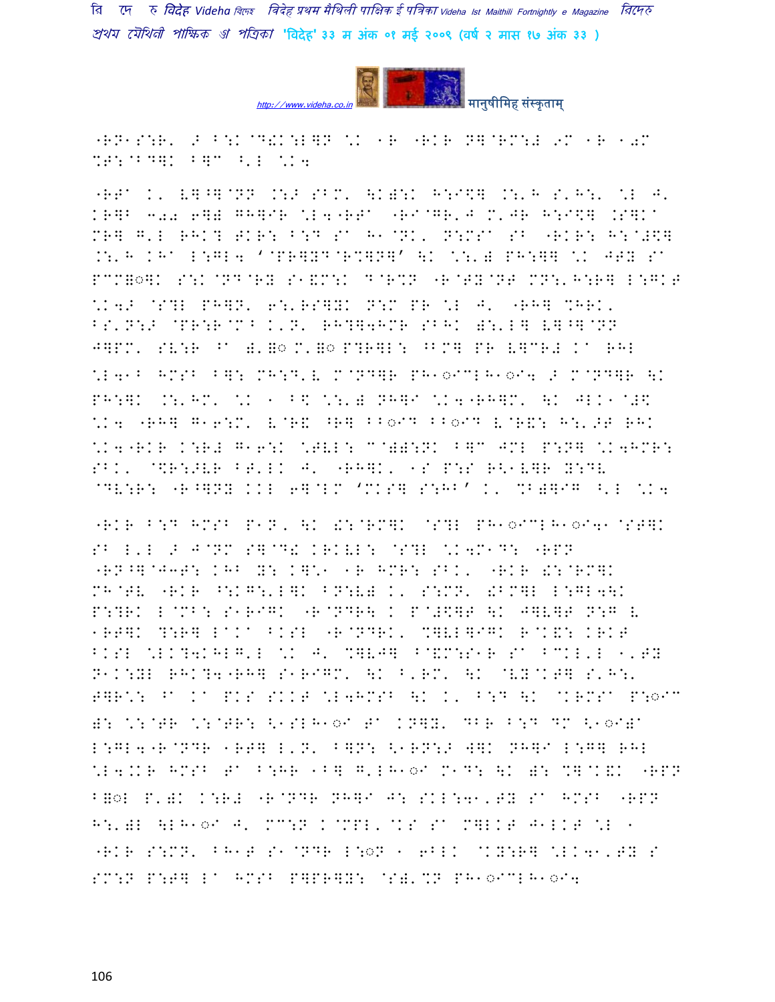

"RN1S:R' > B:K@D!K:L]N \*K 1R "RKR N]@RM:# 9M 1R 10M WHEN THE CONSTRUCTION OF THE CONSTRUCTION OF THE CONSTRUCTION OF THE CONSTRUCTION OF THE CONSTRUCTION OF THE C

"REAT COMMENT THAN IN THE REAL SECTION OF THE SAME OF THE SAME OF THE SAME OF THE SAME OF THE SAME OF THE SAME OF THE SAME OF THE SAME OF THE SAME OF THE SAME OF THE SAME OF THE SAME OF THE SAME OF THE SAME OF THE SAME OF KR]B 300 6]) GH]IR \*L4"RTa "RI@GR'J M'JR H:I\$] .S]Ka D'E ROLLE C'EST DE C'EST (FILME) SA MORT L'ORIS D'E MANIFEST (PILMES SE MEDIR  $\mathbb{R}^n$  . The Light of the constant  $\mathbb{R}^n$  is the constant  $\mathbb{R}^n$  and  $\mathbb{R}^n$ PCOMORI KIND ORTHOL SYMMING THE STANDARD STAMPS OF THE MANUAL SIMULATION OF THE MANUAL LINE OF THE STANDARD OF \*K1+3: MSTER PHER, GYL BYERING RYN PR \*NE \*P. (\*BHE) 7861. BS'N:> @PR:R@M^ K'N' RH?]4HMR SBHK ):'L] V]^]@NN JARI STERN SV:R (PRINCE SV:R PR VIDE SV:R VOR  $\mathbb{R}$ : And  $\mathbb{R}$ :  $\mathbb{R}$  and  $\mathbb{R}$  and  $\mathbb{R}$  is the manufacture of  $\mathbb{R}$  . Monopolynically  $\mathbb{R}$ PH: BB: 'St. PD: 'St. 'K FRIST.' B .: PPRP ST. B (BPRED. CRISTAL) AND A \*K16: "RHFB" BFGH10: "BOTHE" (FBC) FFORT (FFORT (BOTHER) PROCEED BBC \*K4"RKR K:R# G16:K \*TVL: C@)):NK B]C JML P:N] \*K4HMR: SPK' @ \$RESPEE PELIC P. PERBIL PS RSS BRPERBING @DV:R: "R^]NY KKL 6]@LM 'MKS] S:HB' K' %B)]IG ^'L \*K4

"RED B: P G P (PINT)" RY D (RD) (RG) B PINE (PINE)" R PHOSTE PHOSTER (STREET)  $S$ B LE I ANTIFICIAL SERVICE SERVICE SON RESOLUTION "RN^]@J3T: KHB Y: K]\*1 1R HMR: SBK' "RKR !:@RM]K MH@TV "RKR ^:KG:'L]K BN:V) K' S:MN' !BM]L L:GL4\K P:?RK L@MB: S1RIGK "R@NDR\ K P@#\$]T \K J]V]T N:G V 1RTH ?:REPORT PRODUCT "ROWL" & NORTH PART AND RELEASED AND RELEASED AND RELEASED AND RELEASED AND RELEASED AND BKSL \*LECHALG'L \*K JONES THE FILM SA BCKL'L \* TO SA BCKL'L 1 N1K:YAL RHK?49 RHH S1RIGMY, AN FIRIG AN INDIVIRY SIMIL TER: PART OF SKETT RESERVED TO A REPORT TO THE SKY BE SKYLD TO BE SKYLD AND RELEASED AT A POSSIBLE ASSAULT OF DISCOME ): \*:@TR \*:@TR: <1SLH1◌I Ta KN]Y' DBR B:D DM <1◌I)a L'ARE A PRODRE 1P BARCELON, CARDA CUPADA CHARD I DE SAN BARCELON DE SAN I \*L4.KR HMSB Ta B:HR 1B] G'LH1◌I M1D: \K ): %]@K&K "RPN R BOET BY, BIS IS NEAR THAT PER PARENT HIS ISOLE NEW YORK IN A POST THEFT BY H: A HIGH AND A SA MARKET IN THE SA MANUSCRIPT "RED B: STATIFUL COMPLETENT TIMES OF THE LIGHT OF THIS INTERFERING DECISION OF THE USE SM:N P:THE POSSESS PRINT PRINTS PART IN PHILOPHERS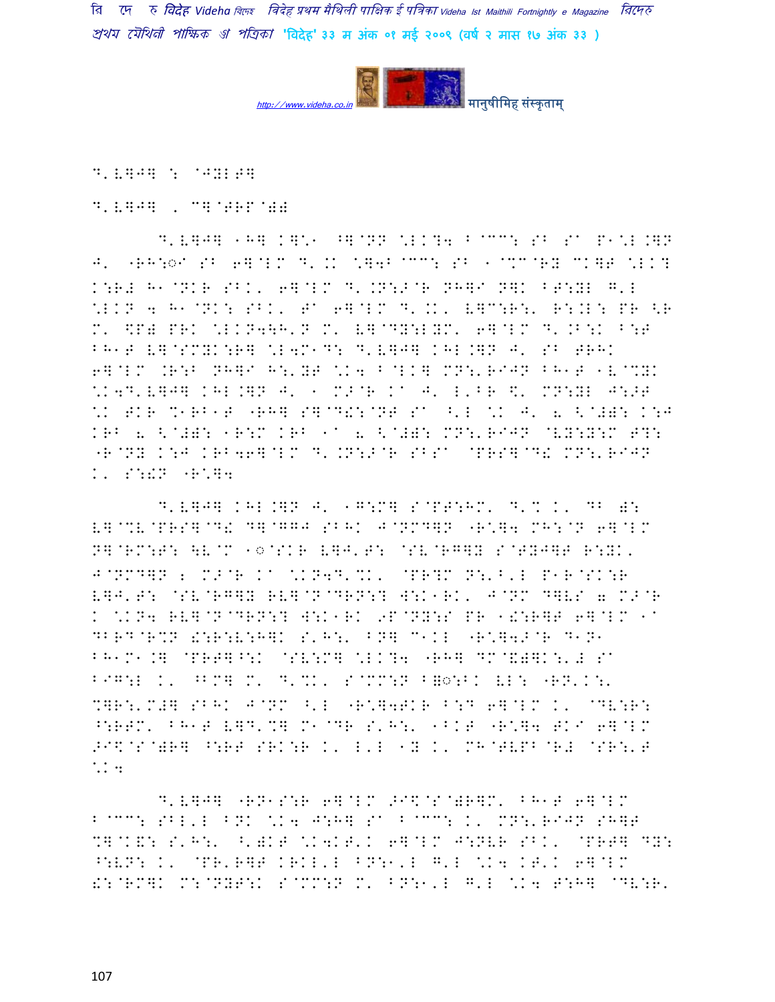

D'V]J] : @JYLT]

D'V]J] , C]@TRP@))

D'VILANA SA PORTE SA PARTICIPA A MONTE EN EN LES SA PART J' "RHOO" PROPERT AND NEW COOL OF SOUTHE TIEP NEIT K:R# H1@NKR SBK' 6918 D'.N:BRA' 6000 PHE SBK BEEL PLE \*LKN 4 H1@NK: SBK' Ta 6]@LM D'.K' V]C:R:' R:.L: PR <R M' \$P) PRK \*LKN4\H'N M' V]@DY:LYM' 6]@LM D'.B:K B:T BHF PARTIES OF THE STRIKE SECTION OF THE CHANNEL OF THE SERVE 6]@LM .R:B NH]I H:'YT \*K4 B@LK] MN:'RIJN BH1T 1V@%YK \*K4D'V]J] KHL.]N J' 1 M>@R Ka J' L'BR \$' MN:YL J:>T  $K$  , and satisfies the same of the same same same  $K$  is the same  $K$  same  $K$  and  $K$  and  $K$   $\mathbb{R}$  and  $K$   $\mathbb{R}$  and  $K$ KRB 8 <@#): 1R:M KRB 1a 8 <@#): MN:'RIJN @VY:Y:M T?: "R@NY K:J KRB46]@LM D'.N:>@R SBSa @PRS]@D! MN:'RIJN  $\ddotsc$  . The state of the state of the state of the state of the state of the state of the state of the state o

D'IGHAN IAN DHE AI (ANGCH) SOPANEI D'AICH D'AN NA V]@%V@PRS]@D! D]@GGJ SBHK J@NMD]N "R\*]4 MH:@N 6]@LM NAMES ON THE RAME OF STRAIN STRAINS SEEDS J@NMD]N 2 M>@R Ka \*KN4D'%K' @PR?M N:'B'L P1R@SK:R V]J'T: @SV@RG]Y RV]@N@DRN:? W:K1RK' J@NM D]VS 7 M>@R K \*KN4 RV]@N@DRN:? W:K1RK 9P@NY:S PR 1!:R]T 6]@LM 1a DBRD@R%N !:R:V:H]K S'H:' BN] C1KL "R\*]4>@R D1N1 BHHOM CHO CHEAH PEO COPERD AI CHEAN-AEAH (SACCHEH) CHEAN "RO BIGH:L K' BIGH M' D'ANG K' DONA BEOBL' EBA VERICA. %]R:'M#] SBHK J@NM ^'L "R\*]4TKR B:D 6]@LM K' @DV:R: ^:RTM' BH1T V]D'%] M1@DR S'H:' 1BKT "R\*]4 TKI 6]@LM >I\$@S@)R] ^:RT SRK:R K' L'L 1Y K' MH@TVPB@R# @SR:'T  $\ddots$ 

D.GHAN (BR) PGE BHIT 2007 MINHT, CER BOBBIT B@CC: SBL'L BNK \*K4 JAHBY SA BOOK (1. THIRESAR SHER %]@K&: S'H:' ^')KT \*K4KT'K 6]@LM J:NVR SBK' @PRT] DY: ^:VN: K' @PR'R]T KRKL'L BN:1'L G'L \*K4 KT'K 6]@LM !:@RM]K M:@NYT:K S@MM:N M' BN:1'L G'L \*K4 T:H] @DV:R'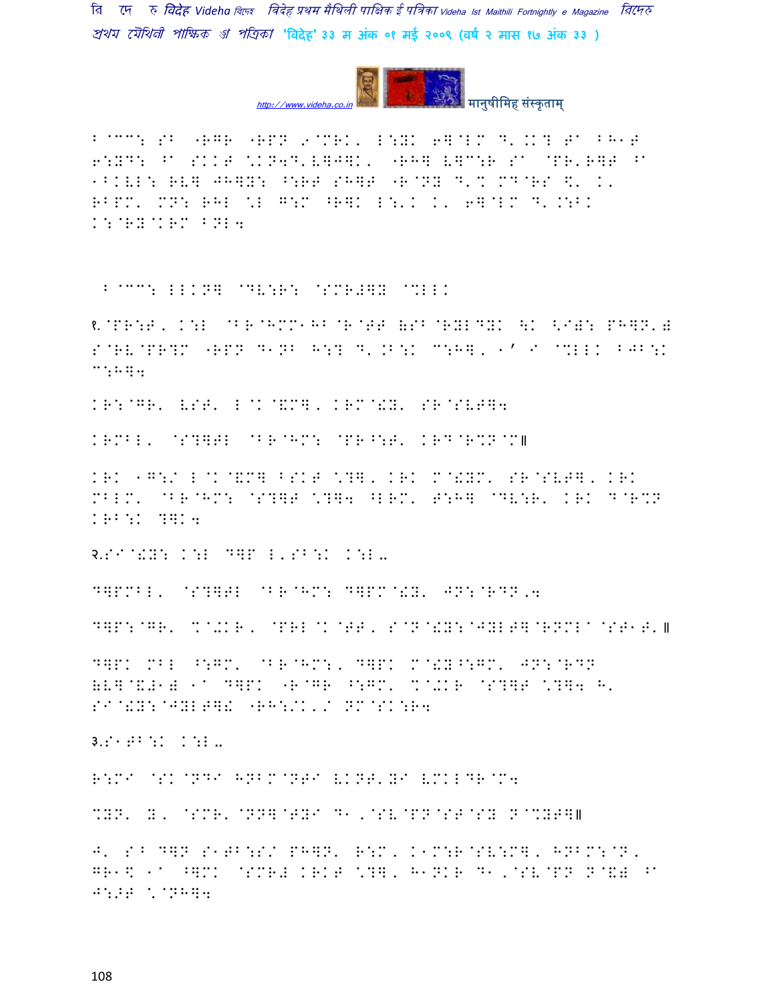

B@CC: SB "RGR "RPN 9@MRK' L:YK 6]@LM D'.K? Ta BH1T 6:YO: ^a SKKT \*KNAD'VIJLE \*KNH4D'V "RHIJK' "RHAD" (PIE SA PRIMA \* PRIMA \* PRIMA \* PRIMA \* PRIMA \* PRIMA \* PRIMA 1BKC RIS SHIPS THE SHE SHOW DOWN MORE AND THE RBPM' MN: RHL \*L G:M ^R]K L:'K K' 6]@LM D'.:BK K:@RY@KRM BNL4

B@CC: RECORD @DV:R: DOCTES

१. TENET (SB = 1991) - PROPERTY ARDEN (BERG BRANDER SHOWLD (SD = 1991) - RESPONDENT (SD = 1991) - B S@RV@PR?M "RPN D1NB H:? D'.B:K C:H], 1' I @%LLK BJB:K  $\cdots$ 

KR:@GR' VST' L@K@&M}, KRM@! VST' L@K@&M}, KRM@!Y' SR@SVT\_POLICY L@K@&M}, KRM@!

KRMBL' @S?PROVINCERS @BR@HM: @PROVINCERS

KRK 1G:/ L@K@&M] BSKT \*?], KRK M@!YM' SR@SVT], KRK MBLM: MBPLM: OSTER CHER HEM: BIRE MHILB, CB: MARCH KRB:K ??K

२.FV: MH: C:L-DRE L. PRICE C:L

D]PMBL' @S?]TL @BR@HM: D]PM@!Y' JN:@RDN,4

D]P:@GR' %@+KR, @PRL@K@TT, S@N@!Y:@JYLT]@RNMLa@ST1T'॥

DEED THE MARL OFFICER MAN TO DEED AND GUIDER (1) 13 December 1988 - 1989 - 1989 - 1989 - 1989 - 1989 - 1989 - 1989 - 1989 - 1989 - 1989 - 1989 - 1989 - 19 SI@!Y:@JYLT]! "RH:/K'/ NM@SK:R4

 $3.51 \div 51.51 \div 51.51 \div 51.51$ 

R:MI @SK@NDI HNBM@NTI VKNT'YI VMKLDR@M4

%YN' Y, @SMR'@NN]@TYI D1,@SV@PN@ST@SY N@%YT]॥

J' S^ D]N S1TB:S/ PH]N' R:M, K1M:R@SV:M], HNBM:@N, GR1\$ 1a ^]MK @SMR# KRKT \*?], H1NKR D1,@SV@PN N@&) ^a J:>T \*@NH]4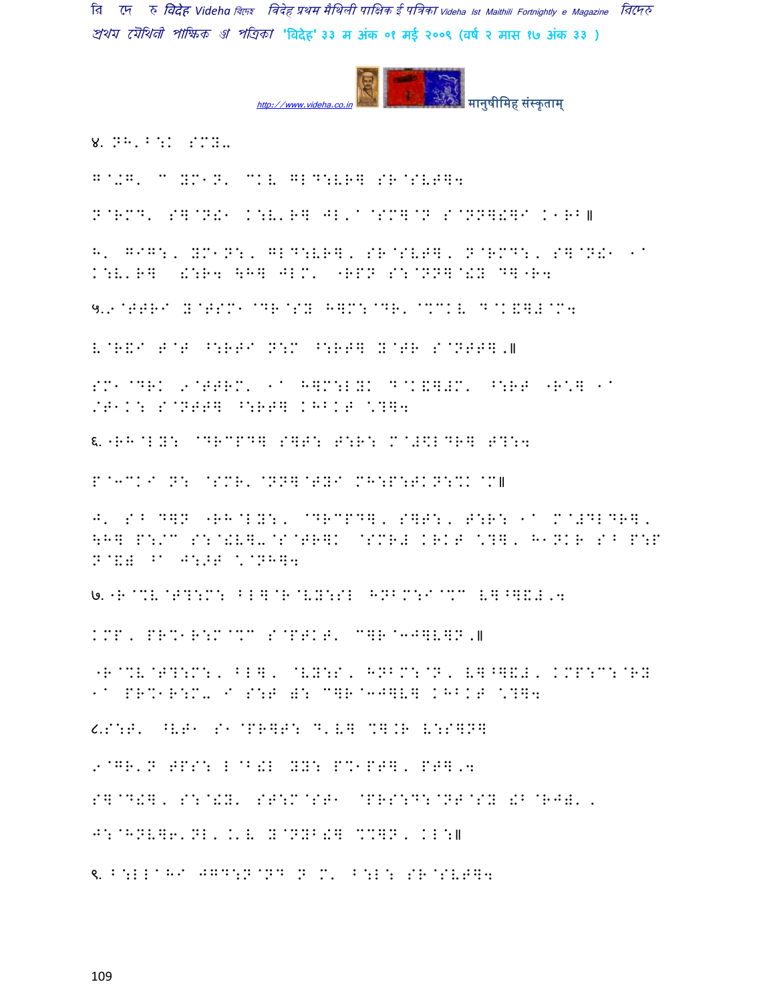

 $8. 74.441$ :  $17.34$ 

BOOK, TIME CAN GRUPS SROW

N@RMD' S]@N!1 K:V'R] JL'a@SM]@N S@NN]!]I K1RB॥

H' GIG:, YM1N:, GLD:VR], SR@SVT], N@RMD:, S]@N!1 1a K:V'R] !:R4 \H] JLM' "RPN S:@NN]@!Y D]"R4

५.9@TTRI Y@TSM1@DR@SY H]M:@DR'@%CKV D@K&]#@M4

V@R&I T@T ^:RTI N:M ^:RT] Y@TR S@NTT],॥

SM1@DRK 9@TTRM: 1a HIM:LYK D@K@K@K@K@K@K /T1K: S@NTT] ^:RT] KHBKT \*?]4

६."RH@LY: @DRCPD] S]T: T:R: M@#\$LDR] T?:4

P@3CKI N: @SMR'@NN]@TYI MH:P:TKN:%K@M॥

J' S^ D]N "RH@LY:, @DRCPD], S]T:, T:R: 1a M@#DLDR], \H] P:/C S:@!V]-@S@TR]K @SMR# KRKT \*?], H1NKR S^ P:P  $P$  TH  $\rightarrow$  T  $\rightarrow$  The  $\rightarrow$  The  $\rightarrow$ 

७."R@%V@T?:M: BL]@R@VY:SL HNBM:I@%C V]^]&#,4

KMP, PRS: PROTOCO SOPRIE, MARINAMENT, N

"RA: MOTE MATES ON A LIGNE (1) AND HOME ON DURING IN CONTROLLING ON THE MAGNINE MANUFOLY ARE CONSIDERED AS A D 1a PR%1R:M- I S:T (C) CHBKT (C) CHBKT \*\*\*

८.S:T' ^VT1 S1@PR]T: D'V] %].R V:S]N]

9@GR'N TPS: L@B!L YY: P%1PT], PT],4

S]@D!], S:@!Y' ST:M@ST1 @PRS:D:@NT@SY !B@RJ)',

J:@HNV]6'NL'.'V Y@NYB!] %%]N, KL:॥

९. B:LLAHI HUND:ND N MY STAR SERIES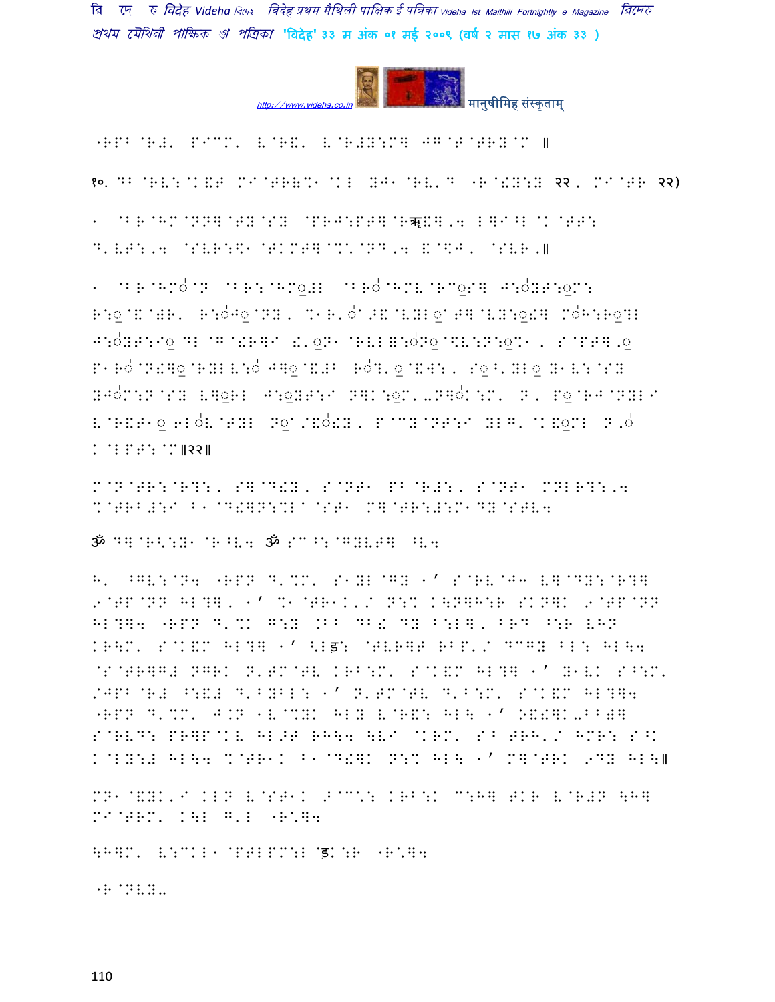

"RPB@R#&Y: PICM' V@R##Y: V@R#Y#Y#Y#Y#Y#Y#Y#Y#Y# १०. DB CHAT MI EVENT MIDESTY ONE CHAT MHAL DE THOMATH 22, MINOTH 22)

1 @BR@HM@NN]@TY@SY @PRJ:PT]@Rॠ&],4 L]I^L@K@TT: D'IGT:,4 @SVR:\$1@TH:D'ATEST PROVIDED AT A SVR AND THE LI

+ @MRC®HMCORO + PROBOT DE BROSTE DE BROSTE DE BROSTE DE BROSTE DE DE H:SolibliaH: H:SoHoliPG : THH: o' PE (EGH) of PR (EGS)off (ToH:SHoliF) | Hi:Oleito@GPECORDREO EL@POCHEEEE:OP@CREitPi@TOLLECORPEL@ F+ Boʻlik:Hoʻlk:HoʻlkHoʻli.Hoʻl: oʻlik: Vilogo (B) B V: YCH ( BHÓNGE GOB (RHQH) HGQBHGK (PHIGQN, LPHÓIGN, (P. PQ)HH (PB)K) BOPERHO HIGEORE OP@CYEGABO FOUROPRYHO BIP, NOEQUE OPOG  $\mathbb{R}^n$   $\mathbb{R}^n$   $\mathbb{R}^n$   $\mathbb{R}^n$   $\mathbb{R}^n$   $\mathbb{R}^n$   $\mathbb{R}^n$ 

M@N@TR:@R?:, S]@D!Y, S@NT1 PB@R#:, S@NT1 MNLR?:,4 %@TRB#:I B1@D!]N:%La@ST1 M]@TR:#:M1DY@STV4

 $36$   $144$   $144$   $144$   $144$   $144$   $144$   $144$   $145$   $147$   $148$   $149$   $149$ 

H' ^GV:@N4 "RPN D'%M' S1YL@GY 1' S@RV@J3 V]@DY:@R?] 9@TP@NN HL?], 1' %1@TR1K'/ N:% K\N]H:R SKN]K 9@TP@NN HL?]4 "RPN D'%K G:Y .BB DB! DY B:L], BRD ^:R VHN KRAM HOW SOME REAL PROPERTY AND IN THE REAL PROPERTY BEFORE BEING BLOCK BLOCK BLOCK BLOCK BLOCK BLOCK @S@TR]G# NGRK N'TM@TV KRB:M' S@K&M HL?] 1' Y1VK S^:M' /JPB@R# ^:&# D'BYBL: 1' N'TM@TV D'B:M' S@K&M HL?]4 "RPN D'XW, "AND YESWED" HER ESHEN HER IV OBERNATION SOBERG: PROPORTING: PRAYER ARY OVERVISH BARY SYMPORTING K@LY: HUR: TAH BI BI MURIS BI HO HI AN THOHIC STIMATE

MN 100 XX XX VARD AND VAN VAN VOORT VAN DIE STIKK VAN DIE STIKKE KRAAISE KRAAISE KRAAISE KRAAISE KRAAISE KRAAIS MINERAL MINERAL SERVICE

 $\#$ MHT.  $\#$ M' I: $\#$  THE FTLE (5) AR  $\#$  .

"WHITE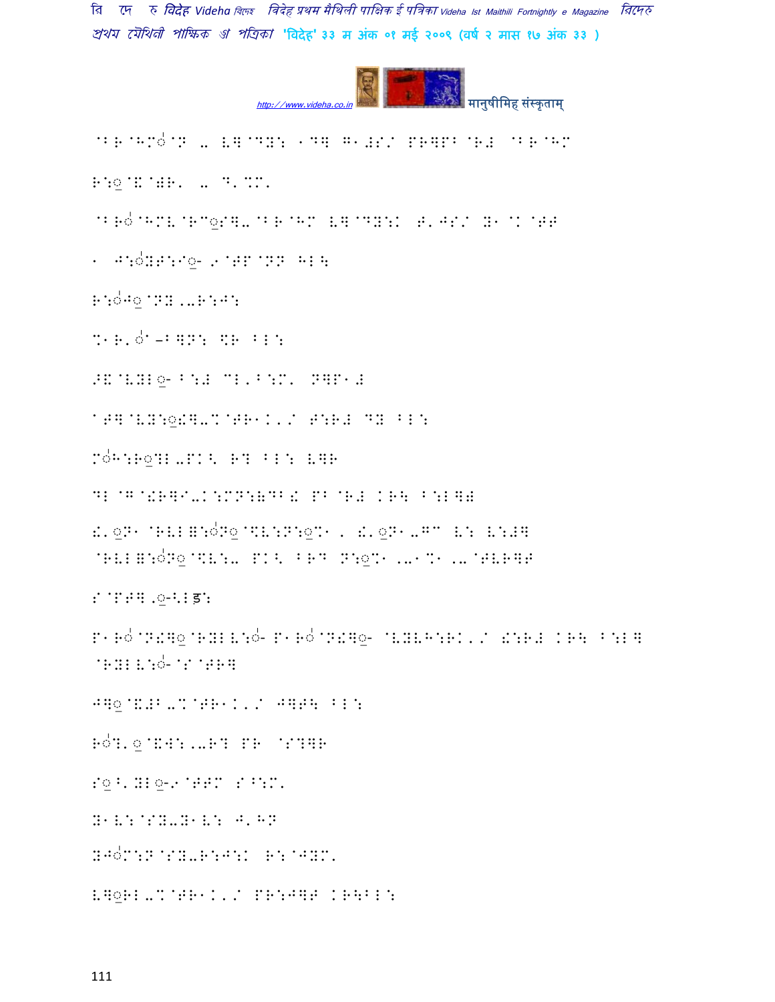

@BR@HM◌ ॑@N - V]@DY: 1D] G1#S/ PR]PB@R# @BR@HM ROBIE. ATTI

MOBRO POSTO DE DE DE DE DE DE DE DE DE DE DE DOUGE D

+ H:0B#1+2@tv:HP@PDP@HL&\

R:◌ ॑J◌॒@NY,-R:J:

%1R'◌ ॑a–B]N: \$R BL:

>&@VYL◌॒- B:# CL'B:M' N]P1#

TERMINOMENT TERMISSION ENERGY BLACK

MÖHDER IKK RAR BERT RED RED RAR D

DE DROGEROLIGISCHER KORTOGER KRAG KREAK

 $\mathbb{R}, \mathbb{Q}^n$ ) (bestime) which we consider  $\mathbb{R}$  and  $\mathbb{Q}^n$  are  $\mathbb{R}^n$  . In the set of  $\mathbb{R}^n$ OREE BA0P@ VELAWY FIRST PROTO DATE ON CATALERE

 $S$ PTPE,  $O=1.15$ :

PHPÓ NPLARO NEAL LOGÍ PHRÓ NACAROÍ NLALPOBLICIO LOGIE LOGIE (FOGLA). @RYLV:◌ ॑-@S@TR]

J]◌॒@&#B-%@TR1K'/ J]T\ BL:

B○P.Q'EAR WET PR @PRP @

SOURNEY SOURCE

**WI: WI: WI: J'HN: WI: J'HN: J** 

BA¢TGR(MBGAGG) BG(ABT.)

LAQRICTER (12 PRGHAM IRAFI)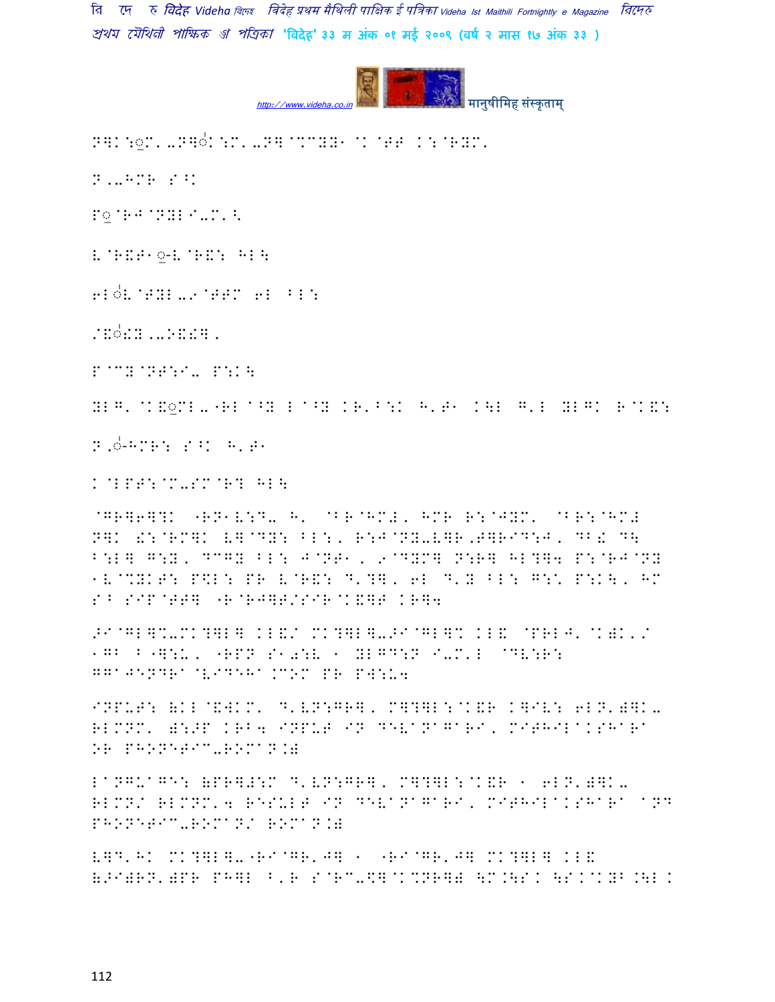

DA:N@MYLORAMONICORAMONICORAMONICORAMONICO

 $H_1, H_2, H_3, H_4, H_5$ 

Politic Miller Control

E THER ORE THIS HIR

eløbjeg: 1980-1990 el Blit

/H063 ....YH69 . |

 $P^2$  . Point  $P^2$  . Point  $P^2$  . Point  $P^2$  . Point  $P^2$ 

WHAT WE CONSIDER THE REPORT OF A LART CHECKER REPORT OF WHICH

N,◌ ॑-HMR: S^K H'T1

 $K$  , and the small continuous continuous continuous continuous continuous continuous continuous continuous continuous continuous continuous continuous continuous continuous continuous continuous continuous continuous con

@GR]6]?K "RN1V:D- H' @BR@HM#, HMR R:@JYM' @BR:@HM# N]K !:@RM]K V]@DY: BL:, R:J@NY-V]R,T]RID:J, DB! D\ B:L] G:Y, DCGY BL: J@NT1, 9@DYM] N:R] HL?]4 P:@RJ@NY 1V@%YKT: P\$L: PR V@R&: D'?], 6L D'Y BL: G:\* P:K\, HM  $S^{\bullet}$  . So similarly and  $S^{\bullet}$  is the similar state  $S^{\bullet}$  and  $S^{\bullet}$  and  $S^{\bullet}$ 

>I@GL]%-MK?]L] KL&/ MK?]L]->I@GL]% KL& @PRLJ'@K)K'/ 1GB B"]:U, "RPN S10:V 1 YLGD:N I-M'L @DV:R: GGaJENDRa@VIDEHa.COM PR PW:U4

INPUT: (KL@&WKM' D'VN:GR], M]?]L:@K&R K]IV: 6LN')]K-RLMNM' ):>P KRB4 INPUT IN DEVaNaGaRI, MITHILaKSHaRa OR PHONETIC-ROMAN (PORT PRODUCT) PRODUCT PRODUCT PRODUCT PRODUCT PRODUCT PRODUCT PRODUCT PRODUCT PRODUCT PRODUCT PRODUCT PRODUCT PRODUCT PRODUCT PRODUCT PRODUCT PRODUCT PRODUCT PRODUCT PRODUCT PRODUCT PRODUCT PRODUCT PRODU

LaNGUaGE: (PR]#:M D'VN:GR], M]?]L:@K&R 1 6LN')]K-RLOGA RLOGA RESULT IN DEVANGEMENT, ONGEVENSITET IN DE PHONETIC-ROMaN/ ROMaN.)

BOY, RICOVER HARRY MELSING AND MELSING VIOLET IS I (>I)RN')PR PH]L B'R S@RC-\$]@K%NR]) \M.\S. \S.@KYB.\L.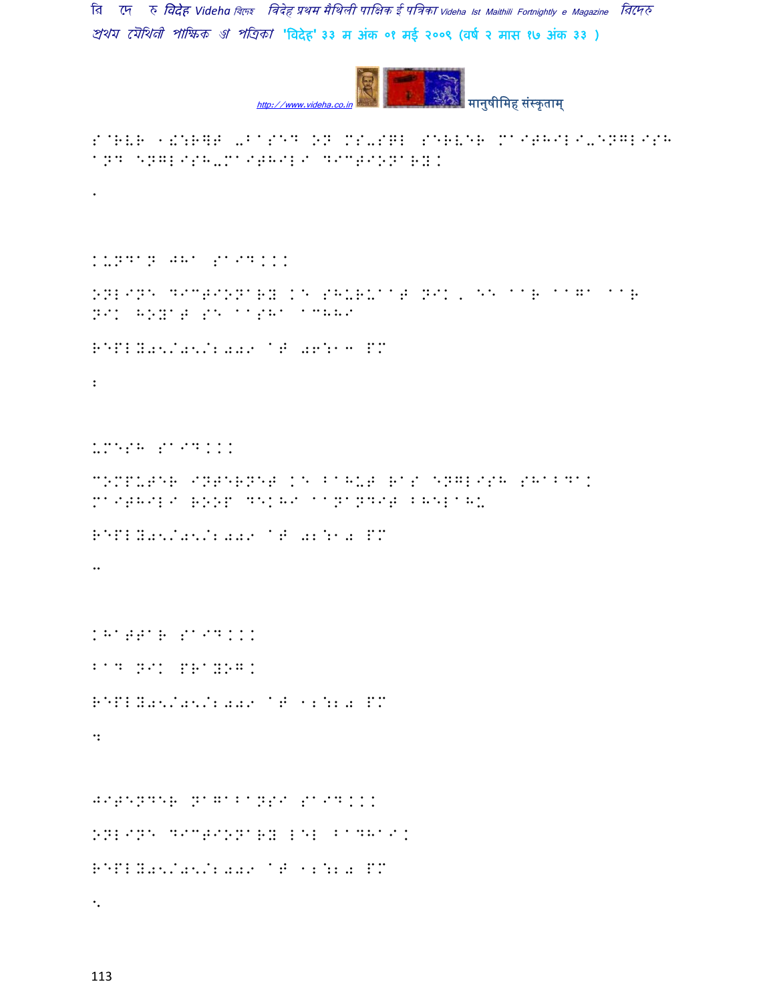

SOREB -BARBED ON MS-SPORTS TELER SOREIGE MONEYER MAITHING and english-mail dictionary. The second control of the second control of the second control of the second control of the second control of the second control of the second control of the second control of the second contro

```
\ddot{\phantom{1}}KUNDAN JANGGUNI
```
ONLINE DICTIONaRY KE SHURUaaT NIK, EE aaR aaGa aaR NIK HOYAT SE aaSHa aaSha aaSha aaSha aaSha aaSha aaSha aaSha aaSha aaSha aaSha aaSha aaSha aaSha aaSha aaSha a

REPLYNS AT 06:2009 AT 06:2009 AT 06:2009 AT 06:2009 AT 06:2009 AT 06:2009 AT 06:2009 AT 07:2009 AT 07:2009 AT 0

 $\ddot{\cdot}$ 

```
UMESH SaID...
```
COMPUTER INTERNET KE BaHUT RaS ENGLISH SHaBDaK MaITHILI ROOP DEKHI aaNaNDIT BHELaHU

REPLY05/05/2009 aT 02:10 PM

 $\ddotsc$ 

BaD NIK PRAYOG.

 $\dddot{\cdot}$ 

REPUBLICATION IN STRUCK

JITENDER NaGaBaNSI SaID...

REPLYNS AT 12:20 PM AT 12:20 PM

ONLINE DICTIONaRY LEL BaDHaI.

```
KHaTTaR SaID...
```
113

 $\ddot{\phantom{0}}$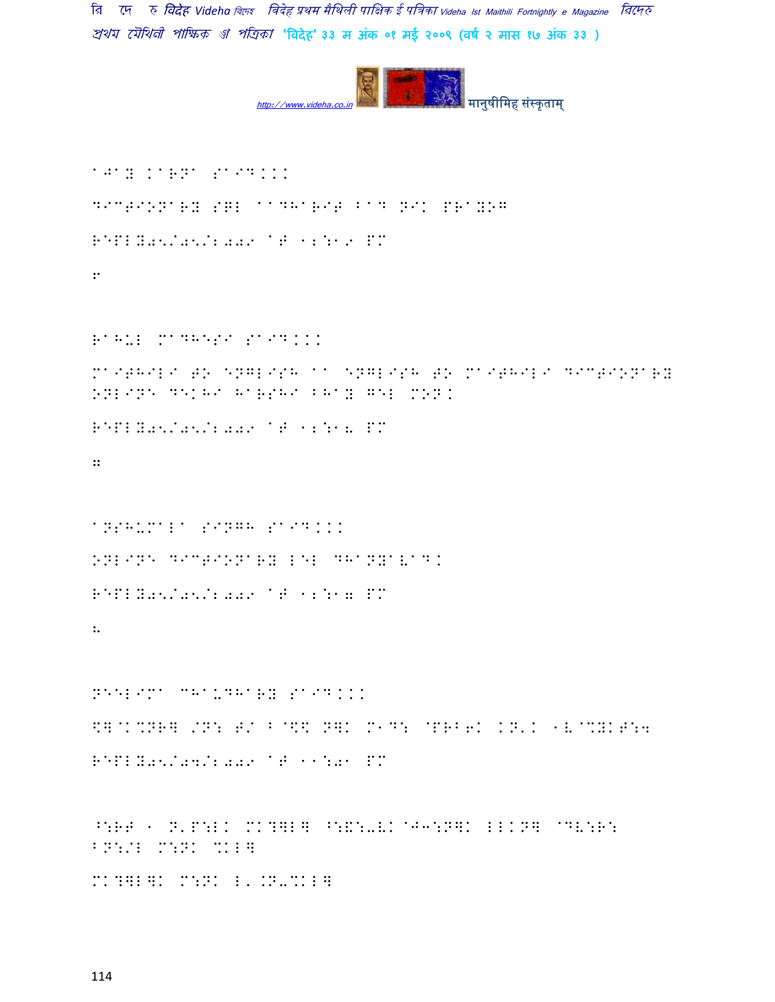

and Cherna Saintich DICTIONaRY SQL aaDHaRIT BaD NIK PRaYOG REPRESENTATION OF PROPERTY  $\ddot{\phantom{0}}$ Rahul Madhesi Said... Maithili To English aa English to maithili english to maithili dictionary en ONLINE DEKHI HARSHI BHAY GEL MONDO DA DA SHARSHI BHAY GEL MONDO DA SHARSHI BHAY GEL MONDO DA SHARSHI BHAY GEL REPLYNS AT 12:18 PM AT 12:18 PM  $::$  $\frac{1}{2}$  and  $\frac{1}{2}$  and  $\frac{1}{2}$  are  $\frac{1}{2}$  and  $\frac{1}{2}$  and  $\frac{1}{2}$  are  $\frac{1}{2}$  and  $\frac{1}{2}$  are  $\frac{1}{2}$  and  $\frac{1}{2}$  are  $\frac{1}{2}$  and  $\frac{1}{2}$  are  $\frac{1}{2}$  and  $\frac{1}{2}$  are  $\frac{1}{2}$  and  $\frac{1}{2}$  a ONLINE DICTIONaRY LEL DHaNYaVaD. REPLYNS AT 12:17 PM 2009 AT 12:17 PM 2009 AT 12:17 PM 2009 AT 12:17 PM 2009 AT 12:17 PM 2009 AT 12:17 PM 2009  $\ddot{\cdot}$ NEELIMa CHaUDHaRY SaID... \$]@K%NR] /N: T/ B@\$\$ N]K M1D: @PRB6K KN'K 1V@%YKT:4 REPLYNS AT 11:00 PM \*HEP: \ \$.FH: T:HH: PHELL: \#+199: ||139: \"RHE BN://L M:NK %KL MK?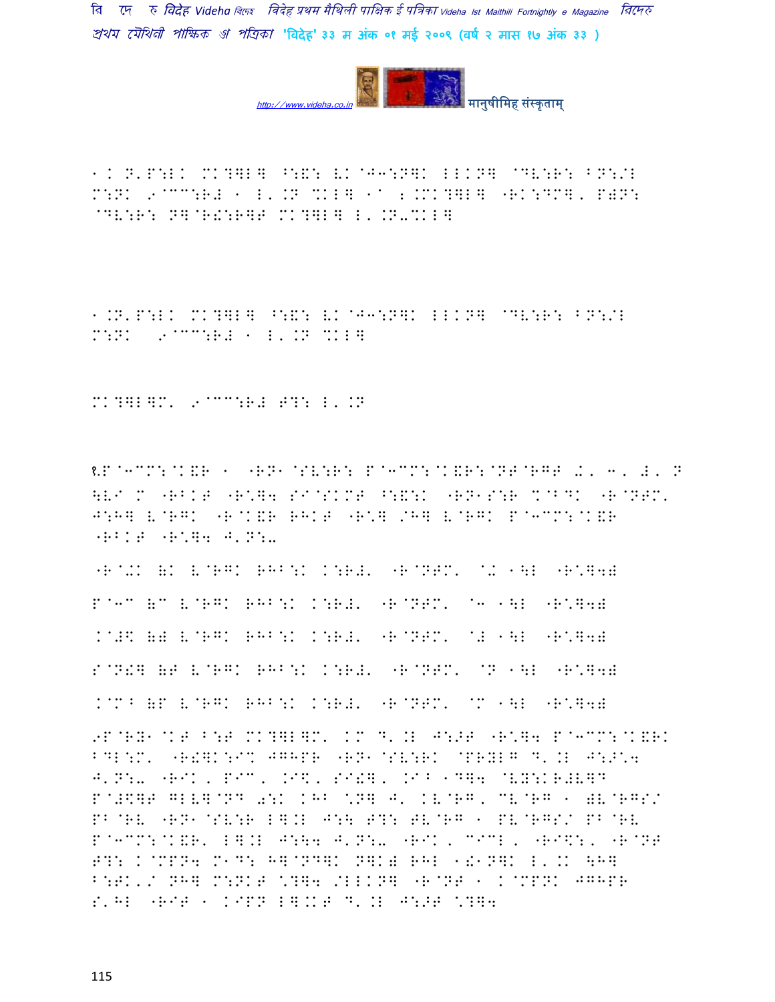

1. N'P:LK MK?]L] ^:&: VK@J3:N]K LLKN] @DV:R: BN:/L M:NK 9@CC:R# 1 L'.N %KL] 1a 2.MK?]L] "RK:DM], P)N: @DV:R: N]@R!:R]T MK?]L] L'.N-%KL]

1.N'P:LK MK?]L] ^:&: VK@J3:N]K LLKN] @DV:R: BN:/L M:NK 9@CC:R# 1 L'.N %KL

MK?]L]M' 9@CC:R# T?: L'.N

१.P@3CM:D&3CM:B&R 1 - "P#2" P#3CM: P#3CM: P#3CM: P#3CM: P#3CM: P#2CM: P#2CM: P#2CM: P#2CM: P#2CM: P#  $\overline{u}$  M  $\overline{u}$  ,  $\overline{u}$  ,  $\overline{u}$  and  $\overline{u}$  is  $\overline{u}$  is the state of  $\overline{u}$  . The  $\overline{u}$ J:H] V@RGK "R@K&R RHKT "R\*] /H] V@RGK P@3CM:@K&R "RBKT "R\*H" "R\*D#L

 $\mathcal{A}\oplus\mathcal{A}$  (see Fig. 1). The transformation  $\mathcal{A}\oplus\mathcal{A}$  is a new  $\mathcal{A}\oplus\mathcal{A}$  and  $\mathcal{A}\oplus\mathcal{A}$ P. THIM: GEORGE RHAGE CO., THE TRANSPORTATION AND THE THE THE THE THREE IS A 1-RED THAT HE THE THE THE THE THE  $.0145$  ()  $.0146$  ()  $.0144$  ()  $.0144$  ()  $.0144$  ()  $.0144$  ()  $.0144$  ()  $.0144$  $\mathcal{S}$  (T  $\mathcal{S}$  ) (T  $\mathcal{S}$  ) (T  $\mathcal{S}$  ) (T  $\mathcal{S}$  ) (T  $\mathcal{S}$  ) (T  $\mathcal{S}$  ) (T  $\mathcal{S}$  ) (T  $\mathcal{S}$  ) (T  $\mathcal{S}$  ) (T  $\mathcal{S}$  ) (T  $\mathcal{S}$  ) (T  $\mathcal{S}$  ) (T  $\mathcal{S}$  ) (T  $\mathcal{S}$  ) (T  $\mathcal{S}$  ) (T .@M^ (P V@RGK RHB:K K:R#' "R@NTM' @M 1\L "R\*]4)

9P@RY1@KT B:T MK?]L]M' KM D'.L J:>T "R\*]4 P@3CM:@K&RK BDL:M' "RN1@SV:RK @PRYLG D'.L J:RK @PRYLG D'.L J:RK @PRYLG D'.L J:RK @PRYLG D'.L J:RK @PRYLG D'.L J:RK @PRYLG J'N:- "RIK, PIC, .I\$, SI!], .I^ 1D]4 @VY:KR#V]D P. MER REPORT OF GLOVES IN A RELIGION OF A DISCOVERING THE CONDITIONS OF A LIGHT  $\mathcal{E}$ PB TRE "PROVINCENT ER DE "PARK" PARA DE TRAVA PE TRANSPORT PRODUCT P. THOSE OF BRITTIES AND A RIKE AND PART OF THE CONTROLL THROUGH IT AN OPEN BRITTIES THE COUNTRY TO HE COUNTRY THE BHE ORDER IS AN INDIA B:TK'/ NH] M:NKT \*?]4 /LLKN] "R@NT 1 K@MPNK JGHPR STAN "RIT I KIPN LAND" I KIPN DI. KT DI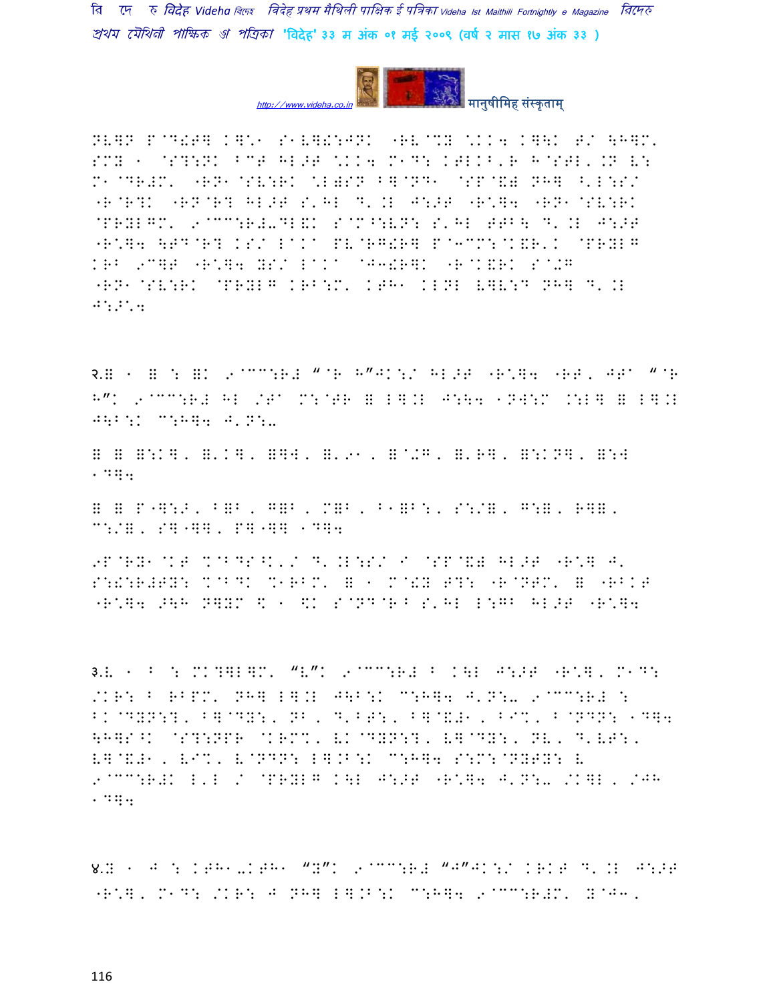**http://www.videha.co.in/ मानुषीमिह संस्कृताम्**<br>स्थिति मानुषीमिह संस्कृताम्

NLAR PORLAN IAN, NILARIARI (RLONE NILA IAN BAR) SMY 1 MOST FOR THE RESEARCE OF THE STREET HAD A STREET OF THE M1@DR#M' "RN1@SV:RK \*L)SN B]@ND1 @SP@&) NH] ^'L:S/ "R@R?K "RN@R? HL>T S'HL D'.L J:>T "R\*]4 "RN1@SV:RK @PRYLGM' 9@CC:R#-DL&K S@M^:VN: S'HL TTB\ D'.L J:>T "R\*]4 \TD@R? KS/ LaKa PV@RG!R] P@3CM:@K&R'K @PRYLG KRB 9CH 9CH 9CH 2019 (1999) ROOM DEEPERTHY AND CONTROL  $R$  . The state of the state of the state  $R$  and  $R$  is the state of  $R$  . The state of  $R$  is the state of  $R$  . The state of  $R$  is the state of  $R$  is the state of  $R$  is the state of  $R$  is the state of  $R$  is the sta  $\{H_{1},H_{2},\cdots\}$ 

२.= 1 = : =K 9@CC:R# "@R H"JK:/ HL>T "R\*]4 "RT, JTa "@R H"K 9 CCC:R# HE /TA WE HE LAND - THE PICE THAN . THAN . LEADER IN LAND J\B:K C:H]4 J'N:-

= = =:K], ='K], =]W, ='91, =@+G, ='R], =:KN], =:W  $\cdot$   $\cdot$   $\cdot$   $\cdot$   $\cdot$ 

= = P"]:>, B=B, G=B, M=B, B1=B:, S:/=, G:=, R]=, C:/=, S]"]], P]"]] 1D]4

9P@RY1@KT %@BDS^K'/ D'.L:S/ I @SP@&) HL>T "R\*] J' STEPHENS WORK WHEN BOX WORKERS ARDEN ENGINEER  $H$  . The state of  $\mathcal{L}$  and  $\mathcal{L}$  is the state  $\mathcal{L}$  . The state  $\mathcal{L}$ 

3.E (3) F : R : ME HIT, (ME MI) & COUNHER F (1988) AND B (1978), MN TAX /KR: B RBPM' NH] L].L J\B:K C:H]4 J'N:- 9@CC:R# : BK@DYN:: BHOW:, BR, B.BIS, BHOOK, BOY, BOYS; BOW \H]S^K @S?:NPR @KRM%, VK@DYN:?, V]@DY:, NV, D'VT:, V]@&#1, VI%, V@NDN: L].B:K C:H]4 S:M:@NYTY: V 9@CC:R#K L'L / @PRYLG K\L J:>T "R\*]4 J'N:- /K]L, /JH  $1.944$ 

४.Y 1 J : KTH1-KTH1 "Y"K 9@CC:R# "J"JK:/ KRKT D'.L J:>T  $\sim$  Respectively. The problems of the Middle Day of the Middle Day of the U.S. C.H. of the U.S. C.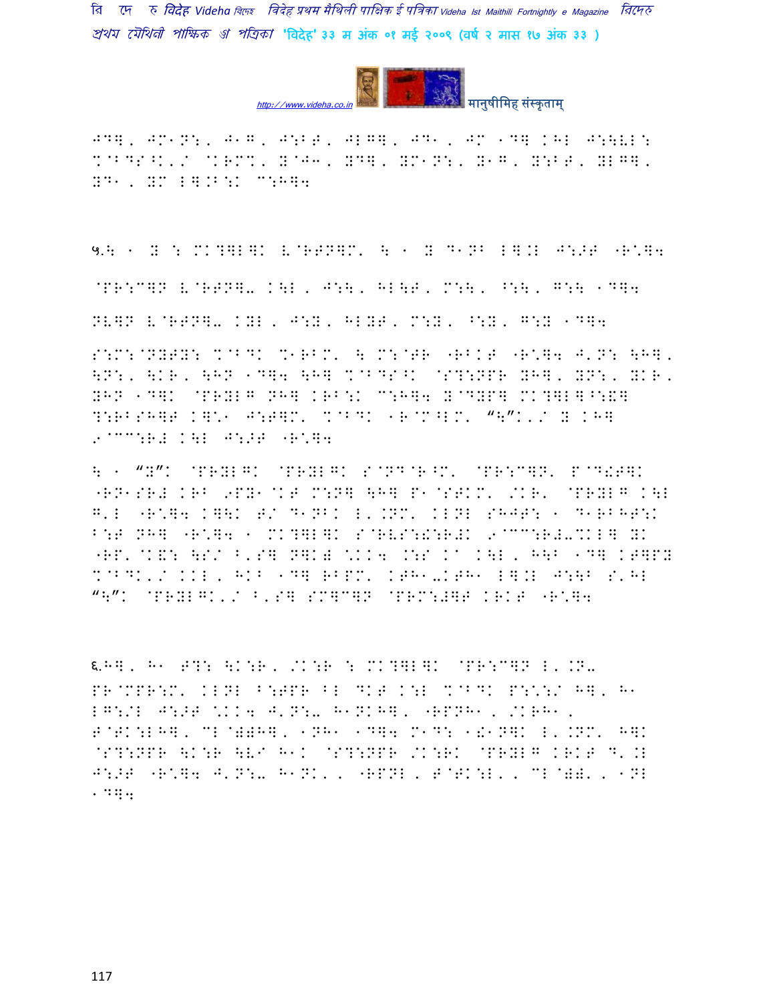

JOSE, JOSEPH, JOSEPH, JOSEPH, JOSEPH, JOSEPH, JOSEPH, JOSEPH, JOSEPH, JOSEPH, JOSEPH, JOSEPH, JOSEPH, JOSEPH, JOSEPH, JOSEPH, JOSEPH, JOSEPH, JOSEPH, JOSEPH, JOSEPH, JOSEPH, JOSEPH, JOSEPH, JOSEPH, JOSEPH, JOSEPH, JOSEPH, % % MADS^K, YOU ADS\UNDATATION: YOU ADD YOU AT A NOT YOU AT A LOCAL ALL THE HELL. YD1, YM L].B:K C:H]4

 $9.4 \times 3$  Y : MARRIE (ESPECIER )  $4 \times 3$  MARRIE  $44.44 \times 45.44$ @PR:C]N V@RTN]- K\L, J:\, HL\T, M:\, ^:\, G:\ 1D]4 NARTH A MHATRAIN (GROUP AND IN AFGRALIST CONDUCT AND IN THE STATE  $\sim$ 

S:M:@NYTY: %@BDK %1RBM' \ M:@TR "RBKT "R\*]4 J'N: \H], \N:, \KR, \HN 1D]4 \H] %@BDS^K @S?:NPR YH], YN:, YKR, YHN 10 Y HOL 1D AN HOL 1D AN HOL 1D AN HOL 1D AN HOL 1D AN HOL 1D AN HOL 1D AN HOL 1D AN HOL 1D AN HOL 1D AN H ?:RBSH]T K]\*1 J:T]M' %@BDK 1R@M^LM' "\"K'/ Y KH] 9@CC:R# K\L J:R# K\L J:R#

 $\,H \rightarrow \,$  "H=",  $\,$  (PPR)  $\,$  = (PPR)  $\,$  Prylogical sons  $\,$  Properties  $\,$  Properties  $\,$ "RINTED (B) VIOLICE DVIC RACE MINIC, NOR, MEDICAL A.E "ANGH" (AN' AZ AFRIC E. 192. 1191 YAARY KUNGARAN) B:T NHE "RECENT" SON RECENT AND IN THE CONTROL OF STATE OF SALES AND IN THE CONTROL OF SALES AND IN THE CONTROL OF STATE OF SALES AND IN THE CONTROL OF SALES AND IN THE CONTROL OF SALES AND IN THE CONTROL OF SALES AND IN T  $R$  , and the state of the state of the state of the state of the state of the state of the state of the state of the state of the state of the state of the state of the state of the state of the state of the state of the % @BOK'/ KALL, HKB 1099 BEEN, KEBB LIBB 1099 BEEN END "W" TREE " K BIS STRUCK' RETAILS

६.HE, H1 FER RIGH, /K:R, 8 TITHEN (TESTER E. NR.) PR@MPR:M' KLNL B:TPR BL DKT K:L %@BDK P:\*:/ H], H1 LG:/L J:>T \*KK4 J'N:- H1NKH], "RPNH1, /KRH1, THO NE RA LICHE CHERAAL, CLOPPE CHO ANN IN HIS CLOSED CELLOSED CORPO @S?:NPR \K:R \VI H1K @S?:NPR /K:RK @PRYLG KRKT D'.L J:>T "R\*]4 J'N:- H1NK', "RPNL, T@TK:L', CL@))', 1NL  $1.94$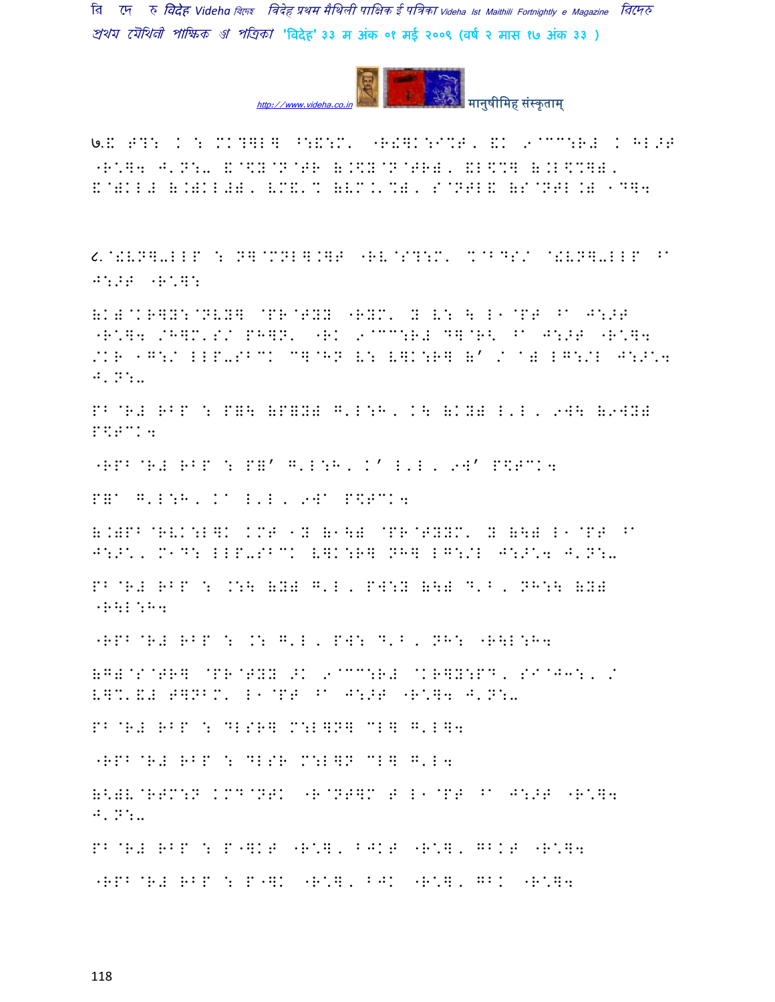

७.& T?: . : MK?]L] ^:&:M' "R!]K:I%T, &K 9@CC:R# . HL>T "ARNIA A. PAL" E "RETR'ANA A DRE D'ATA (... ER RITA), A DE RITA. &@)KL# (.)KL#), VM&'% (VM.'%), S@NTL& (S@NTL.) 1D]4

८.@!VN]-LLP : N]@MNL].]T "RV@S?:M' %@BDS/ @!VN]-LLP ^a  $J:Y \to Y \to Y \to Y \to Y$ 

 $\begin{array}{l} \begin{array}{l} \begin{array}{l} \begin{array}{l} \end{array} \end{array} \end{array}$ "R\*]4 /H]M'S/ PH]N' "RK 9@CC:R# D]@R< ^a J:>T "R\*]4 /KR 1G:/ LLP-SBCK C]@HN V: V]K:R] (' / a) LG:/L J:>\*4  $J:U:U$ 

PR TRACERT : P=YO GPBM (P.154), ISBN 6108 (1.1) L-HR (62408) PREMI 4

"RPB@R# RBP : P=' G'L:H, K' L'L, 9W' P\$TCK4

P=a G'L:H, Ka L'L, 9Wa P\$TCK4

(B) CHERRY (THE REST 19 JOY CONTROL CONTROLLED AT THE THROUGH IN LICENSE OF A COMPANY FOR J:>\*, M1D: LLP-SBCK V]K:R] NH] LG:/L J:>\*4 J'N:-

PR TRACHET : 5 . (YA) GOBECH, E.V. D'BAG GHACH, Y. F. (C) D'ANA GOBEC  $R\rightarrow\frac{1}{2}R\left(\frac{1}{2}+\frac{1}{2}+\frac{1}{2}+\frac{1}{2}\right)$ 

"RPB" THE BEBY TO STATE : . . BAR TO BE THE SHARE THE STATE OF REAL PART OF REAL PART OF REAL PART OF REAL PART

(G)@S@TR] @PR@TYY >K 9@CC:R# @KR]Y:PD, SI@J3:, / 197. D.E. (POP) T. (1) THE PT (PAIR (PAIR (P. PT).

PROBE : PRODUCT : PRODUCT : PRODUCT : PRODUCT : PRODUCT : PRODUCT : PRODUCT : PRODUCT : PRODUCT : PRODUCT : PRO

"REPORT : DRAFT : DRAFT : DRAFT : DRAFT : DRAFT : DRAFT : DRAFT : DRAFT : DRAFT : DRAFT : DRAFT : DRAFT : DRAFT

(<)V@RTM:N KMD@NTK "R@NT]M T L1@PT ^a J:>T "R\*]4  $\mathcal{F}_1$ :  $\mathcal{F}_2$ :  $\mathcal{F}_3$ 

PB@R# RBP : P"]KT "R\*], BJKT "R\*], GBKT "R\*]4

"RPB" (P.E. P.F.P. (P.F.P.), GBK "R.C. (P.F.), GBK "R\*1, GBK "R\*1, BBK"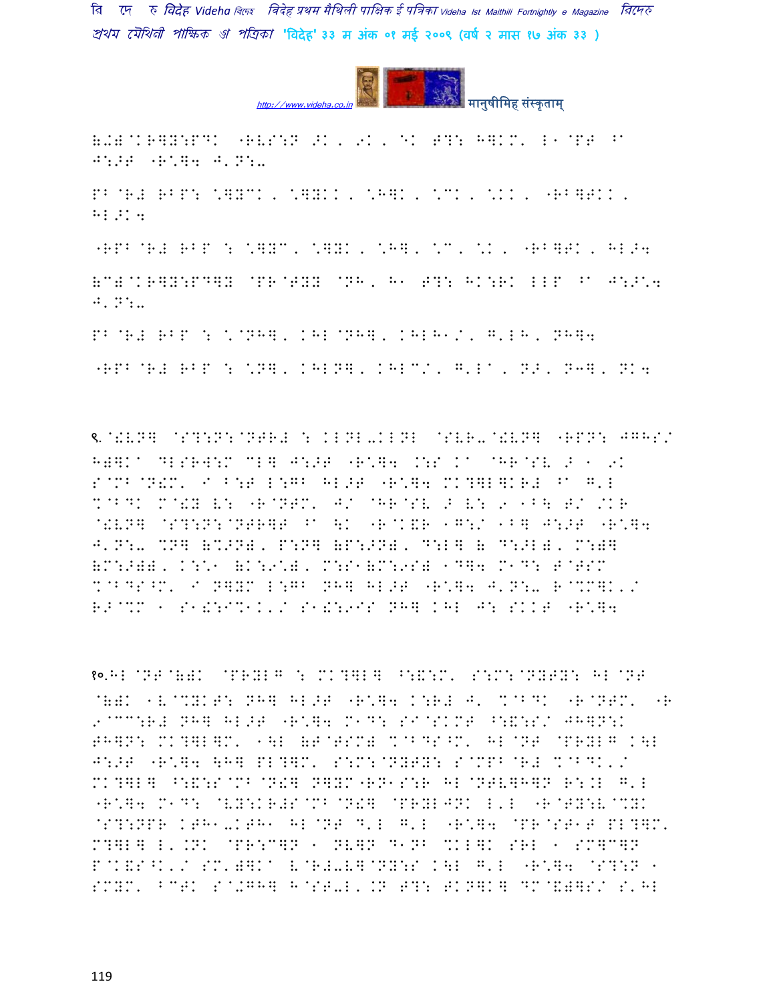

(+)@KR]Y:PDK "RVS:N >K, 9K, EK T?: H]KM' L1@PT ^a J:>T "R\*]4 J'N:-

PB@R# RBP: \*]YCK, \*]YKK, \*H]K, \*CK, \*KK, "RB]TKK,  $H$ :  $H$ 

"RPB@R# RBP : \*]YC, \*]YK, \*H], \*C, \*K, "RB]TK, HL>4

(C)@KR]Y:PD]Y @PR@TYY @NH, H1 T?: HK:RK LLP ^a J:>\*4  $\mathcal{F}_1$ :  $\mathcal{F}_2$ :  $\mathcal{F}_3$ 

PB@R# RBP : \*@NH], KHL@NH], KHLH1/, G'LH, NH]4

"RPB@R# RBP : \*N], KHLN], KHLC/, G'La, N>, N3], NK4

९.@!VN] @S?:N:@NTR# : KLNL-KLNL @SVR-@!VN] "RPN: JGHS/ H) A BROTH DRAMA DRAMA DE REDISTRIKT DE REDISTRIKT DE REDISTRIKT DE REDISTRIKT DE REDISTRIKT DE REDISTRIKT DE SAMBON MONEY I BESTALLED AND THE SOLID CONTROL OF THE RESIDENCE OF THE TELL AND THE TRANSPORTED AND THE SUBJECT %@BDK M@!Y V: "R@NTM' J/ @HR@SV > V: 9 1B\ T/ /KR @!VN] @S?:N:@NTR]T ^a \K "R@K&R 1G:/ 1B] J:>T "R\*]4 J'N:- %N] (%>N), P:N] (P:>N), D:L] ( D:>L), M:)] (M:>)), K:\*1 (K:9\*), M:S1(M:9S) 1D]4 M1D: T@TSM % MPS POLITIC PORTER EN HIS PART (PER L'ABS) HAN HAT "POLITIC "ROLL" (PER L'ASSOCIATION)" R>@%M 1 S1!:I%1K'/ S1!:9IS NH] KHL J: SKKT "R\*]4

१०.HL@NT@()K @PRYLG : MK?]L] ^:&:M' S:M:@NYTY: HL@NT @()K 1V@%YKT: NH] HL>T "R\*]4 K:R# J' %@BDK "R@NTM' "R 9@CC:R# NH] HL>T "R\*]4 M1D: SI@SKMT ^:&:S/ JH]N:K THEN: MITHIT, AND BEGRIE COUNCIL WE CHOP ONE HERE CAR J:>T "R\*]4 \H] PL?]M' S:M:@NYTY: S@MPB@R# %@BDK'/ MK?] BEFORE THE STRIKE SERIES FOR THE STRIKE RESIDENCE. IN SIGN RESIDENCE "R\*]4 M1D: @VY:KR#S@MB@N!] @PRYLJNK L'L "R@TY:V@%YK @S?:NPR KTH1-KTH1 HL@NT D'L G'L "R\*]4 @PR@ST1T PL?]M' M?]L] L'.NK @PR:C]N 1 NV]N D1NB %KL]K SRL 1 SM]C]N POMORY POLICY (SMY) (ARE ON THE LEASE OF CHANGES AND HOLE ASSOCIATED AS A SYSTEM OF THE UNION OF THE UNION OF T SMYM' BCTK S@+GH] H@ST-L'.N T?: TKN]K] DM@&)]S/ S'HL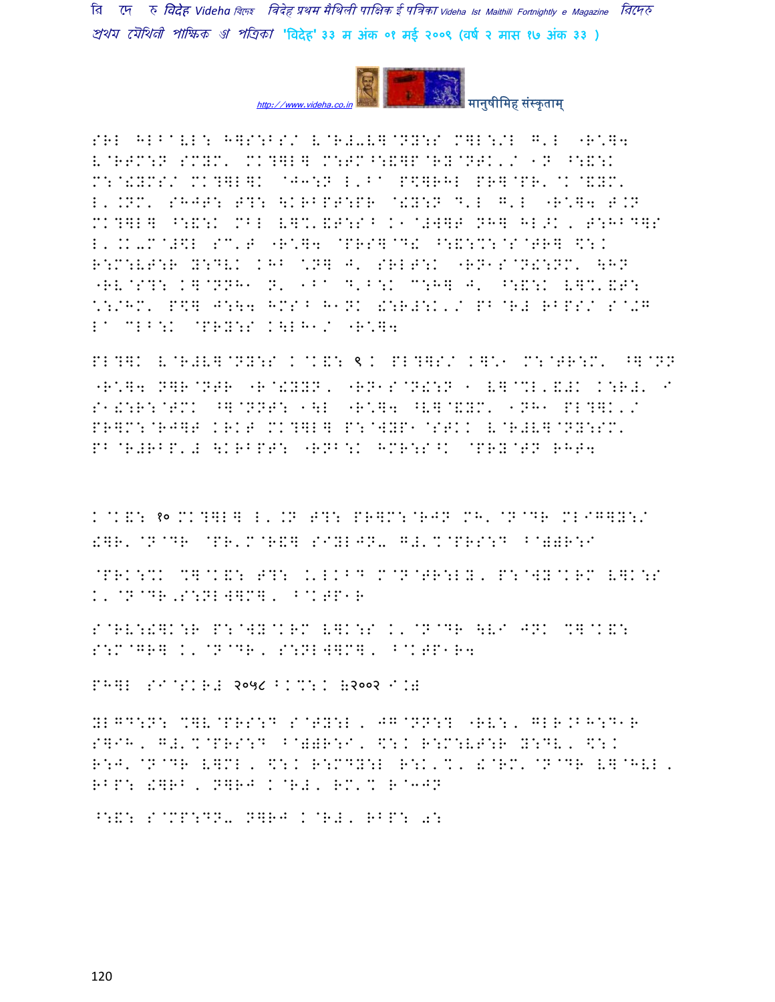$\begin{picture}(10,10) \put(0,0){\line(1,0){15}} \put(10,0){\line(1,0){15}} \put(10,0){\line(1,0){15}} \put(10,0){\line(1,0){15}} \put(10,0){\line(1,0){15}} \put(10,0){\line(1,0){15}} \put(10,0){\line(1,0){15}} \put(10,0){\line(1,0){15}} \put(10,0){\line(1,0){15}} \put(10,0){\line(1,0){15}} \put(10,0){\line(1,0){15}} \put(10,0){\line($ 

SRL HIVEIN HANDIS DENGALATING: TALNI H.L. GENA V@RTM:N SMYM' MK?]L] M:TM^:&]P@RY@NTK'/ 1N ^:&:K M:@!YMS/ MK?]L]K @J3:N L'Ba P\$]RHL PR]@PR'@K@&YM' L'.NM' SHAPY POR BIPIDER MODER MI RI SPNA PID MACHER READS IN THE BUILDING OF SACHING WHO HEADS AND HUNDER L'.K-M@#\$L SC'T "R\*]4 @PRS]@D! ^:&:%:@S@TR] \$:. R:M:VT:R Y:DVK KHB \*N] J' SRLT:K "RN1S@N!:NM' \HN "RV@S?: K]@NNH1 N' 1Ba D'B:K C:H] J' ^:&:K V]%'&T: \*:/\*\*:/\*\*:///HTML //HTML //HTML //HTML //HTML //HTML //HTML //HTML //HTML //HTML //HTML //HTML //HTML //HTML / La Claude (1983) (1984) (1984) (1984) (1984) (1984) (1984) (1984) (1984) (1984) (1984) (1984) (1984) (1984) (1

PL?]K V@R#V]@NY:S K@K&: ९ K PL?]S/ K]\*1 M:@TR:M' ^]@NN "R\*]4 N]R@NTR "R@!YYN, "RN1S@N!:N 1 V]@%L'&#K K:R#' I  $\sim$  state that the contract of the contract of the contract of the contract of the contract of the contract of PREDS GREEK DED AT THE RIG MEET GELD IN GELECTRISC. PB@R#RBPY: RNBPF: "RNB:K MPRY@TN RHT4: "RNB:K @PRY@TN RHT4:

KAMERY 19 MARSHIR LAN TRANSPORTATION MAN MANY MANY MANY MENGENY  $R$  . The proposition of the sign of the sign of the signal signal signal signal signal signal signal signal signal signal signal signal signal signal signal signal signal signal signal signal signal signal signal signal s

@PRK:%K %]@K&: T?: .'LKBD M@N@TR:LY, P:@WY@KRM V]K:S K'@N@DR,S:NLW]M], ^@KTP1R

SMRK: NARRO NARRO NI POSTAVA KORA NA MARO NA MARO NA MARO NA MARO NA MARO NA MARO NA MARO NA MARO NA MARO NA M S:MORRIS KONGRESS (STREET IN 1999)

PH]L SI@SKR# २०५८ BK%:. (२००२ I.)

YLGD:N: %]V@PRS:D S@TY:L, JG@NN:? "RV:, GLR.BH:D1R SARTA , AG, CORESSA (POBBEST), RSI (PSCORERS), BSAR, VRSI R:J'@NOPR VERTE L'ASSOCRETE (PSOLOGIC & OPD. OPNOR ERN PEEL) RBP: 2008 RBP: 2008 RBP: 2008 RBP: 2008 RBP: 2008 RBP: 2008 RBP: 2008 RBP: 2008 RBP: 2008 RBP: 2008 RBP: 2008

^:&: S@MP:DN- N]RJ K@R#, RBP: 0: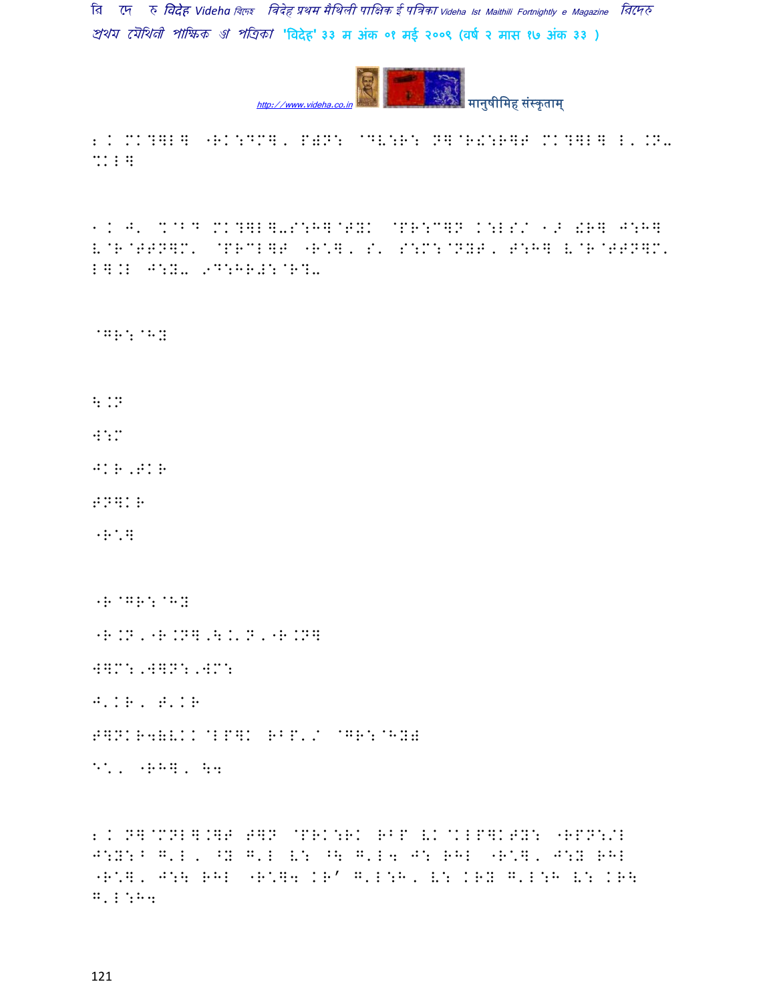

2. MK?]L] "RK:DM], P)N: @DV:R: N]@R!:R]T MK?]L] L'.N-  $\mathbb{R}$ :  $\mathbb{R}$ 

1. J' %@BD MK?]L]-S:H]@TYK @PR:C]N K:LS/ 1> !R] J:H] V@R@TTN]M' @PRCL]T "R\*], S' S:M:@NYT, T:H] V@R@TTN]M' LOCAL DECAY REPORT OF THE SERVICE OF THE SERVICE OF THE SERVICE OF THE SERVICE OF THE SERVICE OF THE SERVICE O

@GR:@HY

 $\ddot{\mathbf{h}}$  :  $\mathbf{N}$ 

W:M

JKR,TKR

**BOSH** 

 $\cdot$  R  $\cdot$  R  $\cdot$ 

 $R$  reads to the Hy

"R.N,"R.N],\.'N,"R.N]

W:,W;,W;,W;,W;,W;

J'KR, T'KR

T]NKR4(VKK@LP]K RBP'/ @GR:@HY)

 $E_{\rm{eff}}$   $\sim$   $\mu$   $\mu$ ,  $\mu$ 

2. N]@MNL].]T T]N @PRK:RK RBP VK@KLP]KTY: "RPN:/L J:Y:^ G'L, ^Y G'L V: ^\ G'L4 J: RHL "R\*], J:Y RHL "R\*], J:\ RHL "R\*]4 KR' G'L:H, V: KRY G'L:H V: KR\  $H_1$ : Hanger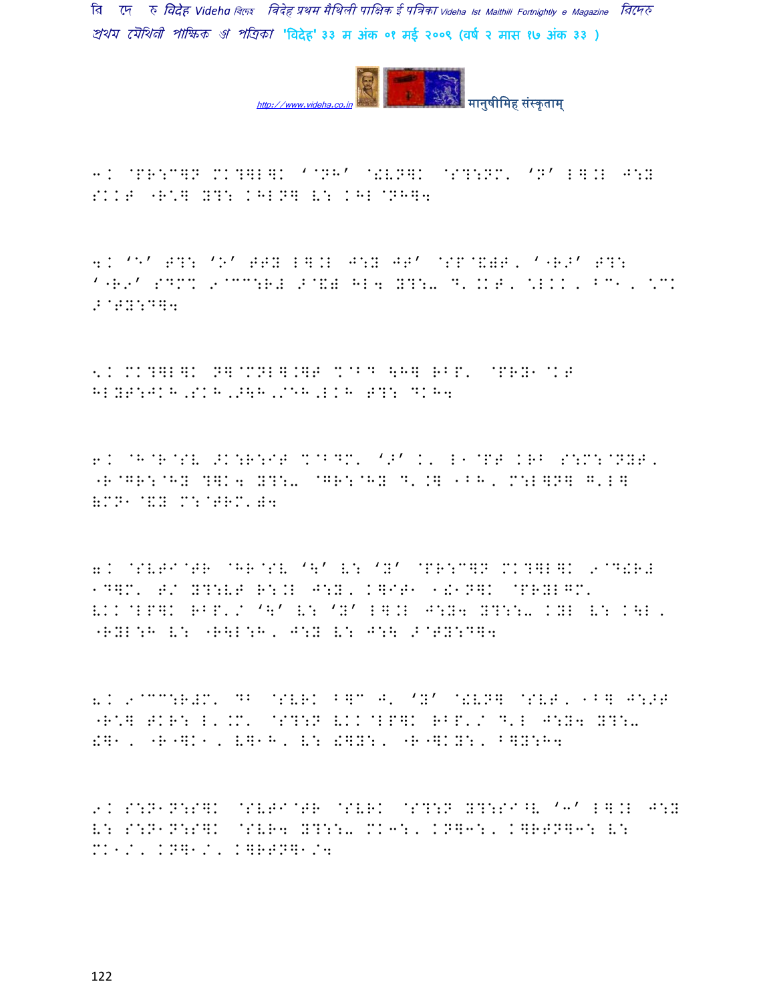

3. @PR:C]N MK?]L]K '@NH' @!VN]K @S?:NM' 'N' L].L J:Y SKKET "RAKT" Y: KHLANDER SKATTER VI

4. 'E' T?: 'O' TTY L].L J:Y JT' @SP@&)T, '"R>' T?: '"R9' SDM% 9@CC:R# >@&) HL4 Y?:- D'.KT, \*LKK, BC1, \*CK >@TY:D]4

5. MK?]L]K N]@MNL].]T %@BD \H] RBP' @PRY1@KT HISH:BATH,SH,SKH,ITH,ITH,HTP, TIH4

6. @H@R@SV >K:R:IT %@BDM' '>' K' L1@PT KRB S:M:@NYT, "R@GR:@HY ?]K4 Y?:- @GR:@HY D'.] 1BH, M:L]N] G'L] (MN1@&Y M:@TRM')4

7. @SVTI@TR @HR@SV '\' V: 'Y' @PR:C]N MK?]L]K 9@D!R# 10980, P. Grande Bald, Party Capel, P. J. (Party Capel) KKK METHEM PYPIZIONAL AND ONLY FACH COMMON HIS LIGHT CONTROL IN THE L  $R$  . The results of the state of the state  $R$  is  $R$  is  $R$  if  $R$  is a state of the state  $R$ 

8. 8. 9@CC:R#M' DR @SVRC BIC:R#M' DR @SVRC DR @SVRC DR @SVRC #1999 "R\*] TKR: L'.M' @S?:N VKK@LP]K RBP'/ D'L J:Y4 Y?:- !]1, "R"]K1, V]1H, V: !]Y:, "R"]KY:, B]Y:H4

9. S:N1N:S]K @SVTI@TR @SVRK @S?:N Y?:SI^V '3' L].L J:Y V: S:N1N:S]K @SVR4 Y?::- MK3:, KN]3:, K]RTN]3: V: MK1/, KN]1/, KN]1/, KN]1/, KN]1/, KN]1/, KN]1/, KN]1/, KN]1/, KN]1/, KN]1/, KN]1/, KN]1/, KN]1/, KN]1/, KN]1/,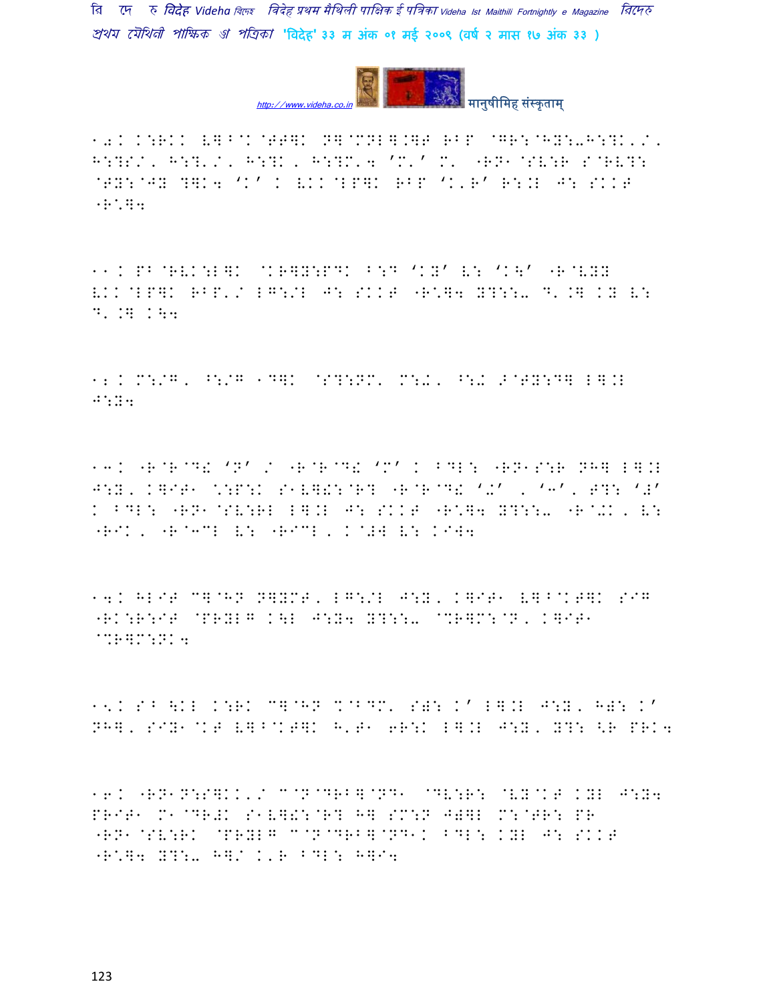

10. K:RKK V]^@K@TT]K N]@MNL].]T RBP @GR:@HY:-H:?K'/, H::S/, H:?S/, A::S/, H::S/, H::S/, H:: YO, Y: D, H:: H: Y: ME "B: Y: H: SO @TY:@JY ?]K4 'K' K VKK@LP]K RBP 'K'R' R:.L J: SKKT  $\cdot \vdots \cdot \vdots \cdot \cdot \cdot$ 

11. PB@RVK:L]K @KR]Y:PDK B:D 'KY' V: 'K\' "R@VYY VKK@LP]K RBP'/ LG:/L J: SKKT "R\*]4 Y?::- D'.] KY V: D. DE 184

12. M:/G, ^:/G 1D]K @S?:NM' M:+, ^:+ >@TY:D] L].L  $\mathcal{F}:Y_1\times Y_2$ 

13. "R@R@D! 'N' / "R@R@D! 'M' K BDL: "RN1S:R NH] L].L J:Y, K]IT1 \*:P:K S1V]!:@R? "R@R@D! '+' , '3', T?: '#' K BOL: "RNIM" ROMANI SE SE SE SE SKOLE "PROJEKT "RIMA". "PRODUKT" KAN "RIK, "RESAME RIK" RIKME, I SAME RIK SKAR

14. HLIT CAR CHAR SHARRI LG: PART CAABLE CHART LEED SIGN SIGN "RE: NENPRE COMPOSE ROOTEE (PROBLEM) BOANNALL COOPERD NOW LOOK HREE  $\mathcal{L}$ 

 $15.15 \times 10^{-10}$  RM  $\pm$  15. So  $\pm$  15. So  $\pm$  15. So  $\pm$  15. So  $\pm$  15. So  $\pm$  15. So  $\pm$  15. So  $\pm$ NH], SIY1@KT V]^@KT]K H'T1 6R:K L].L J:Y, Y?: <R PRK4

16. "RN1N:S]KK'/ C@N@DRB]@ND1 @DV:R: @VY@KT KYL J:Y4 PRITH THOMAS SHEER HIS HIS STAR MENT TO MEN PR "RN 1061B1" THERE TO THE ROTE I FAN IIN AN WICK "R\*"4 Y:- HI4" Y:- HI4" Y:- HI4" HI4"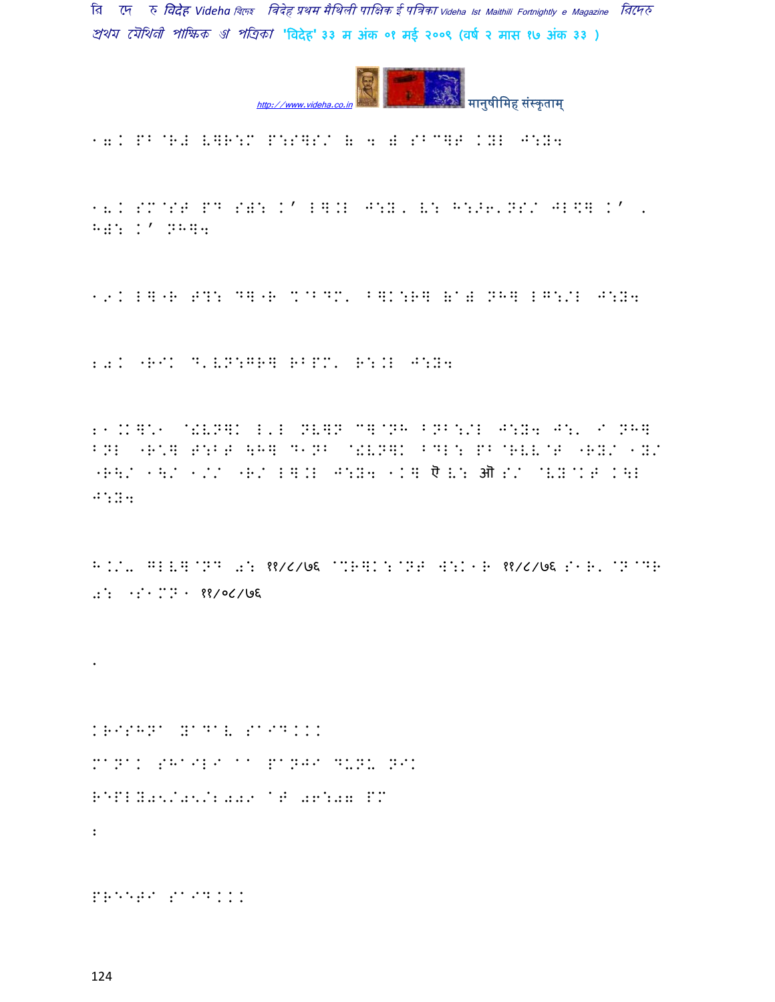

19. Paper Victory Post ( 4 ) Sandwick Concert Control of the Victory of the Victory of the Victory of the Victory

18. SM@ST PD S): K' L].L J:Y, V: H:>6'NS/ JL\$] K' , H<sub>i</sub>: *K'* NH<sub>4</sub>

19. L]"R T?: D]"R %@BDM' B]K:R] (a) NH] LG:/L J:Y4

20. "PRI VA:GRIPH' R:TIL RYIE (PYN)

21.K]\*1 @!VN]K L'L NV]N C]@NH BNB:/L J:Y4 J:' I NH] BNL "RECH BNLB ARE TON "MANHI FTE BOTHAANE "RHI "RY (1992) 1920 1020 1930 1931 1932 1039 1041 P.C. D.M. S.C. TEB M.P. C.91.  $4.5H<sub>2</sub>$ 

 $H:U_{\mathfrak{m}}$  ,  $H: E \oplus V \oplus V$  ,  $H: E \oplus V$  ,  $H: E \oplus V$  ,  $H: E \oplus V$  ,  $H: E \oplus V$  ,  $H: E \oplus V$  ,  $H: E \oplus V$  ,  $H: E \oplus V$  ,  $H: E \oplus V$  ,  $H: E \oplus V$  ,  $H: E \oplus V$  ,  $H: E \oplus V$  ,  $H: E \oplus V$  ,  $H: E \oplus V$  ,  $H: E \oplus V$  ,  $H: E \oplus V$  ,  $H: E \oplus V$  $\therefore$   $\therefore$   $\therefore$   $\therefore$   $\therefore$   $\therefore$  88/0 $\angle$ /08

KRISHNa YaDaV SaID... Manak Shaili aa Panji duni dhaa Panji dhaa Panji dhamaan waxaa marka Shaili dhamaan waa Bara Care E REPLYNS AT 06:07 PM AT 06:08:07 2

PREETING TO A STREET

 $\bullet$  100  $\pm$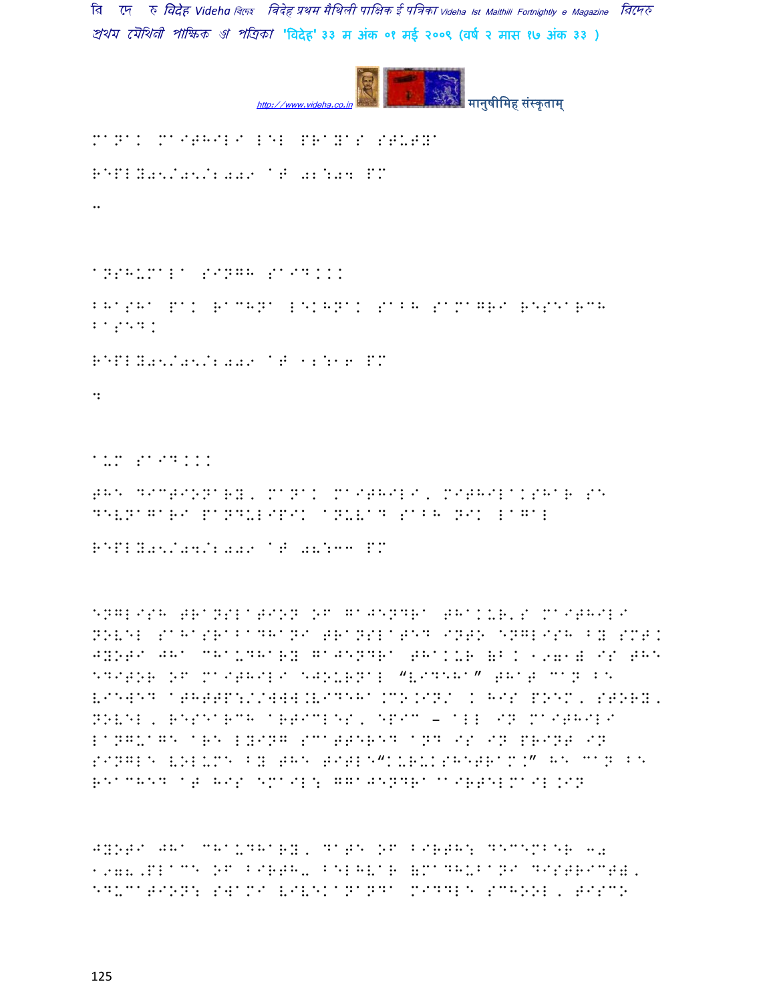JOOTI JAAR CHAUDHARY, DATEN DATE OF BIRTH: DATENT DECAY 1978,PLaCE OF BIRTH- BELHVaR (MaDHUBaNI DISTRICT), EDUCaTION: SWaMI VIVEKaNaNDa MIDDLE SCHOOL, TISCO

ENGLISH TRaNSLaTION OF GaJENDRa THaKUR'S MaITHILI NOVEL SaHaSRaBaDHaNI TRaNSLaTED INTO ENGLISH BY SMT. JYOTI JHa CHaUDHaRY GaJENDRa THaKUR (B. 1971) IS THE EDITOR OF MaITHILI EJOURNaL "VIDEHa" THaT CaN BE VIEWED aTHTTP://WWW.VIDEHa.CO.IN/ . HIS POEM, STORY, NOVEL, RESEaRCH aRTICLES, EPIC – aLL IN MaITHILI LaNGUaGE aRE LYING SCaTTERED aND IS IN PRINT IN SINGLE VOLUME BY THE TIME OF THE TIME TIME BY THE TITLE BY THE TIME BY THE TIME BY THE TIME OF THE CAN BE CAN BE REaCHED at HIS EMAIL: GAJEN AND THE CONSTRUCTION OF THE

THE DICTIONaRY, MaNaK MaITHILI, MITHILaKSHaR SE DEVANDER PANDULIPIK ANUVAD SABH NIK LAGAL REPUBLICATION OF SERVICE

aum Said...

BaSED. REPLY05/05/2009 aT 12:16 PM

and the single state of the single state of the single state of the single state of the single state of the sin BHASHA PAK BATHA LEKHNAK SABH SAMAGRI RESERVE

 $\ddotsc$ 

 $\dddot{\bullet}$ 

REPLY 05/2009 at 02:04 PM

Manazarthili Prayas Stutya



िव दिन दि विदेह Videha <sub>विष्ट</sub> विदेह प्रथम मैथिली पाक्षिक ई पत्रिका <sub>Videha</sub> Ist Maithili Fortnightly e Magazine *विद*फ्ट õथम मैिथली पािक्षक ई पिñका **'**िवदेह**'** ३३ म अंक ०१ मई २००९ (वष र् २ मास १७ अंक ३३ )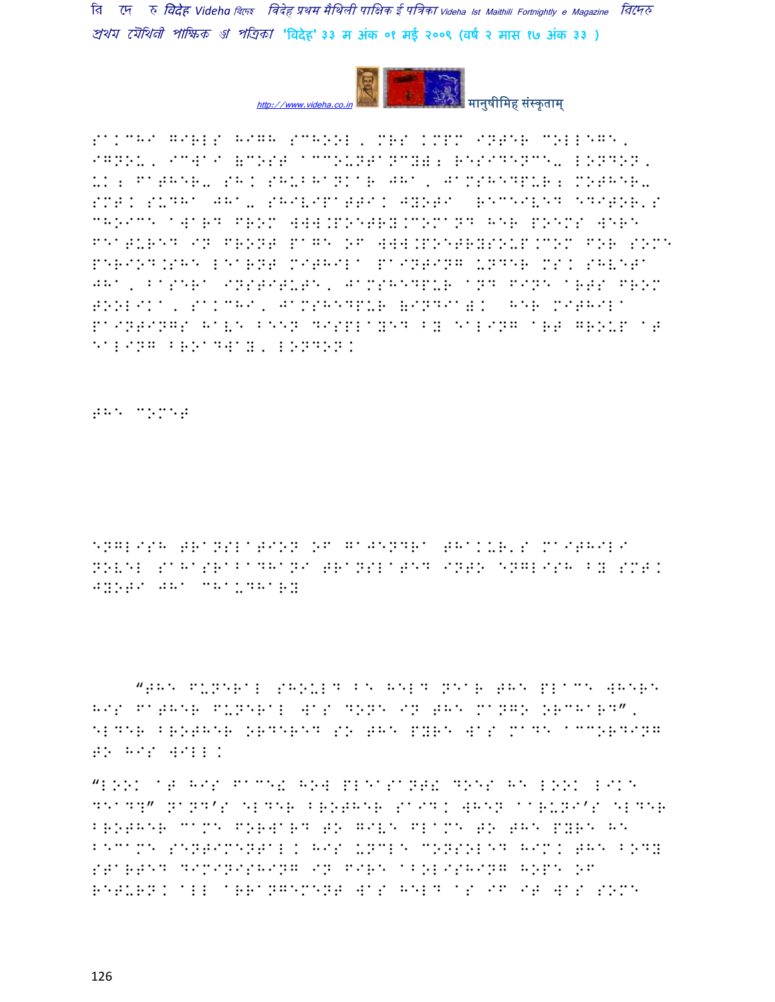"LOOK aT HIS FaCE! HOW PLEaSaNT! DOES HE LOOK LIKE DEaD?" NaND'S ELDER BROTHER SaID. WHEN aaRUNI'S ELDER BROTHER CAME FOR THE GIVE FLAME TO GIVE FLAME TO GIVE FLAME BECaME SENTIMENTaL. HIS UNCLE CONSOLED HIM. THE BODY STaRTED DIMINISHING IN FIRE aBOLISHING HOPE OF RETURN. aLL aRRaNGEMENT WaS HELD aS IF IT WaS SOME

TO HIS WILL AND THE

HIS FaTHER FUNERaL WaS DONE IN THE MaNGO ORCHaRD", ELDER BROTHER ORDERED SO THE PYRE WaS MaDE aCCORDING

"THE FUNERaL SHOULD BE HELD NEaR THE PLaCE WHERE

ENGLISH TRaNSLaTION OF GaJENDRa THaKUR'S MaITHILI NOVEL SaHaSRaBaDHaNI TRaNSLaTED INTO ENGLISH BY SMT. JYOTI JYOTI JA CHAUDHARY JA LA

THE COMET

Sakchi Girls High School, Mars Kampaign in the College of the College of the College of the College of the Col IGNOU, ICWaI (COST aCCOUNTaNCY); RESIDENCE- LONDON, UK; FaTHER- SH. SHUBHaNKaR JHa, JaMSHEDPUR; MOTHER-SMT. SUDHA JULIAN SUDHA JULIAN SUDHA JA SUDHA JA SUDHA JULIAN SUDHA JULIAN SUDHA JULIAN SUDHA JULIAN SUDHA JUL<br>SUDHA JULIAN SUDHA JULIAN SUDHA JULIAN SUDHA JULIAN SUDHA JULIAN SUDHA JULIAN SUDHA JULIAN SUDHA JULIAN SUDHA CHOICE aWaRD FROM WWW.POETRY.COMaND HER POEMS WERE FEaTURED IN FRONT PaGE OF WWW.POETRYSOUP.COM FOR SOME PERIOD.SHE LEaRNT MITHILa PaINTING UNDER MS. SHVETa JHa, BaSERa INSTITUTE, JaMSHEDPUR aND FINE aRTS FROM TOOLIKa, SaKCHI, JaMSHEDPUR (INDIa). HER MITHILa PaINTINGS HaVE BEEN DISPLaYED BY EaLING aRT GROUP aT EaLING BROaDWaY, LONDON.



िव दिन दि<mark>विदेह Videha</mark> विक्त्र विदेह प्रथम मैथिली पाक्षिक ई पत्रिका Videha Ist Maithili Fortnightly e Magazine *विC*FE õथम मैिथली पािक्षक ई पिñका **'**िवदेह**'** ३३ म अंक ०१ मई २००९ (वष र् २ मास १७ अंक ३३ )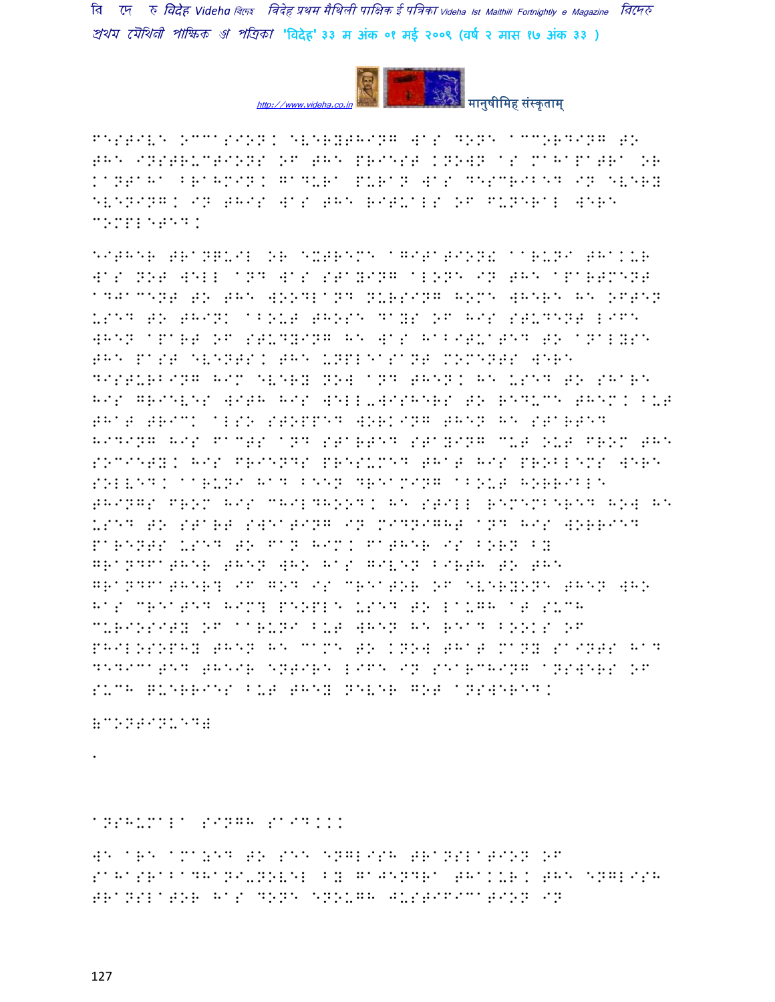

FESTIVE OCCaSION. EVERYTHING WaS DONE aCCORDING TO THE INSTRUCTIONS OF THE PRIEST KNOWN aS MaHaPaTRa OR Kantah Brahmin. Gadura Puran Wasan Wasan Wasan EVENING. IN THIS WaS THE RITUaLS OF FUNERaL WERE COMPLETED.

EITHER TRaNQUIL OR EXTREME aGITaTION! aaRUNI THaKUR WAS NOT WELL AND WAS STATED AND WELL AND CONTINUES. aDJaCENT TO THE WOODLaND NURSING HOME WHERE HE OFTEN USED TO THINK aBOUT THOSE DaYS OF HIS STUDENT LIFE WHEN aPaRT OF STUDYING HE WaS HaBITUaTED TO aNaLYSE THE PaST EVENTS. THE UNPLEaSaNT MOMENTS WERE DISTURBING HIM EVERY NOW aND THEN. HE USED TO SHaRE HIS GRIEVES WITH HIS WELL-WISHERS TO REDUCE THEM. BUT THAT TRICK ALSO STOPPED WORKING THE STOPPED WORKING THE STOPPED WORKING THE STARTED WORKING THE STARTED WORKING HIDING HIS FACTS AND STARTED STARTED STARTED STARTED STARTED STARTED STARTED STARTED STARTED STARTED STARTED S SOCIETY. HIS FRIENDS PRESUMED THaT HIS PROBLEMS WERE SOLVED. AaRUNI HAD BEEN DREAMING ABOUT HORRIBLE THINGS FROM HIS CHILDHOOD. HE STILL REMEMBERED HOW HE USED TO STaRT SWEaTING IN MIDNIGHT aND HIS WORRIED PaRENTS USED TO FaN HIM. FaTHER IS BORN BY GRANDFATHER THEN WHO HAS GIVEN BIRTH TO THE THE THE GRANDFATHER? IF GRANDFATHER? IN GRANDFATHER? IF GOD IS CREATOR OF THE GOD IS CREATOR OF THE NEWSLAPS OF THE NE Has CREATED HIM? PEOPLE VALUAGE PEOPLE USED TO LAUGH CURIOSITY OF aaRUNI BUT WHEN HE REaD BOOKS OF PHILOSOPHY THEN HE CAME TO KNOW THE CAME TO KNOW THAT MANY DEDICaTED THEIR ENTIRE LIFE IN SEaRCHING aNSWERS OF SUCH QUERRIES BUT THEY NEVER GOT aNSWERED.

(CONTINUED)

anshuma shumala shekara

WE aRE aMaZED TO SEE ENGLISH TRaNSLaTION OF

TRaNSLaTOR HaS DONE ENOUGH JUSTIFICaTION IN

SAHASRABADHANI-NOVEL BY GAJENDRA THAKUR. THE ENGLISH

 $\ddot{\phantom{1}}$ 

127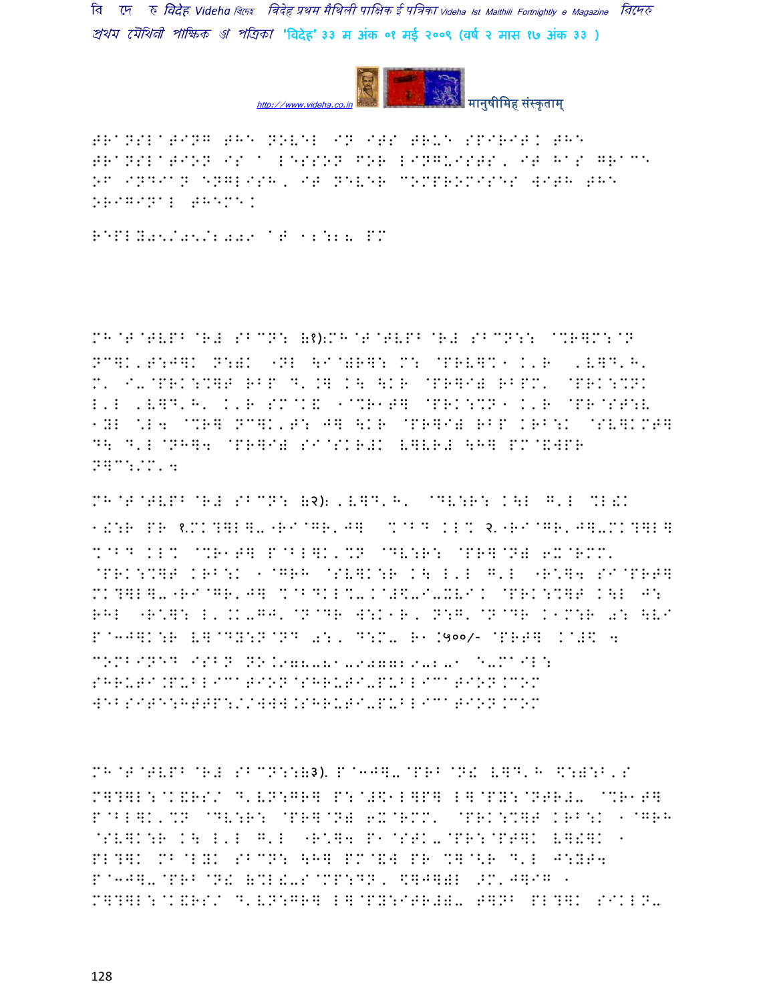

TRaNSLaTING THE NOVEL IN ITS TRUE SPIRIT. THE TRANSPORTED IS A LESSON FOR LINGUISTIC IN HAS GRACE OF INDIaN ENGLISH, IT NEVER COMPROMISES WITH THE ORIGINAL THEME.

REPLYNS AT 12:28 PM 2009 aT 12:28 PM 2009 aT 12:28 PM 2009 aT 12:28 PM 2009 aT 12:28 PM 2009 aT 12:28 PM 2009

MHOTATOR THE SPONSE SBOWLE OF SPEED THE SPCNING CONFEDER OF NCAR'S AN ARREST CONSTRUCTION OF A SERIES OF A STRAIGHT CONTROL OF A STRAIGHT CONTROL AND DESCRIPTION OF A STR M' I-@PRK:%]T RBP D'.] K\ \KR @PR]I) RBPM' @PRK:%NK L'E 'VERT. A' C'LE 'PO'CE' ("TE("PROSTOR' C'LE 'TECHNEE 1YL \*L4 @%R] NC]K'T: J] \KR @PR]I) RBP KRB:K @SV]KMT] DR D'LANHA4 MRESHA VR DILEAD ASKRED AFRICAN VERTE  $399''3777779$ 

MH TA TABLES THIS YSTEMS BR): (1997. A. COMBINE (20): R. B. G. CHIL  $1.41\pm0.01$  and the high-probability  $\sim$   $1.41\pm0.01$  (see Fig. 40.11.11.12) %@BD KL% @%R1T] P@BL]K'%N @DV:R: @PR]@N) 6X@RMM' @PRK:%]T KRB:K 1@GRH @SV]K:R K\ L'L G'L "R\*]4 SI@PRT] MACHER RIGHT WAS CONSIDERED AS A RIGHT OF RIGHT OF THE RIGHT OF RIGHT OF THE UNION CONTINUES. THE UNION OF THE RHL "RENGIL EL COLAMA, NOVME REDVEL "ORG" NO DR CONDENDE WELF P@3J]K:R V]@DY:N@ND 0:, D:M- R1.५००/- @PRT] .@#\$ 4 COMBINED ISBN 2078-81-9078-81-9078-9 SHRUTI.PUBLICaTION@SHRUTI-PUBLICaTION.COM WEBSITE:HTTP://www.shruti-publication.com/distribution/distribution/distribution/distribution/distribution/dis<br>Website:http://www.shruti-publication.com/distribution/distribution/distribution/distribution/distribution/dis

MH@T@TVPB@R# SBCN::(३). P@3J]-@PRB@N! V]D'H \$:):B'S MARBACH: MEREZ ORIGERER PERSONALE PERSON PROPORTIER (PARALLO ONE) PR P@BL]K'%N @DV:R: @PR]@N) 6X@RMM' @PRK:%]T KRB:K 1@GRH @SV]K:R K\ L'L G'L "R\*]4 P1@STK-@PR:@PT]K V]!]K 1 PL?]K MB@LYK SBCN: \H] PM@&W PR %]@<R D'L J:YT4 P@3J]-@PRB@N! (%L!-S@MP:DN, \$]J])L >M'J]IG 1 MARIA NI BAZI DA LORARA DA MORAZALLI DARA DI MARI DI SIKLADI.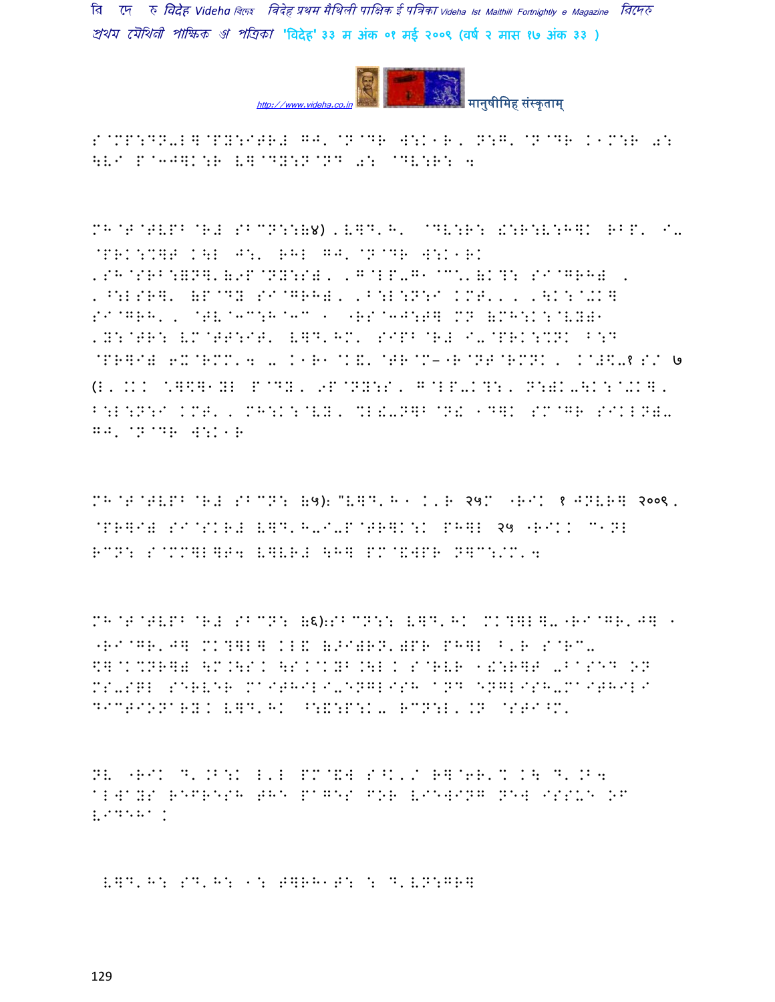

S@MP:DN-L]@PY:ITR# GJ'@N@DR W:K1R, N:G'@N@DR K1M:R 0: \VI P@3J]K:R V]@DY:N@ND 0: @DV:R: 4

MHOTATI SHE SPORTING DER BROOK SERIES INDIALISHE DER DOL @PRK:%]T K\L J:' RHL GJ'@N@DR W:K1RK 'SH@SRB:=N]'(9P@NY:S), 'G@LP-G1@C\*'(K?: SI@GRH) ,  $\Box$  (Parameter ) (Parameter ),  $\Box$  (Parameter ),  $\Box$  (Parameter ),  $\Box$ SIMOREA, (1998) NAMSA NAMURU AERIKANG EROPORTASI (MAGE 'Y: IT'S: TR: PROTO INDICATE IN THE INDICATE IN THE INTERNATIONAL IN THE INTERNATIONAL IN THE INTERNATIONAL IN @PREPAR BOOTBOOTLAN IN CHERTOGENOWER OPENTRENED IN LOCARIZER BOOT (E), (I) IV = NARRA (B) FIRMS (I) (Galp-Krist, Nicholas (B), ISBN  $\alpha$ -Kiri, Nicholas (B),  $\alpha$ B:L:N:I KMT', MH:K:@VY, %L!-N]B@N! 1D]K SM@GR SIKLN)- GGJ'@NGDR W:K1R

MH TH THE FROTH END THAT HIS SECTOR IN THE SACK IN THE SACK IN THE SACK IN THE ROOS, @PR]I) SI@SKR# V]D'H-I-P@TR]K:K PH]L २५ "RIKK C1NL RCN: SMM RCN: SAMMER NEWSBEAT

D'A TO TO ESPACIONE SE STATISTICA BASED I TIDADE EL EDICIONE DE SERVICIO EL CONTINUATION (CONTINUATION). A PE "RIACTRIAL ARCOTO RIE ROOTE DE ALAGERIA GERACEMENTO AL INCIDIO TACTA \$14 TO NORRHALL ADVISACION ARCONOMIC DATOGRAPH (PACA SARVA 1992) ON THE SARVA ON D MS-SQL SERVER MaITHILI-ENGLISH aND ENGLISH-MaITHILI DICTIONARY. VIDEO AND PRESENT AND POSSIBLE OF STRAIN ON

NV "RIK D'.B:K L'L PM@&W S^K'/ R]@6R'% K\ D'.B4 aLWaYS REFRESH THE PaGES FOR VIEWING NEW ISSUE OF VIDEHa.

V]D'H: SD'H: 1: T]RH1T: : D'VN:GR]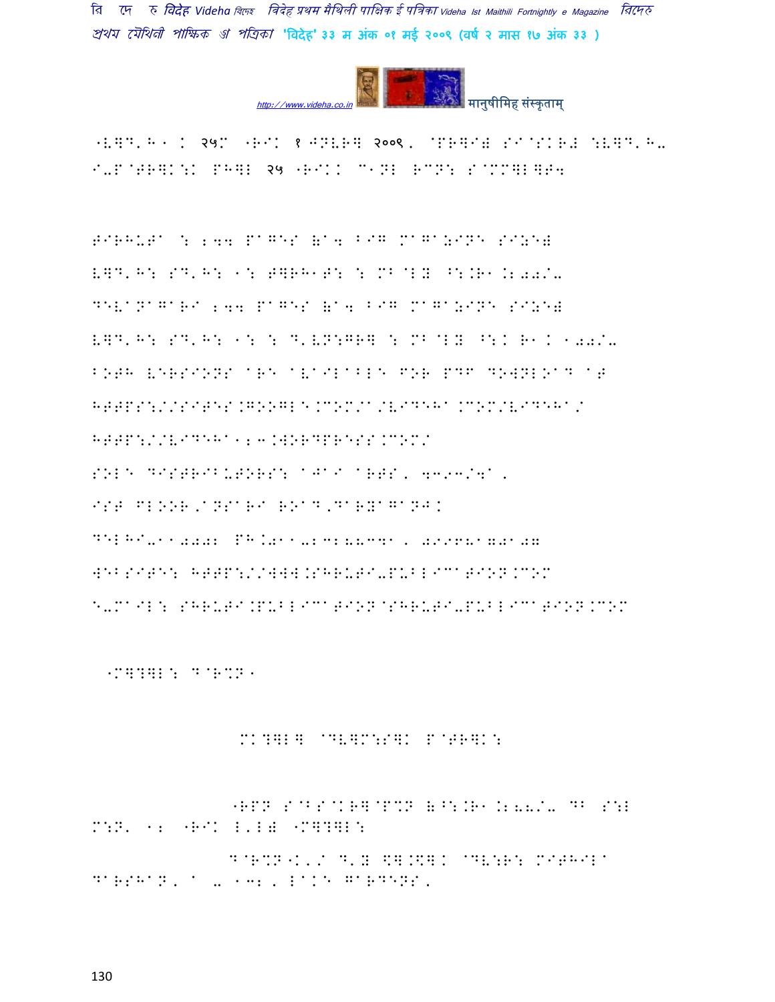

 $V$ DEFINE K 2000 (PRICE) 8 HTLPH ROOS, CIPEHAR :VACHILD SEHT, HL I-POTRESS CONTROLS TO A RELEASE CONTROLLED BY A RELEASE CONTROLLED BY A RELEASE CONTROLLED BY A RELEASE.

TIRHUTa : 244 PaGES (a4 BIG MaGaZINE SIZE) V]D'H: SD'H: 1: T]RH1T: : MB@LY ^:.R1.200/- DEVaNaGaRI 244 PaGES (a4 BIG MaGaZINE SIZE) BAR. PE ST. PE SE E T. BREAK E D'UN BO PE D'HS CSAALL BOTH VERSIONS aRE aVaILaBLE FOR PDF DOWNLOaD aT HTTPS://SITES.GOOGLE.COM/a/VIDEHa.COM/VIDEHa/ HTTP://VIDEHa123.WORDPRESS.COM/ SOLE DISTRIBUTORS: AJAI ARTS, 4494/41. IST FLOOR,aNSaRI ROaD,DaRYaGaNJ. DELHI-110002 PH.011-2328881, 09968181, 099681 WEBSITE: HEBSITE: SHERUTI-PUBLICATION E-MaIL: SHRUTI.PUBLICaTION@SHRUTI-PUBLICaTION.COM

"M]?]L: D@R%N"

MK?]L] @DV]M:S]K P@TR]K:

 $R$ PRN SOMETIME SOME SERVES SERVES SOME

D@R%N"K'/ D'Y \$].\$]. @DV:R: MITHILa

M:N' 12 "RIK L'L) "M]?]L:

DaRSHaN, a - 132, LaKE GaRDENS,

130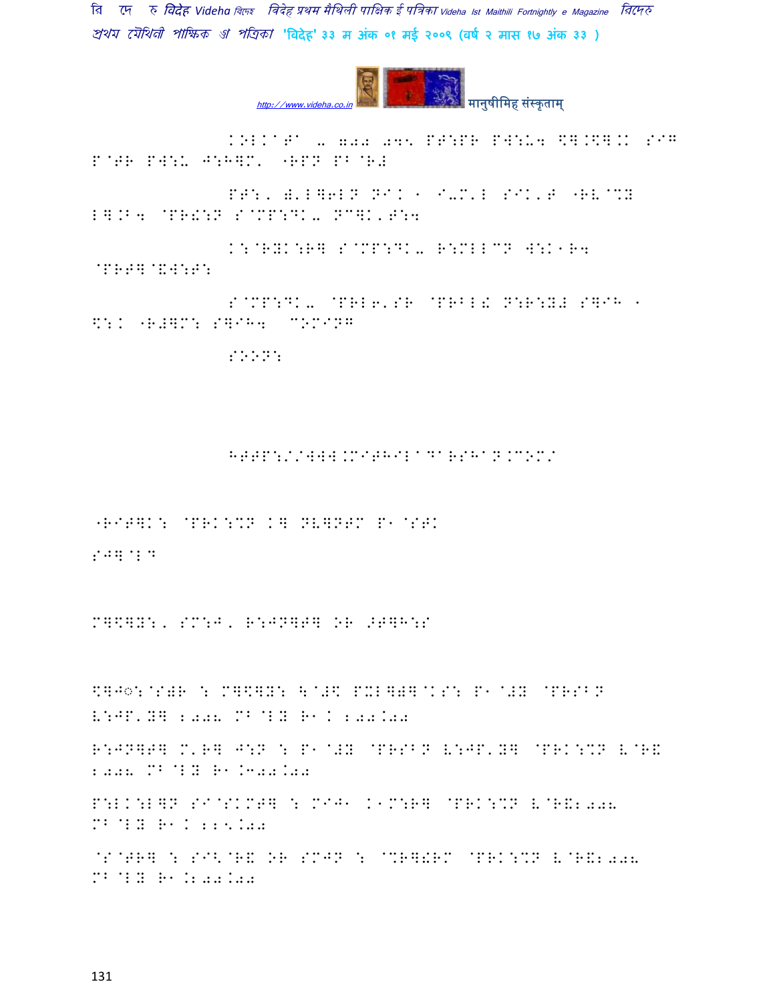

KOLKATA - 700 045 PT:PR PU:PR PU:PR PU:PR PU:PR PU:PR PU:PR PU:PR PU:PR PU:PR PU:PR PU:PR PU:PR PU:PR PU:PR PU:P PORT PRINCIPLE PRODUCED

 PT:, )'L]6LN NI. 1 I-M'L SIK'T "RV@%Y LAN SOMETIME SOMETIME SERVICE

 K:@RYK:R] S@MP:DK- R:MLLCN W:K1R4 @PRT]@&W:T:

 S@MP:DK- @PRL6'SR @PRBL! N:R:Y# S]IH 1 **\$:. "R#B:** SHAW: TRISH

SOON:

HTTP://WWW.MITHILADaRSHAN.COM/MITHILADARSHAN.COM/MITHILADARSHAN.COM/MITHILADARSHAN.COM/MITHILADARSHAN.COM/MITH<br>HTTP://WWW.MITHILADARSHAN.COM/MITHILADARSHAN.COM/MITHILADARSHAN.COM/MITHILADARSHAN.COM/MITHILADARSHAN.COM/MITH

"RIT]K: @PRK:%N K] NV]NTM P1@STK

Spinal State State

M]\$]Y:, SM:J, R:JN]T] OR >T]H:S

\$]J◌:@S)R : M]\$]Y: \@#\$ PXL])]@KS: P1@#Y @PRSBN V:JP'Y] 2008 MB@LY R1. 200.00

R:JN]T] M'R] J:N : P1@#Y @PRSBN V:JP'Y] @PRK:%N V@R& 2008 MB@LY R1.300.00

P:LK:L]N SI@SKMT] : MIJ1 K1M:R] @PRK:%N V@R&2008  $M$  R<sub>1</sub>. 225.000  $M$ 

@S@TR] : SI<@R& OR SMJN : @%R]!RM @PRK:%N V@R&2008 MB@LY R1.200.00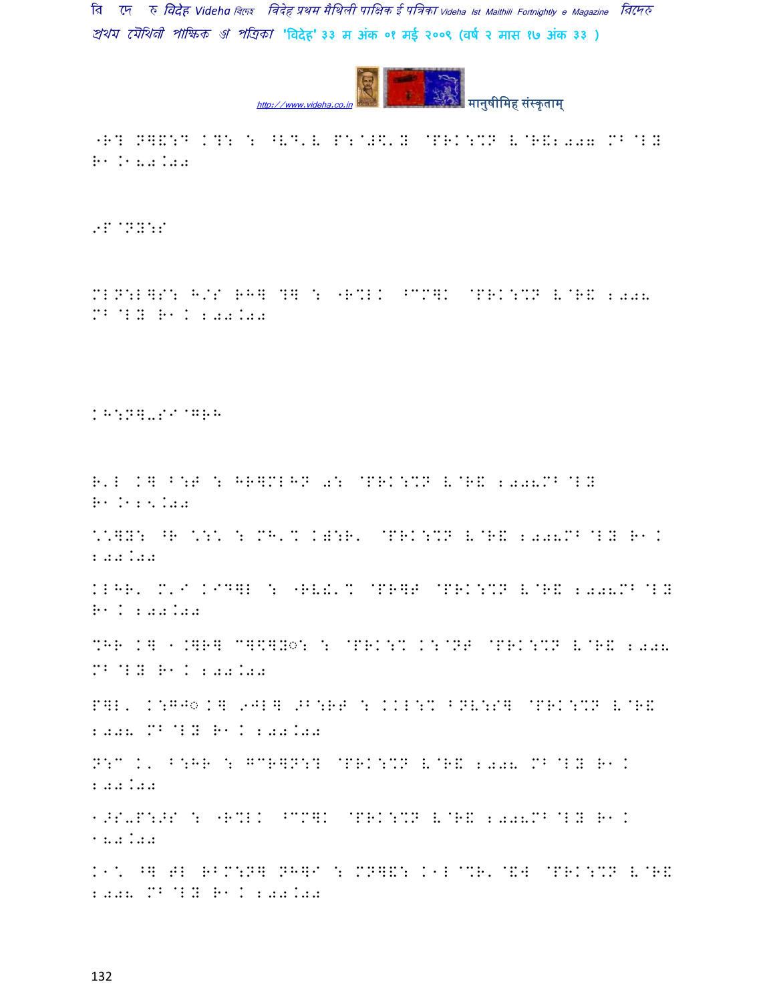

 $R$  . The contract of the contract of the contract  $R$  and  $R$  are  $R$  and  $R$  and  $R$  are  $R$  and  $R$ R1.180.00

9P@NY:S

MLPHERS: H/S RHE ?H & SPRED @PRED (PRINTS & PREDEDICAL WHERE REPORTS

 $t$ : Simple Simple

R'L CH'T : HR'S : HRIMHN 0: MARINE : HR R1.125.00 \*\*]Y: ^R \*:\* : MH'% K):R' @PRK:%N V@R& 2008MB@LY R1. 200.000.000.<br>200.000.000.000. KLHR' MARINE AND DER STRAKE HER DER STRAKE HER DER STRAKE HER DER STRAKE HER DER STRAKE HER DER STRAKE HER DER R1. 200.00 %HR KIN KINDEN MURUNGA A SHEKAY KATUR SHEKAY KIND BABBA MB@LY R1. 200.00 PHIL' CHHO CH'SHE SPHER'S COLDING BHO SPHERING BOOK 2008 MB@LY R1. 200.00 N:C K' B:HR : GCR]N:? @PRK:%N V@R& 2008 MB@LY R1. 200.00 1>S-P:>S : "R%LK ^CM]K @PRK:%N V@R& 2008MB@LY R1.  $190.00000$ 

K1\* COMPARY TREES IN THE SERVE CONTROLLED AND A SERVE ASSESSED AS A MALINE CONTROLLED AND ALL RESERVE AND RESID 2008 MB@LY R1. 200.00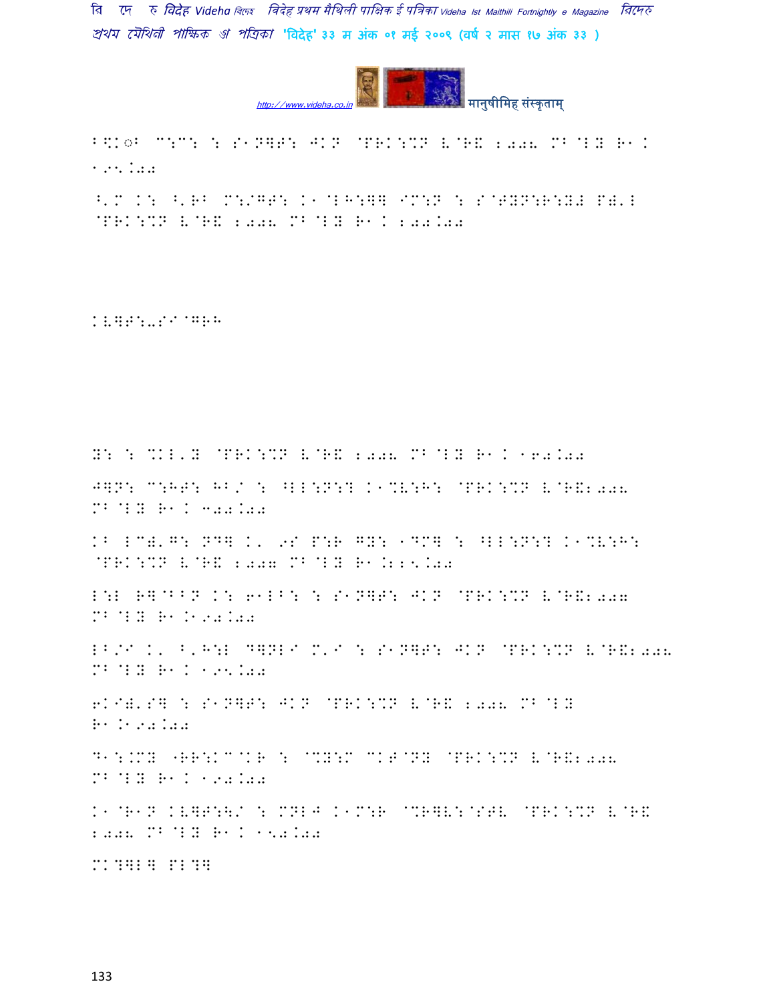

B\$KO: THISK SIND AND THE SHE INDIA CONDUCT SHE IN 195.00

^'M K: ^'RB M:/GT: K1@LH:]] IM:N : S@TYN:R:Y# P)'L WESTERN ROOM CONSTRUCTS TO A 2008

KV]T:-SI@GRH

Y: : %KL'Y @PRK:%N V@R& 2008 MB@LY R1. 160.00

HER: C:HT: HE/ : HE:HR: W:H:H: C:HI:N: E BELAN.  $M$  rate in the contract

KB LC RC REVIEWS IN THE WHI POINT IN BELIEVE IN THIS WILL @PRK:%N V@R& 2007 MB@LY R1.225.00

L:L R]@BBN K: 61LB: : S1N]T: JKN @PRK:%N V@R&2007 MB@LY R1.190.00

B'HO I : BIH: DHIR I I : STEER GIF MINITED IN BELA  $M$  R<sub>1</sub>. 195.000  $M$  R<sub>1</sub>. 195.000  $M$ 

6KI)'S] : S1N]T: JKN @PRK:%N V@R& 2008 MB@LY R1.190.00

D1:.MY "RR:KC@KR : @%Y:M CKT@NY @PRK:%N V@R&2008 MB@LY R1. 190.000.000

K1@R1N KV]T:\/ : MNLJ K1M:R @%R]V:@STV @PRK:%N V@R& 2008 MB@LY R1. 150.00

**MARY PROPERTY**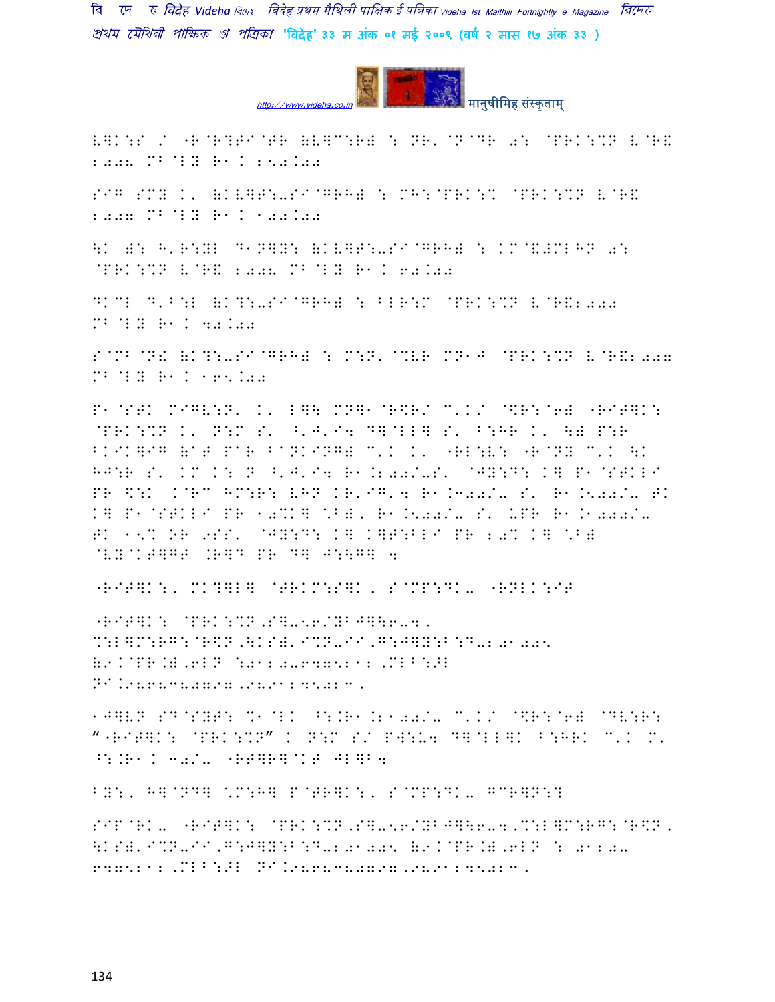

V]K:S / "R@R?TI@TR (V]C:R) : NR'@N@DR 0: @PRK:%N V@R& 2008 MB R1. 2008 MB

SIG SIG SOME SIGNED I GREEK I (SIGNED I GREEK I SIGNED I GREEK 1008 MB R1. 100.000

 $K$  ): However, However, However, However, However, Green, Green, However, However, However, However, However, @PRK:%N V@R& 2008 MB@LY R1. 60.00

DRO DE LORIS ESTA DE RESIDIRE EN DISTRIKTO DE DE LA GREGO EN LA GREGO EN LA GREGO EN LA GREGO EN LA GREGO EN L MB@LY R1. 40.00

S. S. M. S. M. S. M. S. M. S. M. S. M. S. M. S. M. S. M. S. M. S. M. S. M. S. M. S. M. S. M. S. M. S. M. S. M. MB@LY R1. 165.00

P1@STK MIGV:N' K' L]\ MN]1@R\$R/ C'K/ @\$R:@6) "RIT]K: @PRK:%N K' N:M S' ^'J'I4 D]@LL] S' B:HR K' \) P:R BKIKIKI BKIKI TARAH PROPINSI CI AT PARA BANKING KALENDARYA DA PARA BANKING KARA DA PARA BANKING KARA DA PARA B HANG S' KIN KIN KERAJAR SA SA NG BANGAN NA PANGHANG NA NARIBIRA PR \$:K .@RC HM:R: VHN KR'IG'4 R1.300/- S' R1.500/- TK K] P1@STKLI PR 10%K] \*B), R1.500/- S' UPR R1.1000/- TK 15% OR 9SS' @JY:D: K] K]T:BLI PR 20% K] \*B)  $'$  . The discrete  $\mathbb{R}$  is the proposition of  $\mathbb{R}$  . The discrete  $\mathbb{R}$ 

"RITHERING", MCC 1983-81-1984; MK SAMP: DK- "RNLK" "RNLK: "RNLK: "RNLK: "RNLK: "R

"RITH", "PRINTING", "STATE OF THE SERVE OF THE SERVE OF THE SERVE OF THE SERVE OF THE SERVE OF THE SERVE OF TH %:L]M:RG:@R\$N,\KS)'I%N-II,G:J]Y:B:D-201005 (9.@PR.),6LN :0120-6475212,MLB:>L NI.9868888888888888888888

1J]VN SD@SYT: %1@LK ^:.R1.2100/- C'K/ @\$R:@6) @DV:R: " "RITE: "BILLET" RITHS " "RITHS" RESERVE TO A DISPOSITION OF THE RESERVE TO A DISPOSITION OF THE RESERVE TO A ^:.R1. 30/- "RT]R]@KT JL]B4

BY:, H]@ND] \*M:H] P@TR]K:, S@MP:DK- GCR]N:?

SIP@RK- "RITHERS" (SIP ); TERC: NORTH COMPUTER REAL ACTIVE RESERVED TRACK ( \KS)'I%N-II,G:J]Y:B:D-201005 (9.@PR.),6LN : 0120- 6475212,MLB:>L NI.9868380797,9891245023,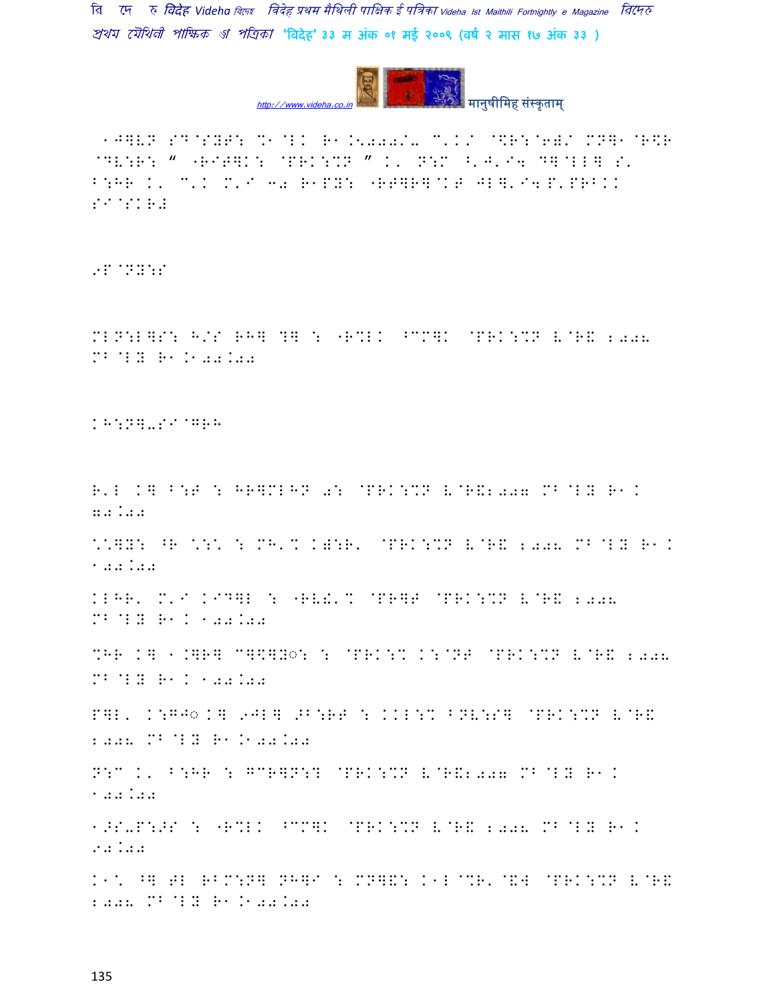

 1J]VN SD@SYT: %1@LK R1.5000/- C'K/ @\$R:@6)/ MN]1@R\$R @DV:R: " "RIT]K: @PRK:%N " K' N:M ^'J'I4 D]@LL] S' B: NA BY C'A C'A C'A C'HA C'HA FORNY ("PA PREPENDIAL") PE PRO BOL PREPENDIAL SI@SKR#

9P@NY:S

MLN:L]S: H/S RH] ?] : "R%LK ^CM]K @PRK:%N V@R& 2008 MB@LY R1.100.00

KH:N]-SI@GRH

R'L K] B:T : HR]MLHN 0: @PRK:%N V@R&2007 MB@LY R1.  $\ldots$   $\ldots$ 

\*\*]Y: ^R \*:\* : MH'% K):R' @PRK:%N V@R& 2008 MB@LY R1. 100.00

KLHR' M'I KID]L : "RV!'% @PR]T @PRK:%N V@R& 2008 MB@LY R1. 100.00

WHE CONSTRUCT TO THE RESEARCH CONTROL TO THE RESEARCH COMPANY  $M$  rate of  $M$  rate  $M$  . The contract of  $M$ 

PHIL' CAPPOIN DANNY STAND A CINACT FOR HOME OF BIGGING 2008 MB THE R1.100.000

N:C K' B:HR : GCREER: BOOK: BOOK: AND CHOILER ( 100.00

1>S-P:>S : "R%LK ^CM]K @PRK:%N V@R& 2008 MB@LY R1. 90.00

K1\* Y TH RBM: RITHER THAM: NO REPORT I : MORE I : MARIA I : MARIA I : MARIA I : MARIA 2008 MB R1.100.000.000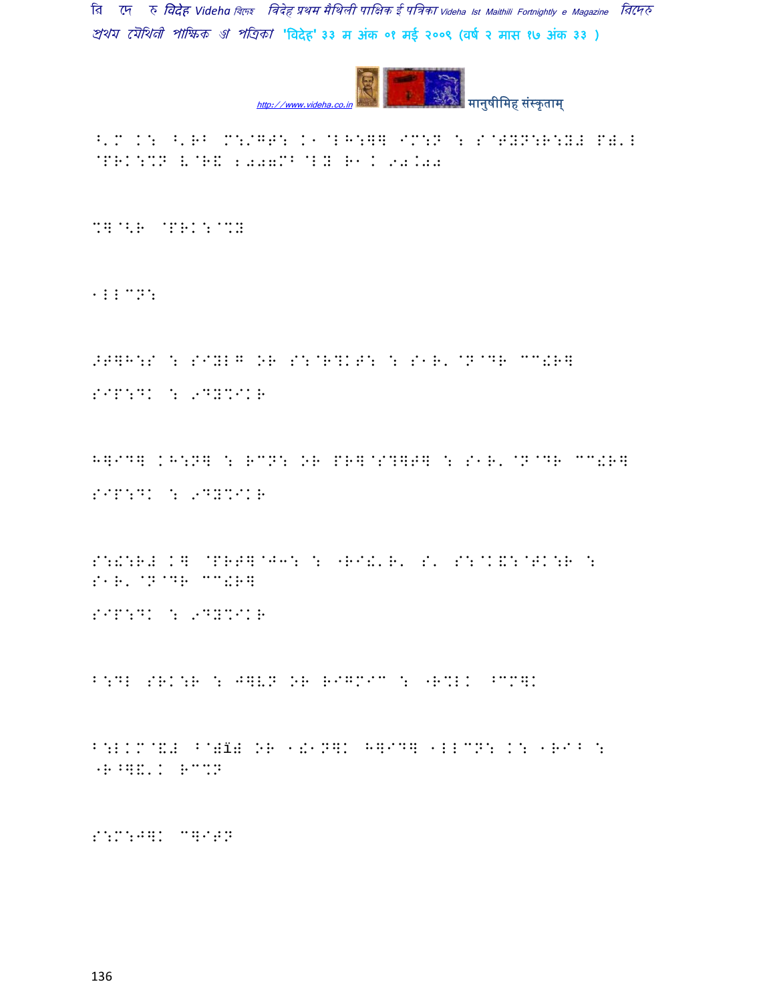

^'M K: ^'RB M:/GT: K1@LH:]] IM:N : S@TYN:R:Y# P)'L @PRK:%N V@R& 2007MB@LY R1. 90.00

%]@<R @PRK:@%Y

1LLCN:

>T]H:S : SIYLG OR S:@R?KT: : S1R'@N@DR CC!R] SIP:DK : 9DY%IKR

HACHE IPINE & RCH: OR PRESINER & PORT OR CONFIDER SIP:DK : 9DY : 9DY : 9DY : 9DY : 9DY : 9DY : 9DY : 9DY : 9DY : 9DY : 9DY : 9DY : 9DY : 9DY : 9DY : 9DY : 9DY :

STEERS OF THE MAY SO HALL ENTITY CONTENTS STORY CONTROLLER

SIP:DK : 9DY : 9DY : 9DY

B:DR SRK:R : JR SRK:R SRK:R SRK:R SRK:R SRK:R SRK:R S

B:LKM@&# ^@)ï) OR 1!1N]K H]ID] 1LLCN: K: 1RI^ : "R^]&'K RC%N

S:M:W:W:W:W: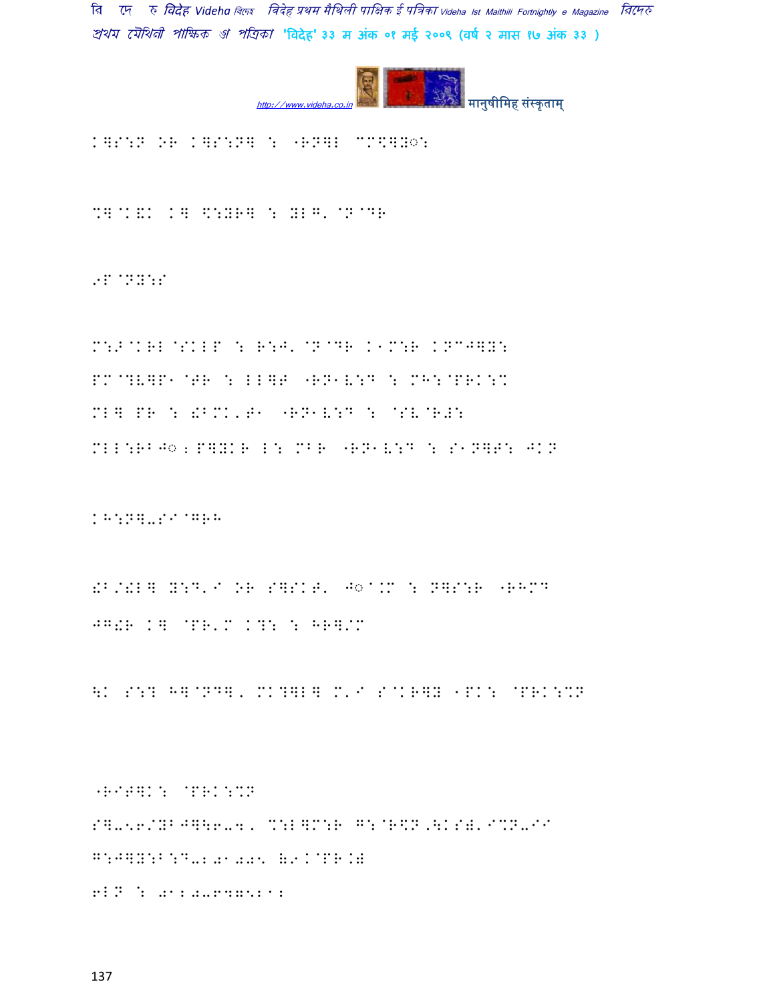

KARD OR KALLER SIN OR KARD STRAKE

%]@K&K K] \$:YR] : YLG'@N@DR

9P@NY:S

M:>@KRL@SKLP : R:J'@N@DR K1M:R KNCJ]Y: PM@?V]P1@TR : LL]T "RN1V:D : MH:@PRK:% ML] PR : !BMK'T1 "RN1V:D : @SV@R#: MLL:RBC:PHILE:DOOM:PHOSES:PHOSES

KH:N]-SI@GRH

BUILD BY A SE PRICE, SO NI A PRINE SPATT JG!R K] @PR'M K?: : HR]/M

\K S:? H]@ND], MK?]L] M'I S@KR]Y 1PK: @PRK:%N

"RIT"K: "PRK: "PRK: "PRK: "PRK: "PRK: "PRK: "PRK: "PRK: "PRK: "PRK: "PRK: "PRK: "PRK: "PRK: "PRK: "PRK: "PRK: S]-56/YBJ]\6-4, %:L]M:R G:@R\$N,\KS)'I%N-II G:J]Y:B:D-201005 (9.@PR.) 6LN : 0120-64752121212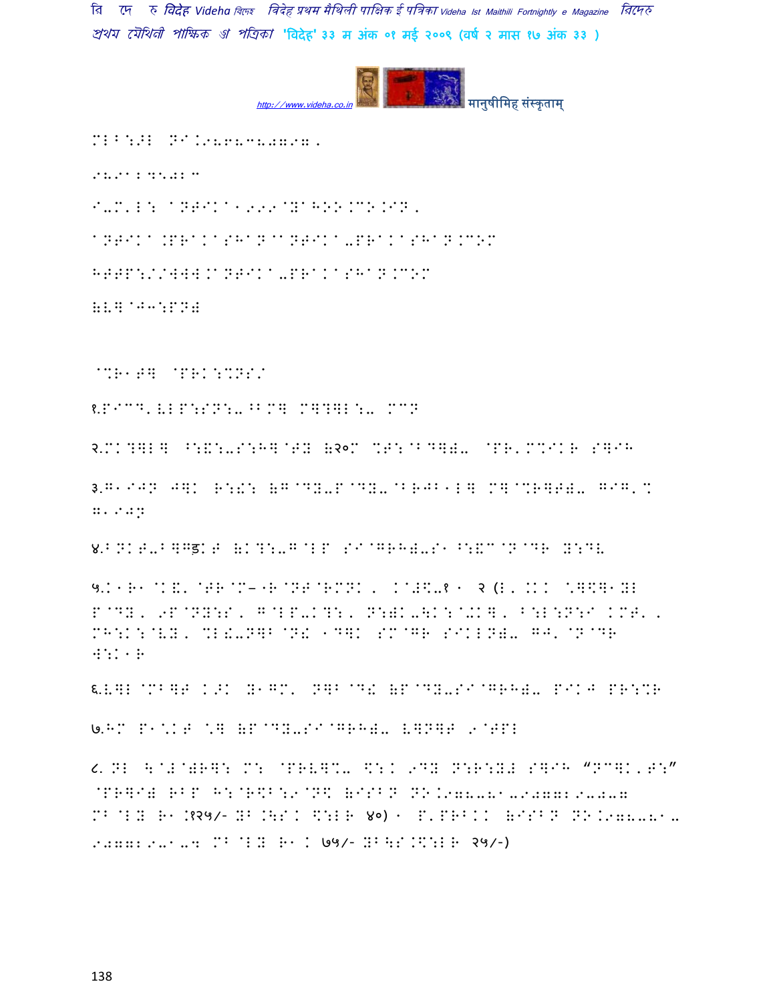

 $\mathcal{L}:\mathcal{L}:\mathcal{L}:\mathcal{L}:\mathcal{L}:\mathcal{L}:\mathcal{L}:\mathcal{L}:\mathcal{L}:\mathcal{L}:\mathcal{L}:\mathcal{L}:\mathcal{L}:\mathcal{L}:\mathcal{L}:\mathcal{L}:\mathcal{L}:\mathcal{L}:\mathcal{L}:\mathcal{L}:\mathcal{L}:\mathcal{L}:\mathcal{L}:\mathcal{L}:\mathcal{L}:\mathcal{L}:\mathcal{L}:\mathcal{L}:\mathcal{L}:\mathcal{L}:\mathcal{L}:\mathcal{L}:\mathcal{L}:\mathcal{L}:\mathcal{L}:\mathcal{L}:\mathcal{$ 9891245023 I-M'L: aNTIKa1999@YaHOO.CO.IN, an ang pagkalang pangalang pangkasang pangalang pangkasang pangalang pangkasang pangalang pangalang pangalang<br>Pangalang pangalang pangalang pangalang pangalang pangalang pangalang pangalang pangalang pangalang pangalang HAATS//WWW.anticompany.com  $H$ .  $H$   $H$   $H$   $H$   $H$   $H$   $H$   $H$ 

@%R1T] @PRK:%NS/

१.PICD'VLP:SN:-^BM] M]?]L:- MCN

२.MM 9889 9. MK? HIMA: HIMA: HIMA: HIMA: HIMA: HIMA: HIMA: HIMA: HIMA: BID)- & BECAR

३.G1IJN J]K R:!: (G@DY-P@DY-@BRJB1L] M]@%R]T)- GIG'% Halian State

४.BNKT-B]Gड़KT (K?:-G@LP SI@GRH)-S1^:&C@N@DR Y:DV

 $\mathcal{G}_n$ 19 - Provincial Memorial Annexas and the second  $\mathcal{G}_n$  is the  $\mathcal{G}_n$  in  $\mathcal{G}_n$  . The second  $\mathcal{G}_n$ P@DY, 9P@NY:S, G@LP-K?:, N:)K-\K:@+K], B:L:N:I KMT', MH:K:@VY, %L!-N]B@N! 1D]K SM@GR SIKLN)- GJ'@N@DR W:K1R1

६.V]L@MB]T K>K Y1GM' N]B@D! (P@DY-SI@GRH)- PIKJ PR:%R

७.HM P1\*KT \*] (P@DY-SI@GRH)- V]N]T 9@TPL

 $\alpha$ : PE (B)  $R$ : PRV) - MIRES TO RIGHT  $R$  , PRV OF SPIRISH  $R$  (POSS) - MIRES SING  $R$ @PR]I) RBP H:@R\$B:9@N\$ (ISBN NO.978-81-907729-0-7  $\mathbb{P}^1$  (File B). 1889/- IB. 1820 1 RISBN 90) 1 P. FRB IC. BYPPR (Pictionalis). 907729-1-4 MB@LY R1. ७५/- YB\S.\$:LR २५/-)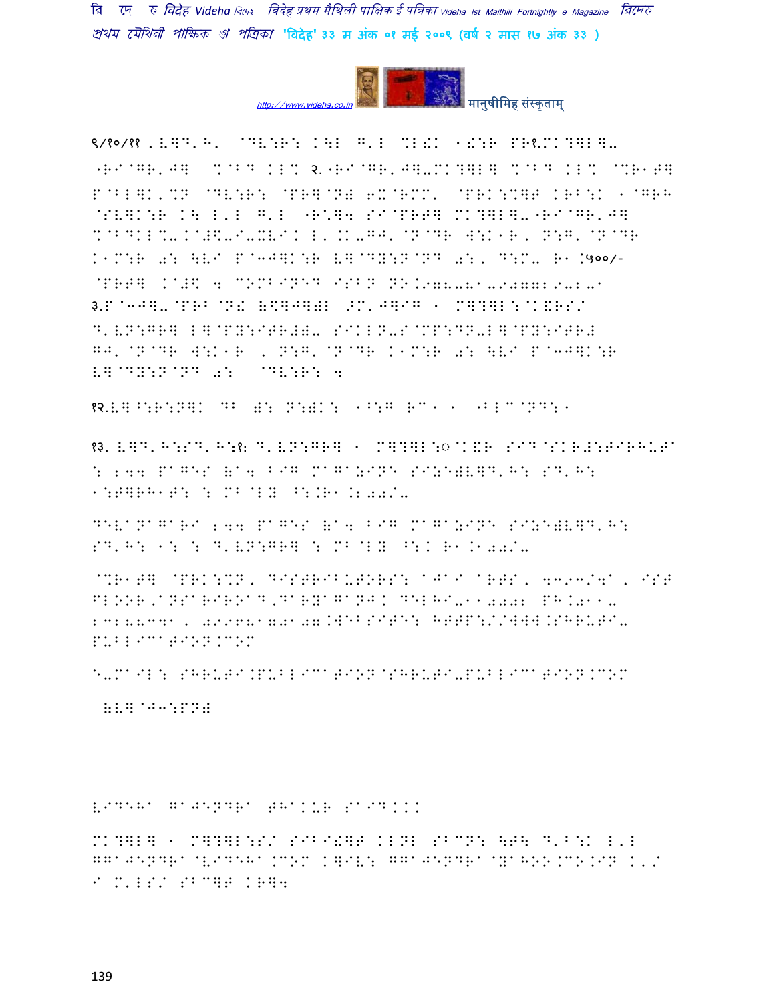

९/१०/११ : EBP, R. (19ENBN) : RECORIE (19END: RENE BR.M. GBB BL  $R$  (RIGGRESS ) was also considered by the control of the construction of  $R$  and  $R$ P@BL]K'%N @DV:R: @PR]@N) 6X@RMM' @PRK:%]T KRB:K 1@GRH MYER: NE CORTELE "ROE" (ARNHA YA MEREH DI HHEHE, ARANARE, AH % MPKL E NIL L'ABDILANDER COVED. IN NEPRES ME ME A BELIA BOS (BEBEL MB MEB KN:R 0: DESCRIPT OF DESCRIPTION ON DESCRIPTION OF A REVOLUTION OF POSTAL REPORTS @PRT] .@#\$ 4 COMBINED ISBN NO.978-81-907729-2-1 ३.P@3J]-@PRB@N! (\$]J])L >M'J]IG 1 M]?]L:@K&RS/ D'VN:GR] L]@PY:ITR#)- SIKLN-S@MP:DN-L]@PY:ITR# GA, ORIGE AND FROM GREAT COMPONIES AN ABY COMPONENT ESCRIPTION AND CONDITION

१२.L.H PERSONED ): NP (HERCGAND: A PERSONED A CARDIO 1 (HERCGAND: A PERSONED A CARDIO 1 (HERCGAND: A

१३. E.HT: PGETT, PG& T. E.PGHPH | | | | | HHH: GO MER | ENT GO BEELHIMPHE.  $\alpha$  ): 244 Pages (and af Gazine Size)video size (and an anti-size size  $\alpha$ ) 1:T]RH1T: : MB@LY ^:.R1.200/-

DEVaNaGaRI 244 PaGES (a4 BIG MaGaZINE SIZE)V]D'H:  $\mathcal{S}$  : Department of the solution of the solution of the solution of the solution of the solution of the solution of the solution of the solution of the solution of the solution of the solution of the solution of the s

@%R1T] @PRK:%N, DISTRIBUTORS: aJaI aRTS, 4393/4a, IST FLOOR, CHILDENS SUMBER PURS SUMBAGE AND ELECTRONIC 23488341, 09968181, 09968170107. HTTP://WWW.SHRUTI-PUBLICATION COMPANY OF THE COMPANY OF THE COMPANY OF THE COMPANY OF THE COMPANY OF THE COMPANY OF THE COMPANY OF THE COMPANY OF THE COMPANY OF THE COMPANY OF THE COMPANY OF THE COMPANY OF THE COMPANY OF THE COMPANY OF THE

E-MaIL: SHRUTI.PUBLICaTION@SHRUTI-PUBLICaTION.COM

(William) and Constitution

VIDEHa GaJENDRa THaKUR SaID...

MACRIS 1 MARSHED 1 MACRISON: SIBI 1 MARSHED 1 MARSHED 1 MARSHED 1 MARSHED 1 MARSHED 1 MARSHED 1 MARSHED 1 MARSH GGAJENDRA VIDEHAA.COM KIDEHA.COM KAN KANG KILANG KAN KANG KALI F MATH SPORE CHE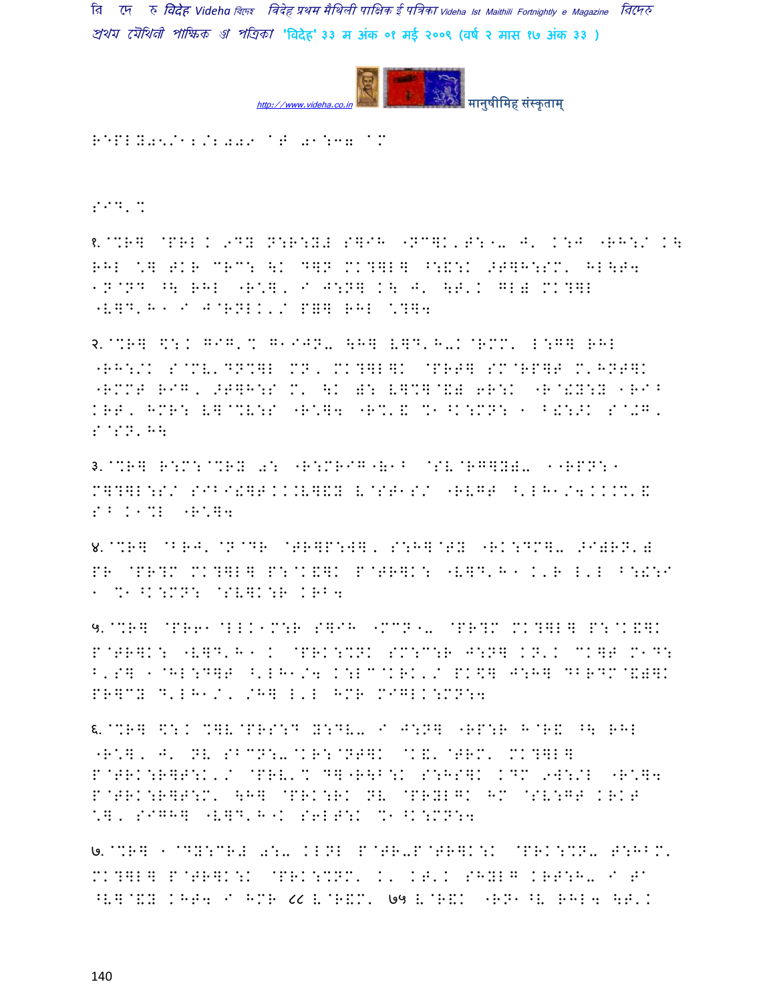

REPLYNS AT 01:37 and 01:37 and 01:37 and 01:37 and 01:37 and 01:37 am

 $\mathbb{R}^{2}$ 

१.@%R] @PRL. 9DY N:R:Y# S]IH "NC]K'T:"- J' K:J "RH:/ K\ RHL \*19 TKR CRC: NHL \*19 TKR CRCHER \*1000 AND \*1000 AND \*1000 1N@ND ^\ RHL "R\*], I J:N] K\ J' \T'K GL) MK?]L "B" I J" I J" I H" I L" I H" I H" I H" I H" I H"

२. 719 B | RN C | BYB, N | BYD, H | GHD | LET, BLI | GHT, | ENE | BBE | BBE "RH:/K S@MV'DN%]L MN, MK?]L]K @PRT] SM@RP]T M'HNT]K "RMMT RIG, >T]H:S M' \K ): V]%]@&) 6R:K "R@!Y:Y 1RI^ KRAT, HORS, BATOLSY, RENAW, PROVINCING PROGRESS, PROVINCING SMS SNY

३.@%R] R:M:@%RY 0: "R:MRIG"(1B @SV@RG]Y)- ""RPN:" MARA SID : SY VERFOLDERDE E NIBY ID. (BERFOLDER) DE L'ANDI  $S^*$  Contracts and  $S^*$ 

४.@%R] @BRJ'@N@DR @TR]P:W], S:H]@TY "RK:DM]- >I)RN') PR @PR?M MK?]L] P:@K&]K P@TR]K: "V]D'H" K'R L'L B:!:I 1 %1^K:MN: @SV]K:R KRB4

५.@%R] @PR61@LLK1M:R S]IH "MCN"- @PR?M MK?]L] P:@K&]K P. TRIKED GO. (ALBIT), A KOOL (TRIK: GION) (RICGITGE), AGINE (CON), CO. TO BE (CN) TH B.:DE: { 1A: DIRECT REPAIRS ON DIRECT DECISIONS OF DAMAGES PR]CY D'LH1/, /H] L'L HMR MIGLK:MN:4

६.@%R] \$:. %]V@PRS:D Y:DV- I J:N] "RP:R H@R& ^\ RHL  $R$  ,  $R$  ,  $R$  ,  $R$  ,  $R$  ,  $R$  ,  $R$  ,  $R$  ,  $R$  ,  $R$  ,  $R$  ,  $R$  ,  $R$  ,  $R$  ,  $R$  ,  $R$  ,  $R$  ,  $R$  ,  $R$  ,  $R$  ,  $R$  ,  $R$  ,  $R$  ,  $R$  ,  $R$  ,  $R$  ,  $R$  ,  $R$  ,  $R$  ,  $R$  ,  $R$  ,  $R$  ,  $R$  ,  $R$  ,  $R$  ,  $R$  ,  $R$  , P@TRK:R]T:K'/ @PRV'% D]"R\B:K S:HS]K KDM 9W:/L "R\*]4 P@TRK:RPRK:RPROGRK:RK NV @PRYLGK HM @SV:GT KRKT \*], SIGH] "V]D'H"K S6LT:K %1^K:MN:4

७.@%R] 1@DY:CR# 0:- KLNL P@TR-P@TR]K:K @PRK:%N- T:HBM' MK?) MENERANG KERANG KERANG KARA PERANG KANYA KE PERANG KALI PERANG KE PERANG KE PERANG KALI PERANG KALI PERAN<br>Kara menerang karti perang kali perang karti perang karti perang karti perang karti perang karti perang karti  $V$ ARAMIS I HAR VI HMR (20 R MHR). ७५ R MHR (99 R MHR) (99 R MHR) RHL4 HHL4 (99 R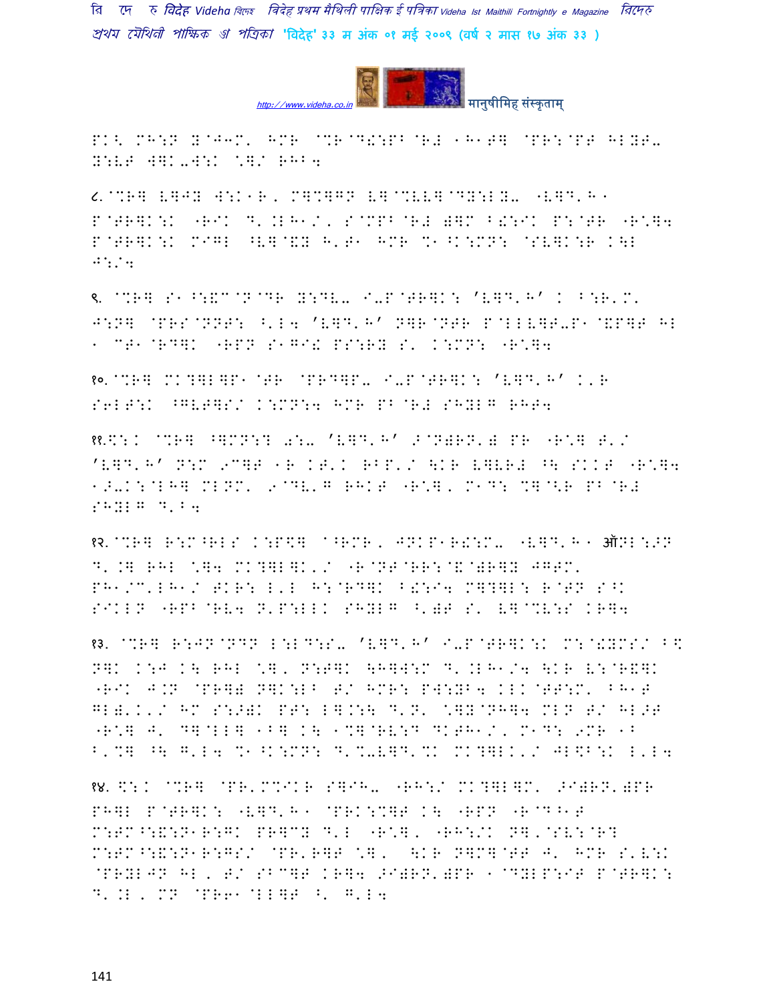

PK< MH:N Y@J3M' HMR @%R@D!:PB@R# 1H1T] @PR:@PT HLYT-Y:VT W]K-W:K \*]/ RHB4

८.@%R] V]JY W:K1R, M]%]GN V]@%VV]@DY:LY- "V]D'H" P@TR]K:K "RIK D'.LH1/, S@MPB@R# )]M B!:IK P:@TR "R\*]4 P. MARAD AD (ONCAR) AND ARREST ACTIVITY AN ACCORDING MARKING BY CONT  $\mathcal{H}:\mathcal{F}\rightarrow\mathcal{F}$ 

९. [1784] SIX PEEM YR 1785 (EGMELL) YLE YERAD GOYEARY, RYOCO FGBL ML J:N] @PRS@NNT: ^'L4 'V]D'H' N]R@NTR P@LLV]T-P1@&P]T HL 1 CT1@RD]K "RPN S1GI! PS:RY S' K:MN: "R\*]4

१०.@%R] MK?]L]P1@TR @PRD]P- I-P@TR]K: 'V]D'H' K'R S6LT:K PROGRESS SHYLG RHT4 HMR PB@R# SHYLG RHT4

११.5:1 CONTRA PROPORT GRU / ERP. PK DE CREPO, ECONOMIC PROPORT (P. 2  $V$ EAT. A $V$  (First variety are only state  $\mathbb{R}$  and  $\mathbb{R}$  and  $\mathbb{R}$  are  $\mathbb{R}$  in  $\mathbb{R}$  . The state  $\mathbb{R}$ 1>-K:@LH] MLNM' 9@DV'G RHKT "R\*], M1D: %]@<R PB@R# SHILLE D. P.

१२. MWERT R:MORLS K:P\$PERT TO REMELT MANIFER RESIDENT (ALROY) MINE NACH D'.] RHL \*]4 MK?]L]K'/ "R@NT@RR:@&@)R]Y JGTM' PH1/C'LEATING BIBS EVEN AS TRABILITES AN ORBHER BIGGA RIT SIKLA PO THE PERSON NEWSTAP OF LANGING ON A ROUNDED OF SAN

१३. @ MARIE: B-GHP (1979) E-GHP GENER, WARRY, RIK MARIE: THE WORLD BACK OF RICHARD DAIK: J GA: J K: BAEK: J R, DGAAIK, NHARAGD, M, JE AK JA, KI B, E G, DAIRER, "RIK J.N @PR]) N]K:LB T/ HMR: PW:YB4 KLK@TT:M' BH1T 'HEAL)'S' ("HO") S'YAAD ("D'A'Y) E'H DYN "MLON", "NON TO'HHA "O'EOR" A'S "HEOAR  $R$  -particles in the problem of the problems of the problems of  $R$ B'%] ^\ G'L4 %1^K:MN: D'%-V]D'%K MK?]LK'/ JL\$B:K L'L4

१४. \$:. @%R] @PR'M%IKR S]IH- "RH:/ MK?]L]M' >I)RN')PR PHIL PORRIN "VART, PACTRESSING" & CHPPO "ROTH " M:THO: THE THIS PROPERTY OF THE THIS CONTINUES. THE REPORT OF THE THIRD OF THE THING. M:THO: THE SERVEY THAT THE LIGHT OF THE LIGHT OF THE STUDENT STUDENTS. @PRYLJN HL, T/ SBC]T KR]4 >I)RN')PR 1@DYLP:IT P@TR]K: D'.L, MN @PR61@LL]T ^' G'L4